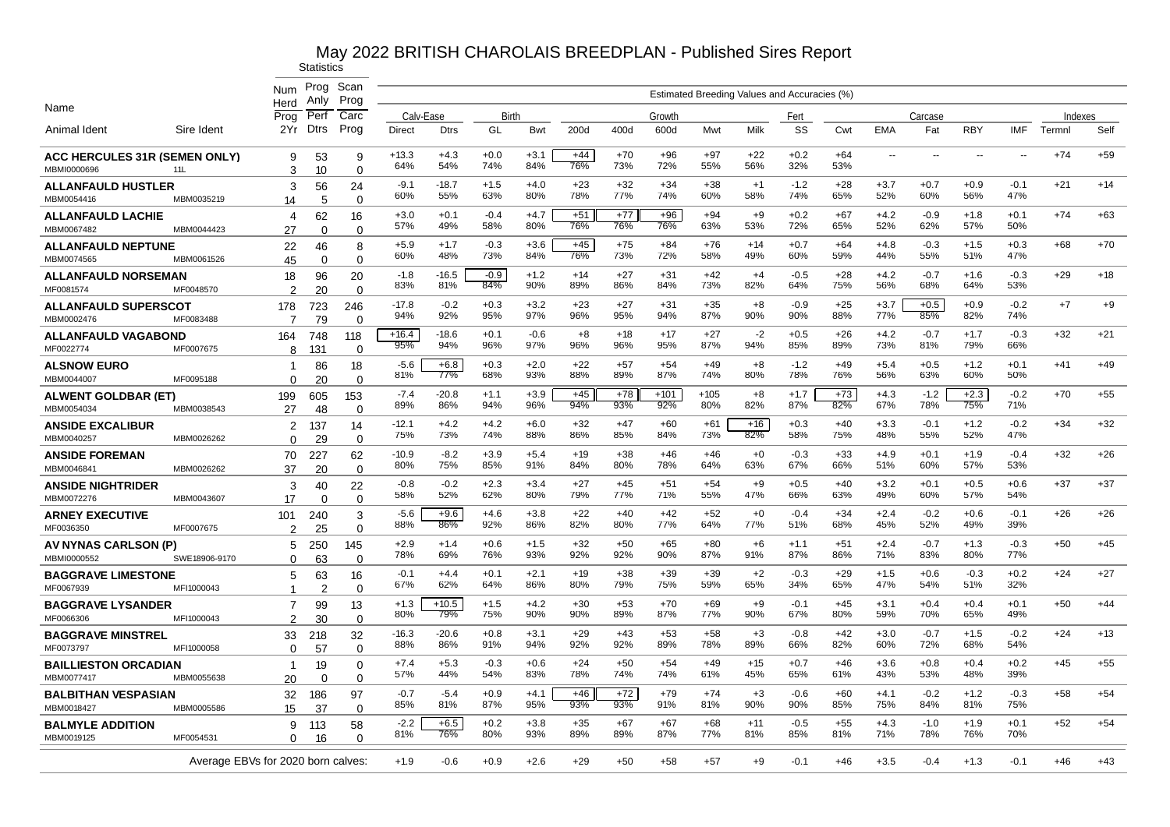|                                                     |                                    | Num                   | Prog                 | Scan                    |                     |                |               |               |              |              |                |              | Estimated Breeding Values and Accuracies (%) |               |              |               |                          |                          |                          |                          |       |
|-----------------------------------------------------|------------------------------------|-----------------------|----------------------|-------------------------|---------------------|----------------|---------------|---------------|--------------|--------------|----------------|--------------|----------------------------------------------|---------------|--------------|---------------|--------------------------|--------------------------|--------------------------|--------------------------|-------|
| Name                                                |                                    | Herd                  | Anlv                 | Prog                    |                     |                |               |               |              |              |                |              |                                              |               |              |               |                          |                          |                          |                          |       |
| Animal Ident                                        | Sire Ident                         | Prog<br>2Yr           | Per<br><b>Dtrs</b>   | Carc<br>Prog            | Calv-Ease<br>Direct | <b>Dtrs</b>    | Birth<br>GL   | <b>Bwt</b>    | 200d         | 400d         | Growth<br>600d | Mwt          | Milk                                         | Fert<br>SS    | Cwt          | <b>EMA</b>    | Carcase<br>Fat           | <b>RBY</b>               | <b>IMF</b>               | <b>Indexes</b><br>Termnl | Self  |
| <b>ACC HERCULES 31R (SEMEN ONLY)</b><br>MBMI0000696 | 11L                                | 9<br>3                | 53<br>10             | 9<br>$\Omega$           | $+13.3$<br>64%      | $+4.3$<br>54%  | $+0.0$<br>74% | $+3.1$<br>84% | $+44$<br>76% | $+70$<br>73% | $+96$<br>72%   | $+97$<br>55% | $+22$<br>56%                                 | $+0.2$<br>32% | $+64$<br>53% | $\sim$        | $\overline{\phantom{a}}$ | $\overline{\phantom{a}}$ | $\overline{\phantom{a}}$ | $+74$                    | $+59$ |
| <b>ALLANFAULD HUSTLER</b><br>MBM0054416             | MBM0035219                         | 3<br>14               | 56<br>5              | 24<br>$\Omega$          | $-9.1$<br>60%       | $-18.7$<br>55% | $+1.5$<br>63% | $+4.0$<br>80% | $+23$<br>78% | $+32$<br>77% | $+34$<br>74%   | $+38$<br>60% | $+1$<br>58%                                  | $-1.2$<br>74% | $+28$<br>65% | $+3.7$<br>52% | $+0.7$<br>60%            | $+0.9$<br>56%            | $-0.1$<br>47%            | $+21$                    | $+14$ |
| <b>ALLANFAULD LACHIE</b><br>MBM0067482              | MBM0044423                         | 4<br>27               | 62<br>$\Omega$       | 16<br>$\Omega$          | $+3.0$<br>57%       | $+0.1$<br>49%  | $-0.4$<br>58% | $+4.7$<br>80% | $+51$<br>76% | $+77$<br>76% | $+96$<br>76%   | $+94$<br>63% | $+9$<br>53%                                  | $+0.2$<br>72% | $+67$<br>65% | $+4.2$<br>52% | $-0.9$<br>62%            | $+1.8$<br>57%            | $+0.1$<br>50%            | $+74$                    | $+63$ |
| <b>ALLANFAULD NEPTUNE</b><br>MBM0074565             | MBM0061526                         | 22<br>45              | 46<br>$\Omega$       | 8<br>$\Omega$           | $+5.9$<br>60%       | $+1.7$<br>48%  | $-0.3$<br>73% | $+3.6$<br>84% | $+45$<br>76% | $+75$<br>73% | +84<br>72%     | $+76$<br>58% | $+14$<br>49%                                 | $+0.7$<br>60% | $+64$<br>59% | $+4.8$<br>44% | $-0.3$<br>55%            | $+1.5$<br>51%            | $+0.3$<br>47%            | $+68$                    | $+70$ |
| <b>ALLANFAULD NORSEMAN</b><br>MF0081574             | MF0048570                          | 18<br>2               | 96<br>20             | 20<br>$\Omega$          | $-1.8$<br>83%       | $-16.5$<br>81% | $-0.9$<br>84% | $+1.2$<br>90% | $+14$<br>89% | $+27$<br>86% | $+31$<br>84%   | $+42$<br>73% | $+4$<br>82%                                  | $-0.5$<br>64% | $+28$<br>75% | $+4.2$<br>56% | $-0.7$<br>68%            | $+1.6$<br>64%            | $-0.3$<br>53%            | $+29$                    | $+18$ |
| <b>ALLANFAULD SUPERSCOT</b><br>MBM0002476           | MF0083488                          | 178<br>7              | 723<br>79            | 246<br>$\Omega$         | $-17.8$<br>94%      | $-0.2$<br>92%  | $+0.3$<br>95% | $+3.2$<br>97% | $+23$<br>96% | $+27$<br>95% | $+31$<br>94%   | $+35$<br>87% | $+8$<br>90%                                  | $-0.9$<br>90% | $+25$<br>88% | $+3.7$<br>77% | $+0.5$<br>85%            | $+0.9$<br>82%            | $-0.2$<br>74%            | $+7$                     | $+9$  |
| <b>ALLANFAULD VAGABOND</b><br>MF0022774             | MF0007675                          | 164<br>8              | 748<br>131           | 118<br>0                | $+16.4$<br>95%      | $-18.6$<br>94% | $+0.1$<br>96% | -0.6<br>97%   | +8<br>96%    | $+18$<br>96% | $+17$<br>95%   | $+27$<br>87% | $-2$<br>94%                                  | +0.5<br>85%   | $+26$<br>89% | $+4.2$<br>73% | -0.7<br>81%              | $+1.7$<br>79%            | $-0.3$<br>66%            | $+32$                    | $+21$ |
| <b>ALSNOW EURO</b><br>MBM0044007                    | MF0095188                          | -1<br>$\Omega$        | 86<br>20             | 18<br>$\Omega$          | $-5.6$<br>81%       | $+6.8$<br>77%  | $+0.3$<br>68% | $+2.0$<br>93% | $+22$<br>88% | $+57$<br>89% | $+54$<br>87%   | $+49$<br>74% | $+8$<br>80%                                  | $-1.2$<br>78% | $+49$<br>76% | $+5.4$<br>56% | $+0.5$<br>63%            | $+1.2$<br>60%            | $+0.1$<br>50%            | $+41$                    | $+49$ |
| <b>ALWENT GOLDBAR (ET)</b><br>MBM0054034            | MBM0038543                         | 199<br>27             | 605<br>48            | 153<br>$\Omega$         | $-7.4$<br>89%       | $-20.8$<br>86% | $+1.1$<br>94% | $+3.9$<br>96% | $+45$<br>94% | $+78$<br>93% | $+101$<br>92%  | +105<br>80%  | $+8$<br>82%                                  | $+1.7$<br>87% | $+73$<br>82% | $+4.3$<br>67% | $-1.2$<br>78%            | $+2.3$<br>75%            | $-0.2$<br>71%            | $+70$                    | $+55$ |
| <b>ANSIDE EXCALIBUR</b><br>MBM0040257               | MBM0026262                         | 2<br>$\Omega$         | 137<br>29            | 14<br>$\Omega$          | $-12.1$<br>75%      | $+4.2$<br>73%  | $+4.2$<br>74% | $+6.0$<br>88% | $+32$<br>86% | $+47$<br>85% | $+60$<br>84%   | $+61$<br>73% | $+16$<br>82%                                 | $+0.3$<br>58% | $+40$<br>75% | $+3.3$<br>48% | $-0.1$<br>55%            | $+1.2$<br>52%            | $-0.2$<br>47%            | $+34$                    | $+32$ |
| <b>ANSIDE FOREMAN</b><br>MBM0046841                 | MBM0026262                         | 70<br>37              | 227<br>20            | 62<br>$\mathbf 0$       | $-10.9$<br>80%      | $-8.2$<br>75%  | $+3.9$<br>85% | $+5.4$<br>91% | $+19$<br>84% | $+38$<br>80% | $+46$<br>78%   | $+46$<br>64% | $+0$<br>63%                                  | $-0.3$<br>67% | $+33$<br>66% | $+4.9$<br>51% | $+0.1$<br>60%            | $+1.9$<br>57%            | $-0.4$<br>53%            | $+32$                    | $+26$ |
| <b>ANSIDE NIGHTRIDER</b><br>MBM0072276              | MBM0043607                         | 3<br>17               | 40<br>$\Omega$       | 22<br>$\Omega$          | $-0.8$<br>58%       | $-0.2$<br>52%  | $+2.3$<br>62% | $+3.4$<br>80% | $+27$<br>79% | $+45$<br>77% | $+51$<br>71%   | $+54$<br>55% | $+9$<br>47%                                  | $+0.5$<br>66% | $+40$<br>63% | $+3.2$<br>49% | $+0.1$<br>60%            | $+0.5$<br>57%            | $+0.6$<br>54%            | $+37$                    | $+37$ |
| <b>ARNEY EXECUTIVE</b><br>MF0036350                 | MF0007675                          | 101<br>$\mathfrak{p}$ | 240<br>25            | 3<br>0                  | $-5.6$<br>88%       | $+9.6$<br>86%  | $+4.6$<br>92% | $+3.8$<br>86% | $+22$<br>82% | $+40$<br>80% | $+42$<br>77%   | $+52$<br>64% | $+0$<br>77%                                  | $-0.4$<br>51% | $+34$<br>68% | $+2.4$<br>45% | $-0.2$<br>52%            | $+0.6$<br>49%            | $-0.1$<br>39%            | $+26$                    | $+26$ |
| AV NYNAS CARLSON (P)<br>MBMI0000552                 | SWE18906-9170                      | 5<br>$\Omega$         | 250<br>63            | 145<br>$\Omega$         | $+2.9$<br>78%       | $+1.4$<br>69%  | $+0.6$<br>76% | $+1.5$<br>93% | $+32$<br>92% | $+50$<br>92% | $+65$<br>90%   | $+80$<br>87% | $+6$<br>91%                                  | $+1.1$<br>87% | $+51$<br>86% | $+2.4$<br>71% | $-0.7$<br>83%            | $+1.3$<br>80%            | $-0.3$<br>77%            | $+50$                    | $+45$ |
| <b>BAGGRAVE LIMESTONE</b><br>MF0067939              | MFI1000043                         | 5<br>1                | 63<br>$\overline{2}$ | 16<br>$\Omega$          | $-0.1$<br>67%       | $+4.4$<br>62%  | $+0.1$<br>64% | $+2.1$<br>86% | $+19$<br>80% | $+38$<br>79% | $+39$<br>75%   | $+39$<br>59% | $+2$<br>65%                                  | $-0.3$<br>34% | $+29$<br>65% | $+1.5$<br>47% | $+0.6$<br>54%            | $-0.3$<br>51%            | $+0.2$<br>32%            | $+24$                    | $+27$ |
| <b>BAGGRAVE LYSANDER</b><br>MF0066306               | MFI1000043                         | 7<br>$\overline{2}$   | 99<br>30             | 13<br>0                 | $+1.3$<br>80%       | $+10.5$<br>79% | $+1.5$<br>75% | $+4.2$<br>90% | $+30$<br>90% | $+53$<br>89% | $+70$<br>87%   | $+69$<br>77% | $+9$<br>90%                                  | $-0.1$<br>67% | $+45$<br>80% | $+3.1$<br>59% | $+0.4$<br>70%            | $+0.4$<br>65%            | $+0.1$<br>49%            | $+50$                    | $+44$ |
| <b>BAGGRAVE MINSTREL</b><br>MF0073797               | MFI1000058                         | 33<br>$\Omega$        | 218<br>57            | 32<br>$\Omega$          | $-16.3$<br>88%      | $-20.6$<br>86% | $+0.8$<br>91% | $+3.1$<br>94% | $+29$<br>92% | $+43$<br>92% | $+53$<br>89%   | $+58$<br>78% | $+3$<br>89%                                  | $-0.8$<br>66% | $+42$<br>82% | $+3.0$<br>60% | $-0.7$<br>72%            | $+1.5$<br>68%            | $-0.2$<br>54%            | $+24$                    | $+13$ |
| <b>BAILLIESTON ORCADIAN</b><br>MBM0077417           | MBM0055638                         | $\mathbf{1}$<br>20    | 19<br>$\Omega$       | $\Omega$<br>$\mathbf 0$ | $+7.4$<br>57%       | $+5.3$<br>44%  | $-0.3$<br>54% | $+0.6$<br>83% | $+24$<br>78% | $+50$<br>74% | $+54$<br>74%   | $+49$<br>61% | $+15$<br>45%                                 | $+0.7$<br>65% | $+46$<br>61% | $+3.6$<br>43% | $+0.8$<br>53%            | $+0.4$<br>48%            | $+0.2$<br>39%            | $+45$                    | $+55$ |
| <b>BALBITHAN VESPASIAN</b><br>MBM0018427            | MBM0005586                         | 32<br>15              | 186<br>37            | 97<br>$\Omega$          | $-0.7$<br>85%       | $-5.4$<br>81%  | $+0.9$<br>87% | $+4.1$<br>95% | $+46$<br>93% | $+72$<br>93% | $+79$<br>91%   | $+74$<br>81% | $+3$<br>90%                                  | $-0.6$<br>90% | $+60$<br>85% | $+4.1$<br>75% | $-0.2$<br>84%            | $+1.2$<br>81%            | $-0.3$<br>75%            | $+58$                    | $+54$ |
| <b>BALMYLE ADDITION</b><br>MBM0019125               | MF0054531                          | 9<br>0                | 113<br>16            | 58<br>$\Omega$          | $-2.2$<br>81%       | $+6.5$<br>76%  | $+0.2$<br>80% | $+3.8$<br>93% | $+35$<br>89% | $+67$<br>89% | $+67$<br>87%   | $+68$<br>77% | $+11$<br>81%                                 | $-0.5$<br>85% | $+55$<br>81% | $+4.3$<br>71% | $-1.0$<br>78%            | $+1.9$<br>76%            | $+0.1$<br>70%            | $+52$                    | $+54$ |
|                                                     | Average EBVs for 2020 born calves: |                       |                      |                         | $+1.9$              | $-0.6$         | $+0.9$        | $+2.6$        | $+29$        | $+50$        | $+58$          | +57          | $+9$                                         | -0.1          | $+46$        | $+3.5$        | $-0.4$                   | $+1.3$                   | $-0.1$                   | $+46$                    | $+43$ |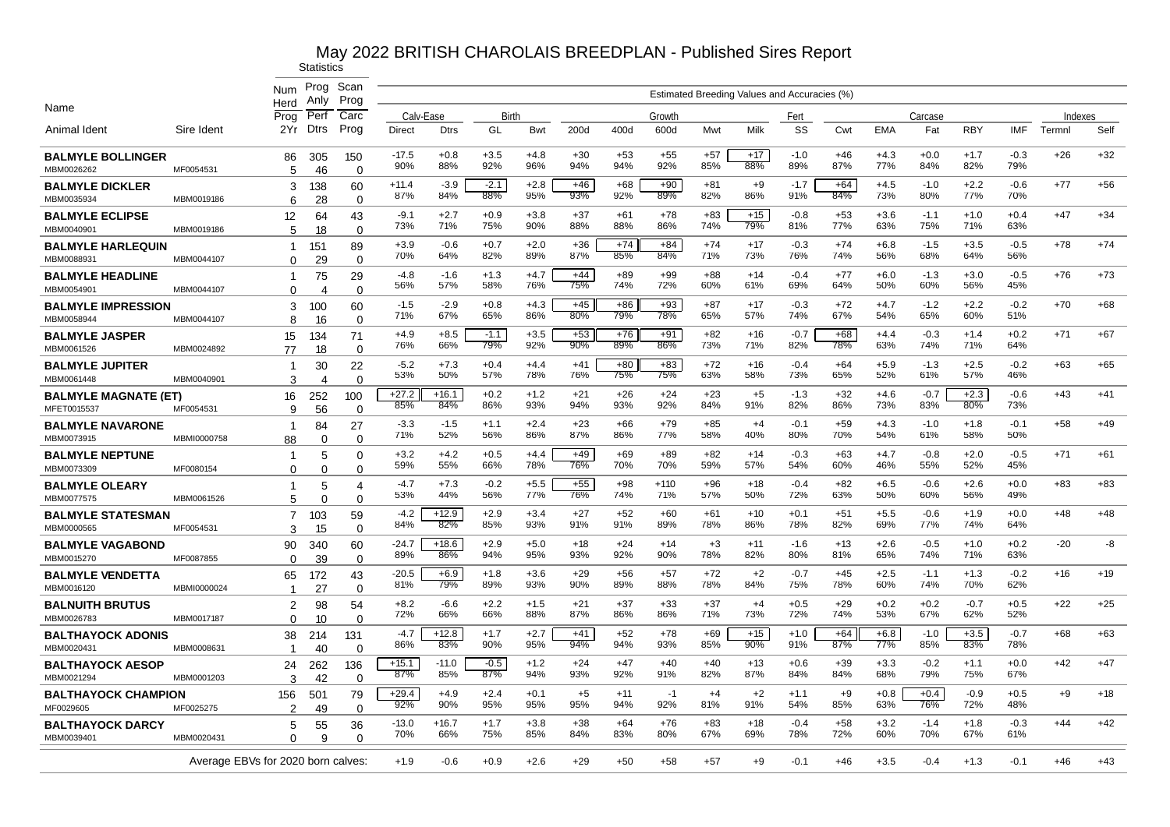|                                         |                                    | Num                        | Prog                  | Scan              |                |                |               |               |              |              |               |              |                                              |               |              |               |               |               |               |        |         |
|-----------------------------------------|------------------------------------|----------------------------|-----------------------|-------------------|----------------|----------------|---------------|---------------|--------------|--------------|---------------|--------------|----------------------------------------------|---------------|--------------|---------------|---------------|---------------|---------------|--------|---------|
| Name                                    |                                    | Herd                       | Anly                  | Prog              |                |                |               |               |              |              |               |              | Estimated Breeding Values and Accuracies (%) |               |              |               |               |               |               |        |         |
|                                         |                                    | Prog                       | Perf                  | Carc              | Calv-Ease      |                | Birth         |               |              |              | Growth        |              |                                              | Fert          |              |               | Carcase       |               |               |        | Indexes |
| Animal Ident                            | Sire Ident                         | 2Yr                        | <b>Dtrs</b>           | Prog              | Direct         | <b>Dtrs</b>    | GL            | Bwt           | 200d         | 400d         | 600d          | Mwt          | Milk                                         | SS            | Cwt          | <b>EMA</b>    | Fat           | <b>RBY</b>    | IMF           | Termnl | Self    |
| <b>BALMYLE BOLLINGER</b>                |                                    | 86                         | 305                   | 150               | $-17.5$<br>90% | $+0.8$<br>88%  | $+3.5$<br>92% | $+4.8$<br>96% | $+30$<br>94% | $+53$<br>94% | $+55$<br>92%  | $+57$<br>85% | $+17$<br>88%                                 | $-1.0$<br>89% | $+46$<br>87% | $+4.3$<br>77% | $+0.0$<br>84% | $+1.7$<br>82% | $-0.3$<br>79% | $+26$  | $+32$   |
| MBM0026262                              | MF0054531                          | 5                          | 46                    | $\Omega$          |                |                |               |               |              |              |               |              |                                              |               |              |               |               |               |               |        |         |
| <b>BALMYLE DICKLER</b><br>MBM0035934    | MBM0019186                         | 3<br>6                     | 138<br>28             | 60<br>$\Omega$    | $+11.4$<br>87% | $-3.9$<br>84%  | $-2.1$<br>88% | $+2.8$<br>95% | $+46$<br>93% | $+68$<br>92% | $+90$<br>89%  | $+81$<br>82% | $+9$<br>86%                                  | $-1.7$<br>91% | $+64$<br>84% | $+4.5$<br>73% | $-1.0$<br>80% | $+2.2$<br>77% | $-0.6$<br>70% | $+77$  | $+56$   |
| <b>BALMYLE ECLIPSE</b>                  |                                    | 12                         | 64                    | 43                | $-9.1$         | $+2.7$         | $+0.9$        | $+3.8$        | $+37$        | $+61$        | $+78$         | $+83$        | $+15$                                        | $-0.8$        | $+53$        | $+3.6$        | $-1.1$        | $+1.0$        | $+0.4$        | $+47$  | $+34$   |
| MBM0040901                              | MBM0019186                         | 5                          | 18                    | $\Omega$          | 73%            | 71%            | 75%           | 90%           | 88%          | 88%          | 86%           | 74%          | 79%                                          | 81%           | 77%          | 63%           | 75%           | 71%           | 63%           |        |         |
| <b>BALMYLE HARLEQUIN</b>                |                                    | -1                         | 151                   | 89                | $+3.9$<br>70%  | $-0.6$<br>64%  | $+0.7$<br>82% | $+2.0$<br>89% | $+36$<br>87% | $+74$<br>85% | $+84$<br>84%  | $+74$<br>71% | $+17$<br>73%                                 | $-0.3$<br>76% | $+74$<br>74% | $+6.8$<br>56% | $-1.5$<br>68% | $+3.5$<br>64% | $-0.5$<br>56% | $+78$  | $+74$   |
| MBM0088931<br><b>BALMYLE HEADLINE</b>   | MBM0044107                         | $\Omega$<br>-1             | 29<br>75              | $\Omega$<br>29    | -4.8           | $-1.6$         | $+1.3$        | $+4.7$        | $+44$        | $+89$        | $+99$         | $+88$        | $+14$                                        | $-0.4$        | $+77$        | $+6.0$        | $-1.3$        | $+3.0$        | $-0.5$        | $+76$  | $+73$   |
| MBM0054901                              | MBM0044107                         | $\Omega$                   | $\boldsymbol{\Delta}$ | $\mathbf 0$       | 56%            | 57%            | 58%           | 76%           | 75%          | 74%          | 72%           | 60%          | 61%                                          | 69%           | 64%          | 50%           | 60%           | 56%           | 45%           |        |         |
| <b>BALMYLE IMPRESSION</b>               |                                    | 3                          | 100                   | 60                | $-1.5$         | $-2.9$         | $+0.8$        | $+4.3$        | $+45$        | $+86$        | $+93$         | $+87$        | $+17$                                        | $-0.3$        | $+72$        | $+4.7$        | $-1.2$        | $+2.2$        | $-0.2$        | $+70$  | $+68$   |
| MBM0058944                              | MBM0044107                         | 8                          | 16                    | 0                 | 71%            | 67%            | 65%           | 86%           | 80%          | 79%          | 78%           | 65%          | 57%                                          | 74%           | 67%          | 54%           | 65%           | 60%           | 51%           |        |         |
| <b>BALMYLE JASPER</b><br>MBM0061526     | MBM0024892                         | 15                         | 134                   | 71<br>$\Omega$    | $+4.9$<br>76%  | $+8.5$<br>66%  | $-1.1$<br>79% | $+3.5$<br>92% | $+53$<br>90% | $+76$<br>89% | $+91$<br>86%  | $+82$<br>73% | $+16$<br>71%                                 | $-0.7$<br>82% | $+68$<br>78% | $+4.4$<br>63% | $-0.3$<br>74% | $+1.4$<br>71% | $+0.2$<br>64% | $+71$  | $+67$   |
| <b>BALMYLE JUPITER</b>                  |                                    | 77<br>-1                   | 18<br>30              | 22                | $-5.2$         | $+7.3$         | $+0.4$        | $+4.4$        | $+41$        | $+80$        | $+83$         | $+72$        | $+16$                                        | $-0.4$        | $+64$        | $+5.9$        | $-1.3$        | $+2.5$        | $-0.2$        | $+63$  | $+65$   |
| MBM0061448                              | MBM0040901                         | 3                          | 4                     | $\Omega$          | 53%            | 50%            | 57%           | 78%           | 76%          | 75%          | 75%           | 63%          | 58%                                          | 73%           | 65%          | 52%           | 61%           | 57%           | 46%           |        |         |
| <b>BALMYLE MAGNATE (ET)</b>             |                                    | 16                         | 252                   | 100               | $+27.2$        | $+16.1$        | $+0.2$        | $+1.2$        | $+21$        | $+26$        | $+24$         | $+23$        | $+5$                                         | $-1.3$        | $+32$        | $+4.6$        | $-0.7$        | $+2.3$        | $-0.6$        | $+43$  | $+41$   |
| MFET0015537                             | MF0054531                          | $\mathbf{Q}$               | 56                    | $\Omega$          | 85%            | 84%            | 86%           | 93%           | 94%          | 93%          | 92%           | 84%          | 91%                                          | 82%           | 86%          | 73%           | 83%           | 80%           | 73%           |        |         |
| <b>BALMYLE NAVARONE</b><br>MBM0073915   | MBMI0000758                        | -1<br>88                   | 84<br>$\Omega$        | 27<br>0           | $-3.3$<br>71%  | $-1.5$<br>52%  | $+1.1$<br>56% | $+2.4$<br>86% | $+23$<br>87% | $+66$<br>86% | $+79$<br>77%  | $+85$<br>58% | $+4$<br>40%                                  | $-0.1$<br>80% | $+59$<br>70% | $+4.3$<br>54% | $-1.0$<br>61% | $+1.8$<br>58% | $-0.1$<br>50% | $+58$  | $+49$   |
| <b>BALMYLE NEPTUNE</b>                  |                                    | -1                         | 5                     | 0                 | $+3.2$         | $+4.2$         | $+0.5$        | $+4.4$        | $+49$        | $+69$        | $+89$         | $+82$        | $+14$                                        | $-0.3$        | $+63$        | $+4.7$        | $-0.8$        | $+2.0$        | $-0.5$        | $+71$  | $+61$   |
| MBM0073309                              | MF0080154                          | $\Omega$                   | $\Omega$              | 0                 | 59%            | 55%            | 66%           | 78%           | 76%          | 70%          | 70%           | 59%          | 57%                                          | 54%           | 60%          | 46%           | 55%           | 52%           | 45%           |        |         |
| <b>BALMYLE OLEARY</b>                   |                                    | -1                         | 5                     | 4                 | $-4.7$<br>53%  | $+7.3$<br>44%  | $-0.2$<br>56% | $+5.5$<br>77% | $+55$<br>76% | $+98$<br>74% | $+110$<br>71% | $+96$<br>57% | $+18$<br>50%                                 | $-0.4$<br>72% | $+82$<br>63% | $+6.5$<br>50% | $-0.6$<br>60% | $+2.6$<br>56% | $+0.0$<br>49% | $+83$  | $+83$   |
| MBM0077575                              | MBM0061526                         | 5                          | $\Omega$              | $\Omega$          |                |                |               |               |              |              |               |              |                                              |               |              |               |               |               |               |        |         |
| <b>BALMYLE STATESMAN</b><br>MBM0000565  | MF005453                           | $\overline{7}$<br>3        | 103<br>15             | 59<br>$\Omega$    | $-4.2$<br>84%  | $+12.9$<br>82% | $+2.9$<br>85% | $+3.4$<br>93% | $+27$<br>91% | $+52$<br>91% | $+60$<br>89%  | $+61$<br>78% | $+10$<br>86%                                 | $+0.1$<br>78% | $+51$<br>82% | $+5.5$<br>69% | $-0.6$<br>77% | $+1.9$<br>74% | $+0.0$<br>64% | $+48$  | $+48$   |
| <b>BALMYLE VAGABOND</b>                 |                                    | 90                         | 340                   | 60                | -24.7          | $+18.6$        | $+2.9$        | $+5.0$        | $+18$        | $+24$        | $+14$         | $+3$         | $+11$                                        | $-1.6$        | $+13$        | $+2.6$        | $-0.5$        | $+1.0$        | $+0.2$        | $-20$  | -8      |
| MBM0015270                              | MF0087855                          | $\Omega$                   | 39                    | $\Omega$          | 89%            | 86%            | 94%           | 95%           | 93%          | 92%          | 90%           | 78%          | 82%                                          | 80%           | 81%          | 65%           | 74%           | 71%           | 63%           |        |         |
| <b>BALMYLE VENDETTA</b>                 |                                    | 65                         | 172                   | 43                | -20.5<br>81%   | $+6.9$<br>79%  | $+1.8$<br>89% | $+3.6$<br>93% | $+29$<br>90% | $+56$<br>89% | $+57$<br>88%  | $+72$<br>78% | $+2$<br>84%                                  | $-0.7$<br>75% | $+45$<br>78% | $+2.5$<br>60% | $-1.1$<br>74% | $+1.3$<br>70% | $-0.2$<br>62% | $+16$  | $+19$   |
| MBM0016120                              | MBMI0000024                        |                            | 27                    | $\Omega$          |                |                |               |               |              |              |               |              | $+4$                                         |               |              |               |               |               |               |        |         |
| <b>BALNUITH BRUTUS</b><br>MBM0026783    | MBM0017187                         | $\overline{2}$<br>$\Omega$ | 98<br>10              | 54<br>$\mathbf 0$ | $+8.2$<br>72%  | $-6.6$<br>66%  | $+2.2$<br>66% | $+1.5$<br>88% | $+21$<br>87% | $+37$<br>86% | $+33$<br>86%  | $+37$<br>71% | 73%                                          | $+0.5$<br>72% | $+29$<br>74% | $+0.2$<br>53% | $+0.2$<br>67% | $-0.7$<br>62% | $+0.5$<br>52% | $+22$  | $+25$   |
| <b>BALTHAYOCK ADONIS</b>                |                                    | 38                         | 214                   | 131               | $-4.7$         | $+12.8$        | $+1.7$        | $+2.7$        | +41          | $+52$        | $+78$         | $+69$        | $+15$                                        | $+1.0$        | $+64$        | $+6.8$        | $-1.0$        | $+3.5$        | $-0.7$        | $+68$  | $+63$   |
| MBM0020431                              | MBM0008631                         | -1                         | 40                    | $\Omega$          | 86%            | 83%            | 90%           | 95%           | 94%          | 94%          | 93%           | 85%          | 90%                                          | 91%           | 87%          | 77%           | 85%           | 83%           | 78%           |        |         |
| <b>BALTHAYOCK AESOP</b>                 |                                    | 24                         | 262                   | 136               | $+15.1$<br>87% | $-11.0$<br>85% | $-0.5$<br>87% | $+1.2$<br>94% | $+24$<br>93% | $+47$<br>92% | $+40$<br>91%  | $+40$<br>82% | $+13$<br>87%                                 | $+0.6$<br>84% | $+39$<br>84% | $+3.3$<br>68% | $-0.2$<br>79% | $+1.1$<br>75% | $+0.0$<br>67% | $+42$  | $+47$   |
| MBM0021294                              | MBM0001203                         | 3                          | 42                    | $\Omega$          | $+29.4$        | $+4.9$         | $+2.4$        | $+0.1$        | $+5$         | $+11$        | $-1$          | $+4$         | $+2$                                         | $+1.1$        | $+9$         | $+0.8$        | $+0.4$        | $-0.9$        | $+0.5$        | $+9$   | $+18$   |
| <b>BALTHAYOCK CHAMPION</b><br>MF0029605 | MF0025275                          | 156<br>2                   | 501<br>49             | 79<br>$\Omega$    | 92%            | 90%            | 95%           | 95%           | 95%          | 94%          | 92%           | 81%          | 91%                                          | 54%           | 85%          | 63%           | 76%           | 72%           | 48%           |        |         |
| <b>BALTHAYOCK DARCY</b>                 |                                    | 5                          | 55                    | 36                | $-13.0$        | $+16.7$        | $+1.7$        | $+3.8$        | $+38$        | $+64$        | $+76$         | $+83$        | $+18$                                        | $-0.4$        | $+58$        | $+3.2$        | $-1.4$        | $+1.8$        | $-0.3$        | $+44$  | $+42$   |
| MBM0039401                              | MBM0020431                         | $\Omega$                   | g                     | $\Omega$          | 70%            | 66%            | 75%           | 85%           | 84%          | 83%          | 80%           | 67%          | 69%                                          | 78%           | 72%          | 60%           | 70%           | 67%           | 61%           |        |         |
|                                         | Average EBVs for 2020 born calves: |                            |                       |                   | $+1.9$         | $-0.6$         | $+0.9$        | $+2.6$        | $+29$        | $+50$        | $+58$         | $+57$        | $+9$                                         | $-0.1$        | $+46$        | $+3.5$        | $-0.4$        | $+1.3$        | $-0.1$        | $+46$  | $+43$   |
|                                         |                                    |                            |                       |                   |                |                |               |               |              |              |               |              |                                              |               |              |               |               |               |               |        |         |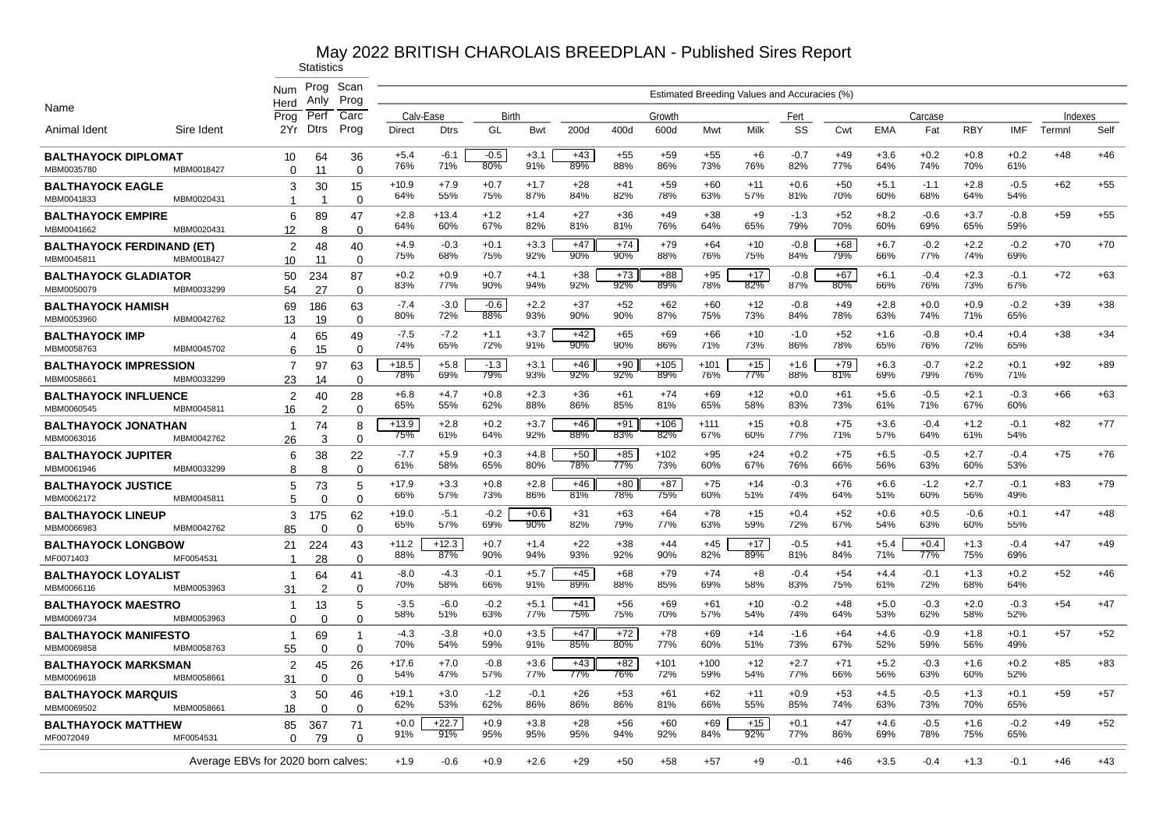|                                                |            | Num                                | Prog<br>Anlv         | Scan<br>Prog      |                |                |               |               |                 |              |                 |               | Estimated Breeding Values and Accuracies (%) |               |              |               |               |               |               |         |       |
|------------------------------------------------|------------|------------------------------------|----------------------|-------------------|----------------|----------------|---------------|---------------|-----------------|--------------|-----------------|---------------|----------------------------------------------|---------------|--------------|---------------|---------------|---------------|---------------|---------|-------|
| Name                                           |            | Herd<br>Proa                       | Perf                 | Carc              | Calv-Ease      |                | Birth         |               |                 |              | Growth          |               |                                              | Fert          |              |               | Carcase       |               |               | Indexes |       |
| Animal Ident                                   | Sire Ident | 2Yr                                | <b>Dtrs</b>          | Prog              | Direct         | <b>Dtrs</b>    | GL            | Bwt           | 200d            | 400d         | 600d            | Mwt           | Milk                                         | SS            | Cwt          | <b>EMA</b>    | Fat           | <b>RBY</b>    | <b>IMF</b>    | Termnl  | Self  |
| <b>BALTHAYOCK DIPLOMAT</b><br>MBM0035780       | MBM0018427 | 10<br>$\Omega$                     | 64<br>11             | 36<br>$\Omega$    | $+5.4$<br>76%  | $-6.1$<br>71%  | $-0.5$<br>80% | $+3.1$<br>91% | $+43$<br>89%    | $+55$<br>88% | $+59$<br>86%    | $+55$<br>73%  | $+6$<br>76%                                  | $-0.7$<br>82% | $+49$<br>77% | $+3.6$<br>64% | $+0.2$<br>74% | $+0.8$<br>70% | $+0.2$<br>61% | $+48$   | $+46$ |
| <b>BALTHAYOCK EAGLE</b><br>MBM0041833          | MBM0020431 | 3<br>1                             | 30                   | 15<br>$\Omega$    | $+10.9$<br>64% | $+7.9$<br>55%  | $+0.7$<br>75% | $+1.7$<br>87% | +28<br>84%      | $+41$<br>82% | $+59$<br>78%    | $+60$<br>63%  | $+11$<br>57%                                 | $+0.6$<br>81% | $+50$<br>70% | $+5.1$<br>60% | $-1.1$<br>68% | $+2.8$<br>64% | $-0.5$<br>54% | $+62$   | $+55$ |
| <b>BALTHAYOCK EMPIRE</b><br>MBM0041662         | MBM0020431 | 6<br>12                            | 89<br>8              | 47<br>$\Omega$    | $+2.8$<br>64%  | $+13.4$<br>60% | $+1.2$<br>67% | $+1.4$<br>82% | $+27$<br>81%    | $+36$<br>81% | $+49$<br>76%    | $+38$<br>64%  | $+9$<br>65%                                  | $-1.3$<br>79% | $+52$<br>70% | $+8.2$<br>60% | $-0.6$<br>69% | $+3.7$<br>65% | $-0.8$<br>59% | $+59$   | $+55$ |
| <b>BALTHAYOCK FERDINAND (ET)</b><br>MBM0045811 | MBM0018427 | 2<br>10                            | 48<br>11             | 40<br>0           | $+4.9$<br>75%  | $-0.3$<br>68%  | $+0.1$<br>75% | $+3.3$<br>92% | $+47$<br>90%    | $+74$<br>90% | $+79$<br>88%    | $+64$<br>76%  | $+10$<br>75%                                 | $-0.8$<br>84% | $+68$<br>79% | $+6.7$<br>66% | $-0.2$<br>77% | $+2.2$<br>74% | $-0.2$<br>69% | $+70$   | $+70$ |
| <b>BALTHAYOCK GLADIATOR</b><br>MBM0050079      | MBM0033299 | 50<br>54                           | 234<br>27            | 87<br>$\Omega$    | $+0.2$<br>83%  | $+0.9$<br>77%  | $+0.7$<br>90% | $+4.1$<br>94% | $+38$<br>92%    | $+73$<br>92% | $+88$<br>$89\%$ | $+95$<br>78%  | $+17$<br>82%                                 | $-0.8$<br>87% | $+67$<br>80% | $+6.1$<br>66% | $-0.4$<br>76% | $+2.3$<br>73% | $-0.1$<br>67% | $+72$   | $+63$ |
| <b>BALTHAYOCK HAMISH</b><br>MBM0053960         | MBM0042762 | 69<br>13                           | 186<br>19            | 63<br>$\Omega$    | $-7.4$<br>80%  | $-3.0$<br>72%  | $-0.6$<br>88% | $+2.2$<br>93% | $+37$<br>90%    | $+52$<br>90% | $+62$<br>87%    | $+60$<br>75%  | $+12$<br>73%                                 | $-0.8$<br>84% | $+49$<br>78% | $+2.8$<br>63% | $+0.0$<br>74% | $+0.9$<br>71% | $-0.2$<br>65% | $+39$   | $+38$ |
| <b>BALTHAYOCK IMP</b><br>MBM0058763            | MBM0045702 | 4<br>6                             | 65<br>15             | 49<br>$\mathbf 0$ | $-7.5$<br>74%  | $-7.2$<br>65%  | $+1.1$<br>72% | $+3.7$<br>91% | $+42$<br>$90\%$ | $+65$<br>90% | $+69$<br>86%    | $+66$<br>71%  | $+10$<br>73%                                 | $-1.0$<br>86% | $+52$<br>78% | $+1.6$<br>65% | $-0.8$<br>76% | $+0.4$<br>72% | $+0.4$<br>65% | $+38$   | $+34$ |
| <b>BALTHAYOCK IMPRESSION</b><br>MBM0058661     | MBM0033299 | 7<br>23                            | 97<br>14             | 63<br>$\Omega$    | $+18.5$<br>78% | $+5.8$<br>69%  | $-1.3$<br>79% | $+3.1$<br>93% | $+46$<br>92%    | $+90$<br>92% | $+105$<br>89%   | $+101$<br>76% | $+15$<br>77%                                 | $+1.6$<br>88% | $+79$<br>81% | $+6.3$<br>69% | $-0.7$<br>79% | $+2.2$<br>76% | $+0.1$<br>71% | $+92$   | $+89$ |
| <b>BALTHAYOCK INFLUENCE</b><br>MBM0060545      | MBM0045811 | $\overline{2}$<br>16               | 40<br>$\overline{c}$ | 28<br>$\Omega$    | $+6.8$<br>65%  | $+4.7$<br>55%  | $+0.8$<br>62% | $+2.3$<br>88% | $+36$<br>86%    | $+61$<br>85% | $+74$<br>81%    | $+69$<br>65%  | $+12$<br>58%                                 | $+0.0$<br>83% | $+61$<br>73% | $+5.6$<br>61% | $-0.5$<br>71% | $+2.1$<br>67% | $-0.3$<br>60% | $+66$   | $+63$ |
| <b>BALTHAYOCK JONATHAN</b><br>MBM0063016       | MBM0042762 | $\mathbf 1$<br>26                  | 74<br>3              | 8<br>$\Omega$     | $+13.9$<br>75% | $+2.8$<br>61%  | $+0.2$<br>64% | $+3.7$<br>92% | $+46$<br>88%    | $+91$<br>83% | $+106$<br>82%   | $+111$<br>67% | $+15$<br>60%                                 | $+0.8$<br>77% | $+75$<br>71% | $+3.6$<br>57% | $-0.4$<br>64% | $+1.2$<br>61% | $-0.1$<br>54% | $+82$   | $+77$ |
| <b>BALTHAYOCK JUPITER</b><br>MBM0061946        | MBM0033299 | 6<br>8                             | 38<br>8              | 22<br>$\Omega$    | $-7.7$<br>61%  | $+5.9$<br>58%  | $+0.3$<br>65% | $+4.8$<br>80% | $+50$<br>78%    | $+85$<br>77% | $+102$<br>73%   | $+95$<br>60%  | $+24$<br>67%                                 | $+0.2$<br>76% | $+75$<br>66% | $+6.5$<br>56% | $-0.5$<br>63% | $+2.7$<br>60% | $-0.4$<br>53% | $+75$   | $+76$ |
| <b>BALTHAYOCK JUSTICE</b><br>MBM0062172        | MBM0045811 | 5<br>5                             | 73<br>$\Omega$       | 5<br>$\Omega$     | $+17.9$<br>66% | $+3.3$<br>57%  | $+0.8$<br>73% | $+2.8$<br>86% | $+46$<br>81%    | $+80$<br>78% | $+87$<br>75%    | $+75$<br>60%  | $+14$<br>51%                                 | $-0.3$<br>74% | $+76$<br>64% | $+6.6$<br>51% | $-1.2$<br>60% | $+2.7$<br>56% | $-0.1$<br>49% | $+83$   | $+79$ |
| <b>BALTHAYOCK LINEUP</b><br>MBM0066983         | MBM0042762 | 3<br>85                            | 175<br>0             | 62<br>$\Omega$    | $+19.0$<br>65% | $-5.1$<br>57%  | $-0.2$<br>69% | $+0.6$<br>90% | $+31$<br>82%    | $+63$<br>79% | $+64$<br>77%    | +78<br>63%    | $+15$<br>59%                                 | $+0.4$<br>72% | $+52$<br>67% | $+0.6$<br>54% | $+0.5$<br>63% | $-0.6$<br>60% | $+0.1$<br>55% | $+47$   | $+48$ |
| <b>BALTHAYOCK LONGBOW</b><br>MF0071403         | MF0054531  | 21<br>-1                           | 224<br>28            | 43<br>$\Omega$    | $+11.2$<br>88% | $+12.3$<br>87% | $+0.7$<br>90% | $+1.4$<br>94% | $+22$<br>93%    | $+38$<br>92% | $+44$<br>90%    | $+45$<br>82%  | $+17$<br>89%                                 | $-0.5$<br>81% | $+41$<br>84% | $+5.4$<br>71% | $+0.4$<br>77% | $+1.3$<br>75% | $-0.4$<br>69% | $+47$   | $+49$ |
| <b>BALTHAYOCK LOYALIST</b><br>MBM0066116       | MBM0053963 | $\mathbf{1}$<br>31                 | 64<br>$\overline{2}$ | 41<br>$\Omega$    | $-8.0$<br>70%  | -4.3<br>58%    | $-0.1$<br>66% | $+5.7$<br>91% | $+45$<br>89%    | $+68$<br>88% | $+79$<br>85%    | $+74$<br>69%  | $+8$<br>58%                                  | -0.4<br>83%   | +54<br>75%   | $+4.4$<br>61% | $-0.1$<br>72% | $+1.3$<br>68% | $+0.2$<br>64% | $+52$   | $+46$ |
| <b>BALTHAYOCK MAESTRO</b><br>MBM0069734        | MBM0053963 | -1<br>$\Omega$                     | 13<br>$\Omega$       | 5<br>$\mathbf 0$  | -3.5<br>58%    | -6.0<br>51%    | $-0.2$<br>63% | $+5.1$<br>77% | $+41$<br>75%    | $+56$<br>75% | $+69$<br>70%    | $+61$<br>57%  | $+10$<br>54%                                 | $-0.2$<br>74% | $+48$<br>64% | $+5.0$<br>53% | $-0.3$<br>62% | $+2.0$<br>58% | $-0.3$<br>52% | $+54$   | $+47$ |
| <b>BALTHAYOCK MANIFESTO</b><br>MBM0069858      | MBM0058763 | $\mathbf{1}$<br>55                 | 69<br>$\Omega$       | -1<br>$\Omega$    | $-4.3$<br>70%  | $-3.8$<br>54%  | $+0.0$<br>59% | $+3.5$<br>91% | $+47$<br>85%    | $+72$<br>80% | $+78$<br>77%    | $+69$<br>60%  | $+14$<br>51%                                 | $-1.6$<br>73% | $+64$<br>67% | $+4.6$<br>52% | $-0.9$<br>59% | $+1.8$<br>56% | $+0.1$<br>49% | $+57$   | $+52$ |
| <b>BALTHAYOCK MARKSMAN</b><br>MBM0069618       | MBM0058661 | $\overline{2}$<br>31               | 45<br>$\Omega$       | 26<br>$\mathbf 0$ | $+17.6$<br>54% | $+7.0$<br>47%  | $-0.8$<br>57% | $+3.6$<br>77% | $+43$<br>77%    | $+82$<br>76% | $+101$<br>72%   | $+100$<br>59% | $+12$<br>54%                                 | $+2.7$<br>77% | $+71$<br>66% | $+5.2$<br>56% | $-0.3$<br>63% | $+1.6$<br>60% | $+0.2$<br>52% | $+85$   | $+83$ |
| <b>BALTHAYOCK MARQUIS</b><br>MBM0069502        | MBM0058661 | 3<br>18                            | 50<br>$\Omega$       | 46<br>$\Omega$    | $+19.1$<br>62% | $+3.0$<br>53%  | $-1.2$<br>62% | $-0.1$<br>86% | $+26$<br>86%    | $+53$<br>86% | $+61$<br>81%    | $+62$<br>66%  | $+11$<br>55%                                 | $+0.9$<br>85% | $+53$<br>74% | $+4.5$<br>63% | $-0.5$<br>73% | $+1.3$<br>70% | $+0.1$<br>65% | $+59$   | $+57$ |
| <b>BALTHAYOCK MATTHEW</b><br>MF0072049         | MF0054531  | 85<br>$\Omega$                     | 367<br>79            | 71<br>$\Omega$    | $+0.0$<br>91%  | $+22.7$<br>91% | $+0.9$<br>95% | $+3.8$<br>95% | $+28$<br>95%    | $+56$<br>94% | $+60$<br>92%    | $+69$<br>84%  | $+15$<br>92%                                 | $+0.1$<br>77% | $+47$<br>86% | $+4.6$<br>69% | $-0.5$<br>78% | $+1.6$<br>75% | $-0.2$<br>65% | $+49$   | $+52$ |
|                                                |            | Average EBVs for 2020 born calves: |                      |                   | $+1.9$         | $-0.6$         | $+0.9$        | $+2.6$        | $+29$           | +50          | $+58$           | +57           | $+9$                                         | $-0.1$        | $+46$        | $+3.5$        | $-0.4$        | $+1.3$        | $-0.1$        | $+46$   | $+43$ |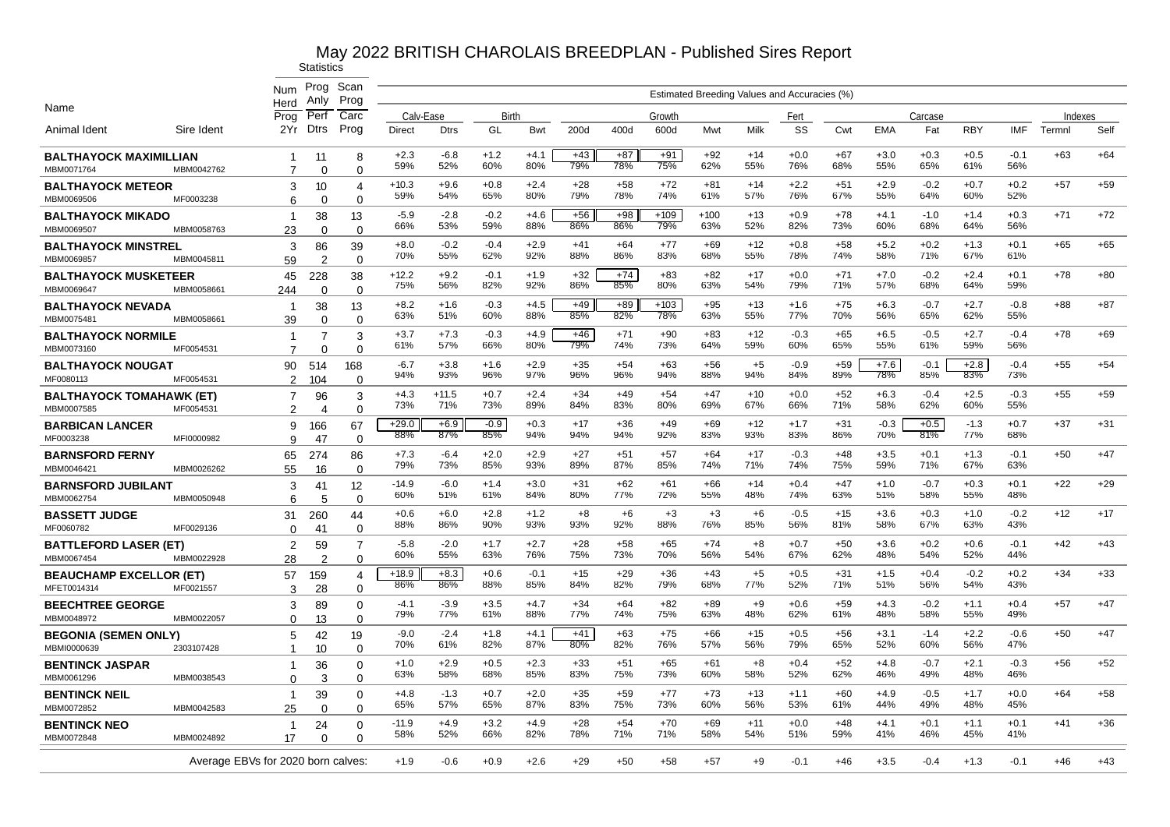|                                              |            | Num                                | Prog<br>Anly         | Scan<br>Prog               |                |                |               |               |              |              |               |              | Estimated Breeding Values and Accuracies (%) |               |              |               |               |               |               |         |       |
|----------------------------------------------|------------|------------------------------------|----------------------|----------------------------|----------------|----------------|---------------|---------------|--------------|--------------|---------------|--------------|----------------------------------------------|---------------|--------------|---------------|---------------|---------------|---------------|---------|-------|
| Name                                         |            | Herd<br>Prog                       | Perf                 | Carc                       | Calv-Ease      |                | Birth         |               |              |              | Growth        |              |                                              | Fert          |              |               | Carcase       |               |               | Indexes |       |
| Animal Ident                                 | Sire Ident | 2Yr                                | Dtrs                 | Prog                       | <b>Direct</b>  | <b>Dtrs</b>    | GL            | <b>Bwt</b>    | 200d         | 400d         | 600d          | Mwt          | Milk                                         | SS            | Cwt          | <b>EMA</b>    | Fat           | <b>RBY</b>    | <b>IMF</b>    | Termnl  | Self  |
| BALTHAYOCK MAXIMILLIAN<br>MBM0071764         | MBM0042762 | -1<br>7                            | 11<br>$\Omega$       | 8<br>$\Omega$              | $+2.3$<br>59%  | $-6.8$<br>52%  | $+1.2$<br>60% | $+4.1$<br>80% | $+43$<br>79% | $+87$<br>78% | $+91$<br>75%  | $+92$<br>62% | $+14$<br>55%                                 | $+0.0$<br>76% | $+67$<br>68% | $+3.0$<br>55% | $+0.3$<br>65% | $+0.5$<br>61% | $-0.1$<br>56% | $+63$   | $+64$ |
| <b>BALTHAYOCK METEOR</b>                     |            | 3                                  | 10                   | 4                          | $+10.3$<br>59% | $+9.6$<br>54%  | $+0.8$<br>65% | $+2.4$<br>80% | $+28$<br>79% | $+58$<br>78% | $+72$<br>74%  | +81<br>61%   | $+14$<br>57%                                 | $+2.2$<br>76% | $+51$<br>67% | $+2.9$<br>55% | $-0.2$<br>64% | $+0.7$<br>60% | $+0.2$<br>52% | $+57$   | $+59$ |
| MBM0069506<br>BALTHAYOCK MIKADO              | MF0003238  | 6<br>-1                            | $\Omega$<br>38       | 0<br>13                    | -5.9           | $-2.8$         | $-0.2$        | $+4.6$        | $+56$        | $+98$        | $+109$        | $+100$       | $+13$                                        | $+0.9$        | $+78$        | $+4.1$        | $-1.0$        | $+1.4$        | $+0.3$        | $+71$   | $+72$ |
| MBM0069507                                   | MBM0058763 | 23                                 | $\Omega$             | $\Omega$                   | 66%            | 53%            | 59%           | 88%           | 86%          | 86%          | 79%           | 63%          | 52%                                          | 82%           | 73%          | 60%           | 68%           | 64%           | 56%           |         |       |
| <b>BALTHAYOCK MINSTREL</b><br>MBM0069857     | MBM0045811 | 3<br>59                            | 86<br>$\overline{2}$ | 39<br>$\Omega$             | $+8.0$<br>70%  | $-0.2$<br>55%  | $-0.4$<br>62% | $+2.9$<br>92% | $+41$<br>88% | $+64$<br>86% | $+77$<br>83%  | $+69$<br>68% | $+12$<br>55%                                 | $+0.8$<br>78% | $+58$<br>74% | $+5.2$<br>58% | $+0.2$<br>71% | $+1.3$<br>67% | $+0.1$<br>61% | $+65$   | $+65$ |
| <b>BALTHAYOCK MUSKETEER</b><br>MBM0069647    | MBM0058661 | 45<br>244                          | 228<br>$\Omega$      | 38<br>$\Omega$             | $+12.2$<br>75% | $+9.2$<br>56%  | $-0.1$<br>82% | $+1.9$<br>92% | $+32$<br>86% | $+74$<br>85% | $+83$<br>80%  | $+82$<br>63% | $+17$<br>54%                                 | $+0.0$<br>79% | $+71$<br>71% | $+7.0$<br>57% | $-0.2$<br>68% | $+2.4$<br>64% | $+0.1$<br>59% | $+78$   | $+80$ |
| BALTHAYOCK NEVADA<br>MBM0075481              | MBM0058661 | $\overline{1}$<br>39               | 38<br>$\Omega$       | 13<br>$\Omega$             | $+8.2$<br>63%  | $+1.6$<br>51%  | $-0.3$<br>60% | $+4.5$<br>88% | $+49$<br>85% | $+89$<br>82% | $+103$<br>78% | $+95$<br>63% | $+13$<br>55%                                 | $+1.6$<br>77% | $+75$<br>70% | $+6.3$<br>56% | $-0.7$<br>65% | $+2.7$<br>62% | $-0.8$<br>55% | +88     | $+87$ |
| <b>BALTHAYOCK NORMILE</b><br>MBM0073160      | MF0054531  | -1<br>$\overline{7}$               | 7                    | 3                          | $+3.7$<br>61%  | $+7.3$<br>57%  | $-0.3$<br>66% | $+4.9$<br>80% | +46<br>79%   | $+71$<br>74% | $+90$<br>73%  | $+83$<br>64% | $+12$<br>59%                                 | $-0.3$<br>60% | $+65$<br>65% | $+6.5$<br>55% | $-0.5$<br>61% | $+2.7$<br>59% | $-0.4$<br>56% | $+78$   | $+69$ |
| <b>BALTHAYOCK NOUGAT</b>                     |            | 90                                 | $\Omega$<br>514      | $\Omega$<br>168            | $-6.7$<br>94%  | $+3.8$<br>93%  | $+1.6$<br>96% | $+2.9$<br>97% | $+35$<br>96% | $+54$<br>96% | $+63$<br>94%  | $+56$<br>88% | $+5$<br>94%                                  | $-0.9$<br>84% | $+59$<br>89% | $+7.6$<br>78% | $-0.1$<br>85% | $+2.8$<br>83% | $-0.4$<br>73% | $+55$   | $+54$ |
| MF0080113<br><b>BALTHAYOCK TOMAHAWK (ET)</b> | MF0054531  | 2<br>7                             | 104<br>96            | $\Omega$<br>3              | $+4.3$<br>73%  | $+11.5$<br>71% | $+0.7$<br>73% | $+2.4$<br>89% | $+34$<br>84% | $+49$<br>83% | $+54$<br>80%  | +47<br>69%   | $+10$<br>67%                                 | $+0.0$<br>66% | $+52$<br>71% | $+6.3$<br>58% | $-0.4$<br>62% | $+2.5$<br>60% | $-0.3$<br>55% | $+55$   | $+59$ |
| MBM0007585<br><b>BARBICAN LANCER</b>         | MF0054531  | 2<br>9                             | 4<br>166             | $\Omega$<br>67             | $+29.0$        | $+6.9$         | $-0.9$        | $+0.3$        | $+17$        | $+36$        | $+49$         | +69          | $+12$                                        | $+1.7$        | $+31$        | $-0.3$        | $+0.5$        | $-1.3$        | $+0.7$        | $+37$   | $+31$ |
| MF0003238                                    | MFI0000982 | 9                                  | 47                   | $\Omega$                   | 88%<br>$+7.3$  | 87%<br>$-6.4$  | 85%<br>$+2.0$ | 94%<br>$+2.9$ | 94%<br>$+27$ | 94%<br>$+51$ | 92%<br>$+57$  | 83%<br>$+64$ | 93%<br>$+17$                                 | 83%<br>$-0.3$ | 86%<br>$+48$ | 70%<br>$+3.5$ | 81%<br>$+0.1$ | 77%<br>$+1.3$ | 68%<br>$-0.1$ | $+50$   | $+47$ |
| <b>BARNSFORD FERNY</b><br>MBM0046421         | MBM0026262 | 65<br>55                           | 274<br>16            | 86<br>$\mathbf 0$          | 79%            | 73%            | 85%           | 93%           | 89%          | 87%          | 85%           | 74%          | 71%                                          | 74%           | 75%          | 59%           | 71%           | 67%           | 63%           |         |       |
| <b>BARNSFORD JUBILANT</b><br>MBM0062754      | MBM0050948 | 3<br>6                             | 41<br>5              | 12<br>$\Omega$             | $-14.9$<br>60% | $-6.0$<br>51%  | $+1.4$<br>61% | $+3.0$<br>84% | $+31$<br>80% | $+62$<br>77% | $+61$<br>72%  | $+66$<br>55% | $+14$<br>48%                                 | $+0.4$<br>74% | $+47$<br>63% | $+1.0$<br>51% | $-0.7$<br>58% | $+0.3$<br>55% | $+0.1$<br>48% | $+22$   | $+29$ |
| <b>BASSETT JUDGE</b><br>MF0060782            | MF0029136  | 31<br>$\Omega$                     | 260<br>41            | 44<br>0                    | $+0.6$<br>88%  | $+6.0$<br>86%  | $+2.8$<br>90% | $+1.2$<br>93% | $+8$<br>93%  | $+6$<br>92%  | $+3$<br>88%   | $+3$<br>76%  | $+6$<br>85%                                  | $-0.5$<br>56% | $+15$<br>81% | $+3.6$<br>58% | $+0.3$<br>67% | $+1.0$<br>63% | $-0.2$<br>43% | $+12$   | $+17$ |
| <b>BATTLEFORD LASER (ET)</b><br>MBM0067454   | MBM0022928 | 2<br>28                            | 59<br>$\overline{2}$ | $\overline{7}$<br>$\Omega$ | $-5.8$<br>60%  | $-2.0$<br>55%  | $+1.7$<br>63% | $+2.7$<br>76% | $+28$<br>75% | $+58$<br>73% | $+65$<br>70%  | $+74$<br>56% | $+8$<br>54%                                  | $+0.7$<br>67% | $+50$<br>62% | $+3.6$<br>48% | $+0.2$<br>54% | $+0.6$<br>52% | $-0.1$<br>44% | $+42$   | $+43$ |
| <b>BEAUCHAMP EXCELLOR (ET)</b>               | MF0021557  | 57                                 | 159                  | 4                          | $+18.9$<br>86% | $+8.3$<br>86%  | $+0.6$<br>88% | $-0.1$<br>85% | $+15$<br>84% | $+29$<br>82% | $+36$<br>79%  | $+43$<br>68% | $+5$<br>77%                                  | $+0.5$<br>52% | $+31$<br>71% | $+1.5$<br>51% | $+0.4$<br>56% | $-0.2$<br>54% | $+0.2$<br>43% | $+34$   | $+33$ |
| MFET0014314<br><b>BEECHTREE GEORGE</b>       |            | 3<br>3                             | 28<br>89             | $\Omega$<br>0              | $-4.1$<br>79%  | $-3.9$<br>77%  | $+3.5$<br>61% | $+4.7$<br>88% | $+34$<br>77% | $+64$<br>74% | $+82$<br>75%  | $+89$<br>63% | $+9$<br>48%                                  | $+0.6$<br>62% | $+59$<br>61% | $+4.3$<br>48% | $-0.2$<br>58% | $+1.1$<br>55% | $+0.4$<br>49% | $+57$   | $+47$ |
| MBM0048972<br>BEGONIA (SEMEN ONLY)           | MBM0022057 | $\Omega$<br>5                      | 13<br>42             | $\Omega$<br>19             | $-9.0$<br>70%  | $-2.4$<br>61%  | $+1.8$<br>82% | $+4.1$<br>87% | +41<br>80%   | $+63$<br>82% | $+75$<br>76%  | +66<br>57%   | $+15$<br>56%                                 | $+0.5$<br>79% | $+56$<br>65% | $+3.1$<br>52% | $-1.4$<br>60% | $+2.2$<br>56% | $-0.6$<br>47% | $+50$   | $+47$ |
| MBMI0000639<br><b>BENTINCK JASPAR</b>        | 2303107428 | -1<br>-1                           | 10<br>36             | $\Omega$<br>$\Omega$       | $+1.0$         | $+2.9$         | $+0.5$        | $+2.3$        | $+33$        | $+51$        | $+65$         | +61          | +8                                           | $+0.4$        | $+52$        | $+4.8$        | $-0.7$        | $+2.1$        | $-0.3$        | +56     | $+52$ |
| MBM0061296                                   | MBM0038543 | 0<br>$\overline{1}$                | 3                    | 0                          | 63%<br>$+4.8$  | 58%<br>$-1.3$  | 68%<br>$+0.7$ | 85%<br>$+2.0$ | 83%<br>$+35$ | 75%<br>$+59$ | 73%<br>$+77$  | 60%<br>$+73$ | 58%<br>$+13$                                 | 52%<br>$+1.1$ | 62%<br>$+60$ | 46%<br>$+4.9$ | 49%<br>$-0.5$ | 48%<br>$+1.7$ | 46%<br>$+0.0$ | $+64$   | $+58$ |
| <b>BENTINCK NEIL</b><br>MBM0072852           | MBM0042583 | 25                                 | 39<br>$\Omega$       | 0<br>$\Omega$              | 65%            | 57%            | 65%           | 87%           | 83%          | 75%          | 73%           | 60%          | 56%                                          | 53%           | 61%          | 44%           | 49%           | 48%           | 45%           |         |       |
| <b>BENTINCK NEO</b><br>MBM0072848            | MBM0024892 | -1<br>17                           | 24<br>$\Omega$       | $\Omega$<br>$\Omega$       | $-11.9$<br>58% | $+4.9$<br>52%  | $+3.2$<br>66% | $+4.9$<br>82% | $+28$<br>78% | $+54$<br>71% | $+70$<br>71%  | $+69$<br>58% | $+11$<br>54%                                 | $+0.0$<br>51% | $+48$<br>59% | $+4.1$<br>41% | $+0.1$<br>46% | $+1.1$<br>45% | $+0.1$<br>41% | $+41$   | $+36$ |
|                                              |            | Average EBVs for 2020 born calves: |                      |                            | $+1.9$         | $-0.6$         | $+0.9$        | $+2.6$        | $+29$        | $+50$        | $+58$         | $+57$        | $+9$                                         | $-0.1$        | $+46$        | $+3.5$        | $-0.4$        | $+1.3$        | $-0.1$        | $+46$   | $+43$ |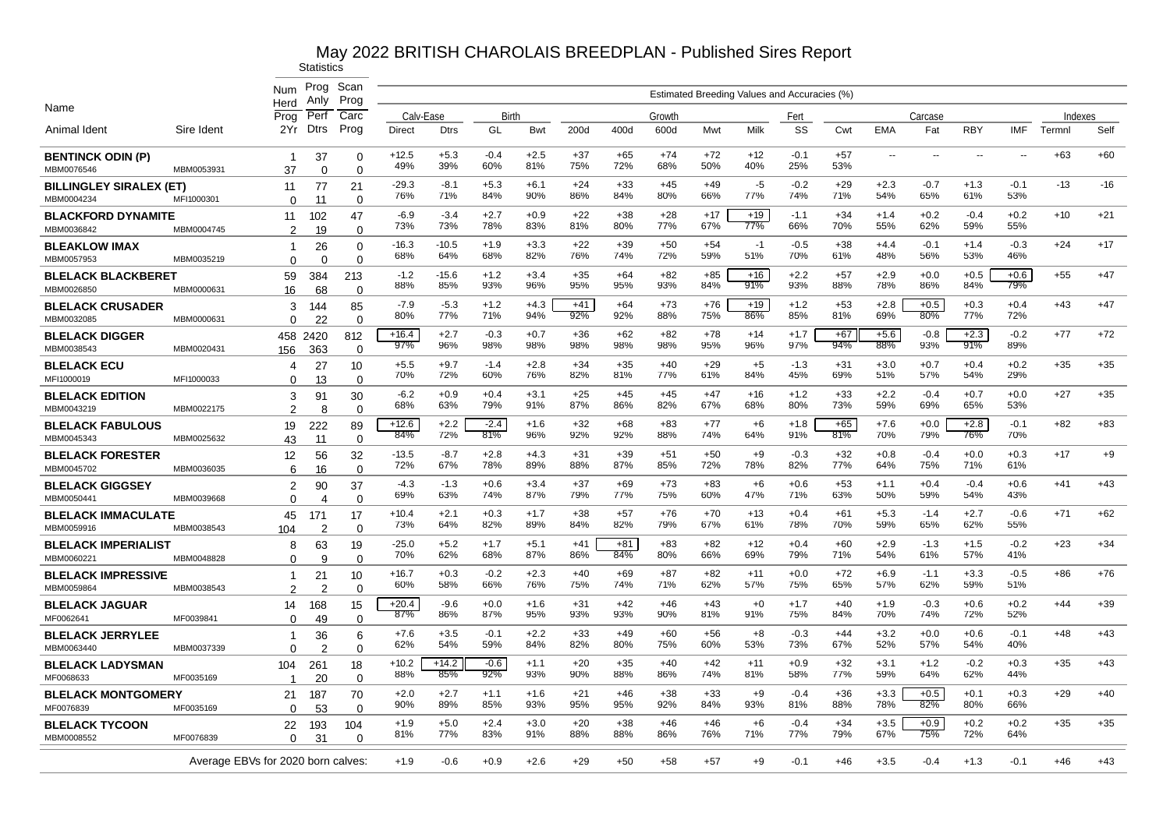|                                              |            | Num                                | Prog                | Scan                 |                            |                |               |               |              |              |                |              | Estimated Breeding Values and Accuracies (%) |               |              |                          |                          |                          |                          |                   |       |
|----------------------------------------------|------------|------------------------------------|---------------------|----------------------|----------------------------|----------------|---------------|---------------|--------------|--------------|----------------|--------------|----------------------------------------------|---------------|--------------|--------------------------|--------------------------|--------------------------|--------------------------|-------------------|-------|
| Name                                         |            | Herd                               | Anly                | Prog                 |                            |                |               |               |              |              |                |              |                                              |               |              |                          |                          |                          |                          |                   |       |
| Animal Ident                                 | Sire Ident | Prog<br>2Yr.                       | Perf<br><b>Dtrs</b> | Carc<br>Prog         | Calv-Ease<br><b>Direct</b> | <b>Dtrs</b>    | Birth<br>GL   | Bwt           | 200d         | 400d         | Growth<br>600d | Mwt          | Milk                                         | Fert<br>SS    | Cwt          | <b>EMA</b>               | Carcase<br>Fat           | <b>RBY</b>               | IMF                      | Indexes<br>Termnl | Self  |
| <b>BENTINCK ODIN (P)</b>                     |            | -1                                 | 37                  | $\mathbf 0$          | $+12.5$                    | $+5.3$         | $-0.4$        | $+2.5$        | $+37$<br>75% | $+65$<br>72% | $+74$          | $+72$        | $+12$                                        | $-0.1$        | $+57$<br>53% | $\overline{\phantom{a}}$ | $\overline{\phantom{a}}$ | $\overline{\phantom{a}}$ | $\overline{\phantom{a}}$ | $+63$             | $+60$ |
| MBM0076546                                   | MBM0053931 | 37                                 | $\Omega$            | $\mathbf 0$          | 49%                        | 39%            | 60%           | 81%           |              |              | 68%            | 50%          | 40%                                          | 25%           |              |                          |                          |                          |                          |                   |       |
| <b>BILLINGLEY SIRALEX (ET)</b><br>MBM0004234 | MFI1000301 | 11<br>$\Omega$                     | 77<br>11            | 21<br>$\mathbf 0$    | $-29.3$<br>76%             | $-8.1$<br>71%  | $+5.3$<br>84% | $+6.1$<br>90% | $+24$<br>86% | $+33$<br>84% | $+45$<br>80%   | $+49$<br>66% | $-5$<br>77%                                  | $-0.2$<br>74% | $+29$<br>71% | $+2.3$<br>54%            | $-0.7$<br>65%            | $+1.3$<br>61%            | $-0.1$<br>53%            | $-13$             | $-16$ |
| <b>BLACKFORD DYNAMITE</b>                    |            | 11                                 | 102                 | 47                   | $-6.9$                     | $-3.4$         | $+2.7$        | $+0.9$        | $+22$        | $+38$        | $+28$          | $+17$        | $+19$                                        | $-1.1$        | $+34$        | $+1.4$                   | $+0.2$                   | $-0.4$                   | $+0.2$                   | $+10$             | $+21$ |
| MBM0036842                                   | MBM0004745 | $\overline{2}$                     | 19                  | $\mathbf 0$          | 73%                        | 73%            | 78%           | 83%           | 81%          | 80%          | 77%            | 67%          | 77%                                          | 66%           | 70%          | 55%                      | 62%                      | 59%                      | 55%                      |                   |       |
| <b>BLEAKLOW IMAX</b>                         |            | -1                                 | 26                  | 0                    | $-16.3$<br>68%             | $-10.5$<br>64% | $+1.9$<br>68% | $+3.3$<br>82% | $+22$<br>76% | $+39$<br>74% | $+50$<br>72%   | $+54$<br>59% | -1<br>51%                                    | $-0.5$<br>70% | $+38$<br>61% | $+4.4$<br>48%            | $-0.1$<br>56%            | $+1.4$<br>53%            | $-0.3$<br>46%            | $+24$             | $+17$ |
| MBM0057953                                   | MBM0035219 | $\Omega$                           | $\Omega$            | $\mathbf 0$          | $-1.2$                     | $-15.6$        | $+1.2$        | $+3.4$        | $+35$        | $+64$        | $+82$          | $+85$        | $+16$                                        | $+2.2$        | $+57$        | $+2.9$                   | $+0.0$                   | $+0.5$                   | $+0.6$                   | $+55$             | $+47$ |
| <b>BLELACK BLACKBERET</b><br>MBM0026850      | MBM0000631 | 59<br>16                           | 384<br>68           | 213<br>$\mathbf 0$   | 88%                        | 85%            | 93%           | 96%           | 95%          | 95%          | 93%            | 84%          | 91%                                          | 93%           | 88%          | 78%                      | 86%                      | 84%                      | 79%                      |                   |       |
| <b>BLELACK CRUSADER</b>                      |            | 3                                  | 144                 | 85                   | $-7.9$                     | $-5.3$         | $+1.2$        | $+4.3$        | $+41$        | $+64$        | $+73$          | $+76$        | $+19$                                        | $+1.2$        | $+53$        | $+2.8$                   | $+0.5$                   | $+0.3$                   | $+0.4$                   | $+43$             | $+47$ |
| MBM0032085                                   | MBM0000631 | $\Omega$                           | 22                  | $\mathbf 0$          | 80%                        | 77%            | 71%           | 94%           | 92%          | 92%          | 88%            | 75%          | 86%                                          | 85%           | 81%          | 69%                      | 80%                      | 77%                      | 72%                      |                   |       |
| <b>BLELACK DIGGER</b>                        |            | 458                                | 2420                | 812                  | $+16.4$<br>97%             | $+2.7$<br>96%  | $-0.3$<br>98% | $+0.7$<br>98% | $+36$<br>98% | $+62$<br>98% | $+82$<br>98%   | $+78$<br>95% | $+14$<br>96%                                 | $+1.7$<br>97% | $+67$<br>94% | $+5.6$<br>88%            | $-0.8$<br>93%            | $+2.3$<br>91%            | $-0.2$<br>89%            | $+77$             | $+72$ |
| MBM0038543                                   | MBM0020431 | 156                                | 363                 | $\Omega$             |                            |                |               |               |              |              |                |              |                                              |               |              |                          |                          |                          |                          |                   |       |
| <b>BLELACK ECU</b><br>MFI1000019             | MFI1000033 | 4<br>$\Omega$                      | 27<br>13            | 10<br>$\mathbf 0$    | $+5.5$<br>70%              | $+9.7$<br>72%  | $-1.4$<br>60% | $+2.8$<br>76% | $+34$<br>82% | $+35$<br>81% | $+40$<br>77%   | $+29$<br>61% | $+5$<br>84%                                  | $-1.3$<br>45% | $+31$<br>69% | $+3.0$<br>51%            | $+0.7$<br>57%            | $+0.4$<br>54%            | $+0.2$<br>29%            | $+35$             | $+35$ |
| <b>BLELACK EDITION</b>                       |            | 3                                  | 91                  | 30                   | $-6.2$                     | $+0.9$         | $+0.4$        | $+3.1$        | $+25$        | $+45$        | $+45$          | $+47$        | $+16$                                        | $+1.2$        | $+33$        | $+2.2$                   | $-0.4$                   | $+0.7$                   | $+0.0$                   | $+27$             | $+35$ |
| MBM0043219                                   | MBM0022175 | $\mathcal{P}$                      | 8                   | $\Omega$             | 68%                        | 63%            | 79%           | 91%           | 87%          | 86%          | 82%            | 67%          | 68%                                          | 80%           | 73%          | 59%                      | 69%                      | 65%                      | 53%                      |                   |       |
| <b>BLELACK FABULOUS</b>                      |            | 19                                 | 222                 | 89                   | $+12.6$<br>84%             | $+2.2$<br>72%  | $-2.4$<br>81% | $+1.6$<br>96% | $+32$<br>92% | +68<br>92%   | $+83$<br>88%   | $+77$<br>74% | +6<br>64%                                    | $+1.8$<br>91% | $+65$<br>81% | $+7.6$<br>70%            | $+0.0$<br>79%            | $+2.8$<br>76%            | $-0.1$<br>70%            | $+82$             | $+83$ |
| MBM0045343                                   | MBM0025632 | 43                                 | 11                  | $\Omega$             |                            |                |               |               |              |              |                |              |                                              |               |              |                          |                          |                          |                          |                   |       |
| <b>BLELACK FORESTER</b><br>MBM0045702        | MBM0036035 | 12<br>6                            | 56<br>16            | 32<br>$\Omega$       | $-13.5$<br>72%             | $-8.7$<br>67%  | $+2.8$<br>78% | $+4.3$<br>89% | $+31$<br>88% | $+39$<br>87% | $+51$<br>85%   | $+50$<br>72% | $+9$<br>78%                                  | $-0.3$<br>82% | $+32$<br>77% | $+0.8$<br>64%            | $-0.4$<br>75%            | $+0.0$<br>71%            | $+0.3$<br>61%            | $+17$             | $+9$  |
| <b>BLELACK GIGGSEY</b>                       |            | $\overline{2}$                     | 90                  | 37                   | $-4.3$                     | $-1.3$         | $+0.6$        | $+3.4$        | $+37$        | $+69$        | $+73$          | $+83$        | +6                                           | $+0.6$        | $+53$        | $+1.1$                   | $+0.4$                   | $-0.4$                   | $+0.6$                   | $+41$             | $+43$ |
| MBM0050441                                   | MBM0039668 | $\Omega$                           | $\overline{4}$      | $\mathbf 0$          | 69%                        | 63%            | 74%           | 87%           | 79%          | 77%          | 75%            | 60%          | 47%                                          | 71%           | 63%          | 50%                      | 59%                      | 54%                      | 43%                      |                   |       |
| <b>BLELACK IMMACULATE</b>                    |            | 45                                 | 171                 | 17                   | $+10.4$                    | $+2.1$         | $+0.3$        | $+1.7$        | $+38$        | $+57$        | $+76$          | $+70$        | $+13$                                        | $+0.4$        | $+61$        | $+5.3$                   | $-1.4$                   | $+2.7$                   | $-0.6$                   | $+71$             | $+62$ |
| MBM0059916                                   | MBM0038543 | 104                                | $\overline{2}$      | $\overline{0}$       | 73%                        | 64%            | 82%           | 89%           | 84%          | 82%          | 79%            | 67%          | 61%                                          | 78%           | 70%          | 59%                      | 65%                      | 62%                      | 55%                      |                   |       |
| <b>BLELACK IMPERIALIST</b><br>MBM006022      | MBM0048828 | 8<br>0                             | 63<br>9             | 19<br>$\overline{0}$ | $-25.0$<br>70%             | $+5.2$<br>62%  | $+1.7$<br>68% | $+5.1$<br>87% | $+41$<br>86% | $+81$<br>84% | $+83$<br>80%   | $+82$<br>66% | $+12$<br>69%                                 | $+0.4$<br>79% | $+60$<br>71% | $+2.9$<br>54%            | $-1.3$<br>61%            | $+1.5$<br>57%            | $-0.2$<br>41%            | $+23$             | $+34$ |
| <b>BLELACK IMPRESSIVE</b>                    |            | -1                                 | 21                  | 10                   | $+16.7$                    | $+0.3$         | $-0.2$        | $+2.3$        | $+40$        | $+69$        | $+87$          | $+82$        | $+11$                                        | $+0.0$        | $+72$        | $+6.9$                   | $-1.1$                   | $+3.3$                   | $-0.5$                   | $+86$             | $+76$ |
| MBM0059864                                   | MBM0038543 | 2                                  | $\mathcal{P}$       | $\mathbf 0$          | 60%                        | 58%            | 66%           | 76%           | 75%          | 74%          | 71%            | 62%          | 57%                                          | 75%           | 65%          | 57%                      | 62%                      | 59%                      | 51%                      |                   |       |
| <b>BLELACK JAGUAR</b>                        |            | 14                                 | 168                 | 15                   | $+20.4$                    | $-9.6$         | $+0.0$        | $+1.6$        | $+31$        | $+42$        | $+46$          | $+43$        | $+0$                                         | $+1.7$        | $+40$        | $+1.9$                   | $-0.3$                   | $+0.6$                   | $+0.2$                   | $+44$             | $+39$ |
| MF0062641                                    | MF0039841  | $\Omega$                           | 49                  | $\mathbf 0$          | 87%                        | 86%            | 87%           | 95%           | 93%          | 93%          | 90%            | 81%          | 91%                                          | 75%           | 84%          | 70%                      | 74%                      | 72%                      | 52%                      |                   |       |
| <b>BLELACK JERRYLEE</b><br>MBM0063440        | MBM0037339 | -1<br>$\Omega$                     | 36<br>$\mathcal{P}$ | 6<br>$\mathbf 0$     | $+7.6$<br>62%              | $+3.5$<br>54%  | $-0.1$<br>59% | $+2.2$<br>84% | $+33$<br>82% | $+49$<br>80% | $+60$<br>75%   | $+56$<br>60% | $+8$<br>53%                                  | $-0.3$<br>73% | $+44$<br>67% | $+3.2$<br>52%            | $+0.0$<br>57%            | $+0.6$<br>54%            | $-0.1$<br>40%            | $+48$             | $+43$ |
| <b>BLELACK LADYSMAN</b>                      |            | 104                                | 261                 | 18                   | $+10.2$                    | $+14.2$        | $-0.6$        | $+1.1$        | $+20$        | $+35$        | $+40$          | $+42$        | $+11$                                        | $+0.9$        | $+32$        | $+3.1$                   | $+1.2$                   | $-0.2$                   | $+0.3$                   | $+35$             | $+43$ |
| MF0068633                                    | MF0035169  |                                    | 20                  | $\mathbf 0$          | 88%                        | 85%            | 92%           | 93%           | 90%          | 88%          | 86%            | 74%          | 81%                                          | 58%           | 77%          | 59%                      | 64%                      | 62%                      | 44%                      |                   |       |
| <b>BLELACK MONTGOMERY</b>                    |            | 21                                 | 187                 | 70                   | $+2.0$<br>90%              | $+2.7$<br>89%  | $+1.1$<br>85% | $+1.6$<br>93% | $+21$<br>95% | $+46$<br>95% | $+38$<br>92%   | $+33$<br>84% | $+9$<br>93%                                  | $-0.4$<br>81% | $+36$<br>88% | $+3.3$<br>78%            | $+0.5$<br>82%            | $+0.1$<br>80%            | $+0.3$<br>66%            | $+29$             | $+40$ |
| MF0076839                                    | MF0035169  | 0<br>22                            | 53                  | $\mathbf 0$          | $+1.9$                     | $+5.0$         | $+2.4$        | $+3.0$        | $+20$        | $+38$        | $+46$          | $+46$        | +6                                           | $-0.4$        | $+34$        | $+3.5$                   | $+0.9$                   | $+0.2$                   | $+0.2$                   | $+35$             | $+35$ |
| <b>BLELACK TYCOON</b><br>MBM0008552          | MF0076839  | $\Omega$                           | 193<br>31           | 104<br>$\Omega$      | 81%                        | 77%            | 83%           | 91%           | 88%          | 88%          | 86%            | 76%          | 71%                                          | 77%           | 79%          | 67%                      | 75%                      | 72%                      | 64%                      |                   |       |
|                                              |            | Average EBVs for 2020 born calves: |                     |                      | $+1.9$                     | $-0.6$         | $+0.9$        | $+2.6$        | $+29$        | $+50$        | $+58$          | $+57$        | $+9$                                         | $-0.1$        | $+46$        | $+3.5$                   | $-0.4$                   | $+1.3$                   | $-0.1$                   | $+46$             | $+43$ |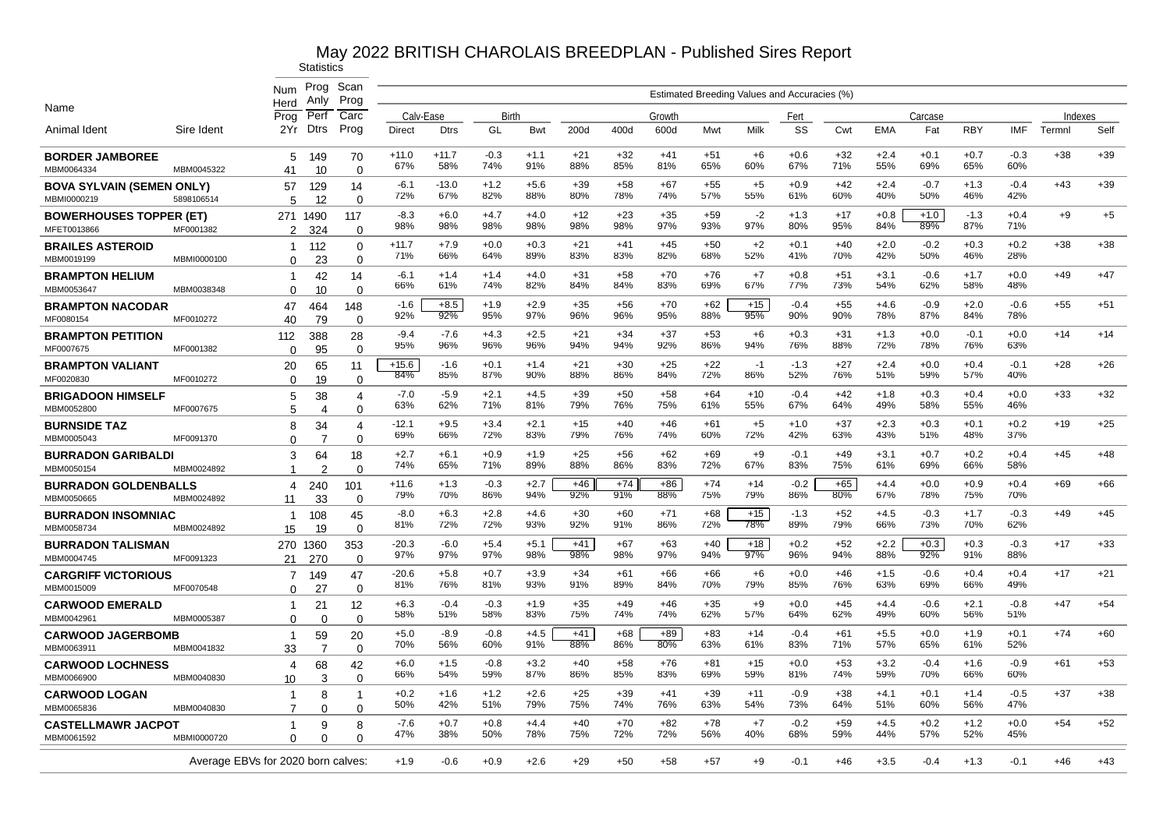|                                                 |                                    | <b>Num</b><br>Herd            | Prog<br>Anly         | Scan<br>Prog                      |                |                |               |               |              |              |              |              |              | Estimated Breeding Values and Accuracies (%) |              |               |               |               |               |         |       |
|-------------------------------------------------|------------------------------------|-------------------------------|----------------------|-----------------------------------|----------------|----------------|---------------|---------------|--------------|--------------|--------------|--------------|--------------|----------------------------------------------|--------------|---------------|---------------|---------------|---------------|---------|-------|
| Name                                            |                                    | Prog                          | Perf                 | Carc                              | Calv-Ease      |                | Birth         |               |              |              | Growth       |              |              | Fert                                         |              |               | Carcase       |               |               | Indexes |       |
| Animal Ident                                    | Sire Ident                         | 2Yr                           | Dtrs                 | Prog                              | Direct         | <b>Dtrs</b>    | GL            | <b>Bwt</b>    | 200d         | 400d         | 600d         | Mwt          | Milk         | SS                                           | Cwt          | <b>EMA</b>    | Fat           | <b>RBY</b>    | IMF           | Termnl  | Self  |
| <b>BORDER JAMBOREE</b><br>MBM0064334            | MBM0045322                         | 5<br>41                       | 149<br>10            | 70<br>$\Omega$                    | $+11.0$<br>67% | $+11.7$<br>58% | $-0.3$<br>74% | $+1.1$<br>91% | $+21$<br>88% | $+32$<br>85% | $+41$<br>81% | $+51$<br>65% | $+6$<br>60%  | $+0.6$<br>67%                                | $+32$<br>71% | $+2.4$<br>55% | $+0.1$<br>69% | $+0.7$<br>65% | $-0.3$<br>60% | $+38$   | $+39$ |
| <b>BOVA SYLVAIN (SEMEN ONLY)</b><br>MBMI0000219 | 5898106514                         | 57<br>5                       | 129<br>12            | 14<br>$\Omega$                    | $-6.1$<br>72%  | $-13.0$<br>67% | $+1.2$<br>82% | $+5.6$<br>88% | $+39$<br>80% | $+58$<br>78% | $+67$<br>74% | $+55$<br>57% | $+5$<br>55%  | $+0.9$<br>61%                                | $+42$<br>60% | $+2.4$<br>40% | $-0.7$<br>50% | $+1.3$<br>46% | $-0.4$<br>42% | $+43$   | $+39$ |
| <b>BOWERHOUSES TOPPER (ET)</b><br>MFET0013866   | MF0001382                          | 271<br>$\overline{2}$         | 1490<br>324          | 117<br>$\Omega$                   | $-8.3$<br>98%  | $+6.0$<br>98%  | $+4.7$<br>98% | $+4.0$<br>98% | $+12$<br>98% | $+23$<br>98% | $+35$<br>97% | $+59$<br>93% | $-2$<br>97%  | $+1.3$<br>80%                                | $+17$<br>95% | $+0.8$<br>84% | $+1.0$<br>89% | $-1.3$<br>87% | $+0.4$<br>71% | $+9$    | $+5$  |
| <b>BRAILES ASTEROID</b><br>MBM0019199           | MBMI0000100                        | $\mathbf{1}$<br>$\Omega$      | 112<br>23            | $\Omega$<br>$\Omega$              | $+11.7$<br>71% | $+7.9$<br>66%  | $+0.0$<br>64% | $+0.3$<br>89% | $+21$<br>83% | $+41$<br>83% | $+45$<br>82% | $+50$<br>68% | $+2$<br>52%  | $+0.1$<br>41%                                | $+40$<br>70% | $+2.0$<br>42% | $-0.2$<br>50% | $+0.3$<br>46% | $+0.2$<br>28% | $+38$   | $+38$ |
| <b>BRAMPTON HELIUM</b><br>MBM0053647            | MBM0038348                         | $\overline{1}$<br>0           | 42<br>10             | 14                                | -6.1<br>66%    | $+1.4$<br>61%  | $+1.4$<br>74% | $+4.0$<br>82% | $+31$<br>84% | +58<br>84%   | $+70$<br>83% | $+76$<br>69% | $+7$<br>67%  | $+0.8$<br>77%                                | $+51$<br>73% | $+3.1$<br>54% | $-0.6$<br>62% | $+1.7$<br>58% | $+0.0$<br>48% | $+49$   | $+47$ |
| <b>BRAMPTON NACODAR</b><br>MF0080154            | MF0010272                          | 47                            | 464                  | 0<br>148<br>$\Omega$              | $-1.6$<br>92%  | $+8.5$<br>92%  | $+1.9$<br>95% | $+2.9$<br>97% | $+35$<br>96% | $+56$<br>96% | $+70$<br>95% | $+62$<br>88% | $+15$<br>95% | $-0.4$<br>90%                                | $+55$<br>90% | $+4.6$<br>78% | $-0.9$<br>87% | $+2.0$<br>84% | $-0.6$<br>78% | $+55$   | $+51$ |
| <b>BRAMPTON PETITION</b>                        |                                    | 40<br>112                     | 79<br>388            | 28                                | $-9.4$<br>95%  | $-7.6$<br>96%  | $+4.3$<br>96% | $+2.5$<br>96% | $+21$<br>94% | $+34$<br>94% | $+37$<br>92% | $+53$<br>86% | $+6$<br>94%  | $+0.3$<br>76%                                | $+31$<br>88% | $+1.3$<br>72% | $+0.0$<br>78% | $-0.1$<br>76% | $+0.0$<br>63% | $+14$   | $+14$ |
| MF0007675<br><b>BRAMPTON VALIANT</b>            | MF0001382                          | $\Omega$<br>20                | 95<br>65             | $\Omega$<br>11                    | $+15.6$<br>84% | $-1.6$<br>85%  | $+0.1$<br>87% | $+1.4$<br>90% | $+21$<br>88% | $+30$<br>86% | $+25$<br>84% | $+22$<br>72% | $-1$<br>86%  | $-1.3$<br>52%                                | $+27$<br>76% | $+2.4$<br>51% | $+0.0$<br>59% | $+0.4$<br>57% | $-0.1$<br>40% | $+28$   | $+26$ |
| MF0020830<br><b>BRIGADOON HIMSELF</b>           | MF0010272                          | $\Omega$<br>5                 | 19<br>38             | $\Omega$<br>$\boldsymbol{\Delta}$ | $-7.0$<br>63%  | $-5.9$<br>62%  | $+2.1$<br>71% | $+4.5$<br>81% | $+39$<br>79% | $+50$<br>76% | $+58$<br>75% | $+64$<br>61% | $+10$<br>55% | $-0.4$<br>67%                                | $+42$<br>64% | $+1.8$<br>49% | $+0.3$<br>58% | $+0.4$<br>55% | $+0.0$<br>46% | $+33$   | $+32$ |
| MBM0052800<br><b>BURNSIDE TAZ</b>               | MF0007675                          | 5<br>8                        | $\overline{4}$<br>34 | $\Omega$<br>4                     | $-12.1$<br>69% | $+9.5$<br>66%  | $+3.4$<br>72% | $+2.1$<br>83% | $+15$<br>79% | $+40$<br>76% | $+46$<br>74% | $+61$<br>60% | $+5$<br>72%  | $+1.0$<br>42%                                | $+37$<br>63% | $+2.3$<br>43% | $+0.3$<br>51% | $+0.1$<br>48% | $+0.2$<br>37% | $+19$   | $+25$ |
| MBM0005043<br><b>BURRADON GARIBALDI</b>         | MF0091370                          | $\Omega$<br>3                 | -7<br>64             | $\Omega$<br>18                    | $+2.7$<br>74%  | $+6.1$<br>65%  | $+0.9$<br>71% | $+1.9$<br>89% | $+25$<br>88% | $+56$<br>86% | $+62$<br>83% | $+69$<br>72% | $+9$<br>67%  | $-0.1$<br>83%                                | $+49$<br>75% | $+3.1$<br>61% | $+0.7$<br>69% | $+0.2$<br>66% | $+0.4$<br>58% | $+45$   | $+48$ |
| MBM0050154<br><b>BURRADON GOLDENBALLS</b>       | MBM0024892                         | 1<br>4                        | 2<br>240             | $\Omega$<br>101                   | $+11.6$<br>79% | $+1.3$<br>70%  | $-0.3$<br>86% | $+2.7$<br>94% | $+46$<br>92% | $+74$<br>91% | $+86$<br>88% | $+74$<br>75% | $+14$<br>79% | $-0.2$<br>86%                                | $+65$<br>80% | $+4.4$<br>67% | $+0.0$<br>78% | $+0.9$<br>75% | $+0.4$<br>70% | +69     | $+66$ |
| MBM0050665<br><b>BURRADON INSOMNIAC</b>         | MBM0024892                         | 11<br>$\overline{1}$          | 33<br>108            | $\Omega$<br>45                    | $-8.0$<br>81%  | +6.3<br>72%    | $+2.8$<br>72% | +4.6<br>93%   | $+30$<br>92% | $+60$<br>91% | $+71$<br>86% | $+68$<br>72% | $+15$<br>78% | $-1.3$<br>89%                                | $+52$<br>79% | $+4.5$<br>66% | $-0.3$<br>73% | $+1.7$<br>70% | $-0.3$<br>62% | $+49$   | $+45$ |
| MBM0058734<br><b>BURRADON TALISMAN</b>          | MBM0024892                         | 15<br>270                     | 19<br>1360           | $\Omega$<br>353                   | $-20.3$<br>97% | $-6.0$<br>97%  | $+5.4$<br>97% | $+5.1$<br>98% | $+41$<br>98% | $+67$<br>98% | $+63$<br>97% | $+40$<br>94% | $+18$<br>97% | $+0.2$<br>96%                                | $+52$<br>94% | $+2.2$<br>88% | $+0.3$<br>92% | $+0.3$<br>91% | $-0.3$<br>88% | $+17$   | $+33$ |
| MBM0004745<br><b>CARGRIFF VICTORIOUS</b>        | MF0091323                          | 21<br>$\overline{7}$          | 270<br>149           | $\Omega$<br>47                    | $-20.6$<br>81% | $+5.8$<br>76%  | $+0.7$<br>81% | $+3.9$<br>93% | $+34$<br>91% | $+61$<br>89% | $+66$<br>84% | $+66$<br>70% | $+6$<br>79%  | $+0.0$<br>85%                                | $+46$<br>76% | $+1.5$<br>63% | $-0.6$<br>69% | $+0.4$<br>66% | $+0.4$<br>49% | $+17$   | $+21$ |
| MBM0015009<br><b>CARWOOD EMERALD</b>            | MF0070548                          | $\Omega$<br>-1                | 27<br>21             | $\Omega$<br>12                    | $+6.3$<br>58%  | $-0.4$<br>51%  | $-0.3$<br>58% | $+1.9$<br>83% | $+35$<br>75% | $+49$<br>74% | $+46$<br>74% | $+35$<br>62% | $+9$<br>57%  | $+0.0$<br>64%                                | $+45$<br>62% | $+4.4$<br>49% | $-0.6$<br>60% | $+2.1$<br>56% | $-0.8$<br>51% | $+47$   | $+54$ |
| MBM0042961<br><b>CARWOOD JAGERBOMB</b>          | MBM0005387                         | $\Omega$<br>-1                | $\Omega$<br>59       | $\Omega$<br>20                    | $+5.0$         | $-8.9$         | $-0.8$        | $+4.5$        | $+41$        | $+68$        | $+89$        | $+83$        | $+14$        | $-0.4$                                       | $+61$        | $+5.5$        | $+0.0$        | $+1.9$        | $+0.1$        | $+74$   | $+60$ |
| MBM0063911<br><b>CARWOOD LOCHNESS</b>           | MBM0041832                         | 33<br>4                       | $\overline{7}$<br>68 | $\Omega$<br>42                    | 70%<br>$+6.0$  | 56%<br>$+1.5$  | 60%<br>$-0.8$ | 91%<br>$+3.2$ | 88%<br>$+40$ | 86%<br>$+58$ | 80%<br>$+76$ | 63%<br>$+81$ | 61%<br>$+15$ | 83%<br>$+0.0$                                | 71%<br>$+53$ | 57%<br>$+3.2$ | 65%<br>$-0.4$ | 61%<br>$+1.6$ | 52%<br>$-0.9$ | $+61$   | $+53$ |
| MBM0066900<br><b>CARWOOD LOGAN</b>              | MBM0040830                         | 10<br>$\overline{\mathbf{1}}$ | 3<br>8               | 0<br>-1                           | 66%<br>$+0.2$  | 54%<br>$+1.6$  | 59%<br>$+1.2$ | 87%<br>$+2.6$ | 86%<br>$+25$ | 85%<br>$+39$ | 83%<br>$+41$ | 69%<br>$+39$ | 59%<br>$+11$ | 81%<br>$-0.9$                                | 74%<br>$+38$ | 59%<br>$+4.1$ | 70%<br>$+0.1$ | 66%<br>$+1.4$ | 60%<br>$-0.5$ | $+37$   | $+38$ |
| MBM0065836                                      | MBM0040830                         | 7                             | $\Omega$             | $\Omega$                          | 50%            | 42%            | 51%           | 79%           | 75%          | 74%          | 76%          | 63%          | 54%          | 73%                                          | 64%          | 51%           | 60%           | 56%           | 47%           |         |       |
| <b>CASTELLMAWR JACPOT</b><br>MBM0061592         | MBMI0000720                        | 1<br>$\Omega$                 | 9<br>n               | 8<br>U                            | $-7.6$<br>47%  | $+0.7$<br>38%  | $+0.8$<br>50% | $+4.4$<br>78% | $+40$<br>75% | $+70$<br>72% | $+82$<br>72% | $+78$<br>56% | $+7$<br>40%  | $-0.2$<br>68%                                | $+59$<br>59% | $+4.5$<br>44% | $+0.2$<br>57% | $+1.2$<br>52% | $+0.0$<br>45% | $+54$   | $+52$ |
|                                                 | Average EBVs for 2020 born calves: |                               |                      |                                   | $+1.9$         | $-0.6$         | $+0.9$        | $+2.6$        | $+29$        | $+50$        | $+58$        | +57          | $+9$         | -0.1                                         | $+46$        | $+3.5$        | $-0.4$        | $+1.3$        | $-0.1$        | $+46$   | $+43$ |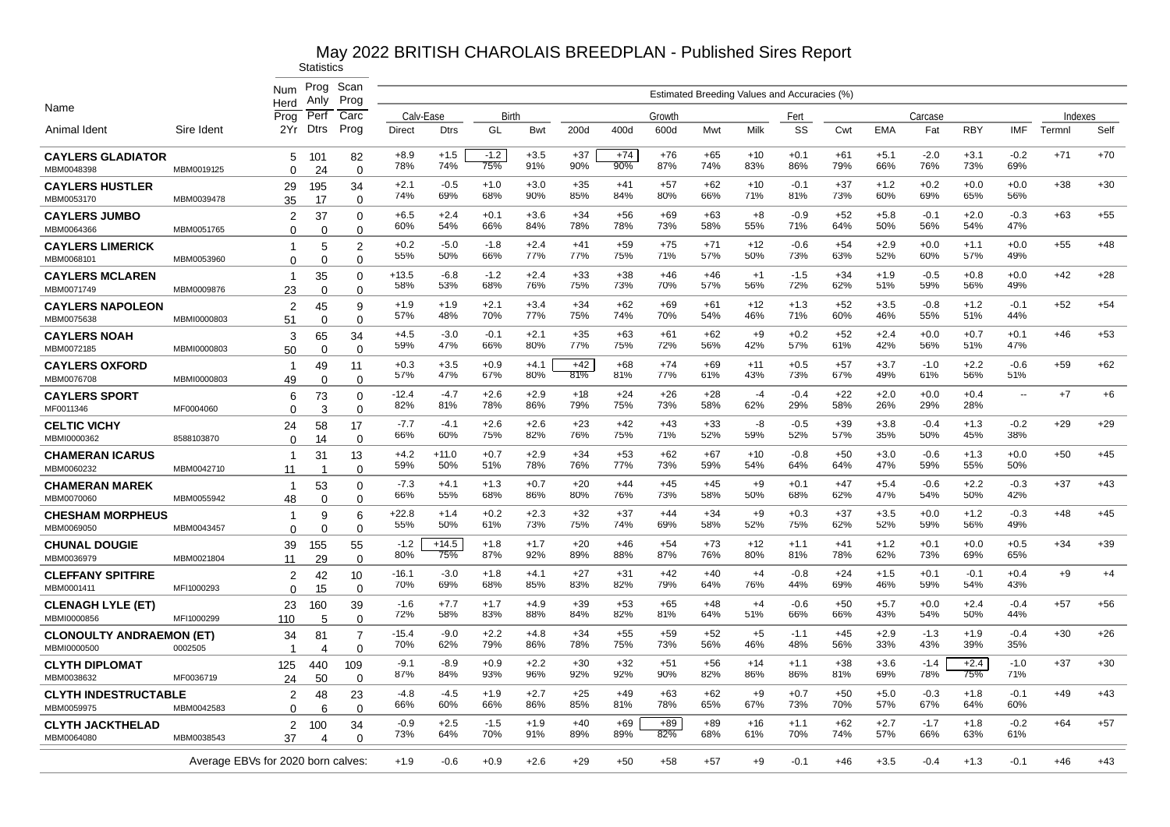|                                                |             | Num                                | Prog<br>Anly   | Scan<br>Prog            |                |                |               |               |              |              |              |              |              | Estimated Breeding Values and Accuracies (%) |              |               |               |               |               |         |       |
|------------------------------------------------|-------------|------------------------------------|----------------|-------------------------|----------------|----------------|---------------|---------------|--------------|--------------|--------------|--------------|--------------|----------------------------------------------|--------------|---------------|---------------|---------------|---------------|---------|-------|
| Name                                           |             | Herd<br>Prog                       | Perf           | Carc                    | Calv-Ease      |                | Birth         |               |              |              | Growth       |              |              | Fert                                         |              |               | Carcase       |               |               | Indexes |       |
| Animal Ident                                   | Sire Ident  | 2Yr                                | Dtrs           | Prog                    | Direct         | <b>Dtrs</b>    | GL            | Bwt           | 200d         | 400d         | 600d         | Mwt          | Milk         | SS                                           | Cwt          | <b>EMA</b>    | Fat           | <b>RBY</b>    | IMF           | Termnl  | Self  |
| <b>CAYLERS GLADIATOR</b><br>MBM0048398         | MBM0019125  | 5<br>$\Omega$                      | 101<br>24      | 82<br>$\Omega$          | $+8.9$<br>78%  | $+1.5$<br>74%  | $-1.2$<br>75% | $+3.5$<br>91% | $+37$<br>90% | $+74$<br>90% | $+76$<br>87% | $+65$<br>74% | $+10$<br>83% | $+0.1$<br>86%                                | $+61$<br>79% | $+5.1$<br>66% | $-2.0$<br>76% | $+3.1$<br>73% | $-0.2$<br>69% | $+71$   | $+70$ |
| <b>CAYLERS HUSTLER</b><br>MBM0053170           | MBM0039478  | 29<br>35                           | 195<br>17      | 34<br>$\Omega$          | $+2.1$<br>74%  | $-0.5$<br>69%  | $+1.0$<br>68% | $+3.0$<br>90% | $+35$<br>85% | $+41$<br>84% | $+57$<br>80% | $+62$<br>66% | $+10$<br>71% | $-0.1$<br>81%                                | $+37$<br>73% | $+1.2$<br>60% | $+0.2$<br>69% | $+0.0$<br>65% | $+0.0$<br>56% | $+38$   | $+30$ |
| <b>CAYLERS JUMBO</b><br>MBM0064366             | MBM0051765  | 2<br>$\Omega$                      | 37<br>0        | 0<br>0                  | $+6.5$<br>60%  | $+2.4$<br>54%  | $+0.1$<br>66% | $+3.6$<br>84% | $+34$<br>78% | $+56$<br>78% | $+69$<br>73% | $+63$<br>58% | $+8$<br>55%  | $-0.9$<br>71%                                | $+52$<br>64% | $+5.8$<br>50% | $-0.1$<br>56% | $+2.0$<br>54% | $-0.3$<br>47% | $+63$   | $+55$ |
| <b>CAYLERS LIMERICK</b><br>MBM0068101          | MBM0053960  | 1<br>$\Omega$                      | 5<br>$\Omega$  | 2<br>$\Omega$           | $+0.2$<br>55%  | $-5.0$<br>50%  | $-1.8$<br>66% | $+2.4$<br>77% | $+41$<br>77% | $+59$<br>75% | $+75$<br>71% | $+71$<br>57% | +12<br>50%   | $-0.6$<br>73%                                | $+54$<br>63% | $+2.9$<br>52% | $+0.0$<br>60% | $+1.1$<br>57% | $+0.0$<br>49% | $+55$   | $+48$ |
| <b>CAYLERS MCLAREN</b><br>MBM0071749           | MBM0009876  | -1<br>23                           | 35<br>$\Omega$ | $\Omega$<br>$\Omega$    | $+13.5$<br>58% | $-6.8$<br>53%  | $-1.2$<br>68% | $+2.4$<br>76% | $+33$<br>75% | $+38$<br>73% | $+46$<br>70% | $+46$<br>57% | $+1$<br>56%  | $-1.5$<br>72%                                | $+34$<br>62% | $+1.9$<br>51% | $-0.5$<br>59% | $+0.8$<br>56% | $+0.0$<br>49% | $+42$   | $+28$ |
| <b>CAYLERS NAPOLEON</b><br>MBM0075638          | MBMI0000803 | 2<br>51                            | 45<br>$\Omega$ | 9<br>$\Omega$           | $+1.9$<br>57%  | $+1.9$<br>48%  | $+2.1$<br>70% | $+3.4$<br>77% | $+34$<br>75% | $+62$<br>74% | $+69$<br>70% | $+61$<br>54% | $+12$<br>46% | $+1.3$<br>71%                                | $+52$<br>60% | $+3.5$<br>46% | $-0.8$<br>55% | $+1.2$<br>51% | $-0.1$<br>44% | $+52$   | $+54$ |
| <b>CAYLERS NOAH</b><br>MBM0072185              | MBMI0000803 | 3<br>50                            | 65<br>$\Omega$ | 34<br>$\Omega$          | $+4.5$<br>59%  | $-3.0$<br>47%  | $-0.1$<br>66% | $+2.1$<br>80% | $+35$<br>77% | $+63$<br>75% | $+61$<br>72% | $+62$<br>56% | $+9$<br>42%  | $+0.2$<br>57%                                | $+52$<br>61% | $+2.4$<br>42% | $+0.0$<br>56% | $+0.7$<br>51% | $+0.1$<br>47% | $+46$   | $+53$ |
| <b>CAYLERS OXFORD</b><br>MBM0076708            | MBMI0000803 | -1<br>49                           | 49<br>$\Omega$ | 11<br>$\Omega$          | $+0.3$<br>57%  | $+3.5$<br>47%  | $+0.9$<br>67% | $+4.1$<br>80% | $+42$<br>81% | $+68$<br>81% | $+74$<br>77% | $+69$<br>61% | $+11$<br>43% | $+0.5$<br>73%                                | $+57$<br>67% | $+3.7$<br>49% | $-1.0$<br>61% | $+2.2$<br>56% | $-0.6$<br>51% | $+59$   | $+62$ |
| <b>CAYLERS SPORT</b><br>MF0011346              | MF0004060   | 6<br>$\Omega$                      | 73<br>3        | 0<br>$\Omega$           | $-12.4$<br>82% | $-4.7$<br>81%  | $+2.6$<br>78% | $+2.9$<br>86% | $+18$<br>79% | $+24$<br>75% | $+26$<br>73% | $+28$<br>58% | -4<br>62%    | $-0.4$<br>29%                                | $+22$<br>58% | $+2.0$<br>26% | $+0.0$<br>29% | $+0.4$<br>28% | ц,            | $+7$    | $+6$  |
| <b>CELTIC VICHY</b><br>MBMI0000362             | 8588103870  | 24<br>$\Omega$                     | 58<br>14       | 17<br>$\mathbf 0$       | $-7.7$<br>66%  | $-4.1$<br>60%  | $+2.6$<br>75% | $+2.6$<br>82% | $+23$<br>76% | $+42$<br>75% | +43<br>71%   | $+33$<br>52% | -8<br>59%    | $-0.5$<br>52%                                | $+39$<br>57% | $+3.8$<br>35% | $-0.4$<br>50% | $+1.3$<br>45% | $-0.2$<br>38% | $+29$   | $+29$ |
| <b>CHAMERAN ICARUS</b><br>MBM0060232           | MBM0042710  | -1<br>11                           | 31<br>-1       | 13<br>$\Omega$          | $+4.2$<br>59%  | $+11.0$<br>50% | $+0.7$<br>51% | $+2.9$<br>78% | $+34$<br>76% | $+53$<br>77% | $+62$<br>73% | $+67$<br>59% | $+10$<br>54% | $-0.8$<br>64%                                | $+50$<br>64% | $+3.0$<br>47% | $-0.6$<br>59% | $+1.3$<br>55% | $+0.0$<br>50% | $+50$   | $+45$ |
| <b>CHAMERAN MAREK</b><br>MBM0070060            | MBM0055942  | -1<br>48                           | 53<br>$\Omega$ | $\Omega$<br>$\mathbf 0$ | $-7.3$<br>66%  | $+4.1$<br>55%  | $+1.3$<br>68% | $+0.7$<br>86% | $+20$<br>80% | $+44$<br>76% | $+45$<br>73% | $+45$<br>58% | $+9$<br>50%  | $+0.1$<br>68%                                | $+47$<br>62% | $+5.4$<br>47% | $-0.6$<br>54% | $+2.2$<br>50% | $-0.3$<br>42% | $+37$   | $+43$ |
| <b>CHESHAM MORPHEUS</b><br>MBM0069050          | MBM0043457  | 1<br>$\Omega$                      | 9<br>$\Omega$  | 6<br>$\Omega$           | $+22.8$<br>55% | $+1.4$<br>50%  | $+0.2$<br>61% | $+2.3$<br>73% | $+32$<br>75% | $+37$<br>74% | $+44$<br>69% | $+34$<br>58% | $+9$<br>52%  | $+0.3$<br>75%                                | $+37$<br>62% | $+3.5$<br>52% | $+0.0$<br>59% | $+1.2$<br>56% | $-0.3$<br>49% | $+48$   | $+45$ |
| <b>CHUNAL DOUGIE</b><br>MBM0036979             | MBM0021804  | 39<br>11                           | 155<br>29      | 55<br>$\Omega$          | $-1.2$<br>80%  | $+14.5$<br>75% | $+1.8$<br>87% | $+1.7$<br>92% | $+20$<br>89% | $+46$<br>88% | $+54$<br>87% | $+73$<br>76% | $+12$<br>80% | $+1.1$<br>81%                                | $+41$<br>78% | $+1.2$<br>62% | $+0.1$<br>73% | $+0.0$<br>69% | $+0.5$<br>65% | $+34$   | $+39$ |
| <b>CLEFFANY SPITFIRE</b><br>MBM0001411         | MFI1000293  | $\overline{2}$<br>$\Omega$         | 42<br>15       | 10<br>$\Omega$          | $-16.1$<br>70% | $-3.0$<br>69%  | $+1.8$<br>68% | $+4.1$<br>85% | $+27$<br>83% | $+31$<br>82% | $+42$<br>79% | $+40$<br>64% | $+4$<br>76%  | $-0.8$<br>44%                                | $+24$<br>69% | $+1.5$<br>46% | $+0.1$<br>59% | $-0.1$<br>54% | $+0.4$<br>43% | $+9$    | $+4$  |
| <b>CLENAGH LYLE (ET)</b><br>MBMI0000856        | MFI1000299  | 23<br>110                          | 160<br>5       | 39<br>$\Omega$          | $-1.6$<br>72%  | $+7.7$<br>58%  | $+1.7$<br>83% | $+4.9$<br>88% | $+39$<br>84% | $+53$<br>82% | $+65$<br>81% | $+48$<br>64% | $+4$<br>51%  | $-0.6$<br>66%                                | $+50$<br>66% | $+5.7$<br>43% | $+0.0$<br>54% | $+2.4$<br>50% | $-0.4$<br>44% | $+57$   | $+56$ |
| <b>CLONOULTY ANDRAEMON (ET)</b><br>MBMI0000500 | 0002505     | 34<br>1                            | 81<br>4        | 7<br>0                  | -15.4<br>70%   | $-9.0$<br>62%  | $+2.2$<br>79% | $+4.8$<br>86% | $+34$<br>78% | $+55$<br>75% | $+59$<br>73% | $+52$<br>56% | $+5$<br>46%  | $-1.1$<br>48%                                | $+45$<br>56% | $+2.9$<br>33% | $-1.3$<br>43% | $+1.9$<br>39% | $-0.4$<br>35% | $+30$   | $+26$ |
| <b>CLYTH DIPLOMAT</b><br>MBM0038632            | MF0036719   | 125<br>24                          | 440<br>50      | 109<br>$\Omega$         | $-9.1$<br>87%  | $-8.9$<br>84%  | $+0.9$<br>93% | $+2.2$<br>96% | $+30$<br>92% | $+32$<br>92% | $+51$<br>90% | $+56$<br>82% | $+14$<br>86% | $+1.1$<br>86%                                | $+38$<br>81% | $+3.6$<br>69% | $-1.4$<br>78% | $+2.4$<br>75% | $-1.0$<br>71% | $+37$   | $+30$ |
| <b>CLYTH INDESTRUCTABLE</b><br>MBM0059975      | MBM0042583  | 2<br>$\Omega$                      | 48<br>6        | 23<br>$\Omega$          | -4.8<br>66%    | -4.5<br>60%    | $+1.9$<br>66% | $+2.7$<br>86% | $+25$<br>85% | $+49$<br>81% | $+63$<br>78% | $+62$<br>65% | $+9$<br>67%  | $+0.7$<br>73%                                | $+50$<br>70% | $+5.0$<br>57% | $-0.3$<br>67% | $+1.8$<br>64% | $-0.1$<br>60% | $+49$   | $+43$ |
| <b>CLYTH JACKTHELAD</b><br>MBM0064080          | MBM0038543  | 2<br>37                            | 100<br>Δ       | 34<br>$\Omega$          | $-0.9$<br>73%  | $+2.5$<br>64%  | -1.5<br>70%   | $+1.9$<br>91% | $+40$<br>89% | $+69$<br>89% | $+89$<br>82% | $+89$<br>68% | $+16$<br>61% | $+1.1$<br>70%                                | $+62$<br>74% | $+2.7$<br>57% | $-1.7$<br>66% | $+1.8$<br>63% | $-0.2$<br>61% | $+64$   | $+57$ |
|                                                |             | Average EBVs for 2020 born calves: |                |                         | $+1.9$         | $-0.6$         | $+0.9$        | $+2.6$        | $+29$        | $+50$        | $+58$        | +57          | $+9$         | $-0.1$                                       | $+46$        | $+3.5$        | $-0.4$        | $+1.3$        | $-0.1$        | $+46$   | $+43$ |
|                                                |             |                                    |                |                         |                |                |               |               |              |              |              |              |              |                                              |              |               |               |               |               |         |       |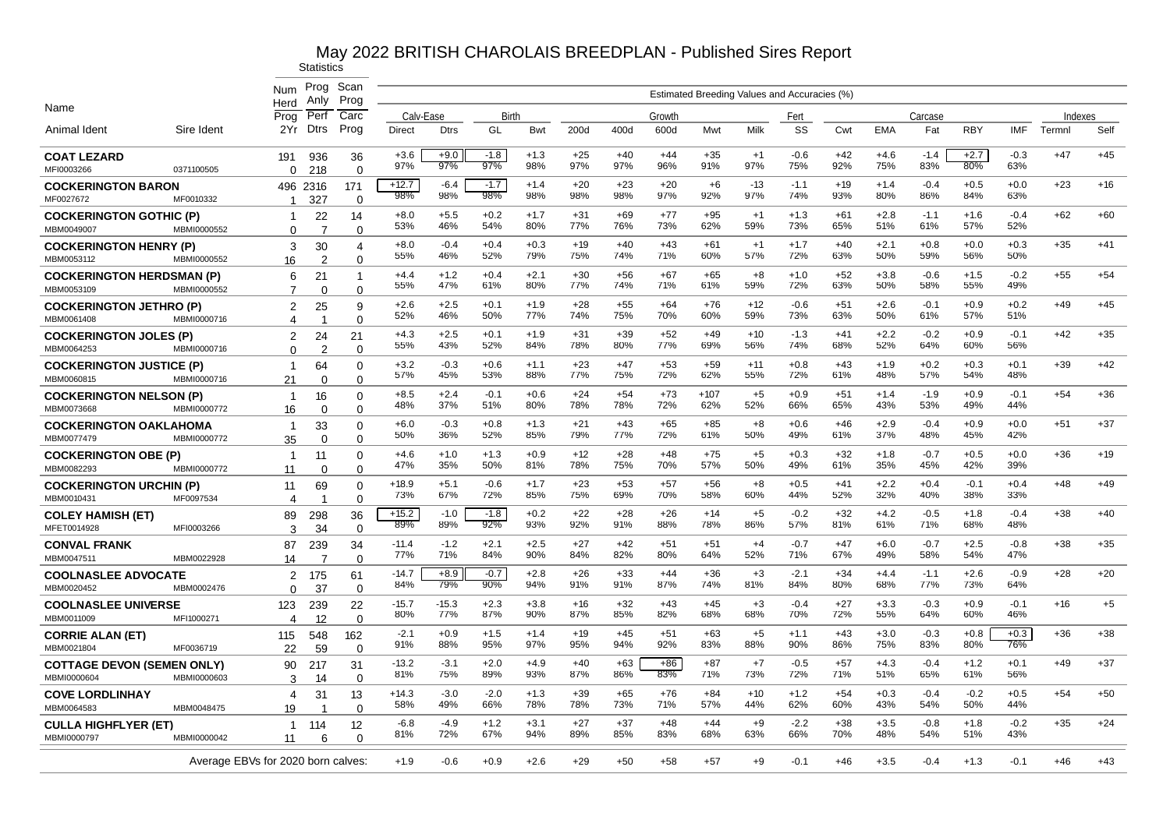|                                                 |             | Num                                | Prog<br>Anly   | Scan<br>Prog            |                |                |               |               |              |              |              |               |              | Estimated Breeding Values and Accuracies (%) |              |               |               |               |               |         |       |
|-------------------------------------------------|-------------|------------------------------------|----------------|-------------------------|----------------|----------------|---------------|---------------|--------------|--------------|--------------|---------------|--------------|----------------------------------------------|--------------|---------------|---------------|---------------|---------------|---------|-------|
| Name                                            |             | Herd<br>Prog                       | Perf           | Carc                    | Calv-Ease      |                | Birth         |               |              |              | Growth       |               |              | Fert                                         |              |               | Carcase       |               |               | Indexes |       |
| Animal Ident                                    | Sire Ident  | 2Yr                                | Dtrs           | Prog                    | Direct         | <b>Dtrs</b>    | GL            | <b>Bwt</b>    | 200d         | 400d         | 600d         | Mwt           | Milk         | SS                                           | Cwt          | <b>EMA</b>    | Fat           | <b>RBY</b>    | <b>IMF</b>    | Termnl  | Self  |
| <b>COAT LEZARD</b><br>MFI0003266                | 0371100505  | 191<br>$\Omega$                    | 936<br>218     | 36<br>$\Omega$          | $+3.6$<br>97%  | $+9.0$<br>97%  | $-1.8$<br>97% | $+1.3$<br>98% | $+25$<br>97% | $+40$<br>97% | $+44$<br>96% | $+35$<br>91%  | $+1$<br>97%  | $-0.6$<br>75%                                | $+42$<br>92% | $+4.6$<br>75% | $-1.4$<br>83% | $+2.7$<br>80% | $-0.3$<br>63% | $+47$   | $+45$ |
| <b>COCKERINGTON BARON</b>                       |             |                                    | 496 2316       | 171                     | $+12.7$        | $-6.4$         | $-1.7$        | $+1.4$        | $+20$        | $+23$        | $+20$        | $+6$          | $-13$        | $-1.1$                                       | $+19$        | $+1.4$        | $-0.4$        | $+0.5$        | $+0.0$        | $+23$   | $+16$ |
| MF0027672                                       | MF0010332   | $\mathbf{1}$                       | 327            | $\Omega$                | 98%            | 98%            | 98%           | 98%           | 98%          | 98%          | 97%          | 92%           | 97%          | 74%                                          | 93%          | 80%           | 86%           | 84%           | 63%           |         |       |
| <b>COCKERINGTON GOTHIC (P)</b><br>MBM0049007    | MBMI0000552 | -1<br>$\Omega$                     | 22<br>-7       | 14<br>$\Omega$          | $+8.0$<br>53%  | $+5.5$<br>46%  | $+0.2$<br>54% | $+1.7$<br>80% | $+31$<br>77% | +69<br>76%   | $+77$<br>73% | $+95$<br>62%  | $+1$<br>59%  | $+1.3$<br>73%                                | $+61$<br>65% | $+2.8$<br>51% | $-1.1$<br>61% | $+1.6$<br>57% | $-0.4$<br>52% | $+62$   | $+60$ |
| <b>COCKERINGTON HENRY (P)</b>                   |             | 3                                  | 30             | 4                       | $+8.0$         | $-0.4$         | $+0.4$        | $+0.3$        | $+19$        | $+40$        | $+43$        | $+61$         | $+1$         | $+1.7$                                       | $+40$        | $+2.1$        | $+0.8$        | $+0.0$        | $+0.3$        | $+35$   | $+41$ |
| MBM0053112                                      | MBMI0000552 | 16                                 | $\overline{2}$ | $\Omega$                | 55%            | 46%            | 52%           | 79%           | 75%          | 74%          | 71%          | 60%           | 57%          | 72%                                          | 63%          | 50%           | 59%           | 56%           | 50%           |         |       |
| <b>COCKERINGTON HERDSMAN (P)</b><br>MBM0053109  | MBMI0000552 | 6<br>7                             | 21<br>$\Omega$ | $\Omega$                | +4.4<br>55%    | $+1.2$<br>47%  | $+0.4$<br>61% | $+2.1$<br>80% | $+30$<br>77% | +56<br>74%   | $+67$<br>71% | $+65$<br>61%  | $+8$<br>59%  | $+1.0$<br>72%                                | $+52$<br>63% | $+3.8$<br>50% | $-0.6$<br>58% | $+1.5$<br>55% | $-0.2$<br>49% | $+55$   | $+54$ |
| <b>COCKERINGTON JETHRO (P)</b>                  |             | $\overline{c}$                     | 25             | 9                       | $+2.6$         | $+2.5$         | $+0.1$        | $+1.9$        | $+28$        | $+55$        | $+64$        | $+76$         | $+12$        | $-0.6$                                       | $+51$        | $+2.6$        | $-0.1$        | $+0.9$        | $+0.2$        | $+49$   | $+45$ |
| MBM0061408                                      | MBMI0000716 | 4                                  | -1             | $\Omega$                | 52%            | 46%            | 50%           | 77%           | 74%          | 75%          | 70%          | 60%           | 59%          | 73%                                          | 63%          | 50%           | 61%           | 57%           | 51%           |         |       |
| <b>COCKERINGTON JOLES (P)</b><br>MBM0064253     | MBMI0000716 | $\overline{2}$<br>$\Omega$         | 24<br>2        | 21<br>$\Omega$          | $+4.3$<br>55%  | $+2.5$<br>43%  | $+0.1$<br>52% | $+1.9$<br>84% | $+31$<br>78% | $+39$<br>80% | $+52$<br>77% | $+49$<br>69%  | $+10$<br>56% | $-1.3$<br>74%                                | $+41$<br>68% | $+2.2$<br>52% | $-0.2$<br>64% | $+0.9$<br>60% | $-0.1$<br>56% | $+42$   | $+35$ |
| <b>COCKERINGTON JUSTICE (P)</b><br>MBM0060815   | MBMI0000716 | $\overline{1}$<br>21               | 64<br>$\Omega$ | 0<br>$\Omega$           | $+3.2$<br>57%  | $-0.3$<br>45%  | $+0.6$<br>53% | $+1.1$<br>88% | $+23$<br>77% | $+47$<br>75% | $+53$<br>72% | $+59$<br>62%  | $+11$<br>55% | $+0.8$<br>72%                                | $+43$<br>61% | $+1.9$<br>48% | $+0.2$<br>57% | $+0.3$<br>54% | $+0.1$<br>48% | $+39$   | $+42$ |
| <b>COCKERINGTON NELSON (P)</b><br>MBM0073668    | MBMI0000772 | $\mathbf{1}$<br>16                 | 16<br>$\Omega$ | $\Omega$<br>$\Omega$    | $+8.5$<br>48%  | $+2.4$<br>37%  | $-0.1$<br>51% | $+0.6$<br>80% | $+24$<br>78% | $+54$<br>78% | $+73$<br>72% | $+107$<br>62% | $+5$<br>52%  | $+0.9$<br>66%                                | $+51$<br>65% | $+1.4$<br>43% | $-1.9$<br>53% | $+0.9$<br>49% | $-0.1$<br>44% | $+54$   | $+36$ |
| <b>COCKERINGTON OAKLAHOMA</b>                   |             | $\overline{1}$                     | 33             | 0                       | $+6.0$<br>50%  | $-0.3$<br>36%  | $+0.8$<br>52% | $+1.3$<br>85% | $+21$<br>79% | $+43$<br>77% | $+65$<br>72% | $+85$<br>61%  | $+8$<br>50%  | $+0.6$<br>49%                                | $+46$<br>61% | $+2.9$<br>37% | $-0.4$<br>48% | $+0.9$<br>45% | $+0.0$<br>42% | $+51$   | $+37$ |
| MBM0077479                                      | MBMI0000772 | 35                                 | $\Omega$       | $\Omega$                |                |                |               |               |              |              |              |               |              |                                              |              |               |               |               |               |         |       |
| <b>COCKERINGTON OBE (P)</b><br>MBM0082293       | MBMI0000772 | $\overline{1}$<br>11               | 11<br>$\Omega$ | 0<br>$\Omega$           | $+4.6$<br>47%  | $+1.0$<br>35%  | $+1.3$<br>50% | $+0.9$<br>81% | $+12$<br>78% | $+28$<br>75% | $+48$<br>70% | $+75$<br>57%  | $+5$<br>50%  | $+0.3$<br>49%                                | $+32$<br>61% | $+1.8$<br>35% | $-0.7$<br>45% | $+0.5$<br>42% | $+0.0$<br>39% | $+36$   | $+19$ |
| <b>COCKERINGTON URCHIN (P)</b><br>MBM0010431    | MF0097534   | 11<br>4                            | 69             | $\Omega$<br>$\mathbf 0$ | $+18.9$<br>73% | $+5.1$<br>67%  | -0.6<br>72%   | $+1.7$<br>85% | $+23$<br>75% | $+53$<br>69% | $+57$<br>70% | +56<br>58%    | $+8$<br>60%  | +0.5<br>44%                                  | $+41$<br>52% | $+2.2$<br>32% | $+0.4$<br>40% | $-0.1$<br>38% | $+0.4$<br>33% | $+48$   | $+49$ |
| <b>COLEY HAMISH (ET)</b><br>MFET0014928         | MFI0003266  | 89<br>3                            | 298<br>34      | 36<br>$\Omega$          | $+15.2$<br>89% | $-1.0$<br>89%  | $-1.8$<br>92% | $+0.2$<br>93% | $+22$<br>92% | +28<br>91%   | $+26$<br>88% | $+14$<br>78%  | $+5$<br>86%  | $-0.2$<br>57%                                | $+32$<br>81% | $+4.2$<br>61% | $-0.5$<br>71% | $+1.8$<br>68% | $-0.4$<br>48% | $+38$   | $+40$ |
| <b>CONVAL FRANK</b><br>MBM0047511               | MBM0022928  | 87<br>14                           | 239<br>7       | 34<br>$\Omega$          | $-11.4$<br>77% | $-1.2$<br>71%  | $+2.1$<br>84% | $+2.5$<br>90% | $+27$<br>84% | $+42$<br>82% | $+51$<br>80% | $+51$<br>64%  | $+4$<br>52%  | $-0.7$<br>71%                                | $+47$<br>67% | $+6.0$<br>49% | $-0.7$<br>58% | $+2.5$<br>54% | $-0.8$<br>47% | $+38$   | $+35$ |
| <b>COOLNASLEE ADVOCATE</b><br>MBM0020452        | MBM0002476  | 2<br>$\Omega$                      | 175<br>37      | 61<br>$\Omega$          | $-14.7$<br>84% | $+8.9$<br>79%  | $-0.7$<br>90% | $+2.8$<br>94% | $+26$<br>91% | $+33$<br>91% | $+44$<br>87% | $+36$<br>74%  | $+3$<br>81%  | $-2.1$<br>84%                                | $+34$<br>80% | $+4.4$<br>68% | $-1.1$<br>77% | $+2.6$<br>73% | $-0.9$<br>64% | $+28$   | $+20$ |
| <b>COOLNASLEE UNIVERSE</b><br>MBM0011009        | MFI1000271  | 123                                | 239            | 22                      | $-15.7$<br>80% | $-15.3$<br>77% | $+2.3$<br>87% | $+3.8$<br>90% | $+16$<br>87% | $+32$<br>85% | $+43$<br>82% | $+45$<br>68%  | $+3$<br>68%  | $-0.4$<br>70%                                | $+27$<br>72% | $+3.3$<br>55% | $-0.3$<br>64% | $+0.9$<br>60% | $-0.1$<br>46% | $+16$   | $+5$  |
| <b>CORRIE ALAN (ET)</b>                         |             | 4<br>115                           | 12<br>548      | $\Omega$<br>162         | $-2.1$<br>91%  | $+0.9$<br>88%  | $+1.5$<br>95% | $+1.4$<br>97% | $+19$<br>95% | $+45$<br>94% | $+51$<br>92% | $+63$<br>83%  | $+5$<br>88%  | $+1.1$<br>90%                                | $+43$<br>86% | $+3.0$<br>75% | $-0.3$<br>83% | $+0.8$<br>80% | $+0.3$<br>76% | $+36$   | $+38$ |
| MBM0021804<br><b>COTTAGE DEVON (SEMEN ONLY)</b> | MF0036719   | 22<br>90                           | 59<br>217      | $\Omega$<br>31          | $-13.2$        | $-3.1$         | $+2.0$        | $+4.9$        | $+40$        | $+63$        | +86          | $+87$         | $+7$         | $-0.5$                                       | $+57$        | $+4.3$        | $-0.4$        | $+1.2$        | $+0.1$        | $+49$   | $+37$ |
| MBMI0000604                                     | MBMI0000603 | 3                                  | 14             | $\Omega$                | 81%            | 75%            | 89%           | 93%           | 87%          | 86%          | 83%          | 71%           | 73%          | 72%                                          | 71%          | 51%           | 65%           | 61%           | 56%           |         |       |
| <b>COVE LORDLINHAY</b><br>MBM0064583            | MBM0048475  | 4<br>19                            | 31             | 13<br>$\Omega$          | $+14.3$<br>58% | $-3.0$<br>49%  | $-2.0$<br>66% | $+1.3$<br>78% | $+39$<br>78% | $+65$<br>73% | $+76$<br>71% | $+84$<br>57%  | $+10$<br>44% | $+1.2$<br>62%                                | $+54$<br>60% | $+0.3$<br>43% | $-0.4$<br>54% | $-0.2$<br>50% | $+0.5$<br>44% | $+54$   | $+50$ |
| <b>CULLA HIGHFLYER (ET)</b><br>MBMI0000797      | MBMI0000042 | $\mathbf{1}$<br>11                 | 114<br>6       | 12<br>$\Omega$          | $-6.8$<br>81%  | $-4.9$<br>72%  | $+1.2$<br>67% | $+3.1$<br>94% | $+27$<br>89% | $+37$<br>85% | $+48$<br>83% | $+44$<br>68%  | $+9$<br>63%  | $-2.2$<br>66%                                | $+38$<br>70% | $+3.5$<br>48% | $-0.8$<br>54% | $+1.8$<br>51% | $-0.2$<br>43% | $+35$   | $+24$ |
|                                                 |             | Average EBVs for 2020 born calves: |                |                         | $+1.9$         | $-0.6$         | $+0.9$        | $+2.6$        | $+29$        | $+50$        | $+58$        | $+57$         | $+9$         | $-0.1$                                       | $+46$        | $+3.5$        | $-0.4$        | $+1.3$        | $-0.1$        | $+46$   | $+43$ |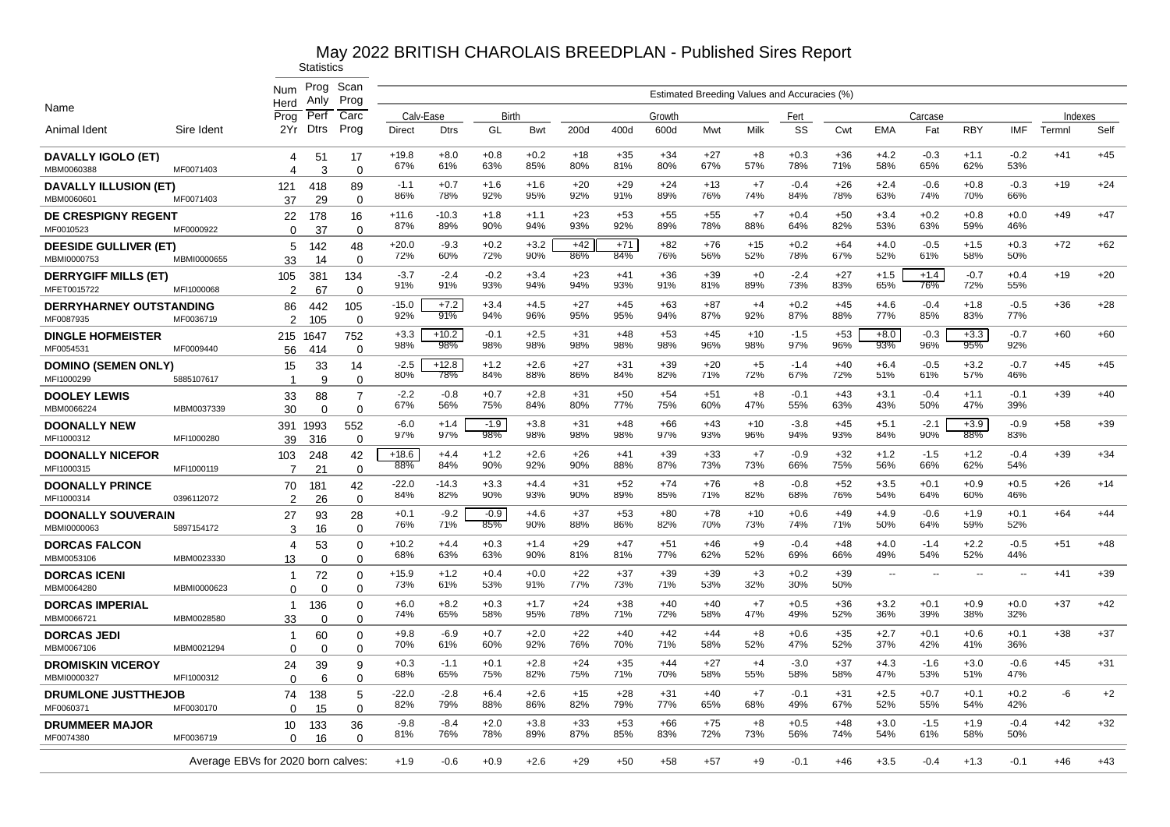|                                             |                                    | Num<br>Herd                         | Prog<br>Anly               | Scan<br>Prog                  |                |                |               |               |              |              |              |              |              | Estimated Breeding Values and Accuracies (%) |              |               |               |               |                          |         |       |
|---------------------------------------------|------------------------------------|-------------------------------------|----------------------------|-------------------------------|----------------|----------------|---------------|---------------|--------------|--------------|--------------|--------------|--------------|----------------------------------------------|--------------|---------------|---------------|---------------|--------------------------|---------|-------|
| Name                                        |                                    | Prog                                | Perf                       | Carc                          | Calv-Ease      |                | Birth         |               |              |              | Growth       |              |              | Fert                                         |              |               | Carcase       |               |                          | Indexes |       |
| Animal Ident                                | Sire Ident                         | 2Yr                                 | <b>Dtrs</b>                | Prog                          | Direct         | <b>Dtrs</b>    | GL            | Bwt           | 200d         | 400d         | 600d         | Mwt          | Milk         | SS                                           | Cwt          | <b>EMA</b>    | Fat           | <b>RBY</b>    | <b>IMF</b>               | Termnl  | Self  |
| DAVALLY IGOLO (ET)<br>MBM0060388            | MF0071403                          | 4<br>4                              | 51<br>3                    | 17<br>$\Omega$                | $+19.8$<br>67% | $+8.0$<br>61%  | $+0.8$<br>63% | $+0.2$<br>85% | $+18$<br>80% | $+35$<br>81% | $+34$<br>80% | $+27$<br>67% | $+8$<br>57%  | $+0.3$<br>78%                                | $+36$<br>71% | $+4.2$<br>58% | $-0.3$<br>65% | $+1.1$<br>62% | $-0.2$<br>53%            | $+41$   | $+45$ |
| <b>DAVALLY ILLUSION (ET)</b><br>MBM0060601  | MF0071403                          | 121<br>37                           | 418<br>29                  | 89<br>$\Omega$                | $-1.1$<br>86%  | $+0.7$<br>78%  | $+1.6$<br>92% | $+1.6$<br>95% | $+20$<br>92% | $+29$<br>91% | $+24$<br>89% | $+13$<br>76% | $+7$<br>74%  | $-0.4$<br>84%                                | $+26$<br>78% | $+2.4$<br>63% | $-0.6$<br>74% | $+0.8$<br>70% | $-0.3$<br>66%            | $+19$   | $+24$ |
| DE CRESPIGNY REGENT<br>MF0010523            | MF0000922                          | 22<br>$\Omega$                      | 178<br>37                  | 16<br>$\Omega$                | $+11.6$<br>87% | $-10.3$<br>89% | $+1.8$<br>90% | $+1.1$<br>94% | $+23$<br>93% | $+53$<br>92% | $+55$<br>89% | $+55$<br>78% | $+7$<br>88%  | $+0.4$<br>64%                                | $+50$<br>82% | $+3.4$<br>53% | $+0.2$<br>63% | $+0.8$<br>59% | $+0.0$<br>46%            | $+49$   | $+47$ |
| <b>DEESIDE GULLIVER (ET)</b><br>MBMI0000753 | MBMI0000655                        | 5<br>33                             | 142<br>14                  | 48<br>$\Omega$                | $+20.0$<br>72% | -9.3<br>60%    | $+0.2$<br>72% | $+3.2$<br>90% | $+42$<br>86% | $+71$<br>84% | $+82$<br>76% | +76<br>56%   | $+15$<br>52% | $+0.2$<br>78%                                | $+64$<br>67% | $+4.0$<br>52% | $-0.5$<br>61% | $+1.5$<br>58% | $+0.3$<br>50%            | $+72$   | $+62$ |
| <b>DERRYGIFF MILLS (ET)</b><br>MFET0015722  | MFI1000068                         | 105<br>$\mathfrak{p}$               | 381<br>67                  | 134<br>$\Omega$               | $-3.7$<br>91%  | $-2.4$<br>91%  | $-0.2$<br>93% | $+3.4$<br>94% | $+23$<br>94% | $+41$<br>93% | $+36$<br>91% | $+39$<br>81% | $+0$<br>89%  | $-2.4$<br>73%                                | $+27$<br>83% | $+1.5$<br>65% | $+1.4$<br>76% | $-0.7$<br>72% | $+0.4$<br>55%            | $+19$   | $+20$ |
| <b>DERRYHARNEY OUTSTANDING</b><br>MF0087935 | MF0036719                          | 86<br>2                             | 442                        | 105<br>$\Omega$               | $-15.0$<br>92% | $+7.2$<br>91%  | $+3.4$<br>94% | $+4.5$<br>96% | $+27$<br>95% | $+45$<br>95% | $+63$<br>94% | $+87$<br>87% | $+4$<br>92%  | $+0.2$<br>87%                                | $+45$<br>88% | $+4.6$<br>77% | $-0.4$<br>85% | $+1.8$<br>83% | $-0.5$<br>77%            | $+36$   | $+28$ |
| <b>DINGLE HOFMEISTER</b><br>MF0054531       | MF0009440                          | 215                                 | 105<br>1647<br>414         | 752<br>$\mathbf 0$            | $+3.3$<br>98%  | $+10.2$<br>98% | $-0.1$<br>98% | $+2.5$<br>98% | $+31$<br>98% | $+48$<br>98% | $+53$<br>98% | $+45$<br>96% | $+10$<br>98% | $-1.5$<br>97%                                | $+53$<br>96% | $+8.0$<br>93% | $-0.3$<br>96% | $+3.3$<br>95% | $-0.7$<br>92%            | $+60$   | $+60$ |
| <b>DOMINO (SEMEN ONLY)</b><br>MFI1000299    |                                    | 56<br>15<br>$\overline{\mathbf{1}}$ | 33<br>9                    | 14<br>$\Omega$                | $-2.5$<br>80%  | $+12.8$<br>78% | $+1.2$<br>84% | $+2.6$<br>88% | $+27$<br>86% | $+31$<br>84% | $+39$<br>82% | $+20$<br>71% | $+5$<br>72%  | $-1.4$<br>67%                                | $+40$<br>72% | $+6.4$<br>51% | $-0.5$<br>61% | $+3.2$<br>57% | $-0.7$<br>46%            | $+45$   | $+45$ |
| <b>DOOLEY LEWIS</b><br>MBM0066224           | 5885107617<br>MBM0037339           | 33<br>30                            | 88<br>$\Omega$             | $\overline{7}$<br>$\mathbf 0$ | $-2.2$<br>67%  | $-0.8$<br>56%  | $+0.7$<br>75% | $+2.8$<br>84% | $+31$<br>80% | $+50$<br>77% | $+54$<br>75% | $+51$<br>60% | $+8$<br>47%  | $-0.1$<br>55%                                | $+43$<br>63% | $+3.1$<br>43% | $-0.4$<br>50% | $+1.1$<br>47% | $-0.1$<br>39%            | $+39$   | $+40$ |
| <b>DOONALLY NEW</b><br>MFI1000312           | MFI1000280                         | 391<br>39                           | 1993                       | 552<br>$\Omega$               | $-6.0$<br>97%  | $+1.4$<br>97%  | $-1.9$<br>98% | $+3.8$<br>98% | $+31$<br>98% | $+48$<br>98% | $+66$<br>97% | $+43$<br>93% | $+10$<br>96% | $-3.8$<br>94%                                | $+45$<br>93% | $+5.1$<br>84% | $-2.1$<br>90% | $+3.9$<br>88% | $-0.9$<br>83%            | $+58$   | $+39$ |
| <b>DOONALLY NICEFOR</b><br>MFI1000315       | MFI1000119                         | 103<br>$\overline{7}$               | 316<br>248                 | 42<br>0                       | $+18.6$<br>88% | $+4.4$<br>84%  | $+1.2$<br>90% | $+2.6$<br>92% | $+26$<br>90% | $+41$<br>88% | $+39$<br>87% | $+33$<br>73% | $+7$<br>73%  | $-0.9$<br>66%                                | $+32$<br>75% | $+1.2$<br>56% | $-1.5$<br>66% | $+1.2$<br>62% | $-0.4$<br>54%            | $+39$   | $+34$ |
| <b>DOONALLY PRINCE</b><br>MFI1000314        | 0396112072                         | 70<br>2                             | 21<br>181<br>26            | 42<br>$\mathbf 0$             | $-22.0$<br>84% | $-14.3$<br>82% | $+3.3$<br>90% | $+4.4$<br>93% | $+31$<br>90% | $+52$<br>89% | $+74$<br>85% | $+76$<br>71% | $+8$<br>82%  | $-0.8$<br>68%                                | +52<br>76%   | $+3.5$<br>54% | $+0.1$<br>64% | $+0.9$<br>60% | $+0.5$<br>46%            | $+26$   | $+14$ |
| <b>DOONALLY SOUVERAIN</b><br>MBMI0000063    | 5897154172                         | 27                                  | 93                         | 28                            | $+0.1$<br>76%  | $-9.2$<br>71%  | $-0.9$<br>85% | $+4.6$<br>90% | $+37$<br>88% | $+53$<br>86% | $+80$<br>82% | $+78$<br>70% | $+10$<br>73% | $+0.6$<br>74%                                | $+49$<br>71% | $+4.9$<br>50% | $-0.6$<br>64% | $+1.9$<br>59% | $+0.1$<br>52%            | $+64$   | $+44$ |
| <b>DORCAS FALCON</b>                        |                                    | 3<br>4                              | 16<br>53                   | $\Omega$<br>0                 | $+10.2$<br>68% | $+4.4$<br>63%  | $+0.3$<br>63% | $+1.4$<br>90% | $+29$<br>81% | $+47$<br>81% | $+51$<br>77% | $+46$<br>62% | $+9$<br>52%  | $-0.4$<br>69%                                | $+48$<br>66% | $+4.0$<br>49% | $-1.4$<br>54% | $+2.2$<br>52% | $-0.5$<br>44%            | $+51$   | $+48$ |
| MBM0053106<br><b>DORCAS ICENI</b>           | MBM0023330                         | 13<br>$\mathbf{1}$                  | $\Omega$<br>72<br>$\Omega$ | $\Omega$<br>0<br>$\Omega$     | $+15.9$<br>73% | $+1.2$<br>61%  | $+0.4$<br>53% | $+0.0$<br>91% | $+22$<br>77% | $+37$<br>73% | $+39$<br>71% | $+39$<br>53% | $+3$<br>32%  | $+0.2$<br>30%                                | $+39$<br>50% | $\sim$        | $\sim$        | $\mathbf{u}$  | $\overline{\phantom{a}}$ | $+41$   | $+39$ |
| MBM0064280<br><b>DORCAS IMPERIAL</b>        | MBMI0000623                        | $\Omega$<br>-1                      | 136                        | 0                             | $+6.0$<br>74%  | $+8.2$<br>65%  | $+0.3$<br>58% | $+1.7$<br>95% | $+24$<br>78% | $+38$<br>71% | $+40$<br>72% | $+40$<br>58% | $+7$<br>47%  | $+0.5$<br>49%                                | $+36$<br>52% | $+3.2$<br>36% | $+0.1$<br>39% | $+0.9$<br>38% | $+0.0$<br>32%            | $+37$   | $+42$ |
| MBM0066721<br><b>DORCAS JEDI</b>            | MBM0028580                         | 33<br>$\mathbf 1$                   | $\Omega$<br>60             | $\mathbf 0$<br>0              | $+9.8$<br>70%  | $-6.9$<br>61%  | $+0.7$<br>60% | $+2.0$<br>92% | $+22$<br>76% | $+40$<br>70% | $+42$<br>71% | $+44$<br>58% | $+8$<br>52%  | $+0.6$<br>47%                                | $+35$<br>52% | $+2.7$<br>37% | $+0.1$<br>42% | $+0.6$<br>41% | $+0.1$<br>36%            | $+38$   | $+37$ |
| MBM0067106<br><b>DROMISKIN VICEROY</b>      | MBM0021294                         | $\Omega$<br>24                      | $\mathbf 0$<br>39          | $\mathbf 0$<br>9              | $+0.3$<br>68%  | $-1.1$<br>65%  | $+0.1$<br>75% | $+2.8$<br>82% | $+24$<br>75% | $+35$<br>71% | $+44$<br>70% | $+27$<br>58% | $+4$<br>55%  | $-3.0$<br>58%                                | $+37$<br>58% | $+4.3$<br>47% | $-1.6$<br>53% | $+3.0$<br>51% | $-0.6$<br>47%            | $+45$   | $+31$ |
| MBMI0000327<br><b>DRUMLONE JUSTTHEJOB</b>   | MFI1000312                         | $\Omega$<br>74                      | 6<br>138                   | 0<br>5                        | $-22.0$        | $-2.8$         | $+6.4$        | $+2.6$        | $+15$        | $+28$        | $+31$        | $+40$        | $+7$         | $-0.1$                                       | $+31$        | $+2.5$        | $+0.7$        | $+0.1$        | $+0.2$                   | -6      | $+2$  |
| MF0060371                                   | MF0030170                          | 0                                   | 15                         | 0                             | 82%            | 79%            | 88%           | 86%           | 82%          | 79%          | 77%          | 65%          | 68%          | 49%                                          | 67%          | 52%           | 55%           | 54%           | 42%<br>$-0.4$            |         |       |
| <b>DRUMMEER MAJOR</b><br>MF0074380          | MF0036719                          | 10<br>$\Omega$                      | 133<br>16                  | 36<br>$\Omega$                | $-9.8$<br>81%  | $-8.4$<br>76%  | $+2.0$<br>78% | $+3.8$<br>89% | $+33$<br>87% | $+53$<br>85% | $+66$<br>83% | $+75$<br>72% | $+8$<br>73%  | $+0.5$<br>56%                                | $+48$<br>74% | $+3.0$<br>54% | $-1.5$<br>61% | $+1.9$<br>58% | 50%                      | $+42$   | $+32$ |
|                                             | Average EBVs for 2020 born calves: |                                     |                            |                               | $+1.9$         | $-0.6$         | $+0.9$        | $+2.6$        | $+29$        | $+50$        | $+58$        | $+57$        | $+9$         | $-0.1$                                       | $+46$        | $+3.5$        | $-0.4$        | $+1.3$        | $-0.1$                   | $+46$   | $+43$ |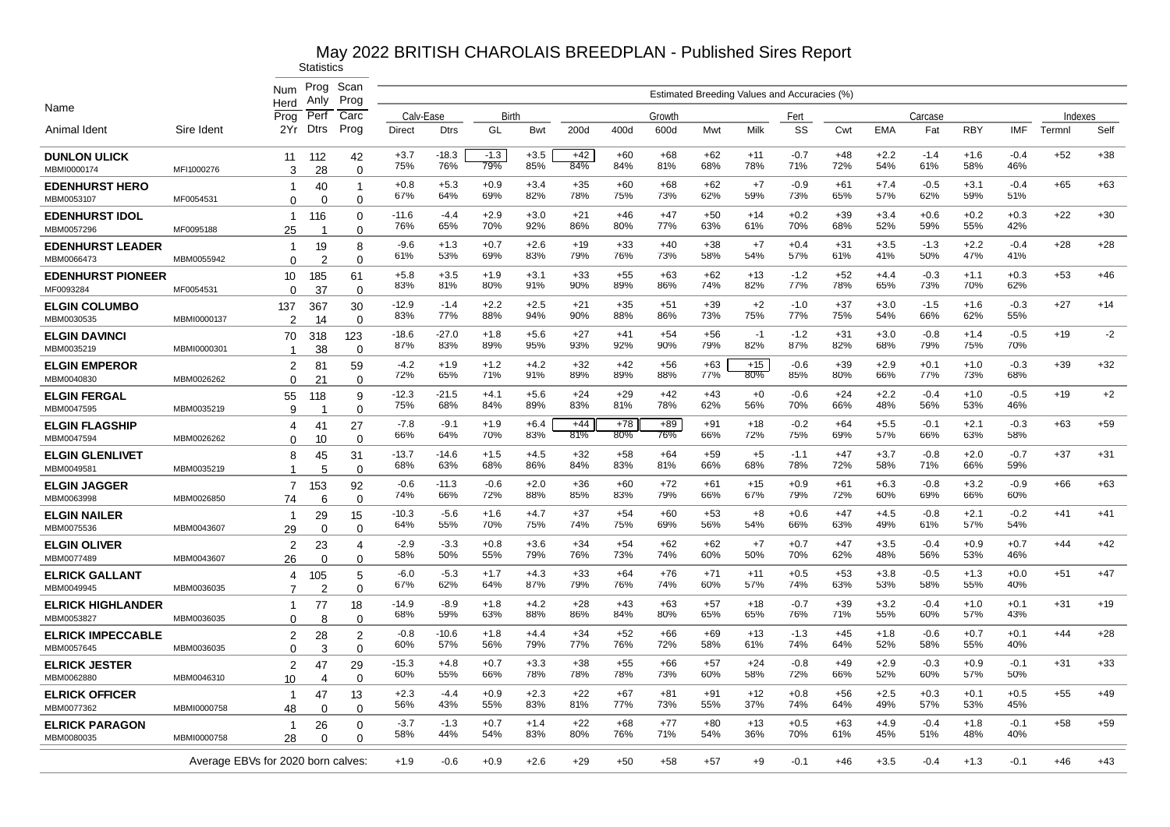|                                        |                                    | Num                           | Prog                 | Scan                 |                |                |               |               |              |              |                                              |              |              |               |              |               |               |               |               |         |       |
|----------------------------------------|------------------------------------|-------------------------------|----------------------|----------------------|----------------|----------------|---------------|---------------|--------------|--------------|----------------------------------------------|--------------|--------------|---------------|--------------|---------------|---------------|---------------|---------------|---------|-------|
|                                        |                                    | Herd                          | Anly                 | Prog                 |                |                |               |               |              |              | Estimated Breeding Values and Accuracies (%) |              |              |               |              |               |               |               |               |         |       |
| Name                                   |                                    | Prog                          | Perf                 | Carc                 | Calv-Ease      |                | Birth         |               |              |              | Growth                                       |              |              | Fert          |              |               | Carcase       |               |               | Indexes |       |
| Animal Ident                           | Sire Ident                         | 2Yr                           | <b>Dtrs</b>          | Prog                 | <b>Direct</b>  | <b>Dtrs</b>    | GL            | Bwt           | 200d         | 400d         | 600d                                         | Mwt          | Milk         | SS            | Cwt          | <b>EMA</b>    | Fat           | <b>RBY</b>    | <b>IMF</b>    | Termnl  | Self  |
| <b>DUNLON ULICK</b><br>MBMI0000174     | MFI1000276                         | 11<br>3                       | 112<br>28            | 42<br>$\Omega$       | $+3.7$<br>75%  | $-18.3$<br>76% | $-1.3$<br>79% | $+3.5$<br>85% | $+42$<br>84% | $+60$<br>84% | $+68$<br>81%                                 | $+62$<br>68% | $+11$<br>78% | $-0.7$<br>71% | $+48$<br>72% | $+2.2$<br>54% | $-1.4$<br>61% | $+1.6$<br>58% | $-0.4$<br>46% | $+52$   | $+38$ |
| <b>EDENHURST HERO</b><br>MBM0053107    | MF0054531                          | 1<br>$\Omega$                 | 40<br>$\Omega$       | -1<br>$\Omega$       | $+0.8$<br>67%  | $+5.3$<br>64%  | $+0.9$<br>69% | $+3.4$<br>82% | $+35$<br>78% | $+60$<br>75% | $+68$<br>73%                                 | $+62$<br>62% | $+7$<br>59%  | $-0.9$<br>73% | $+61$<br>65% | $+7.4$<br>57% | $-0.5$<br>62% | $+3.1$<br>59% | $-0.4$<br>51% | $+65$   | $+63$ |
| <b>EDENHURST IDOL</b><br>MBM0057296    | MF0095188                          | -1<br>25                      | 116                  | 0<br>0               | $-11.6$<br>76% | $-4.4$<br>65%  | $+2.9$<br>70% | $+3.0$<br>92% | $+21$<br>86% | +46<br>80%   | $+47$<br>77%                                 | $+50$<br>63% | $+14$<br>61% | $+0.2$<br>70% | $+39$<br>68% | $+3.4$<br>52% | $+0.6$<br>59% | $+0.2$<br>55% | $+0.3$<br>42% | $+22$   | $+30$ |
| <b>EDENHURST LEADER</b><br>MBM0066473  | MBM0055942                         | -1<br>$\Omega$                | 19<br>$\overline{2}$ | 8<br>$\Omega$        | $-9.6$<br>61%  | $+1.3$<br>53%  | $+0.7$<br>69% | $+2.6$<br>83% | $+19$<br>79% | $+33$<br>76% | $+40$<br>73%                                 | $+38$<br>58% | $+7$<br>54%  | $+0.4$<br>57% | $+31$<br>61% | $+3.5$<br>41% | $-1.3$<br>50% | $+2.2$<br>47% | $-0.4$<br>41% | $+28$   | $+28$ |
| <b>EDENHURST PIONEER</b><br>MF0093284  | MF0054531                          | 10<br>0                       | 185<br>37            | 61<br>$\mathbf 0$    | $+5.8$<br>83%  | $+3.5$<br>81%  | $+1.9$<br>80% | $+3.1$<br>91% | $+33$<br>90% | +55<br>89%   | $+63$<br>86%                                 | $+62$<br>74% | $+13$<br>82% | $-1.2$<br>77% | $+52$<br>78% | $+4.4$<br>65% | $-0.3$<br>73% | $+1.1$<br>70% | $+0.3$<br>62% | $+53$   | $+46$ |
| <b>ELGIN COLUMBO</b><br>MBM0030535     | MBMI0000137                        | 137<br>$\mathcal{P}$          | 367                  | 30<br>$\Omega$       | $-12.9$<br>83% | $-1.4$<br>77%  | $+2.2$<br>88% | $+2.5$<br>94% | $+21$<br>90% | $+35$<br>88% | $+51$<br>86%                                 | $+39$<br>73% | $+2$<br>75%  | $-1.0$<br>77% | $+37$<br>75% | $+3.0$<br>54% | $-1.5$<br>66% | $+1.6$<br>62% | $-0.3$<br>55% | $+27$   | $+14$ |
| <b>ELGIN DAVINCI</b><br>MBM0035219     | MBMI0000301                        | 70<br>$\overline{\mathbf{1}}$ | 14<br>318            | 123<br>$\Omega$      | $-18.6$<br>87% | $-27.0$<br>83% | $+1.8$<br>89% | $+5.6$<br>95% | $+27$<br>93% | $+41$<br>92% | $+54$<br>90%                                 | $+56$<br>79% | $-1$<br>82%  | $-1.2$<br>87% | $+31$<br>82% | $+3.0$<br>68% | $-0.8$<br>79% | $+1.4$<br>75% | $-0.5$<br>70% | $+19$   | $-2$  |
| <b>ELGIN EMPEROR</b><br>MBM0040830     | MBM0026262                         | 2<br>$\Omega$                 | 38<br>81             | 59<br>$\mathbf 0$    | $-4.2$<br>72%  | $+1.9$<br>65%  | $+1.2$<br>71% | $+4.2$<br>91% | $+32$<br>89% | $+42$<br>89% | $+56$<br>88%                                 | $+63$<br>77% | $+15$<br>80% | $-0.6$<br>85% | $+39$<br>80% | $+2.9$<br>66% | $+0.1$<br>77% | $+1.0$<br>73% | $-0.3$<br>68% | $+39$   | $+32$ |
| <b>ELGIN FERGAL</b><br>MBM0047595      | MBM0035219                         | 55<br>9                       | 21<br>118            | 9<br>$\mathbf 0$     | $-12.3$<br>75% | $-21.5$<br>68% | $+4.1$<br>84% | $+5.6$<br>89% | $+24$<br>83% | $+29$<br>81% | $+42$<br>78%                                 | $+43$<br>62% | $+0$<br>56%  | $-0.6$<br>70% | $+24$<br>66% | $+2.2$<br>48% | $-0.4$<br>56% | $+1.0$<br>53% | $-0.5$<br>46% | $+19$   | $+2$  |
| <b>ELGIN FLAGSHIP</b>                  |                                    | 4                             | 41                   | 27                   | $-7.8$<br>66%  | $-9.1$<br>64%  | $+1.9$<br>70% | $+6.4$<br>83% | $+44$<br>81% | $+78$<br>80% | $+89$<br>76%                                 | $+91$<br>66% | $+18$<br>72% | $-0.2$<br>75% | $+64$<br>69% | $+5.5$<br>57% | $-0.1$<br>66% | $+2.1$<br>63% | $-0.3$<br>58% | $+63$   | $+59$ |
| MBM0047594<br><b>ELGIN GLENLIVET</b>   | MBM0026262                         | 0<br>8                        | 10<br>45             | $\Omega$<br>31       | $-13.7$<br>68% | $-14.6$<br>63% | $+1.5$<br>68% | $+4.5$<br>86% | $+32$<br>84% | $+58$<br>83% | $+64$<br>81%                                 | $+59$<br>66% | $+5$<br>68%  | $-1.1$<br>78% | $+47$<br>72% | $+3.7$<br>58% | $-0.8$<br>71% | $+2.0$<br>66% | $-0.7$<br>59% | $+37$   | $+31$ |
| MBM0049581<br><b>ELGIN JAGGER</b>      | MBM0035219                         | 1<br>$\overline{7}$           | 5<br>153             | $\Omega$<br>92       | $-0.6$<br>74%  | $-11.3$<br>66% | $-0.6$<br>72% | $+2.0$<br>88% | $+36$<br>85% | +60<br>83%   | $+72$<br>79%                                 | +61<br>66%   | $+15$<br>67% | +0.9<br>79%   | +61<br>72%   | $+6.3$<br>60% | $-0.8$<br>69% | $+3.2$<br>66% | $-0.9$<br>60% | $+66$   | $+63$ |
| MBM0063998<br><b>ELGIN NAILER</b>      | MBM0026850                         | 74<br>-1                      | 6<br>29              | $\Omega$<br>15       | $-10.3$<br>64% | $-5.6$<br>55%  | $+1.6$<br>70% | $+4.7$<br>75% | $+37$<br>74% | +54<br>75%   | $+60$<br>69%                                 | $+53$<br>56% | $+8$<br>54%  | $+0.6$<br>66% | $+47$<br>63% | $+4.5$<br>49% | $-0.8$<br>61% | $+2.1$<br>57% | $-0.2$<br>54% | $+41$   | $+41$ |
| MBM0075536<br><b>ELGIN OLIVER</b>      | MBM0043607                         | 29<br>2                       | $\Omega$<br>23       | $\Omega$<br>4        | $-2.9$<br>58%  | $-3.3$<br>50%  | $+0.8$<br>55% | $+3.6$<br>79% | $+34$<br>76% | $+54$        | $+62$<br>74%                                 | $+62$<br>60% | $+7$         | $+0.7$        | $+47$<br>62% | $+3.5$        | $-0.4$<br>56% | $+0.9$        | $+0.7$        | $+44$   | $+42$ |
| MBM0077489<br><b>ELRICK GALLANT</b>    | MBM0043607                         | 26<br>4                       | $\Omega$<br>105      | $\Omega$<br>5        | $-6.0$         | $-5.3$         | $+1.7$        | $+4.3$        | $+33$        | 73%<br>$+64$ | $+76$                                        | $+71$        | 50%<br>$+11$ | 70%<br>$+0.5$ | $+53$        | 48%<br>$+3.8$ | $-0.5$        | 53%<br>$+1.3$ | 46%<br>$+0.0$ | $+51$   | $+47$ |
| MBM0049945<br><b>ELRICK HIGHLANDER</b> | MBM0036035                         | $\overline{7}$<br>1           | 2<br>77              | $\Omega$<br>18       | 67%<br>$-14.9$ | 62%<br>$-8.9$  | 64%<br>$+1.8$ | 87%<br>$+4.2$ | 79%<br>$+28$ | 76%<br>$+43$ | 74%<br>$+63$                                 | 60%<br>$+57$ | 57%<br>$+18$ | 74%<br>$-0.7$ | 63%<br>$+39$ | 53%<br>$+3.2$ | 58%<br>$-0.4$ | 55%<br>$+1.0$ | 40%<br>$+0.1$ | $+31$   | $+19$ |
| MBM0053827<br><b>ELRICK IMPECCABLE</b> | MBM0036035                         | $\Omega$<br>$\overline{2}$    | 8<br>28              | $\Omega$<br>2        | 68%<br>$-0.8$  | 59%<br>$-10.6$ | 63%<br>$+1.8$ | 88%<br>$+4.4$ | 86%<br>$+34$ | 84%<br>$+52$ | 80%<br>+66                                   | 65%<br>+69   | 65%<br>$+13$ | 76%<br>$-1.3$ | 71%<br>$+45$ | 55%<br>$+1.8$ | 60%<br>$-0.6$ | 57%<br>$+0.7$ | 43%<br>$+0.1$ | $+44$   | $+28$ |
| MBM0057645<br><b>ELRICK JESTER</b>     | MBM0036035                         | 0<br>$\overline{2}$           | 3<br>47              | $\Omega$<br>29       | 60%<br>$-15.3$ | 57%<br>+4.8    | 56%<br>$+0.7$ | 79%<br>$+3.3$ | 77%<br>+38   | 76%<br>$+55$ | 72%<br>+66                                   | 58%<br>$+57$ | 61%<br>$+24$ | 74%<br>$-0.8$ | 64%<br>$+49$ | 52%<br>$+2.9$ | 58%<br>$-0.3$ | 55%<br>$+0.9$ | 40%<br>$-0.1$ | $+31$   | $+33$ |
| MBM0062880                             | MBM0046310                         | 10                            | $\overline{4}$       | $\Omega$             | 60%            | 55%            | 66%           | 78%           | 78%          | 78%          | 73%                                          | 60%          | 58%          | 72%           | 66%          | 52%           | 60%           | 57%           | 50%           |         |       |
| <b>ELRICK OFFICER</b><br>MBM0077362    | MBMI0000758                        | -1<br>48                      | 47<br>$\Omega$       | 13<br>$\Omega$       | $+2.3$<br>56%  | -4.4<br>43%    | $+0.9$<br>55% | $+2.3$<br>83% | $+22$<br>81% | $+67$<br>77% | $+81$<br>73%                                 | $+91$<br>55% | $+12$<br>37% | $+0.8$<br>74% | $+56$<br>64% | $+2.5$<br>49% | $+0.3$<br>57% | $+0.1$<br>53% | $+0.5$<br>45% | $+55$   | $+49$ |
| <b>ELRICK PARAGON</b><br>MBM0080035    | MBMI0000758                        | -1<br>28                      | 26<br>$\Omega$       | $\Omega$<br>$\Omega$ | $-3.7$<br>58%  | $-1.3$<br>44%  | $+0.7$<br>54% | $+1.4$<br>83% | $+22$<br>80% | +68<br>76%   | $+77$<br>71%                                 | $+80$<br>54% | $+13$<br>36% | $+0.5$<br>70% | $+63$<br>61% | $+4.9$<br>45% | $-0.4$<br>51% | $+1.8$<br>48% | $-0.1$<br>40% | $+58$   | $+59$ |
|                                        | Average EBVs for 2020 born calves: |                               |                      |                      | $+1.9$         | $-0.6$         | $+0.9$        | $+2.6$        | $+29$        | $+50$        | $+58$                                        | $+57$        | +9           | $-0.1$        | $+46$        | $+3.5$        | -0.4          | $+1.3$        | $-0.1$        | $+46$   | $+43$ |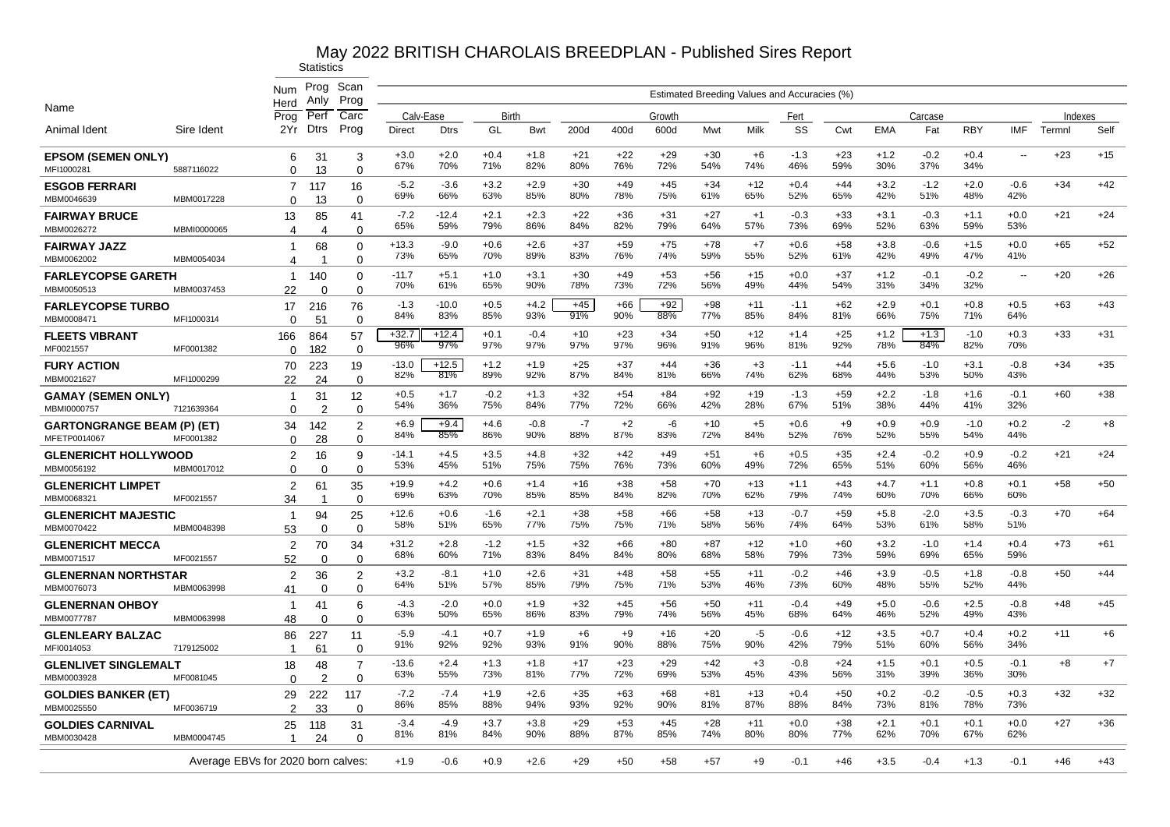|                                                   |             | Num                                | Prog<br>Anlv         | Scan<br>Prog               |                |                |               |               |              |              |              |              |              | Estimated Breeding Values and Accuracies (%) |              |               |               |               |               |         |       |
|---------------------------------------------------|-------------|------------------------------------|----------------------|----------------------------|----------------|----------------|---------------|---------------|--------------|--------------|--------------|--------------|--------------|----------------------------------------------|--------------|---------------|---------------|---------------|---------------|---------|-------|
| Name                                              |             | Herd<br>Prog                       | Per                  | Carc                       | Calv-Ease      |                | Birth         |               |              |              | Growth       |              |              | Fert                                         |              |               | Carcase       |               |               | Indexes |       |
| Animal Ident                                      | Sire Ident  | 2Yr                                | <b>Dtrs</b>          | Prog                       | Direct         | <b>Dtrs</b>    | GL            | <b>Bwt</b>    | 200d         | 400d         | 600d         | Mwt          | Milk         | SS                                           | Cwt          | <b>EMA</b>    | Fat           | <b>RBY</b>    | IMF           | Termnl  | Self  |
| <b>EPSOM (SEMEN ONLY)</b><br>MFI1000281           | 5887116022  | 6<br>$\Omega$                      | 31<br>13             | 3<br>$\Omega$              | $+3.0$<br>67%  | $+2.0$<br>70%  | $+0.4$<br>71% | $+1.8$<br>82% | $+21$<br>80% | $+22$<br>76% | $+29$<br>72% | $+30$<br>54% | $+6$<br>74%  | $-1.3$<br>46%                                | +23<br>59%   | $+1.2$<br>30% | $-0.2$<br>37% | $+0.4$<br>34% | ٠.            | $+23$   | $+15$ |
| <b>ESGOB FERRARI</b><br>MBM0046639                | MBM0017228  | 7<br>$\Omega$                      | 117<br>13            | 16<br>$\Omega$             | $-5.2$<br>69%  | $-3.6$<br>66%  | $+3.2$<br>63% | $+2.9$<br>85% | $+30$<br>80% | $+49$<br>78% | $+45$<br>75% | $+34$<br>61% | $+12$<br>65% | $+0.4$<br>52%                                | $+44$<br>65% | $+3.2$<br>42% | $-1.2$<br>51% | $+2.0$<br>48% | $-0.6$<br>42% | $+34$   | $+42$ |
| <b>FAIRWAY BRUCE</b><br>MBM0026272                | MBMI0000065 | 13<br>4                            | 85<br>$\overline{4}$ | 41<br>$\Omega$             | $-7.2$<br>65%  | $-12.4$<br>59% | $+2.1$<br>79% | $+2.3$<br>86% | $+22$<br>84% | $+36$<br>82% | $+31$<br>79% | $+27$<br>64% | $+1$<br>57%  | $-0.3$<br>73%                                | +33<br>69%   | $+3.1$<br>52% | $-0.3$<br>63% | $+1.1$<br>59% | $+0.0$<br>53% | $+21$   | $+24$ |
| <b>FAIRWAY JAZZ</b><br>MBM0062002                 | MBM0054034  | 1<br>4                             | 68                   | 0<br>$\Omega$              | $+13.3$<br>73% | $-9.0$<br>65%  | $+0.6$<br>70% | $+2.6$<br>89% | $+37$<br>83% | $+59$<br>76% | $+75$<br>74% | $+78$<br>59% | $+7$<br>55%  | $+0.6$<br>52%                                | $+58$<br>61% | $+3.8$<br>42% | $-0.6$<br>49% | $+1.5$<br>47% | $+0.0$<br>41% | $+65$   | $+52$ |
| <b>FARLEYCOPSE GARETH</b><br>MBM0050513           | MBM0037453  | $\mathbf{1}$<br>22                 | 140<br>$\Omega$      | 0<br>$\Omega$              | $-11.7$<br>70% | $+5.1$<br>61%  | $+1.0$<br>65% | $+3.1$<br>90% | $+30$<br>78% | $+49$<br>73% | $+53$<br>72% | $+56$<br>56% | $+15$<br>49% | $+0.0$<br>44%                                | $+37$<br>54% | $+1.2$<br>31% | $-0.1$<br>34% | $-0.2$<br>32% | $\sim$        | $+20$   | $+26$ |
| <b>FARLEYCOPSE TURBO</b><br>MBM0008471            | MFI1000314  | 17<br>$\Omega$                     | 216<br>51            | 76<br>$\Omega$             | $-1.3$<br>84%  | $-10.0$<br>83% | $+0.5$<br>85% | $+4.2$<br>93% | $+45$<br>91% | $+66$<br>90% | $+92$<br>88% | $+98$<br>77% | $+11$<br>85% | $-1.1$<br>84%                                | $+62$<br>81% | $+2.9$<br>66% | $+0.1$<br>75% | $+0.8$<br>71% | $+0.5$<br>64% | $+63$   | $+43$ |
| <b>FLEETS VIBRANT</b><br>MF0021557                | MF0001382   | 166<br>$\Omega$                    | 864<br>182           | 57<br>0                    | $+32.7$<br>96% | $+12.4$<br>97% | $+0.1$<br>97% | $-0.4$<br>97% | $+10$<br>97% | $+23$<br>97% | $+34$<br>96% | $+50$<br>91% | $+12$<br>96% | $+1.4$<br>81%                                | $+25$<br>92% | $+1.2$<br>78% | $+1.3$<br>84% | $-1.0$<br>82% | $+0.3$<br>70% | $+33$   | $+31$ |
| <b>FURY ACTION</b><br>MBM0021627                  | MFI1000299  | 70<br>22                           | 223<br>24            | 19<br>$\Omega$             | $-13.0$<br>82% | $+12.5$<br>81% | $+1.2$<br>89% | $+1.9$<br>92% | $+25$<br>87% | $+37$<br>84% | $+44$<br>81% | $+36$<br>66% | $+3$<br>74%  | $-1.1$<br>62%                                | $+44$<br>68% | $+5.6$<br>44% | $-1.0$<br>53% | $+3.1$<br>50% | $-0.8$<br>43% | $+34$   | $+35$ |
| <b>GAMAY (SEMEN ONLY)</b><br>MBMI0000757          | 7121639364  | $\mathbf 1$<br>$\Omega$            | 31<br>$\overline{2}$ | 12<br>$\Omega$             | $+0.5$<br>54%  | $+1.7$<br>36%  | $-0.2$<br>75% | $+1.3$<br>84% | $+32$<br>77% | $+54$<br>72% | $+84$<br>66% | $+92$<br>42% | $+19$<br>28% | $-1.3$<br>67%                                | $+59$<br>51% | $+2.2$<br>38% | $-1.8$<br>44% | $+1.6$<br>41% | $-0.1$<br>32% | $+60$   | $+38$ |
| <b>GARTONGRANGE BEAM (P) (ET)</b><br>MFETP0014067 | MF0001382   | 34<br>$\Omega$                     | 142<br>28            | $\overline{2}$<br>$\Omega$ | $+6.9$<br>84%  | $+9.4$<br>85%  | $+4.6$<br>86% | $-0.8$<br>90% | $-7$<br>88%  | $+2$<br>87%  | -6<br>83%    | $+10$<br>72% | $+5$<br>84%  | $+0.6$<br>52%                                | $+9$<br>76%  | $+0.9$<br>52% | $+0.9$<br>55% | $-1.0$<br>54% | $+0.2$<br>44% | $-2$    | $+8$  |
| <b>GLENERICHT HOLLYWOOD</b><br>MBM0056192         | MBM0017012  | $\overline{2}$<br>$\Omega$         | 16<br>$\Omega$       | 9<br>$\Omega$              | $-14.1$<br>53% | $+4.5$<br>45%  | $+3.5$<br>51% | $+4.8$<br>75% | $+32$<br>75% | $+42$<br>76% | $+49$<br>73% | $+51$<br>60% | $+6$<br>49%  | $+0.5$<br>72%                                | $+35$<br>65% | $+2.4$<br>51% | $-0.2$<br>60% | $+0.9$<br>56% | $-0.2$<br>46% | $+21$   | $+24$ |
| <b>GLENERICHT LIMPET</b><br>MBM0068321            | MF0021557   | 2<br>34                            | 61                   | 35<br>$\Omega$             | $+19.9$<br>69% | $+4.2$<br>63%  | $+0.6$<br>70% | $+1.4$<br>85% | +16<br>85%   | $+38$<br>84% | $+58$<br>82% | $+70$<br>70% | $+13$<br>62% | $+1.1$<br>79%                                | $+43$<br>74% | $+4.7$<br>60% | $+1.1$<br>70% | $+0.8$<br>66% | $+0.1$<br>60% | $+58$   | $+50$ |
| <b>GLENERICHT MAJESTIC</b><br>MBM0070422          | MBM0048398  | $\mathbf{1}$<br>53                 | 94<br>$\Omega$       | 25<br>$\Omega$             | $+12.6$<br>58% | $+0.6$<br>51%  | $-1.6$<br>65% | $+2.1$<br>77% | +38<br>75%   | $+58$<br>75% | $+66$<br>71% | $+58$<br>58% | $+13$<br>56% | $-0.7$<br>74%                                | $+59$<br>64% | $+5.8$<br>53% | $-2.0$<br>61% | $+3.5$<br>58% | $-0.3$<br>51% | $+70$   | $+64$ |
| <b>GLENERICHT MECCA</b><br>MBM0071517             | MF0021557   | 2<br>52                            | 70<br>$\Omega$       | 34<br>0                    | $+31.2$<br>68% | $+2.8$<br>60%  | $-1.2$<br>71% | $+1.5$<br>83% | $+32$<br>84% | $+66$<br>84% | $+80$<br>80% | $+87$<br>68% | $+12$<br>58% | $+1.0$<br>79%                                | $+60$<br>73% | $+3.2$<br>59% | $-1.0$<br>69% | $+1.4$<br>65% | $+0.4$<br>59% | $+73$   | $+61$ |
| <b>GLENERNAN NORTHSTAR</b><br>MBM0076073          | MBM0063998  | 2<br>41                            | 36<br>$\Omega$       | $\overline{2}$<br>$\Omega$ | $+3.2$<br>64%  | $-8.1$<br>51%  | $+1.0$<br>57% | $+2.6$<br>85% | $+31$<br>79% | $+48$<br>75% | $+58$<br>71% | $+55$<br>53% | $+11$<br>46% | $-0.2$<br>73%                                | $+46$<br>60% | $+3.9$<br>48% | $-0.5$<br>55% | $+1.8$<br>52% | $-0.8$<br>44% | $+50$   | $+44$ |
| <b>GLENERNAN OHBOY</b><br>MBM0077787              | MBM0063998  | 1<br>48                            | 41<br>$\Omega$       | 6<br>$\mathbf 0$           | -4.3<br>63%    | $-2.0$<br>50%  | $+0.0$<br>65% | $+1.9$<br>86% | $+32$<br>83% | $+45$<br>79% | $+56$<br>74% | $+50$<br>56% | $+11$<br>45% | $-0.4$<br>68%                                | $+49$<br>64% | $+5.0$<br>46% | $-0.6$<br>52% | $+2.5$<br>49% | $-0.8$<br>43% | $+48$   | $+45$ |
| <b>GLENLEARY BALZAC</b><br>MFI0014053             | 7179125002  | 86<br>-1                           | 227<br>61            | 11<br>$\Omega$             | $-5.9$<br>91%  | $-4.1$<br>92%  | $+0.7$<br>92% | $+1.9$<br>93% | $+6$<br>91%  | $+9$<br>90%  | $+16$<br>88% | $+20$<br>75% | -5<br>90%    | $-0.6$<br>42%                                | $+12$<br>79% | $+3.5$<br>51% | $+0.7$<br>60% | $+0.4$<br>56% | $+0.2$<br>34% | $+11$   | $+6$  |
| <b>GLENLIVET SINGLEMALT</b><br>MBM0003928         | MF0081045   | 18<br>$\Omega$                     | 48<br>$\mathcal{P}$  | $\overline{7}$<br>$\Omega$ | $-13.6$<br>63% | $+2.4$<br>55%  | $+1.3$<br>73% | $+1.8$<br>81% | $+17$<br>77% | $+23$<br>72% | $+29$<br>69% | $+42$<br>53% | $+3$<br>45%  | $-0.8$<br>43%                                | $+24$<br>56% | $+1.5$<br>31% | $+0.1$<br>39% | $+0.5$<br>36% | $-0.1$<br>30% | $+8$    | $+7$  |
| <b>GOLDIES BANKER (ET)</b><br>MBM0025550          | MF0036719   | 29<br>2                            | 222<br>33            | 117<br>$\Omega$            | $-7.2$<br>86%  | $-7.4$<br>85%  | $+1.9$<br>88% | $+2.6$<br>94% | $+35$<br>93% | $+63$<br>92% | $+68$<br>90% | $+81$<br>81% | $+13$<br>87% | $+0.4$<br>88%                                | $+50$<br>84% | $+0.2$<br>73% | $-0.2$<br>81% | $-0.5$<br>78% | $+0.3$<br>73% | $+32$   | $+32$ |
| <b>GOLDIES CARNIVAL</b><br>MBM0030428             | MBM0004745  | 25<br>$\overline{1}$               | 118<br>24            | 31<br>$\Omega$             | $-3.4$<br>81%  | $-4.9$<br>81%  | $+3.7$<br>84% | $+3.8$<br>90% | $+29$<br>88% | $+53$<br>87% | $+45$<br>85% | $+28$<br>74% | $+11$<br>80% | $+0.0$<br>80%                                | $+38$<br>77% | $+2.1$<br>62% | $+0.1$<br>70% | $+0.1$<br>67% | $+0.0$<br>62% | $+27$   | $+36$ |
|                                                   |             | Average EBVs for 2020 born calves: |                      |                            | $+1.9$         | $-0.6$         | $+0.9$        | $+2.6$        | $+29$        | $+50$        | $+58$        | $+57$        | $+9$         | $-0.1$                                       | $+46$        | $+3.5$        | $-0.4$        | $+1.3$        | $-0.1$        | $+46$   | $+43$ |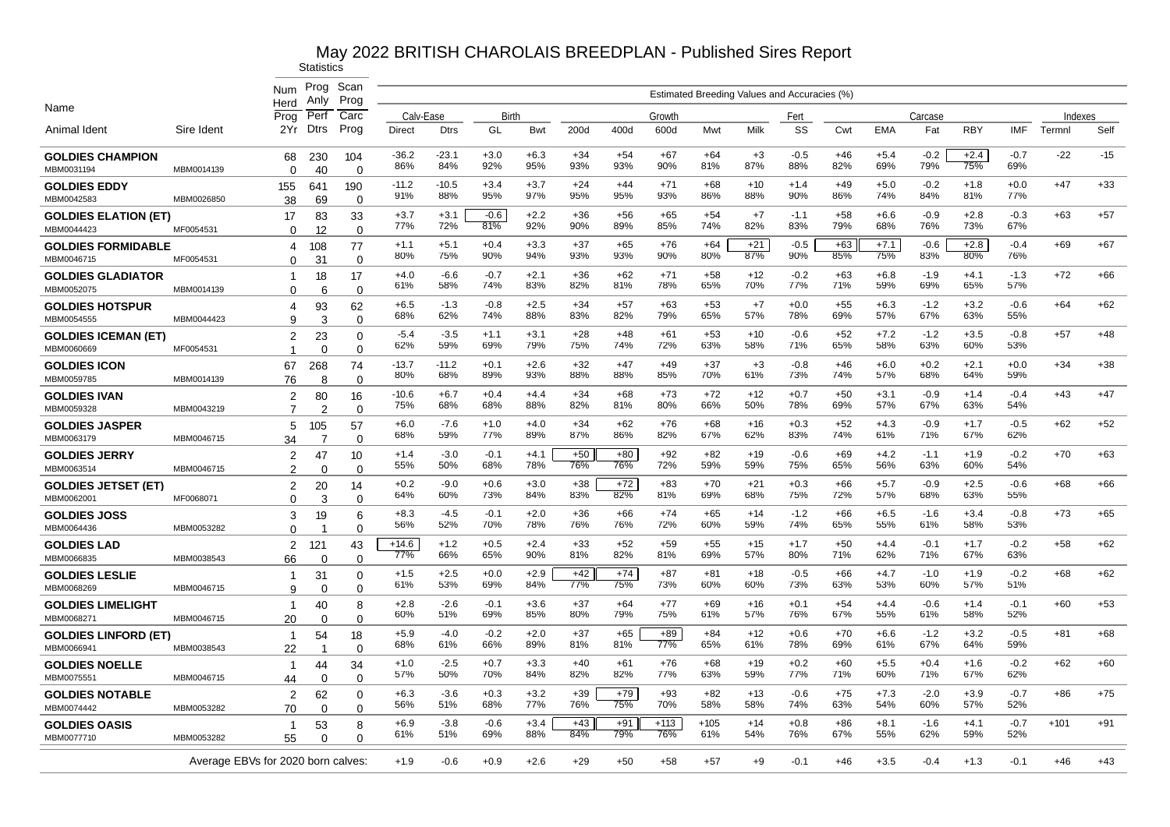|                                           |            | <b>Num</b><br>Herd                 | Prog<br>Anly       | Scan<br>Prog         |                |                |               |               |              |              |               |               | Estimated Breeding Values and Accuracies (%) |               |              |               |               |               |               |         |       |
|-------------------------------------------|------------|------------------------------------|--------------------|----------------------|----------------|----------------|---------------|---------------|--------------|--------------|---------------|---------------|----------------------------------------------|---------------|--------------|---------------|---------------|---------------|---------------|---------|-------|
| Name                                      |            | Prog                               | Perf               | Carc                 | Calv-Ease      |                | Birth         |               |              |              | Growth        |               |                                              | Fert          |              |               | Carcase       |               |               | Indexes |       |
| Animal Ident                              | Sire Ident | 2Yr                                | <b>Dtrs</b>        | Prog                 | <b>Direct</b>  | <b>Dtrs</b>    | GL            | Bwt           | 200d         | 400d         | 600d          | Mwt           | Milk                                         | SS            | Cwt          | EMA           | Fat           | <b>RBY</b>    | <b>IMF</b>    | Termnl  | Self  |
| <b>GOLDIES CHAMPION</b><br>MBM0031194     | MBM0014139 | 68<br>$\Omega$                     | 230<br>40          | 104<br>$\Omega$      | $-36.2$<br>86% | $-23.1$<br>84% | $+3.0$<br>92% | $+6.3$<br>95% | $+34$<br>93% | $+54$<br>93% | $+67$<br>90%  | $+64$<br>81%  | $+3$<br>87%                                  | $-0.5$<br>88% | $+46$<br>82% | $+5.4$<br>69% | $-0.2$<br>79% | $+2.4$<br>75% | $-0.7$<br>69% | $-22$   | $-15$ |
| <b>GOLDIES EDDY</b><br>MBM0042583         | MBM0026850 | 155<br>38                          | 641<br>69          | 190<br>$\Omega$      | $-11.2$<br>91% | $-10.5$<br>88% | $+3.4$<br>95% | $+3.7$<br>97% | $+24$<br>95% | $+44$<br>95% | $+71$<br>93%  | +68<br>86%    | $+10$<br>88%                                 | $+1.4$<br>90% | $+49$<br>86% | $+5.0$<br>74% | $-0.2$<br>84% | $+1.8$<br>81% | $+0.0$<br>77% | $+47$   | $+33$ |
| <b>GOLDIES ELATION (ET)</b><br>MBM0044423 | MF0054531  | 17<br>$\Omega$                     | 83<br>12           | 33<br>$\mathbf 0$    | $+3.7$<br>77%  | $+3.1$<br>72%  | $-0.6$<br>81% | $+2.2$<br>92% | $+36$<br>90% | $+56$<br>89% | $+65$<br>85%  | $+54$<br>74%  | $+7$<br>82%                                  | $-1.1$<br>83% | $+58$<br>79% | $+6.6$<br>68% | $-0.9$<br>76% | $+2.8$<br>73% | $-0.3$<br>67% | $+63$   | $+57$ |
| <b>GOLDIES FORMIDABLE</b><br>MBM0046715   | MF0054531  | 4                                  | 108<br>31          | 77<br>$\Omega$       | $+1.1$<br>80%  | $+5.1$<br>75%  | $+0.4$<br>90% | $+3.3$<br>94% | $+37$<br>93% | $+65$<br>93% | $+76$<br>90%  | $+64$<br>80%  | $+21$<br>87%                                 | $-0.5$<br>90% | $+63$<br>85% | $+7.1$<br>75% | $-0.6$<br>83% | $+2.8$<br>80% | $-0.4$<br>76% | $+69$   | $+67$ |
| GOLDIES GLADIATOR                         |            | $\Omega$<br>-1                     | 18                 | 17                   | $+4.0$<br>61%  | $-6.6$<br>58%  | $-0.7$<br>74% | $+2.1$<br>83% | $+36$<br>82% | $+62$<br>81% | $+71$<br>78%  | $+58$<br>65%  | $+12$<br>70%                                 | $-0.2$<br>77% | $+63$<br>71% | $+6.8$<br>59% | $-1.9$<br>69% | $+4.1$<br>65% | $-1.3$<br>57% | $+72$   | $+66$ |
| MBM0052075<br><b>GOLDIES HOTSPUR</b>      | MBM0014139 | 0<br>4                             | 6<br>93            | $\Omega$<br>62       | $+6.5$<br>68%  | $-1.3$<br>62%  | $-0.8$<br>74% | $+2.5$<br>88% | $+34$<br>83% | $+57$<br>82% | $+63$<br>79%  | $+53$<br>65%  | $+7$<br>57%                                  | $+0.0$<br>78% | $+55$<br>69% | $+6.3$<br>57% | $-1.2$<br>67% | $+3.2$<br>63% | $-0.6$<br>55% | $+64$   | $+62$ |
| MBM0054555<br><b>GOLDIES ICEMAN (ET)</b>  | MBM0044423 | 9<br>2                             | 3<br>23            | $\Omega$<br>0        | -5.4<br>62%    | $-3.5$<br>59%  | $+1.1$<br>69% | $+3.1$<br>79% | $+28$<br>75% | $+48$<br>74% | $+61$<br>72%  | $+53$<br>63%  | $+10$<br>58%                                 | $-0.6$<br>71% | $+52$<br>65% | $+7.2$<br>58% | $-1.2$<br>63% | $+3.5$<br>60% | $-0.8$<br>53% | $+57$   | $+48$ |
| MBM0060669<br><b>GOLDIES ICON</b>         | MF0054531  | $\overline{ }$<br>67               | $\mathbf 0$<br>268 | 0<br>74              | $-13.7$<br>80% | $-11.2$<br>68% | $+0.1$<br>89% | $+2.6$<br>93% | $+32$<br>88% | $+47$<br>88% | $+49$<br>85%  | $+37$<br>70%  | $+3$<br>61%                                  | $-0.8$<br>73% | $+46$<br>74% | $+6.0$<br>57% | $+0.2$<br>68% | $+2.1$<br>64% | $+0.0$<br>59% | $+34$   | $+38$ |
| MBM0059785<br>GOLDIES IVAN                | MBM0014139 | 76<br>2                            | 8<br>80            | $\Omega$<br>16       | $-10.6$<br>75% | $+6.7$<br>68%  | $+0.4$<br>68% | $+4.4$<br>88% | $+34$<br>82% | $+68$<br>81% | $+73$<br>80%  | $+72$<br>66%  | $+12$<br>50%                                 | $+0.7$<br>78% | $+50$<br>69% | $+3.1$<br>57% | $-0.9$<br>67% | $+1.4$<br>63% | $-0.4$<br>54% | $+43$   | $+47$ |
| MBM0059328<br><b>GOLDIES JASPER</b>       | MBM0043219 | $\overline{7}$<br>5                | 2<br>105           | $\Omega$<br>57       | $+6.0$<br>68%  | $-7.6$<br>59%  | $+1.0$<br>77% | $+4.0$<br>89% | $+34$<br>87% | $+62$<br>86% | $+76$<br>82%  | $+68$<br>67%  | $+16$<br>62%                                 | $+0.3$<br>83% | $+52$<br>74% | $+4.3$<br>61% | $-0.9$<br>71% | $+1.7$<br>67% | $-0.5$<br>62% | $+62$   | $+52$ |
| MBM0063179<br><b>GOLDIES JERRY</b>        | MBM0046715 | 34<br>$\overline{2}$               | 7<br>47            | $\Omega$<br>10       | $+1.4$<br>55%  | $-3.0$<br>50%  | $-0.1$<br>68% | $+4.1$<br>78% | $+50$<br>76% | $+80$<br>76% | $+92$<br>72%  | $+82$<br>59%  | $+19$<br>59%                                 | $-0.6$<br>75% | $+69$<br>65% | $+4.2$<br>56% | $-1.1$<br>63% | $+1.9$<br>60% | $-0.2$<br>54% | $+70$   | $+63$ |
| MBM0063514<br>GOLDIES JETSET (ET)         | MBM0046715 | 2<br>2                             | $\Omega$<br>20     | $\Omega$<br>14       | $+0.2$<br>64%  | $-9.0$         | $+0.6$        | $+3.0$        | $+38$<br>83% | $+72$<br>82% | $+83$<br>81%  | $+70$         | +21<br>68%                                   | $+0.3$        | $+66$<br>72% | $+5.7$<br>57% | $-0.9$<br>68% | $+2.5$<br>63% | $-0.6$        | $+68$   | $+66$ |
| MBM0062001<br>GOLDIES JOSS                | MF0068071  | 0<br>3                             | 3<br>19            | $\Omega$<br>6        | $+8.3$         | 60%<br>$-4.5$  | 73%<br>$-0.1$ | 84%<br>$+2.0$ | $+36$        | $+66$        | $+74$         | 69%<br>$+65$  | $+14$                                        | 75%<br>$-1.2$ | +66          | $+6.5$        | $-1.6$        | $+3.4$        | 55%<br>$-0.8$ | $+73$   | $+65$ |
| MBM0064436<br><b>GOLDIES LAD</b>          | MBM0053282 | $\Omega$<br>2                      | 121                | $\Omega$<br>43       | 56%<br>$+14.6$ | 52%<br>$+1.2$  | 70%<br>$+0.5$ | 78%<br>$+2.4$ | 76%<br>$+33$ | 76%<br>$+52$ | 72%<br>$+59$  | 60%<br>$+55$  | 59%<br>$+15$                                 | 74%<br>$+1.7$ | 65%<br>$+50$ | 55%<br>$+4.4$ | 61%<br>$-0.1$ | 58%<br>$+1.7$ | 53%<br>$-0.2$ | $+58$   | $+62$ |
| MBM0066835<br><b>GOLDIES LESLIE</b>       | MBM0038543 | 66<br>-1                           | $\Omega$<br>31     | $\Omega$<br>$\Omega$ | 77%<br>+1.5    | 66%<br>$+2.5$  | 65%<br>$+0.0$ | 90%<br>$+2.9$ | 81%<br>$+42$ | 82%<br>$+74$ | 81%<br>$+87$  | 69%<br>$+81$  | 57%<br>+18                                   | 80%<br>$-0.5$ | 71%<br>+66   | 62%<br>$+4.7$ | 71%<br>$-1.0$ | 67%<br>$+1.9$ | 63%<br>$-0.2$ | +68     | $+62$ |
| MBM0068269<br><b>GOLDIES LIMELIGHT</b>    | MBM0046715 | 9<br>-1                            | $\Omega$<br>40     | $\Omega$<br>8        | 61%<br>$+2.8$  | 53%<br>$-2.6$  | 69%<br>-0.1   | 84%<br>$+3.6$ | 77%<br>$+37$ | 75%<br>$+64$ | 73%<br>$+77$  | 60%<br>$+69$  | 60%<br>+16                                   | 73%<br>$+0.1$ | 63%<br>$+54$ | 53%<br>$+4.4$ | 60%<br>$-0.6$ | 57%<br>$+1.4$ | 51%<br>$-0.1$ | $+60$   | $+53$ |
| MBM0068271<br>GOLDIES LINFORD (ET)        | MBM0046715 | 20<br>-1                           | $\Omega$<br>54     | 0<br>18              | 60%<br>$+5.9$  | 51%<br>$-4.0$  | 69%<br>$-0.2$ | 85%<br>$+2.0$ | 80%<br>$+37$ | 79%<br>$+65$ | 75%<br>$+89$  | 61%<br>$+84$  | 57%<br>$+12$                                 | 76%<br>$+0.6$ | 67%<br>$+70$ | 55%<br>$+6.6$ | 61%<br>$-1.2$ | 58%<br>$+3.2$ | 52%<br>$-0.5$ | $+81$   | $+68$ |
| MBM0066941                                | MBM0038543 | 22                                 | -1                 | $\Omega$             | 68%            | 61%            | 66%           | 89%           | 81%<br>$+40$ | 81%          | 77%           | 65%           | 61%<br>$+19$                                 | 78%           | 69%          | 61%           | 67%           | 64%           | 59%           |         |       |
| <b>GOLDIES NOELLE</b><br>MBM0075551       | MBM0046715 | -1<br>44                           | 44<br>$\mathbf 0$  | 34<br>$\mathbf 0$    | $+1.0$<br>57%  | $-2.5$<br>50%  | $+0.7$<br>70% | $+3.3$<br>84% | 82%          | $+61$<br>82% | $+76$<br>77%  | $+68$<br>63%  | 59%                                          | $+0.2$<br>77% | $+60$<br>71% | $+5.5$<br>60% | $+0.4$<br>71% | $+1.6$<br>67% | $-0.2$<br>62% | $+62$   | $+60$ |
| <b>GOLDIES NOTABLE</b><br>MBM0074442      | MBM0053282 | 2<br>70                            | 62<br>$\Omega$     | 0<br>$\Omega$        | $+6.3$<br>56%  | $-3.6$<br>51%  | $+0.3$<br>68% | $+3.2$<br>77% | $+39$<br>76% | $+79$<br>75% | $+93$<br>70%  | $+82$<br>58%  | $+13$<br>58%                                 | $-0.6$<br>74% | $+75$<br>63% | $+7.3$<br>54% | $-2.0$<br>60% | $+3.9$<br>57% | $-0.7$<br>52% | $+86$   | $+75$ |
| <b>GOLDIES OASIS</b><br>MBM0077710        | MBM0053282 | $\overline{1}$<br>55               | 53<br>$\Omega$     | 8<br>$\Omega$        | $+6.9$<br>61%  | $-3.8$<br>51%  | $-0.6$<br>69% | $+3.4$<br>88% | $+43$<br>84% | $+91$<br>79% | $+113$<br>76% | $+105$<br>61% | $+14$<br>54%                                 | $+0.8$<br>76% | $+86$<br>67% | $+8.1$<br>55% | $-1.6$<br>62% | $+4.1$<br>59% | $-0.7$<br>52% | $+101$  | $+91$ |
|                                           |            | Average EBVs for 2020 born calves: |                    |                      | $+1.9$         | $-0.6$         | $+0.9$        | $+2.6$        | $+29$        | +50          | $+58$         | +57           | $+9$                                         | $-0.1$        | $+46$        | $+3.5$        | $-0.4$        | $+1.3$        | $-0.1$        | $+46$   | $+43$ |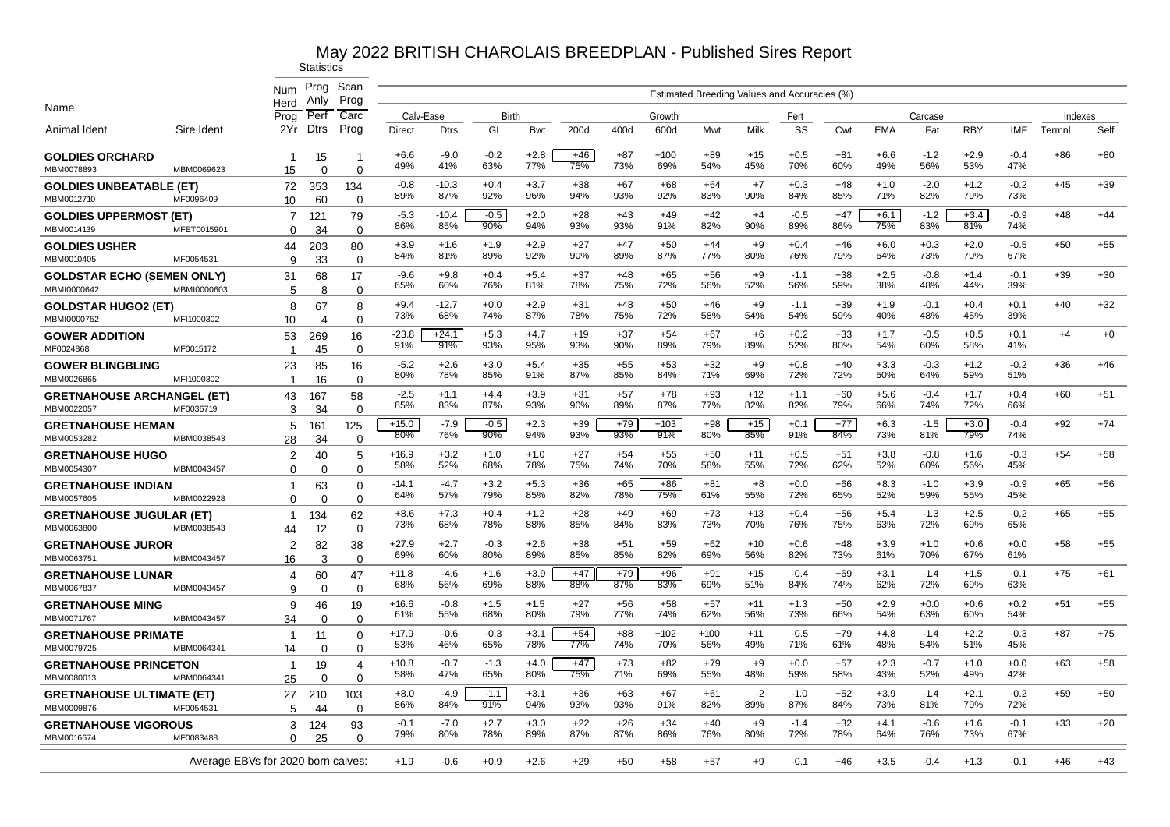|                                                    |                                    | Num<br>Herd                                              | Prog<br>Anly    | Scan<br>Prog               |                |                |               |               |              |              |               |               | Estimated Breeding Values and Accuracies (%) |               |              |               |               |               |               |         |       |
|----------------------------------------------------|------------------------------------|----------------------------------------------------------|-----------------|----------------------------|----------------|----------------|---------------|---------------|--------------|--------------|---------------|---------------|----------------------------------------------|---------------|--------------|---------------|---------------|---------------|---------------|---------|-------|
| Name                                               |                                    | Prog                                                     | Perf            | Carc                       | Calv-Ease      |                | Birth         |               |              |              | Growth        |               |                                              | Fert          |              |               | Carcase       |               |               | Indexes |       |
| Animal Ident                                       | Sire Ident                         | 2Yr                                                      | <b>Dtrs</b>     | Prog                       | <b>Direct</b>  | <b>Dtrs</b>    | GL            | Bwt           | 200d         | 400d         | 600d          | Mwt           | Milk                                         | SS            | Cwt          | <b>EMA</b>    | Fat           | <b>RBY</b>    | <b>IMF</b>    | Termnl  | Self  |
| <b>GOLDIES ORCHARD</b><br>MBM0078893               | MBM0069623                         | -1<br>15                                                 | 15<br>$\Omega$  | -1<br>$\Omega$             | $+6.6$<br>49%  | $-9.0$<br>41%  | $-0.2$<br>63% | $+2.8$<br>77% | $+46$<br>75% | $+87$<br>73% | $+100$<br>69% | $+89$<br>54%  | $+15$<br>45%                                 | $+0.5$<br>70% | $+81$<br>60% | $+6.6$<br>49% | $-1.2$<br>56% | $+2.9$<br>53% | $-0.4$<br>47% | $+86$   | $+80$ |
| <b>GOLDIES UNBEATABLE (ET)</b><br>MBM0012710       | MF0096409                          | 72<br>10 <sup>°</sup>                                    | 353<br>60       | 134<br>$\mathbf 0$         | $-0.8$<br>89%  | $-10.3$<br>87% | $+0.4$<br>92% | $+3.7$<br>96% | $+38$<br>94% | $+67$<br>93% | $+68$<br>92%  | $+64$<br>83%  | $+7$<br>90%                                  | $+0.3$<br>84% | $+48$<br>85% | $+1.0$<br>71% | $-2.0$<br>82% | $+1.2$<br>79% | $-0.2$<br>73% | $+45$   | $+39$ |
| <b>GOLDIES UPPERMOST (ET)</b><br>MBM0014139        | MFET0015901                        | 7<br>$\Omega$                                            | 121<br>34       | 79<br>$\Omega$             | $-5.3$<br>86%  | $-10.4$<br>85% | $-0.5$<br>90% | $+2.0$<br>94% | $+28$<br>93% | $+43$<br>93% | $+49$<br>91%  | $+42$<br>82%  | $+4$<br>90%                                  | $-0.5$<br>89% | $+47$<br>86% | $+6.1$<br>75% | $-1.2$<br>83% | $+3.4$<br>81% | $-0.9$<br>74% | $+48$   | $+44$ |
| <b>GOLDIES USHER</b><br>MBM0010405                 | MF0054531                          | 44<br>9                                                  | 203<br>33       | 80<br>$\Omega$             | $+3.9$<br>84%  | $+1.6$<br>81%  | $+1.9$<br>89% | $+2.9$<br>92% | $+27$<br>90% | $+47$<br>89% | $+50$<br>87%  | $+44$<br>77%  | $+9$<br>80%                                  | $+0.4$<br>76% | $+46$<br>79% | $+6.0$<br>64% | $+0.3$<br>73% | $+2.0$<br>70% | $-0.5$<br>67% | $+50$   | $+55$ |
| <b>GOLDSTAR ECHO (SEMEN ONLY)</b><br>MBMI0000642   | MBMI0000603                        | 31                                                       | 68              | 17                         | $-9.6$<br>65%  | $+9.8$<br>60%  | $+0.4$<br>76% | $+5.4$<br>81% | $+37$<br>78% | $+48$<br>75% | $+65$<br>72%  | $+56$<br>56%  | $+9$<br>52%                                  | $-1.1$<br>56% | $+38$<br>59% | $+2.5$<br>38% | $-0.8$<br>48% | $+1.4$<br>44% | $-0.1$<br>39% | $+39$   | $+30$ |
| <b>GOLDSTAR HUGO2 (ET)</b>                         |                                    | 5<br>8                                                   | 8<br>67         | $\Omega$<br>8              | $+9.4$<br>73%  | $-12.7$<br>68% | $+0.0$<br>74% | $+2.9$<br>87% | $+31$<br>78% | $+48$<br>75% | $+50$<br>72%  | $+46$<br>58%  | $+9$<br>54%                                  | $-1.1$<br>54% | $+39$<br>59% | $+1.9$<br>40% | $-0.1$<br>48% | $+0.4$<br>45% | $+0.1$<br>39% | $+40$   | $+32$ |
| MBMI0000752<br><b>GOWER ADDITION</b>               | MFI1000302<br>MF0015172            | 10<br>53                                                 | 4<br>269        | $\Omega$<br>16             | $-23.8$<br>91% | $+24.1$<br>91% | $+5.3$<br>93% | $+4.7$<br>95% | $+19$<br>93% | $+37$<br>90% | $+54$<br>89%  | $+67$<br>79%  | $+6$<br>89%                                  | $+0.2$<br>52% | $+33$<br>80% | $+1.7$<br>54% | $-0.5$<br>60% | $+0.5$<br>58% | $+0.1$<br>41% | $+4$    | $+0$  |
| MF0024868<br><b>GOWER BLINGBLING</b><br>MBM0026865 |                                    | $\overline{\mathbf{1}}$<br>23<br>$\overline{\mathbf{1}}$ | 45<br>85        | $\mathbf 0$<br>16          | $-5.2$<br>80%  | $+2.6$<br>78%  | $+3.0$<br>85% | $+5.4$<br>91% | $+35$<br>87% | $+55$<br>85% | $+53$<br>84%  | $+32$<br>71%  | $+9$<br>69%                                  | $+0.8$<br>72% | $+40$<br>72% | $+3.3$<br>50% | $-0.3$<br>64% | $+1.2$<br>59% | $-0.2$<br>51% | $+36$   | $+46$ |
| <b>GRETNAHOUSE ARCHANGEL (ET)</b><br>MBM0022057    | MFI1000302<br>MF0036719            | 43                                                       | 16<br>167<br>34 | $\Omega$<br>58<br>$\Omega$ | $-2.5$<br>85%  | $+1.1$<br>83%  | $+4.4$<br>87% | $+3.9$<br>93% | $+31$<br>90% | $+57$<br>89% | $+78$<br>87%  | $+93$<br>77%  | $+12$<br>82%                                 | $+1.1$<br>82% | $+60$<br>79% | $+5.6$<br>66% | $-0.4$<br>74% | $+1.7$<br>72% | $+0.4$<br>66% | $+60$   | $+51$ |
| <b>GRETNAHOUSE HEMAN</b><br>MBM0053282             |                                    | 3<br>5                                                   | 161             | 125                        | $+15.0$<br>80% | $-7.9$<br>76%  | $-0.5$<br>90% | $+2.3$<br>94% | $+39$<br>93% | $+79$<br>93% | $+103$<br>91% | $+98$<br>80%  | $+15$<br>85%                                 | $+0.1$<br>91% | $+77$<br>84% | $+6.3$<br>73% | $-1.5$<br>81% | $+3.0$<br>79% | $-0.4$<br>74% | $+92$   | $+74$ |
| <b>GRETNAHOUSE HUGO</b>                            | MBM0038543                         | 28<br>$\overline{2}$                                     | 34<br>40        | $\Omega$<br>5              | $+16.9$<br>58% | $+3.2$<br>52%  | $+1.0$<br>68% | $+1.0$<br>78% | $+27$<br>75% | $+54$<br>74% | $+55$<br>70%  | $+50$<br>58%  | $+11$<br>55%                                 | $+0.5$<br>72% | $+51$<br>62% | $+3.8$<br>52% | $-0.8$<br>60% | $+1.6$<br>56% | $-0.3$<br>45% | $+54$   | $+58$ |
| MBM0054307<br><b>GRETNAHOUSE INDIAN</b>            | MBM0043457                         | $\Omega$<br>$\mathbf 1$                                  | $\Omega$<br>63  | $\Omega$<br>$\mathbf 0$    | $-14.1$<br>64% | $-4.7$<br>57%  | $+3.2$<br>79% | $+5.3$<br>85% | $+36$<br>82% | $+65$<br>78% | $+86$<br>75%  | $+81$<br>61%  | $+8$<br>55%                                  | $+0.0$<br>72% | $+66$<br>65% | $+8.3$<br>52% | $-1.0$<br>59% | $+3.9$<br>55% | $-0.9$<br>45% | $+65$   | $+56$ |
| MBM0057605<br><b>GRETNAHOUSE JUGULAR (ET)</b>      | MBM0022928                         | $\Omega$<br>1                                            | $\Omega$<br>134 | $\mathbf 0$<br>62          | $+8.6$<br>73%  | $+7.3$<br>68%  | $+0.4$<br>78% | $+1.2$<br>88% | $+28$<br>85% | $+49$<br>84% | $+69$<br>83%  | $+73$<br>73%  | $+13$<br>70%                                 | $+0.4$<br>76% | $+56$<br>75% | $+5.4$<br>63% | $-1.3$<br>72% | $+2.5$<br>69% | $-0.2$<br>65% | $+65$   | $+55$ |
| MBM0063800<br><b>GRETNAHOUSE JUROR</b>             | MBM0038543                         | 44<br>2                                                  | 12<br>82        | $\Omega$<br>38             | $+27.9$<br>69% | $+2.7$<br>60%  | $-0.3$<br>80% | $+2.6$<br>89% | $+38$<br>85% | $+51$<br>85% | $+59$<br>82%  | $+62$<br>69%  | $+10$<br>56%                                 | $+0.6$        | $+48$<br>73% | $+3.9$<br>61% | $+1.0$<br>70% | $+0.6$<br>67% | $+0.0$<br>61% | $+58$   | $+55$ |
| MBM0063751<br><b>GRETNAHOUSE LUNAR</b>             | MBM0043457                         | 16<br>4                                                  | 3<br>60         | $\Omega$<br>47             | $+11.8$        | $-4.6$         | $+1.6$        | $+3.9$        | $+47$        | $+79$        | $+96$         | $+91$         | $+15$                                        | 82%<br>$-0.4$ | $+69$        | $+3.1$        | $-1.4$        | $+1.5$        | $-0.1$        | $+75$   | $+61$ |
| MBM0067837<br><b>GRETNAHOUSE MING</b>              | MBM0043457                         | 9<br>9                                                   | $\Omega$<br>46  | $\Omega$<br>19             | 68%<br>$+16.6$ | 56%<br>$-0.8$  | 69%<br>$+1.5$ | 88%<br>$+1.5$ | 88%<br>$+27$ | 87%<br>$+56$ | 83%<br>$+58$  | 69%<br>$+57$  | 51%<br>$+11$                                 | 84%<br>$+1.3$ | 74%<br>$+50$ | 62%<br>$+2.9$ | 72%<br>$+0.0$ | 69%<br>$+0.6$ | 63%<br>$+0.2$ | $+51$   | $+55$ |
| MBM0071767                                         | MBM0043457                         | 34                                                       | 0               | $\Omega$                   | 61%            | 55%            | 68%           | 80%           | 79%          | 77%          | 74%           | 62%           | 56%                                          | 73%           | 66%          | 54%           | 63%           | 60%           | 54%           |         |       |
| <b>GRETNAHOUSE PRIMATE</b><br>MBM0079725           | MBM0064341                         | $\mathbf 1$<br>14                                        | 11<br>0         | 0<br>$\mathbf 0$           | $+17.9$<br>53% | $-0.6$<br>46%  | $-0.3$<br>65% | $+3.1$<br>78% | $+54$<br>77% | $+88$<br>74% | $+102$<br>70% | $+100$<br>56% | $+11$<br>49%                                 | $-0.5$<br>71% | $+79$<br>61% | $+4.8$<br>48% | $-1.4$<br>54% | $+2.2$<br>51% | $-0.3$<br>45% | $+87$   | $+75$ |
| <b>GRETNAHOUSE PRINCETON</b><br>MBM0080013         | MBM0064341                         | $\mathbf{1}$<br>25                                       | 19<br>$\Omega$  | $\overline{4}$<br>0        | $+10.8$<br>58% | $-0.7$<br>47%  | $-1.3$<br>65% | $+4.0$<br>80% | $+47$<br>75% | $+73$<br>71% | $+82$<br>69%  | $+79$<br>55%  | $+9$<br>48%                                  | $+0.0$<br>59% | $+57$<br>58% | $+2.3$<br>43% | $-0.7$<br>52% | $+1.0$<br>49% | $+0.0$<br>42% | $+63$   | $+58$ |
| <b>GRETNAHOUSE ULTIMATE (ET)</b><br>MBM0009876     | MF0054531                          | 27<br>5                                                  | 210<br>44       | 103<br>0                   | $+8.0$<br>86%  | -4.9<br>84%    | $-1.1$<br>91% | $+3.1$<br>94% | $+36$<br>93% | $+63$<br>93% | $+67$<br>91%  | $+61$<br>82%  | $-2$<br>89%                                  | $-1.0$<br>87% | $+52$<br>84% | $+3.9$<br>73% | $-1.4$<br>81% | $+2.1$<br>79% | $-0.2$<br>72% | $+59$   | $+50$ |
| <b>GRETNAHOUSE VIGOROUS</b><br>MBM0016674          | MF0083488                          | 3<br>0                                                   | 124<br>25       | 93<br>$\Omega$             | $-0.1$<br>79%  | $-7.0$<br>80%  | $+2.7$<br>78% | $+3.0$<br>89% | $+22$<br>87% | $+26$<br>87% | $+34$<br>86%  | $+40$<br>76%  | $+9$<br>80%                                  | $-1.4$<br>72% | $+32$<br>78% | $+4.1$<br>64% | $-0.6$<br>76% | $+1.6$<br>73% | $-0.1$<br>67% | $+33$   | $+20$ |
|                                                    | Average EBVs for 2020 born calves: |                                                          |                 |                            | $+1.9$         | $-0.6$         | $+0.9$        | $+2.6$        | $+29$        | $+50$        | $+58$         | $+57$         | $+9$                                         | $-0.1$        | $+46$        | $+3.5$        | $-0.4$        | $+1.3$        | $-0.1$        | $+46$   | $+43$ |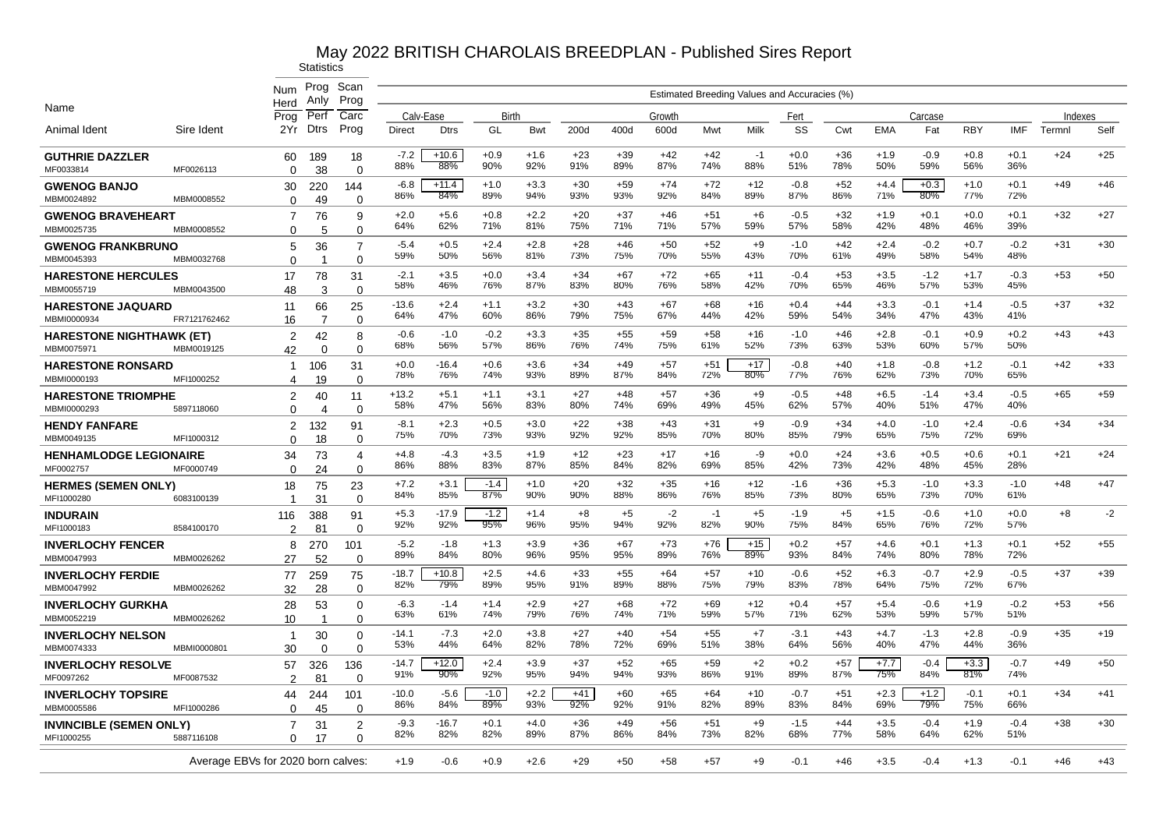|                                                |              | Num                                | Prog<br>Anlv                 | Scan<br>Prog               |                |                |               |               |              |              |              |              | Estimated Breeding Values and Accuracies (%) |               |              |               |               |               |               |         |       |
|------------------------------------------------|--------------|------------------------------------|------------------------------|----------------------------|----------------|----------------|---------------|---------------|--------------|--------------|--------------|--------------|----------------------------------------------|---------------|--------------|---------------|---------------|---------------|---------------|---------|-------|
| Name                                           |              | Herd<br>Proa                       | Perf                         | Carc                       | Calv-Ease      |                | Birth         |               |              |              | Growth       |              |                                              | Fert          |              |               | Carcase       |               |               | Indexes |       |
| Animal Ident                                   | Sire Ident   | 2Yr                                | Dtrs                         | Prog                       | Direct         | <b>Dtrs</b>    | GL            | Bwt           | 200d         | 400d         | 600d         | Mwt          | Milk                                         | SS            | Cwt          | <b>EMA</b>    | Fat           | <b>RBY</b>    | <b>IMF</b>    | Termnl  | Self  |
| <b>GUTHRIE DAZZLER</b><br>MF0033814            | MF0026113    | 60<br>$\Omega$                     | 189<br>38                    | 18<br>$\Omega$             | $-7.2$<br>88%  | $+10.6$<br>88% | $+0.9$<br>90% | $+1.6$<br>92% | $+23$<br>91% | $+39$<br>89% | $+42$<br>87% | $+42$<br>74% | $-1$<br>88%                                  | $+0.0$<br>51% | $+36$<br>78% | $+1.9$<br>50% | $-0.9$<br>59% | $+0.8$<br>56% | $+0.1$<br>36% | $+24$   | $+25$ |
| <b>GWENOG BANJO</b><br>MBM0024892              | MBM0008552   | 30<br>$\Omega$                     | 220<br>49                    | 144<br>$\mathbf 0$         | $-6.8$<br>86%  | $+11.4$<br>84% | $+1.0$<br>89% | $+3.3$<br>94% | $+30$<br>93% | $+59$<br>93% | $+74$<br>92% | $+72$<br>84% | $+12$<br>89%                                 | $-0.8$<br>87% | $+52$<br>86% | $+4.4$<br>71% | $+0.3$<br>80% | $+1.0$<br>77% | $+0.1$<br>72% | $+49$   | $+46$ |
| <b>GWENOG BRAVEHEART</b><br>MBM0025735         | MBM0008552   | 7<br>$\Omega$                      | 76<br>5                      | 9<br>$\Omega$              | $+2.0$<br>64%  | $+5.6$<br>62%  | $+0.8$<br>71% | $+2.2$<br>81% | $+20$<br>75% | $+37$<br>71% | $+46$<br>71% | $+51$<br>57% | $+6$<br>59%                                  | $-0.5$<br>57% | $+32$<br>58% | $+1.9$<br>42% | $+0.1$<br>48% | $+0.0$<br>46% | $+0.1$<br>39% | $+32$   | $+27$ |
| <b>GWENOG FRANKBRUNO</b><br>MBM0045393         | MBM0032768   | 5<br>$\Omega$                      | 36                           | 7<br>$\Omega$              | $-5.4$<br>59%  | $+0.5$<br>50%  | $+2.4$<br>56% | $+2.8$<br>81% | $+28$<br>73% | $+46$<br>75% | $+50$<br>70% | $+52$<br>55% | $+9$<br>43%                                  | $-1.0$<br>70% | $+42$<br>61% | $+2.4$<br>49% | $-0.2$<br>58% | $+0.7$<br>54% | $-0.2$<br>48% | $+31$   | $+30$ |
| <b>HARESTONE HERCULES</b>                      |              | 17                                 | 78                           | 31                         | $-2.1$<br>58%  | $+3.5$<br>46%  | $+0.0$<br>76% | $+3.4$<br>87% | $+34$<br>83% | $+67$<br>80% | $+72$<br>76% | $+65$<br>58% | $+11$<br>42%                                 | $-0.4$<br>70% | $+53$<br>65% | $+3.5$<br>46% | $-1.2$<br>57% | $+1.7$<br>53% | $-0.3$<br>45% | $+53$   | $+50$ |
| MBM0055719<br><b>HARESTONE JAQUARD</b>         | MBM0043500   | 48<br>11                           | 3<br>66                      | $\Omega$<br>25             | $-13.6$<br>64% | $+2.4$<br>47%  | $+1.1$<br>60% | $+3.2$<br>86% | $+30$<br>79% | $+43$<br>75% | $+67$<br>67% | $+68$<br>44% | $+16$<br>42%                                 | $+0.4$<br>59% | $+44$<br>54% | $+3.3$<br>34% | $-0.1$<br>47% | $+1.4$<br>43% | $-0.5$<br>41% | $+37$   | $+32$ |
| MBMI0000934<br><b>HARESTONE NIGHTHAWK (ET)</b> | FR7121762462 | 16<br>2                            | 7<br>42                      | $\Omega$<br>8              | $-0.6$<br>68%  | $-1.0$<br>56%  | $-0.2$<br>57% | $+3.3$<br>86% | $+35$<br>76% | $+55$<br>74% | $+59$<br>75% | $+58$<br>61% | $+16$<br>52%                                 | $-1.0$<br>73% | $+46$<br>63% | $+2.8$<br>53% | $-0.1$<br>60% | $+0.9$<br>57% | $+0.2$<br>50% | $+43$   | $+43$ |
| MBM0075971<br><b>HARESTONE RONSARD</b>         | MBM0019125   | 42<br>$\mathbf{1}$                 | $\Omega$<br>106              | $\mathbf 0$<br>31          | $+0.0$<br>78%  | $-16.4$<br>76% | $+0.6$<br>74% | $+3.6$<br>93% | $+34$<br>89% | $+49$<br>87% | $+57$<br>84% | $+51$<br>72% | $+17$<br>80%                                 | $-0.8$<br>77% | $+40$<br>76% | $+1.8$<br>62% | $-0.8$<br>73% | $+1.2$<br>70% | $-0.1$<br>65% | $+42$   | $+33$ |
| MBMI0000193<br><b>HARESTONE TRIOMPHE</b>       | MFI1000252   | 4<br>$\overline{2}$                | 19<br>40                     | $\Omega$<br>11             | $+13.2$<br>58% | $+5.1$<br>47%  | $+1.1$<br>56% | $+3.1$<br>83% | $+27$<br>80% | $+48$<br>74% | $+57$<br>69% | $+36$<br>49% | $+9$<br>45%                                  | $-0.5$<br>62% | $+48$<br>57% | $+6.5$<br>40% | $-1.4$<br>51% | $+3.4$<br>47% | $-0.5$<br>40% | $+65$   | $+59$ |
| MBMI0000293<br><b>HENDY FANFARE</b>            | 5897118060   | $\Omega$<br>$\overline{2}$         | $\boldsymbol{\Delta}$<br>132 | $\Omega$<br>91             | $-8.1$<br>75%  | $+2.3$<br>70%  | $+0.5$<br>73% | $+3.0$<br>93% | $+22$<br>92% | $+38$<br>92% | $+43$<br>85% | $+31$<br>70% | $+9$<br>80%                                  | $-0.9$<br>85% | $+34$<br>79% | $+4.0$<br>65% | $-1.0$<br>75% | $+2.4$<br>72% | $-0.6$<br>69% | $+34$   | $+34$ |
| MBM0049135<br><b>HENHAMLODGE LEGIONAIRE</b>    | MFI1000312   | $\Omega$<br>34                     | 18<br>73                     | $\Omega$<br>$\overline{4}$ | $+4.8$<br>86%  | $-4.3$<br>88%  | $+3.5$<br>83% | $+1.9$<br>87% | $+12$<br>85% | $+23$<br>84% | $+17$<br>82% | $+16$<br>69% | -9<br>85%                                    | $+0.0$<br>42% | $+24$<br>73% | $+3.6$<br>42% | $+0.5$<br>48% | $+0.6$<br>45% | $+0.1$<br>28% | $+21$   | $+24$ |
| MF0002757<br><b>HERMES (SEMEN ONLY)</b>        | MF0000749    | $\Omega$<br>18                     | 24<br>75                     | $\Omega$<br>23             | $+7.2$<br>84%  | $+3.1$<br>85%  | $-1.4$<br>87% | $+1.0$<br>90% | $+20$<br>90% | $+32$<br>88% | $+35$<br>86% | $+16$<br>76% | $+12$<br>85%                                 | $-1.6$<br>73% | $+36$<br>80% | $+5.3$<br>65% | $-1.0$<br>73% | $+3.3$<br>70% | $-1.0$<br>61% | $+48$   | $+47$ |
| MFI1000280<br><b>INDURAIN</b>                  | 6083100139   | 1<br>116                           | 31<br>388                    | $\Omega$<br>91             | $+5.3$<br>92%  | $-17.9$<br>92% | $-1.2$<br>95% | $+1.4$<br>96% | $+8$<br>95%  | $+5$<br>94%  | $-2$<br>92%  | $-1$<br>82%  | $+5$<br>90%                                  | $-1.9$<br>75% | $+5$<br>84%  | $+1.5$<br>65% | $-0.6$<br>76% | $+1.0$<br>72% | $+0.0$<br>57% | $+8$    | $-2$  |
| MFI1000183<br><b>INVERLOCHY FENCER</b>         | 8584100170   | 2<br>8                             | 81<br>270                    | $\Omega$<br>101            | $-5.2$<br>89%  | $-1.8$<br>84%  | $+1.3$<br>80% | $+3.9$<br>96% | +36<br>95%   | $+67$<br>95% | $+73$<br>89% | $+76$<br>76% | $+15$<br>89%                                 | $+0.2$<br>93% | $+57$<br>84% | $+4.6$<br>74% | $+0.1$<br>80% | $+1.3$<br>78% | $+0.1$<br>72% | $+52$   | $+55$ |
| MBM0047993<br><b>INVERLOCHY FERDIE</b>         | MBM0026262   | 27<br>77                           | 52<br>259                    | $\Omega$<br>75             | $-18.7$        | $+10.8$        | $+2.5$        | $+4.6$        | $+33$        | $+55$        | $+64$        | $+57$        | $+10$                                        | $-0.6$        | +52          | $+6.3$        | $-0.7$        | $+2.9$        | $-0.5$        | $+37$   | $+39$ |
| MBM0047992<br><b>INVERLOCHY GURKHA</b>         | MBM0026262   | 32<br>28                           | 28<br>53                     | $\Omega$<br>0              | 82%<br>$-6.3$  | 79%<br>$-1.4$  | 89%<br>$+1.4$ | 95%<br>$+2.9$ | 91%<br>$+27$ | 89%<br>$+68$ | 88%<br>$+72$ | 75%<br>$+69$ | 79%<br>$+12$                                 | 83%<br>$+0.4$ | 78%<br>$+57$ | 64%<br>$+5.4$ | 75%<br>$-0.6$ | 72%<br>$+1.9$ | 67%<br>$-0.2$ | $+53$   | $+56$ |
| MBM0052219<br><b>INVERLOCHY NELSON</b>         | MBM0026262   | 10<br>$\mathbf{1}$                 | 30                           | $\mathbf 0$<br>0           | 63%<br>$-14.1$ | 61%<br>$-7.3$  | 74%<br>$+2.0$ | 79%<br>$+3.8$ | 76%<br>$+27$ | 74%<br>$+40$ | 71%<br>$+54$ | 59%<br>$+55$ | 57%<br>$+7$                                  | 71%<br>$-3.1$ | 62%<br>$+43$ | 53%<br>$+4.7$ | 59%<br>$-1.3$ | 57%<br>$+2.8$ | 51%<br>$-0.9$ | $+35$   | $+19$ |
| MBM0074333                                     | MBMI0000801  | 30                                 | $\Omega$                     | $\Omega$                   | 53%            | 44%            | 64%           | 82%           | 78%          | 72%          | 69%          | 51%          | 38%                                          | 64%           | 56%          | 40%           | 47%           | 44%           | 36%           |         |       |
| <b>INVERLOCHY RESOLVE</b><br>MF0097262         | MF0087532    | 57<br>2                            | 326<br>81                    | 136<br>0                   | $-14.7$<br>91% | $+12.0$<br>90% | $+2.4$<br>92% | $+3.9$<br>95% | $+37$<br>94% | $+52$<br>94% | $+65$<br>93% | $+59$<br>86% | $+2$<br>91%                                  | $+0.2$<br>89% | $+57$<br>87% | $+7.7$<br>75% | $-0.4$<br>84% | $+3.3$<br>81% | $-0.7$<br>74% | $+49$   | $+50$ |
| <b>INVERLOCHY TOPSIRE</b><br>MBM0005586        | MFI1000286   | 44<br>0                            | 244<br>45                    | 101<br>$\Omega$            | $-10.0$<br>86% | $-5.6$<br>84%  | $-1.0$<br>89% | $+2.2$<br>93% | $+41$<br>92% | $+60$<br>92% | $+65$<br>91% | $+64$<br>82% | $+10$<br>89%                                 | $-0.7$<br>83% | $+51$<br>84% | $+2.3$<br>69% | $+1.2$<br>79% | $-0.1$<br>75% | $+0.1$<br>66% | $+34$   | $+41$ |
| <b>INVINCIBLE (SEMEN ONLY)</b><br>MFI1000255   | 5887116108   | $\overline{7}$<br>$\Omega$         | 31<br>17                     | $\overline{2}$<br>$\Omega$ | -9.3<br>82%    | $-16.7$<br>82% | $+0.1$<br>82% | $+4.0$<br>89% | $+36$<br>87% | $+49$<br>86% | $+56$<br>84% | $+51$<br>73% | $+9$<br>82%                                  | $-1.5$<br>68% | $+44$<br>77% | $+3.5$<br>58% | $-0.4$<br>64% | $+1.9$<br>62% | $-0.4$<br>51% | $+38$   | $+30$ |
|                                                |              | Average EBVs for 2020 born calves: |                              |                            | $+1.9$         | $-0.6$         | $+0.9$        | $+2.6$        | $+29$        | +50          | +58          | +57          | $+9$                                         | $-0.1$        | $+46$        | $+3.5$        | $-0.4$        | $+1.3$        | $-0.1$        | $+46$   | $+43$ |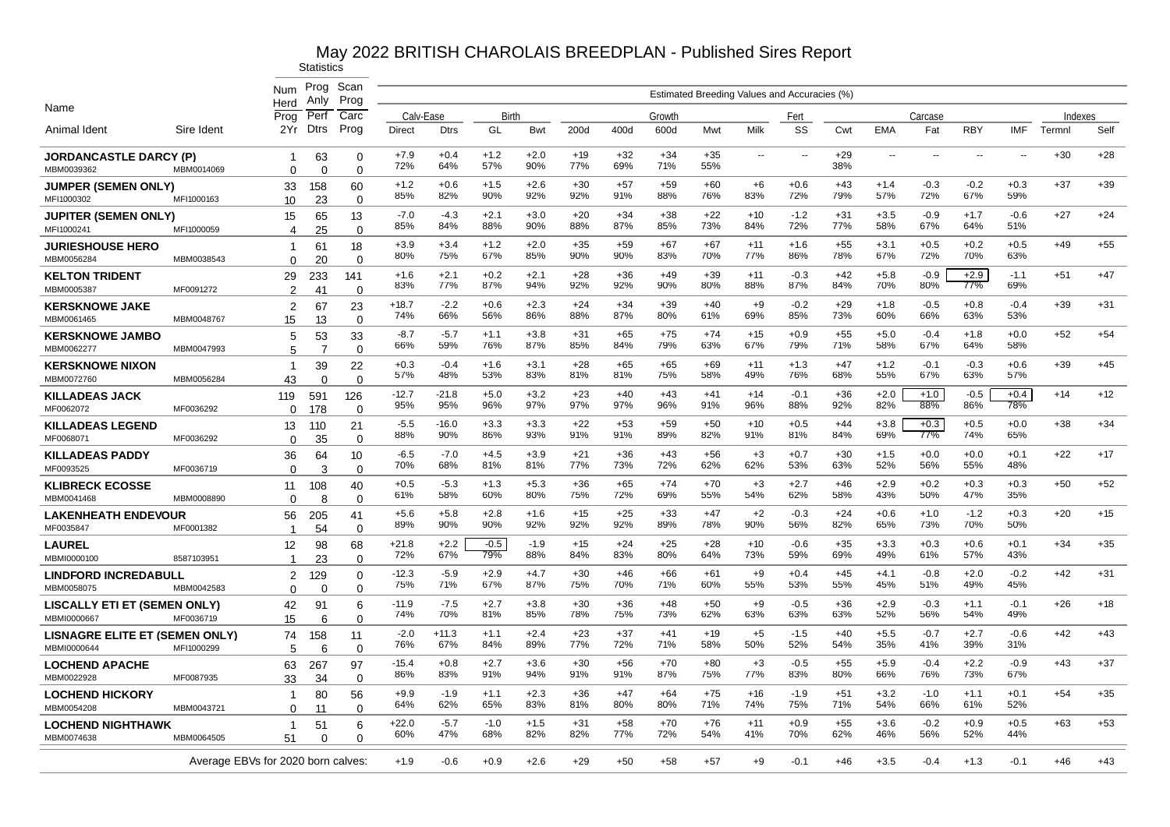|                                                   |                                    | Num<br>Herd                | Prog<br>Anly   | Scan<br>Prog      |                |                |               |               |              |              |              |              |                          | Estimated Breeding Values and Accuracies (%) |              |               |                      |                          |               |         |       |
|---------------------------------------------------|------------------------------------|----------------------------|----------------|-------------------|----------------|----------------|---------------|---------------|--------------|--------------|--------------|--------------|--------------------------|----------------------------------------------|--------------|---------------|----------------------|--------------------------|---------------|---------|-------|
| Name                                              |                                    | Proa                       | Perf           | Carc              | Calv-Ease      |                | Birth         |               |              |              | Growth       |              |                          | Fert                                         |              |               | Carcase              |                          |               | Indexes |       |
| Animal Ident                                      | Sire Ident                         | 2Yr                        | <b>Dtrs</b>    | Prog              | Direct         | <b>Dtrs</b>    | GL            | Bwt           | 200d         | 400d         | 600d         | Mwt          | Milk                     | SS                                           | Cwt          | <b>EMA</b>    | Fat                  | <b>RBY</b>               | <b>IMF</b>    | Termnl  | Self  |
| <b>JORDANCASTLE DARCY (P)</b><br>MBM0039362       | MBM0014069                         | -1<br>$\Omega$             | 63<br>$\Omega$ | 0<br>$\Omega$     | $+7.9$<br>72%  | $+0.4$<br>64%  | $+1.2$<br>57% | $+2.0$<br>90% | $+19$<br>77% | $+32$<br>69% | $+34$<br>71% | $+35$<br>55% | $\overline{\phantom{a}}$ | $\sim$                                       | $+29$<br>38% | $\sim$        | $\sim$               | $\overline{\phantom{a}}$ | $\sim$ $\sim$ | $+30$   | $+28$ |
| <b>JUMPER (SEMEN ONLY)</b><br>MFI1000302          | MFI1000163                         | 33<br>10                   | 158<br>23      | 60<br>$\mathbf 0$ | $+1.2$<br>85%  | $+0.6$<br>82%  | $+1.5$<br>90% | $+2.6$<br>92% | $+30$<br>92% | $+57$<br>91% | $+59$<br>88% | $+60$<br>76% | $+6$<br>83%              | $+0.6$<br>72%                                | $+43$<br>79% | $+1.4$<br>57% | $-0.3$<br>72%        | $-0.2$<br>67%            | $+0.3$<br>59% | $+37$   | $+39$ |
| <b>JUPITER (SEMEN ONLY)</b><br>MFI100024          | MFI1000059                         | 15<br>4                    | 65<br>25       | 13<br>$\Omega$    | $-7.0$<br>85%  | -4.3<br>84%    | $+2.1$<br>88% | $+3.0$<br>90% | $+20$<br>88% | $+34$<br>87% | $+38$<br>85% | $+22$<br>73% | $+10$<br>84%             | $-1.2$<br>72%                                | $+31$<br>77% | $+3.5$<br>58% | $-0.9$<br>67%        | $+1.7$<br>64%            | $-0.6$<br>51% | $+27$   | $+24$ |
| <b>JURIESHOUSE HERO</b><br>MBM0056284             | MBM0038543                         | $\mathbf 1$<br>$\Omega$    | 61<br>20       | 18<br>$\Omega$    | $+3.9$<br>80%  | $+3.4$<br>75%  | $+1.2$<br>67% | $+2.0$<br>85% | $+35$<br>90% | $+59$<br>90% | $+67$<br>83% | $+67$<br>70% | $+11$<br>77%             | $+1.6$<br>86%                                | $+55$<br>78% | $+3.1$<br>67% | $+0.5$<br>72%        | $+0.2$<br>70%            | $+0.5$<br>63% | $+49$   | $+55$ |
| <b>KELTON TRIDENT</b><br>MBM0005387               | MF0091272                          | 29                         | 233            | 141<br>$\Omega$   | $+1.6$<br>83%  | $+2.1$<br>77%  | $+0.2$<br>87% | $+2.1$<br>94% | $+28$<br>92% | $+36$<br>92% | $+49$<br>90% | $+39$<br>80% | $+11$<br>88%             | $-0.3$<br>87%                                | $+42$<br>84% | $+5.8$<br>70% | $-0.9$<br>80%        | $+2.9$<br>77%            | $-1.1$<br>69% | $+51$   | $+47$ |
| <b>KERSKNOWE JAKE</b><br>MBM0061465               | MBM0048767                         | 2<br>2                     | 41<br>67       | 23<br>$\Omega$    | $+18.7$<br>74% | $-2.2$<br>66%  | $+0.6$<br>56% | $+2.3$<br>86% | $+24$<br>88% | $+34$<br>87% | $+39$<br>80% | $+40$<br>61% | $+9$<br>69%              | $-0.2$<br>85%                                | $+29$<br>73% | $+1.8$<br>60% | $-0.5$<br>66%        | $+0.8$<br>63%            | $-0.4$<br>53% | $+39$   | $+31$ |
| <b>KERSKNOWE JAMBO</b><br>MBM0062277              | MBM0047993                         | 15<br>5<br>5               | 13<br>53<br>7  | 33<br>$\mathbf 0$ | $-8.7$<br>66%  | -5.7<br>59%    | $+1.1$<br>76% | $+3.8$<br>87% | $+31$<br>85% | $+65$<br>84% | $+75$<br>79% | $+74$<br>63% | $+15$<br>67%             | $+0.9$<br>79%                                | $+55$<br>71% | $+5.0$<br>58% | $-0.4$<br>67%        | $+1.8$<br>64%            | $+0.0$<br>58% | $+52$   | $+54$ |
| <b>KERSKNOWE NIXON</b><br>MBM0072760              |                                    | $\mathbf 1$                | 39<br>$\Omega$ | 22<br>$\Omega$    | $+0.3$<br>57%  | $-0.4$<br>48%  | $+1.6$<br>53% | $+3.1$<br>83% | $+28$<br>81% | $+65$<br>81% | $+65$<br>75% | $+69$<br>58% | $+11$<br>49%             | $+1.3$<br>76%                                | $+47$<br>68% | $+1.2$<br>55% | $-0.1$<br>67%        | $-0.3$<br>63%            | $+0.6$<br>57% | $+39$   | $+45$ |
| <b>KILLADEAS JACK</b><br>MF0062072                | MBM0056284<br>MF0036292            | 43<br>119                  | 591            | 126<br>$\Omega$   | $-12.7$<br>95% | $-21.8$<br>95% | $+5.0$<br>96% | $+3.2$<br>97% | $+23$<br>97% | $+40$<br>97% | $+43$<br>96% | $+41$<br>91% | $+14$<br>96%             | $-0.1$<br>88%                                | $+36$<br>92% | $+2.0$<br>82% | $+1.0$<br>88%        | $-0.5$<br>86%            | $+0.4$<br>78% | $+14$   | $+12$ |
| <b>KILLADEAS LEGEND</b><br>MF0068071              |                                    | $\Omega$<br>13             | 178<br>110     | 21<br>$\Omega$    | $-5.5$<br>88%  | $-16.0$<br>90% | $+3.3$<br>86% | $+3.3$<br>93% | $+22$<br>91% | $+53$<br>91% | $+59$<br>89% | $+50$<br>82% | $+10$<br>91%             | $+0.5$<br>81%                                | $+44$<br>84% | $+3.8$<br>69% | $+0.3$<br><b>77%</b> | $+0.5$<br>74%            | $+0.0$<br>65% | $+38$   | $+34$ |
| <b>KILLADEAS PADDY</b><br>MF0093525               | MF0036292<br>MF0036719             | $\Omega$<br>36<br>$\Omega$ | 35<br>64<br>3  | 10<br>$\Omega$    | $-6.5$<br>70%  | $-7.0$<br>68%  | $+4.5$<br>81% | $+3.9$<br>81% | $+21$<br>77% | $+36$<br>73% | $+43$<br>72% | $+56$<br>62% | $+3$<br>62%              | $+0.7$<br>53%                                | $+30$<br>63% | $+1.5$<br>52% | $+0.0$<br>56%        | $+0.0$<br>55%            | $+0.1$<br>48% | $+22$   | $+17$ |
| <b>KLIBRECK ECOSSE</b><br>MBM0041468              | MBM0008890                         | 11                         | 108            | 40                | $+0.5$<br>61%  | $-5.3$<br>58%  | $+1.3$<br>60% | $+5.3$<br>80% | $+36$<br>75% | $+65$<br>72% | $+74$<br>69% | $+70$<br>55% | $+3$<br>54%              | $+2.7$<br>62%                                | $+46$<br>58% | $+2.9$<br>43% | $+0.2$<br>50%        | $+0.3$<br>47%            | $+0.3$<br>35% | $+50$   | $+52$ |
| <b>LAKENHEATH ENDEVOUR</b><br>MF0035847           | MF0001382                          | $\Omega$<br>56             | 8<br>205       | $\Omega$<br>41    | $+5.6$<br>89%  | $+5.8$<br>90%  | $+2.8$<br>90% | $+1.6$<br>92% | $+15$<br>92% | $+25$<br>92% | $+33$<br>89% | +47<br>78%   | $+2$<br>90%              | $-0.3$<br>56%                                | $+24$<br>82% | $+0.6$<br>65% | $+1.0$<br>73%        | $-1.2$<br>70%            | $+0.3$<br>50% | $+20$   | $+15$ |
| <b>LAUREL</b>                                     |                                    | -1<br>12                   | 54<br>98       | $\Omega$<br>68    | $+21.8$<br>72% | $+2.2$<br>67%  | $-0.5$<br>79% | $-1.9$<br>88% | $+15$<br>84% | $+24$<br>83% | $+25$<br>80% | $+28$<br>64% | $+10$<br>73%             | $-0.6$<br>59%                                | $+35$<br>69% | $+3.3$<br>49% | $+0.3$<br>61%        | $+0.6$<br>57%            | $+0.1$<br>43% | $+34$   | $+35$ |
| MBMI0000100<br><b>LINDFORD INCREDABULL</b>        | 8587103951                         | -1<br>2                    | 23<br>129      | $\Omega$<br>0     | $-12.3$<br>75% | -5.9<br>71%    | $+2.9$<br>67% | $+4.7$<br>87% | $+30$<br>75% | $+46$<br>70% | $+66$<br>71% | $+61$<br>60% | $+9$<br>55%              | $+0.4$<br>53%                                | $+45$<br>55% | $+4.1$<br>45% | $-0.8$<br>51%        | $+2.0$<br>49%            | $-0.2$<br>45% | $+42$   | $+31$ |
| MBM0058075<br><b>LISCALLY ETI ET (SEMEN ONLY)</b> | MBM0042583                         | $\Omega$<br>42             | $\Omega$<br>91 | $\Omega$<br>6     | $-11.9$<br>74% | $-7.5$<br>70%  | $+2.7$<br>81% | $+3.8$<br>85% | $+30$<br>78% | $+36$<br>75% | $+48$<br>73% | $+50$<br>62% | $+9$<br>63%              | $-0.5$<br>63%                                | $+36$<br>63% | $+2.9$<br>52% | $-0.3$<br>56%        | $+1.1$<br>54%            | $-0.1$<br>49% | $+26$   | $+18$ |
| MBMI0000667<br>LISNAGRE ELITE ET (SEMEN ONLY)     | MF0036719                          | 15<br>74                   | 6<br>158       | $\mathbf 0$<br>11 | $-2.0$<br>76%  | $+11.3$<br>67% | $+1.1$<br>84% | $+2.4$<br>89% | $+23$<br>77% | $+37$<br>72% | $+41$<br>71% | $+19$<br>58% | $+5$<br>50%              | $-1.5$<br>52%                                | $+40$<br>54% | $+5.5$<br>35% | $-0.7$<br>41%        | $+2.7$<br>39%            | $-0.6$<br>31% | $+42$   | $+43$ |
| MBMI0000644<br><b>LOCHEND APACHE</b>              | MFI1000299                         | 5<br>63                    | 6<br>267       | $\Omega$<br>97    | $-15.4$<br>86% | $+0.8$<br>83%  | $+2.7$<br>91% | $+3.6$<br>94% | $+30$<br>91% | $+56$<br>91% | $+70$<br>87% | $+80$<br>75% | $+3$<br>77%              | $-0.5$<br>83%                                | $+55$<br>80% | $+5.9$<br>66% | $-0.4$<br>76%        | $+2.2$<br>73%            | $-0.9$<br>67% | $+43$   | $+37$ |
| MBM0022928<br><b>LOCHEND HICKORY</b>              | MF0087935                          | 33<br>-1                   | 34<br>80       | $\mathbf 0$<br>56 | $+9.9$         | $-1.9$         | $+1.1$        | $+2.3$        | $+36$        | $+47$        | $+64$        | $+75$        | $+16$                    | $-1.9$                                       | $+51$        | $+3.2$        | $-1.0$               | $+1.1$                   | $+0.1$        | $+54$   | $+35$ |
| MBM0054208                                        | MBM0043721                         | $\Omega$                   | 11             | $\Omega$          | 64%            | 62%            | 65%           | 83%           | 81%          | 80%          | 80%          | 71%          | 74%                      | 75%                                          | 71%          | 54%           | 66%                  | 61%                      | 52%           |         |       |
| <b>LOCHEND NIGHTHAWK</b><br>MBM0074638            | MBM0064505                         | $\mathbf 1$<br>51          | 51<br>$\Omega$ | 6<br>$\Omega$     | $+22.0$<br>60% | $-5.7$<br>47%  | $-1.0$<br>68% | $+1.5$<br>82% | $+31$<br>82% | $+58$<br>77% | $+70$<br>72% | $+76$<br>54% | $+11$<br>41%             | $+0.9$<br>70%                                | $+55$<br>62% | $+3.6$<br>46% | $-0.2$<br>56%        | $+0.9$<br>52%            | $+0.5$<br>44% | $+63$   | $+53$ |
|                                                   | Average EBVs for 2020 born calves: |                            |                |                   | $+1.9$         | $-0.6$         | $+0.9$        | $+2.6$        | $+29$        | +50          | +58          | +57          | $+9$                     | $-0.1$                                       | $+46$        | $+3.5$        | $-0.4$               | $+1.3$                   | $-0.1$        | $+46$   | $+43$ |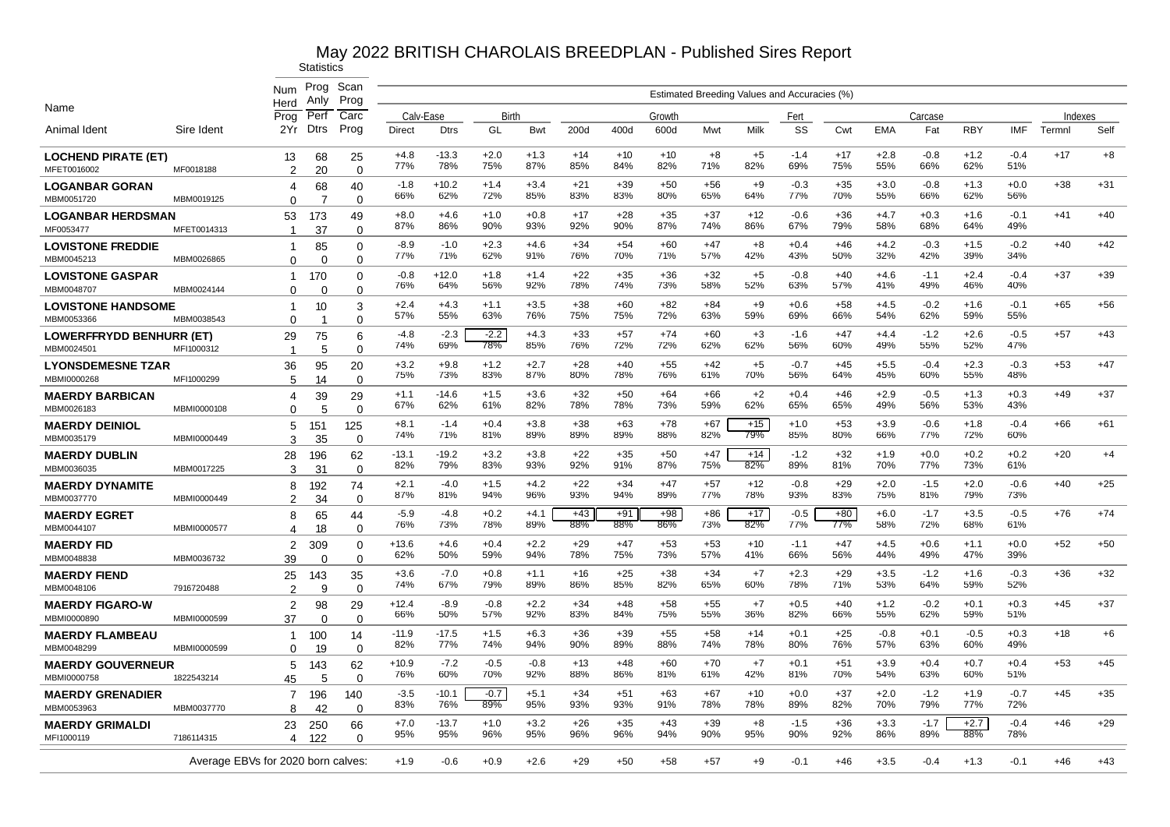|                                                             |                            | Num                                | Prog<br>Anlv    | Scan<br>Prog                  |                |                |               |               |              |              |              |              | Estimated Breeding Values and Accuracies (%) |               |              |               |               |               |               |         |       |
|-------------------------------------------------------------|----------------------------|------------------------------------|-----------------|-------------------------------|----------------|----------------|---------------|---------------|--------------|--------------|--------------|--------------|----------------------------------------------|---------------|--------------|---------------|---------------|---------------|---------------|---------|-------|
| Name                                                        |                            | Herd<br>Prog                       | Per             | Carc                          | Calv-Ease      |                | Birth         |               |              |              | Growth       |              |                                              | Fert          |              |               | Carcase       |               |               | Indexes |       |
| Animal Ident                                                | Sire Ident                 | 2Yr                                | <b>Dtrs</b>     | Prog                          | Direct         | <b>Dtrs</b>    | GL            | Bwt           | 200d         | 400d         | 600d         | Mwt          | Milk                                         | SS            | Cwt          | <b>EMA</b>    | Fat           | <b>RBY</b>    | <b>IMF</b>    | Termnl  | Self  |
| <b>LOCHEND PIRATE (ET)</b><br>MFET0016002                   | MF0018188                  | 13<br>$\mathfrak{p}$               | 68<br>20        | 25<br>$\Omega$                | $+4.8$<br>77%  | $-13.3$<br>78% | $+2.0$<br>75% | $+1.3$<br>87% | $+14$<br>85% | $+10$<br>84% | $+10$<br>82% | $+8$<br>71%  | $+5$<br>82%                                  | $-1.4$<br>69% | $+17$<br>75% | $+2.8$<br>55% | $-0.8$<br>66% | $+1.2$<br>62% | $-0.4$<br>51% | $+17$   | $+8$  |
| <b>LOGANBAR GORAN</b><br>MBM0051720                         | MBM0019125                 | 4<br>$\Omega$                      | 68<br>7         | 40<br>$\Omega$                | $-1.8$<br>66%  | $+10.2$<br>62% | $+1.4$<br>72% | $+3.4$<br>85% | $+21$<br>83% | $+39$<br>83% | $+50$<br>80% | $+56$<br>65% | $+9$<br>64%                                  | $-0.3$<br>77% | $+35$<br>70% | $+3.0$<br>55% | $-0.8$<br>66% | $+1.3$<br>62% | $+0.0$<br>56% | $+38$   | $+31$ |
| <b>LOGANBAR HERDSMAN</b><br>MF0053477                       | MFET0014313                | 53<br>-1                           | 173<br>37       | 49<br>$\Omega$                | $+8.0$<br>87%  | $+4.6$<br>86%  | $+1.0$<br>90% | $+0.8$<br>93% | $+17$<br>92% | $+28$<br>90% | $+35$<br>87% | $+37$<br>74% | $+12$<br>86%                                 | $-0.6$<br>67% | $+36$<br>79% | $+4.7$<br>58% | $+0.3$<br>68% | $+1.6$<br>64% | $-0.1$<br>49% | $+41$   | $+40$ |
| <b>LOVISTONE FREDDIE</b><br>MBM0045213                      | MBM0026865                 | 1                                  | 85<br>$\Omega$  | $\Omega$                      | $-8.9$<br>77%  | $-1.0$<br>71%  | $+2.3$<br>62% | $+4.6$<br>91% | $+34$<br>76% | $+54$<br>70% | $+60$<br>71% | $+47$<br>57% | $+8$<br>42%                                  | $+0.4$<br>43% | $+46$<br>50% | $+4.2$<br>32% | $-0.3$<br>42% | $+1.5$<br>39% | $-0.2$<br>34% | $+40$   | $+42$ |
| <b>LOVISTONE GASPAR</b>                                     |                            | $\Omega$<br>$\mathbf{1}$           | 170             | $\Omega$<br>0                 | $-0.8$<br>76%  | $+12.0$<br>64% | $+1.8$<br>56% | $+1.4$<br>92% | $+22$<br>78% | $+35$<br>74% | $+36$<br>73% | $+32$<br>58% | $+5$<br>52%                                  | $-0.8$<br>63% | $+40$<br>57% | $+4.6$<br>41% | $-1.1$<br>49% | $+2.4$<br>46% | $-0.4$<br>40% | $+37$   | $+39$ |
| MBM0048707<br><b>LOVISTONE HANDSOME</b>                     | MBM0024144                 | $\Omega$<br>-1                     | $\Omega$<br>10  | $\Omega$<br>3                 | $+2.4$<br>57%  | $+4.3$<br>55%  | $+1.1$<br>63% | $+3.5$<br>76% | $+38$<br>75% | $+60$<br>75% | $+82$<br>72% | $+84$<br>63% | $+9$<br>59%                                  | $+0.6$<br>69% | $+58$<br>66% | $+4.5$<br>54% | $-0.2$<br>62% | $+1.6$<br>59% | $-0.1$<br>55% | $+65$   | $+56$ |
| MBM0053366<br><b>LOWERFFRYDD BENHURR (ET)</b><br>MBM0024501 | MBM0038543<br>MFI1000312   | $\Omega$<br>29                     | 75              | $\Omega$<br>6                 | -4.8<br>74%    | $-2.3$<br>69%  | $-2.2$<br>78% | $+4.3$<br>85% | $+33$<br>76% | $+57$<br>72% | $+74$<br>72% | $+60$<br>62% | +3<br>62%                                    | $-1.6$<br>56% | $+47$<br>60% | $+4.4$<br>49% | $-1.2$<br>55% | $+2.6$<br>52% | $-0.5$<br>47% | $+57$   | $+43$ |
| <b>LYONSDEMESNE TZAR</b>                                    |                            | -1<br>36                           | 5<br>95         | $\mathbf 0$<br>20<br>$\Omega$ | $+3.2$<br>75%  | $+9.8$<br>73%  | $+1.2$<br>83% | $+2.7$<br>87% | +28<br>80%   | $+40$<br>78% | $+55$<br>76% | $+42$<br>61% | $+5$<br>70%                                  | -0.7<br>56%   | $+45$<br>64% | $+5.5$<br>45% | $-0.4$<br>60% | $+2.3$<br>55% | $-0.3$<br>48% | $+53$   | $+47$ |
| MBMI0000268<br><b>MAERDY BARBICAN</b><br>MBM0026183         | MFI1000299<br>MBMI0000108  | 5<br>4                             | 14<br>39<br>5   | 29<br>$\Omega$                | $+1.1$<br>67%  | $-14.6$<br>62% | $+1.5$<br>61% | $+3.6$<br>82% | $+32$<br>78% | $+50$<br>78% | $+64$<br>73% | $+66$<br>59% | $+2$<br>62%                                  | $+0.4$<br>65% | $+46$<br>65% | $+2.9$<br>49% | $-0.5$<br>56% | $+1.3$<br>53% | $+0.3$<br>43% | $+49$   | $+37$ |
| <b>MAERDY DEINIOL</b><br>MBM0035179                         | MBMI0000449                | O<br>5<br>3                        | 151<br>35       | 125<br>$\Omega$               | $+8.1$<br>74%  | $-1.4$<br>71%  | $+0.4$<br>81% | $+3.8$<br>89% | $+38$<br>89% | $+63$<br>89% | $+78$<br>88% | $+67$<br>82% | $+15$<br>79%                                 | $+1.0$<br>85% | $+53$<br>80% | $+3.9$<br>66% | $-0.6$<br>77% | $+1.8$<br>72% | $-0.4$<br>60% | $+66$   | $+61$ |
| <b>MAERDY DUBLIN</b><br>MBM0036035                          |                            | 28                                 | 196             | 62                            | $-13.1$<br>82% | $-19.2$<br>79% | $+3.2$<br>83% | $+3.8$<br>93% | $+22$<br>92% | $+35$<br>91% | $+50$<br>87% | $+47$<br>75% | $+14$<br>82%                                 | $-1.2$<br>89% | $+32$<br>81% | $+1.9$<br>70% | $+0.0$<br>77% | $+0.2$<br>73% | $+0.2$<br>61% | $+20$   | $+4$  |
| <b>MAERDY DYNAMITE</b><br>MBM0037770                        | MBM0017225                 | 3<br>8<br>$\mathfrak{p}$           | 31<br>192       | $\mathbf 0$<br>74             | $+2.1$<br>87%  | $-4.0$<br>81%  | $+1.5$<br>94% | $+4.2$<br>96% | $+22$<br>93% | $+34$<br>94% | $+47$<br>89% | $+57$<br>77% | $+12$<br>78%                                 | $-0.8$<br>93% | $+29$<br>83% | $+2.0$<br>75% | $-1.5$<br>81% | $+2.0$<br>79% | $-0.6$<br>73% | $+40$   | $+25$ |
| <b>MAERDY EGRET</b><br>MBM0044107                           | MBMI0000449<br>MBMI0000577 | 8                                  | 34<br>65        | $\mathbf 0$<br>44             | $-5.9$<br>76%  | $-4.8$<br>73%  | $+0.2$<br>78% | $+4.1$<br>89% | $+43$<br>88% | $+91$<br>88% | $+98$<br>86% | $+86$<br>73% | $+17$<br>82%                                 | $-0.5$<br>77% | $+80$<br>77% | $+6.0$<br>58% | $-1.7$<br>72% | $+3.5$<br>68% | $-0.5$<br>61% | $+76$   | $+74$ |
| <b>MAERDY FID</b>                                           |                            | 4<br>$\overline{2}$                | 18<br>309       | $\Omega$<br>0                 | $+13.6$<br>62% | $+4.6$<br>50%  | $+0.4$<br>59% | $+2.2$<br>94% | $+29$<br>78% | $+47$<br>75% | $+53$<br>73% | $+53$<br>57% | $+10$<br>41%                                 | $-1.1$<br>66% | $+47$<br>56% | $+4.5$<br>44% | $+0.6$<br>49% | $+1.1$<br>47% | $+0.0$<br>39% | $+52$   | $+50$ |
| MBM0048838<br><b>MAERDY FIEND</b><br>MBM0048106             | MBM0036732<br>7916720488   | 39<br>25                           | 0<br>143        | $\mathbf 0$<br>35             | $+3.6$<br>74%  | $-7.0$<br>67%  | $+0.8$<br>79% | $+1.1$<br>89% | $+16$<br>86% | $+25$<br>85% | $+38$<br>82% | $+34$<br>65% | $+7$<br>60%                                  | $+2.3$<br>78% | $+29$<br>71% | $+3.5$<br>53% | $-1.2$<br>64% | $+1.6$<br>59% | $-0.3$<br>52% | $+36$   | $+32$ |
| <b>MAERDY FIGARO-W</b><br>MBMI0000890                       | MBMI0000599                | $\mathfrak{p}$<br>2                | 9<br>98         | $\Omega$<br>29                | $+12.4$<br>66% | $-8.9$<br>50%  | $-0.8$<br>57% | $+2.2$<br>92% | $+34$<br>83% | $+48$<br>84% | $+58$<br>75% | $+55$<br>55% | $+7$<br>36%                                  | $+0.5$<br>82% | $+40$<br>66% | $+1.2$<br>55% | $-0.2$<br>62% | $+0.1$<br>59% | $+0.3$<br>51% | $+45$   | $+37$ |
| <b>MAERDY FLAMBEAU</b>                                      |                            | 37<br>1                            | $\Omega$<br>100 | $\mathbf 0$<br>14             | $-11.9$<br>82% | $-17.5$<br>77% | $+1.5$<br>74% | $+6.3$<br>94% | $+36$<br>90% | $+39$<br>89% | $+55$<br>88% | $+58$<br>74% | $+14$<br>78%                                 | $+0.1$<br>80% | $+25$<br>76% | $-0.8$<br>57% | $+0.1$<br>63% | $-0.5$<br>60% | $+0.3$<br>49% | $+18$   | $+6$  |
| MBM0048299<br><b>MAERDY GOUVERNEUR</b>                      | MBMI0000599                | $\Omega$<br>5                      | 19<br>143       | $\Omega$<br>62                | $+10.9$<br>76% | $-7.2$<br>60%  | $-0.5$<br>70% | $-0.8$<br>92% | $+13$<br>88% | $+48$<br>86% | $+60$<br>81% | $+70$<br>61% | $+7$<br>42%                                  | $+0.1$<br>81% | $+51$<br>70% | $+3.9$<br>54% | $+0.4$<br>63% | $+0.7$<br>60% | $+0.4$<br>51% | $+53$   | $+45$ |
| MBMI0000758<br><b>MAERDY GRENADIER</b>                      | 1822543214                 | 45<br>$\overline{7}$               | 5<br>196        | $\mathbf 0$<br>140            | $-3.5$<br>83%  | $-10.1$<br>76% | $-0.7$<br>89% | $+5.1$<br>95% | $+34$<br>93% | $+51$<br>93% | $+63$<br>91% | $+67$<br>78% | $+10$<br>78%                                 | $+0.0$<br>89% | $+37$<br>82% | $+2.0$<br>70% | $-1.2$<br>79% | $+1.9$<br>77% | $-0.7$<br>72% | $+45$   | $+35$ |
| MBM0053963<br><b>MAERDY GRIMALDI</b>                        | MBM0037770                 | R<br>23                            | 42<br>250       | $\Omega$<br>66                | $+7.0$         | $-13.7$        | $+1.0$        | $+3.2$        | $+26$        | $+35$        | $+43$        | $+39$        | $+8$                                         | $-1.5$        | $+36$        | $+3.3$        | $-1.7$        | $+2.7$        | $-0.4$        | $+46$   | $+29$ |
| MFI1000119                                                  | 7186114315                 | 4                                  | 122             | $\Omega$                      | 95%            | 95%            | 96%           | 95%           | 96%          | 96%          | 94%          | 90%          | 95%                                          | 90%           | 92%          | 86%           | 89%           | 88%           | 78%           |         |       |
|                                                             |                            | Average EBVs for 2020 born calves: |                 |                               | $+1.9$         | $-0.6$         | $+0.9$        | $+2.6$        | $+29$        | +50          | +58          | +57          | $+9$                                         | $-0.1$        | $+46$        | $+3.5$        | $-0.4$        | $+1.3$        | $-0.1$        | $+46$   | $+43$ |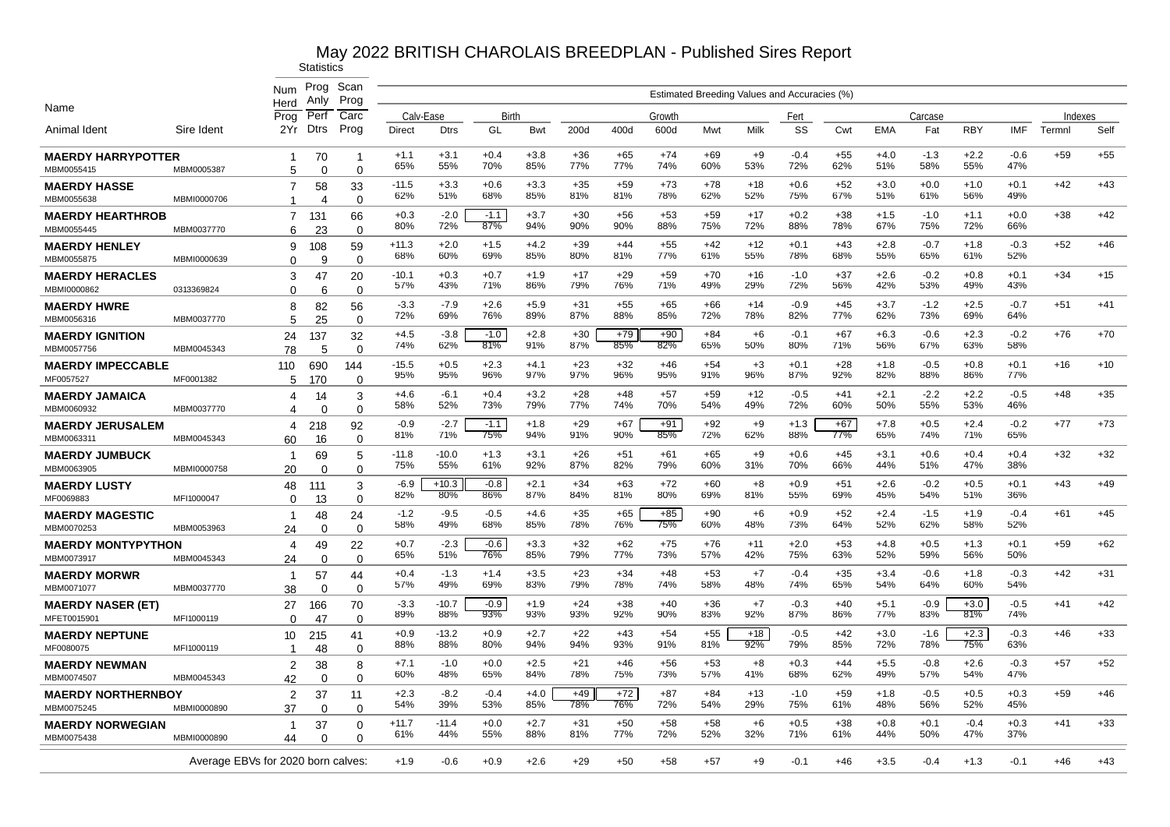|                                         |             | Num                                | Prog<br>Anlv   | Scan<br>Prog    |                |                |               |               |              |              |              |              | Estimated Breeding Values and Accuracies (%) |               |              |               |               |               |               |         |       |
|-----------------------------------------|-------------|------------------------------------|----------------|-----------------|----------------|----------------|---------------|---------------|--------------|--------------|--------------|--------------|----------------------------------------------|---------------|--------------|---------------|---------------|---------------|---------------|---------|-------|
| Name                                    |             | Herd<br>Prog                       | Per            | Carc            | Calv-Ease      |                | Birth         |               |              |              | Growth       |              |                                              | Fert          |              |               | Carcase       |               |               | Indexes |       |
| Animal Ident                            | Sire Ident  | 2Yr                                | <b>Dtrs</b>    | Prog            | Direct         | <b>Dtrs</b>    | GL            | Bwt           | 200d         | 400d         | 600d         | Mwt          | Milk                                         | SS            | Cwt          | <b>EMA</b>    | Fat           | <b>RBY</b>    | IMF           | Termnl  | Self  |
| <b>MAERDY HARRYPOTTER</b><br>MBM0055415 | MBM0005387  | $\mathbf 1$<br>5                   | 70<br>$\Omega$ | -1<br>$\Omega$  | $+1.1$<br>65%  | $+3.1$<br>55%  | $+0.4$<br>70% | $+3.8$<br>85% | $+36$<br>77% | $+65$<br>77% | $+74$<br>74% | $+69$<br>60% | $+9$<br>53%                                  | $-0.4$<br>72% | +55<br>62%   | $+4.0$<br>51% | $-1.3$<br>58% | $+2.2$<br>55% | $-0.6$<br>47% | $+59$   | $+55$ |
| <b>MAERDY HASSE</b><br>MBM0055638       | MBMI0000706 | 7<br>1                             | 58<br>4        | 33              | $-11.5$<br>62% | $+3.3$<br>51%  | $+0.6$<br>68% | $+3.3$<br>85% | $+35$<br>81% | $+59$<br>81% | $+73$<br>78% | $+78$<br>62% | $+18$<br>52%                                 | $+0.6$<br>75% | $+52$<br>67% | $+3.0$<br>51% | $+0.0$<br>61% | $+1.0$<br>56% | $+0.1$<br>49% | $+42$   | $+43$ |
| <b>MAERDY HEARTHROB</b>                 |             | 7                                  | 131            | $\Omega$<br>66  | $+0.3$<br>80%  | $-2.0$<br>72%  | $-1.1$<br>87% | $+3.7$<br>94% | $+30$<br>90% | $+56$<br>90% | $+53$<br>88% | $+59$<br>75% | $+17$<br>72%                                 | $+0.2$<br>88% | $+38$<br>78% | $+1.5$<br>67% | $-1.0$<br>75% | $+1.1$<br>72% | $+0.0$<br>66% | $+38$   | $+42$ |
| MBM0055445                              | MBM0037770  | 6                                  | 23             | $\Omega$        | $+11.3$        | $+2.0$         | $+1.5$        | $+4.2$        | $+39$        | $+44$        | $+55$        | $+42$        | $+12$                                        | $+0.1$        | $+43$        | $+2.8$        | $-0.7$        | $+1.8$        | $-0.3$        | $+52$   | $+46$ |
| <b>MAERDY HENLEY</b><br>MBM0055875      | MBMI0000639 | 9<br>$\Omega$                      | 108<br>9       | 59<br>$\Omega$  | 68%            | 60%            | 69%           | 85%           | 80%          | 81%          | 77%          | 61%          | 55%                                          | 78%           | 68%          | 55%           | 65%           | 61%           | 52%           |         |       |
| <b>MAERDY HERACLES</b><br>MBMI0000862   | 0313369824  | 3<br>$\Omega$                      | 47<br>6        | 20<br>$\Omega$  | $-10.1$<br>57% | $+0.3$<br>43%  | $+0.7$<br>71% | $+1.9$<br>86% | $+17$<br>79% | $+29$<br>76% | $+59$<br>71% | $+70$<br>49% | $+16$<br>29%                                 | $-1.0$<br>72% | $+37$<br>56% | $+2.6$<br>42% | $-0.2$<br>53% | $+0.8$<br>49% | $+0.1$<br>43% | $+34$   | $+15$ |
| <b>MAERDY HWRE</b><br>MBM0056316        | MBM0037770  | 8<br>5                             | 82<br>25       | 56<br>$\Omega$  | $-3.3$<br>72%  | $-7.9$<br>69%  | $+2.6$<br>76% | $+5.9$<br>89% | $+31$<br>87% | $+55$<br>88% | $+65$<br>85% | $+66$<br>72% | $+14$<br>78%                                 | $-0.9$<br>82% | $+45$<br>77% | $+3.7$<br>62% | $-1.2$<br>73% | $+2.5$<br>69% | $-0.7$<br>64% | $+51$   | $+41$ |
| <b>MAERDY IGNITION</b><br>MBM0057756    | MBM0045343  | 24<br>78                           | 137<br>5       | 32<br>$\Omega$  | $+4.5$<br>74%  | $-3.8$<br>62%  | $-1.0$<br>81% | $+2.8$<br>91% | $+30$<br>87% | $+79$<br>85% | $+90$<br>82% | $+84$<br>65% | $+6$<br>50%                                  | $-0.1$<br>80% | $+67$<br>71% | $+6.3$<br>56% | $-0.6$<br>67% | $+2.3$<br>63% | $-0.2$<br>58% | $+76$   | $+70$ |
| <b>MAERDY IMPECCABLE</b><br>MF0057527   | MF0001382   | 110<br>5                           | 690<br>170     | 144<br>$\Omega$ | $-15.5$<br>95% | $+0.5$<br>95%  | $+2.3$<br>96% | $+4.1$<br>97% | $+23$<br>97% | $+32$<br>96% | $+46$<br>95% | $+54$<br>91% | $+3$<br>96%                                  | $+0.1$<br>87% | +28<br>92%   | $+1.8$<br>82% | $-0.5$<br>88% | $+0.8$<br>86% | $+0.1$<br>77% | $+16$   | $+10$ |
| <b>MAERDY JAMAICA</b><br>MBM0060932     | MBM0037770  | 4<br>4                             | 14<br>$\Omega$ | 3<br>$\Omega$   | $+4.6$<br>58%  | $-6.1$<br>52%  | $+0.4$<br>73% | $+3.2$<br>79% | $+28$<br>77% | $+48$<br>74% | $+57$<br>70% | $+59$<br>54% | $+12$<br>49%                                 | $-0.5$<br>72% | $+41$<br>60% | $+2.1$<br>50% | $-2.2$<br>55% | $+2.2$<br>53% | $-0.5$<br>46% | $+48$   | $+35$ |
| <b>MAERDY JERUSALEM</b>                 |             | 4                                  | 218            | 92              | $-0.9$<br>81%  | $-2.7$<br>71%  | $-1.1$<br>75% | $+1.8$<br>94% | $+29$<br>91% | $+67$<br>90% | $+91$<br>85% | $+92$<br>72% | $+9$<br>62%                                  | $+1.3$<br>88% | $+67$<br>77% | $+7.8$<br>65% | $+0.5$<br>74% | $+2.4$<br>71% | $-0.2$<br>65% | $+77$   | $+73$ |
| MBM0063311<br><b>MAERDY JUMBUCK</b>     | MBM0045343  | 60<br>-1                           | 16<br>69       | $\Omega$<br>5   | $-11.8$<br>75% | $-10.0$<br>55% | $+1.3$<br>61% | $+3.1$<br>92% | $+26$<br>87% | $+51$<br>82% | $+61$<br>79% | $+65$<br>60% | $+9$<br>31%                                  | $+0.6$<br>70% | $+45$<br>66% | $+3.1$<br>44% | $+0.6$<br>51% | $+0.4$<br>47% | $+0.4$<br>38% | $+32$   | $+32$ |
| MBM0063905                              | MBMI0000758 | 20                                 | $\Omega$       | $\Omega$        | $-6.9$         | $+10.3$        | $-0.8$        | $+2.1$        | $+34$        | $+63$        | $+72$        | $+60$        | $+8$                                         | $+0.9$        | $+51$        | $+2.6$        | $-0.2$        | $+0.5$        | $+0.1$        | $+43$   | $+49$ |
| <b>MAERDY LUSTY</b><br>MF0069883        | MFI1000047  | 48<br>$\Omega$                     | 111<br>13      | 3<br>$\Omega$   | 82%            | 80%            | 86%           | 87%           | 84%          | 81%          | 80%          | 69%          | 81%                                          | 55%           | 69%          | 45%           | 54%           | 51%           | 36%           |         |       |
| <b>MAERDY MAGESTIC</b><br>MBM0070253    | MBM0053963  | 1<br>24                            | 48<br>$\Omega$ | 24<br>$\Omega$  | $-1.2$<br>58%  | $-9.5$<br>49%  | $-0.5$<br>68% | $+4.6$<br>85% | $+35$<br>78% | $+65$<br>76% | $+85$<br>75% | $+90$<br>60% | $+6$<br>48%                                  | $+0.9$<br>73% | $+52$<br>64% | $+2.4$<br>52% | $-1.5$<br>62% | $+1.9$<br>58% | $-0.4$<br>52% | $+61$   | $+45$ |
| <b>MAERDY MONTYPYTHON</b><br>MBM0073917 | MBM0045343  | 4<br>24                            | 49<br>0        | 22<br>0         | $+0.7$<br>65%  | $-2.3$<br>51%  | $-0.6$<br>76% | $+3.3$<br>85% | $+32$<br>79% | $+62$<br>77% | $+75$<br>73% | $+76$<br>57% | $+11$<br>42%                                 | $+2.0$<br>75% | $+53$<br>63% | $+4.8$<br>52% | $+0.5$<br>59% | $+1.3$<br>56% | $+0.1$<br>50% | $+59$   | $+62$ |
| <b>MAERDY MORWR</b><br>MBM0071077       | MBM0037770  | $\mathbf 1$<br>38                  | 57<br>0        | 44<br>$\Omega$  | $+0.4$<br>57%  | $-1.3$<br>49%  | $+1.4$<br>69% | $+3.5$<br>83% | $+23$<br>79% | $+34$<br>78% | $+48$<br>74% | $+53$<br>58% | $+7$<br>48%                                  | $-0.4$<br>74% | $+35$<br>65% | $+3.4$<br>54% | $-0.6$<br>64% | $+1.8$<br>60% | $-0.3$<br>54% | $+42$   | $+31$ |
| <b>MAERDY NASER (ET)</b><br>MFET0015901 | MFI1000119  | 27                                 | 166            | 70              | $-3.3$<br>89%  | $-10.7$<br>88% | $-0.9$<br>93% | $+1.9$<br>93% | $+24$<br>93% | $+38$<br>92% | $+40$<br>90% | $+36$<br>83% | $+7$<br>92%                                  | $-0.3$<br>87% | $+40$<br>86% | $+5.1$<br>77% | $-0.9$<br>83% | $+3.0$<br>81% | $-0.5$<br>74% | $+41$   | $+42$ |
| <b>MAERDY NEPTUNE</b>                   |             | $\Omega$<br>10                     | 47<br>215      | 0<br>41         | $+0.9$<br>88%  | $-13.2$<br>88% | $+0.9$<br>80% | $+2.7$<br>94% | $+22$<br>94% | $+43$<br>93% | $+54$<br>91% | $+55$<br>81% | $+18$<br>92%                                 | $-0.5$<br>79% | $+42$<br>85% | $+3.0$<br>72% | $-1.6$<br>78% | $+2.3$<br>75% | $-0.3$<br>63% | $+46$   | $+33$ |
| MF0080075<br><b>MAERDY NEWMAN</b>       | MFI1000119  | -1<br>$\overline{c}$               | 48<br>38       | $\Omega$<br>8   | $+7.1$<br>60%  | $-1.0$<br>48%  | $+0.0$<br>65% | $+2.5$<br>84% | $+21$<br>78% | $+46$<br>75% | $+56$<br>73% | $+53$<br>57% | +8<br>41%                                    | $+0.3$<br>68% | $+44$<br>62% | $+5.5$<br>49% | $-0.8$<br>57% | $+2.6$<br>54% | $-0.3$<br>47% | $+57$   | $+52$ |
| MBM0074507<br><b>MAERDY NORTHERNBOY</b> | MBM0045343  | 42<br>$\overline{2}$               | $\Omega$<br>37 | $\Omega$<br>11  | $+2.3$         | -8.2           | $-0.4$        | $+4.0$        | $+49$        | $+72$        | $+87$        | $+84$        | $+13$                                        | $-1.0$        | $+59$        | $+1.8$        | $-0.5$        | $+0.5$        | $+0.3$        | $+59$   | $+46$ |
| MBM0075245                              | MBMI0000890 | 37                                 | $\Omega$       | $\Omega$        | 54%            | 39%            | 53%           | 85%           | 78%          | 76%          | 72%          | 54%          | 29%                                          | 75%           | 61%          | 48%           | 56%           | 52%           | 45%           |         |       |
| <b>MAERDY NORWEGIAN</b><br>MBM0075438   | MBMI0000890 | -1<br>44                           | 37<br>O        | 0<br>$\Omega$   | $+11.7$<br>61% | $-11.4$<br>44% | $+0.0$<br>55% | $+2.7$<br>88% | $+31$<br>81% | $+50$<br>77% | $+58$<br>72% | $+58$<br>52% | $+6$<br>32%                                  | $+0.5$<br>71% | $+38$<br>61% | $+0.8$<br>44% | $+0.1$<br>50% | $-0.4$<br>47% | $+0.3$<br>37% | $+41$   | $+33$ |
|                                         |             | Average EBVs for 2020 born calves: |                |                 | $+1.9$         | $-0.6$         | $+0.9$        | $+2.6$        | $+29$        | $+50$        | $+58$        | $+57$        | $+9$                                         | $-0.1$        | $+46$        | $+3.5$        | $-0.4$        | $+1.3$        | $-0.1$        | $+46$   | $+43$ |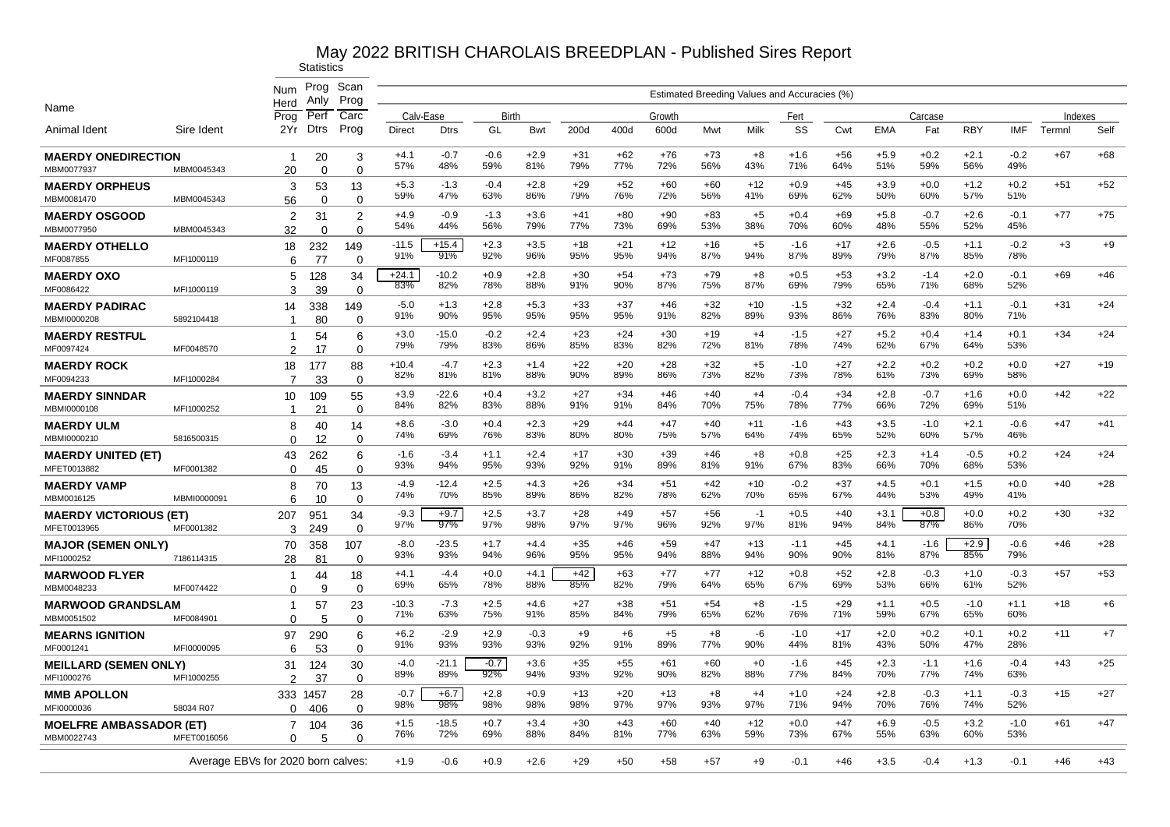|                                              |             |                                    | Prog           | Scan                |                |                |               |               |              |              |              |              |              |                                              |              |               |               |               |               |         |       |
|----------------------------------------------|-------------|------------------------------------|----------------|---------------------|----------------|----------------|---------------|---------------|--------------|--------------|--------------|--------------|--------------|----------------------------------------------|--------------|---------------|---------------|---------------|---------------|---------|-------|
|                                              |             | Num<br>Herd                        | Anly           | Prog                |                |                |               |               |              |              |              |              |              | Estimated Breeding Values and Accuracies (%) |              |               |               |               |               |         |       |
| Name                                         |             | Prog                               | Perf           | Carc                | Calv-Ease      |                | Birth         |               |              |              | Growth       |              |              | Fert                                         |              |               | Carcase       |               |               | Indexes |       |
| Animal Ident                                 | Sire Ident  | 2Yr                                | <b>Dtrs</b>    | Prog                | <b>Direct</b>  | <b>Dtrs</b>    | GL            | Bwt           | 200d         | 400d         | 600d         | Mwt          | Milk         | SS                                           | Cwt          | <b>EMA</b>    | Fat           | <b>RBY</b>    | <b>IMF</b>    | Termnl  | Self  |
| <b>MAERDY ONEDIRECTION</b><br>MBM0077937     | MBM0045343  | -1<br>20                           | 20<br>$\Omega$ | 3<br>$\Omega$       | $+4.1$<br>57%  | $-0.7$<br>48%  | $-0.6$<br>59% | $+2.9$<br>81% | $+31$<br>79% | $+62$<br>77% | $+76$<br>72% | $+73$<br>56% | $+8$<br>43%  | $+1.6$<br>71%                                | $+56$<br>64% | $+5.9$<br>51% | $+0.2$<br>59% | $+2.1$<br>56% | $-0.2$<br>49% | $+67$   | $+68$ |
| <b>MAERDY ORPHEUS</b><br>MBM0081470          | MBM0045343  | 3<br>56                            | 53<br>$\Omega$ | 13<br>$\Omega$      | $+5.3$<br>59%  | $-1.3$<br>47%  | $-0.4$<br>63% | $+2.8$<br>86% | $+29$<br>79% | $+52$<br>76% | $+60$<br>72% | $+60$<br>56% | $+12$<br>41% | $+0.9$<br>69%                                | $+45$<br>62% | $+3.9$<br>50% | $+0.0$<br>60% | $+1.2$<br>57% | $+0.2$<br>51% | $+51$   | $+52$ |
| <b>MAERDY OSGOOD</b><br>MBM0077950           | MBM0045343  | 2<br>32                            | 31<br>$\Omega$ | $\overline{2}$<br>0 | $+4.9$<br>54%  | $-0.9$<br>44%  | $-1.3$<br>56% | $+3.6$<br>79% | $+41$<br>77% | $+80$<br>73% | $+90$<br>69% | $+83$<br>53% | $+5$<br>38%  | $+0.4$<br>70%                                | $+69$<br>60% | $+5.8$<br>48% | $-0.7$<br>55% | $+2.6$<br>52% | $-0.1$<br>45% | $+77$   | $+75$ |
| <b>MAERDY OTHELLO</b><br>MF0087855           | MFI1000119  | 18<br>6                            | 232<br>77      | 149<br>$\mathbf 0$  | $-11.5$<br>91% | $+15.4$<br>91% | $+2.3$<br>92% | $+3.5$<br>96% | $+18$<br>95% | $+21$<br>95% | $+12$<br>94% | +16<br>87%   | $+5$<br>94%  | $-1.6$<br>87%                                | $+17$<br>89% | $+2.6$<br>79% | $-0.5$<br>87% | $+1.1$<br>85% | $-0.2$<br>78% | $+3$    | $+9$  |
| <b>MAERDY OXO</b><br>MF0086422               | MFI1000119  | 5<br>3                             | 128<br>39      | 34<br>$\mathbf 0$   | $+24.1$<br>83% | $-10.2$<br>82% | $+0.9$<br>78% | $+2.8$<br>88% | $+30$<br>91% | $+54$<br>90% | $+73$<br>87% | $+79$<br>75% | $+8$<br>87%  | $+0.5$<br>69%                                | $+53$<br>79% | $+3.2$<br>65% | $-1.4$<br>71% | $+2.0$<br>68% | $-0.1$<br>52% | $+69$   | $+46$ |
| <b>MAERDY PADIRAC</b><br>MBMI0000208         | 5892104418  | 14<br>$\overline{\mathbf{1}}$      | 338<br>80      | 149<br>$\Omega$     | $-5.0$<br>91%  | $+1.3$<br>90%  | $+2.8$<br>95% | $+5.3$<br>95% | $+33$<br>95% | $+37$<br>95% | $+46$<br>91% | $+32$<br>82% | $+10$<br>89% | $-1.5$<br>93%                                | $+32$<br>86% | $+2.4$<br>76% | $-0.4$<br>83% | $+1.1$<br>80% | $-0.1$<br>71% | $+31$   | $+24$ |
| <b>MAERDY RESTFUL</b><br>MF0097424           | MF0048570   | $\overline{1}$<br>$\overline{2}$   | 54<br>17       | 6<br>$\Omega$       | $+3.0$<br>79%  | $-15.0$<br>79% | $-0.2$<br>83% | $+2.4$<br>86% | $+23$<br>85% | $+24$<br>83% | $+30$<br>82% | $+19$<br>72% | $+4$<br>81%  | $-1.5$<br>78%                                | $+27$<br>74% | $+5.2$<br>62% | $+0.4$<br>67% | $+1.4$<br>64% | $+0.1$<br>53% | $+34$   | $+24$ |
| <b>MAERDY ROCK</b><br>MF0094233              | MFI1000284  | 18<br>7                            | 177<br>33      | 88<br>$\mathbf 0$   | $+10.4$<br>82% | $-4.7$<br>81%  | $+2.3$<br>81% | $+1.4$<br>88% | $+22$<br>90% | $+20$<br>89% | $+28$<br>86% | $+32$<br>73% | $+5$<br>82%  | $-1.0$<br>73%                                | $+27$<br>78% | $+2.2$<br>61% | $+0.2$<br>73% | $+0.2$<br>69% | $+0.0$<br>58% | $+27$   | $+19$ |
| <b>MAERDY SINNDAR</b><br>MBMI0000108         | MFI1000252  | 10<br>$\overline{\mathbf{1}}$      | 109<br>21      | 55<br>$\Omega$      | $+3.9$<br>84%  | $-22.6$<br>82% | $+0.4$<br>83% | $+3.2$<br>88% | $+27$<br>91% | $+34$<br>91% | $+46$<br>84% | $+40$<br>70% | $+4$<br>75%  | $-0.4$<br>78%                                | $+34$<br>77% | $+2.8$<br>66% | $-0.7$<br>72% | $+1.6$<br>69% | $+0.0$<br>51% | $+42$   | $+22$ |
| <b>MAERDY ULM</b><br>MBMI0000210             | 5816500315  | 8<br>0                             | 40<br>12       | 14<br>$\Omega$      | $+8.6$<br>74%  | $-3.0$<br>69%  | $+0.4$<br>76% | $+2.3$<br>83% | $+29$<br>80% | $+44$<br>80% | $+47$<br>75% | $+40$<br>57% | $+11$<br>64% | $-1.6$<br>74%                                | $+43$<br>65% | $+3.5$<br>52% | $-1.0$<br>60% | $+2.1$<br>57% | $-0.6$<br>46% | $+47$   | $+41$ |
| <b>MAERDY UNITED (ET)</b><br>MFET0013882     | MF0001382   | 43<br>$\Omega$                     | 262<br>45      | 6<br>$\Omega$       | $-1.6$<br>93%  | $-3.4$<br>94%  | $+1.1$<br>95% | $+2.4$<br>93% | $+17$<br>92% | $+30$<br>91% | $+39$<br>89% | $+46$<br>81% | $+8$<br>91%  | $+0.8$<br>67%                                | $+25$<br>83% | $+2.3$<br>66% | $+1.4$<br>70% | $-0.5$<br>68% | $+0.2$<br>53% | $+24$   | $+24$ |
| <b>MAERDY VAMP</b><br>MBM0016125             | MBMI0000091 | 8<br>6                             | 70<br>10       | 13<br>$\mathbf 0$   | -4.9<br>74%    | $-12.4$<br>70% | $+2.5$<br>85% | $+4.3$<br>89% | $+26$<br>86% | +34<br>82%   | $+51$<br>78% | $+42$<br>62% | $+10$<br>70% | $-0.2$<br>65%                                | $+37$<br>67% | +4.5<br>44%   | $+0.1$<br>53% | $+1.5$<br>49% | $+0.0$<br>41% | $+40$   | $+28$ |
| <b>MAERDY VICTORIOUS (ET)</b><br>MFET0013965 | MF0001382   | 207<br>3                           | 951<br>249     | 34<br>$\Omega$      | $-9.3$<br>97%  | $+9.7$<br>97%  | $+2.5$<br>97% | $+3.7$<br>98% | $+28$<br>97% | $+49$<br>97% | $+57$<br>96% | $+56$<br>92% | $-1$<br>97%  | $+0.5$<br>81%                                | $+40$<br>94% | $+3.1$<br>84% | $+0.8$<br>87% | $+0.0$<br>86% | $+0.2$<br>70% | $+30$   | $+32$ |
| <b>MAJOR (SEMEN ONLY)</b><br>MFI1000252      | 7186114315  | 70<br>28                           | 358<br>81      | 107<br>$\Omega$     | $-8.0$<br>93%  | $-23.5$<br>93% | $+1.7$<br>94% | $+4.4$<br>96% | $+35$<br>95% | +46<br>95%   | $+59$<br>94% | $+47$<br>88% | $+13$<br>94% | $-1.1$<br>90%                                | $+45$<br>90% | $+4.1$<br>81% | $-1.6$<br>87% | $+2.9$<br>85% | $-0.6$<br>79% | $+46$   | $+28$ |
| <b>MARWOOD FLYER</b><br>MBM0048233           | MF0074422   | -1<br>$\Omega$                     | 44<br>9        | 18<br>$\Omega$      | $+4.1$<br>69%  | $-4.4$<br>65%  | $+0.0$<br>78% | $+4.1$<br>88% | $+42$<br>85% | $+63$<br>82% | $+77$<br>79% | $+77$<br>64% | $+12$<br>65% | $+0.8$<br>67%                                | $+52$<br>69% | $+2.8$<br>53% | $-0.3$<br>66% | $+1.0$<br>61% | $-0.3$<br>52% | $+57$   | $+53$ |
| <b>MARWOOD GRANDSLAM</b><br>MBM0051502       | MF0084901   | -1<br>$\Omega$                     | 57<br>5        | 23<br>$\Omega$      | $-10.3$<br>71% | $-7.3$<br>63%  | $+2.5$<br>75% | $+4.6$<br>91% | $+27$<br>85% | $+38$<br>84% | $+51$<br>79% | $+54$<br>65% | $+8$<br>62%  | $-1.5$<br>76%                                | $+29$<br>71% | $+1.1$<br>59% | $+0.5$<br>67% | $-1.0$<br>65% | $+1.1$<br>60% | $+18$   | $+6$  |
| <b>MEARNS IGNITION</b><br>MF000124           | MFI0000095  | 97<br>6                            | 290<br>53      | 6<br>$\mathbf 0$    | $+6.2$<br>91%  | $-2.9$<br>93%  | $+2.9$<br>93% | $-0.3$<br>93% | $+9$<br>92%  | $+6$<br>91%  | $+5$<br>89%  | $+8$<br>77%  | -6<br>90%    | $-1.0$<br>44%                                | $+17$<br>81% | $+2.0$<br>43% | $+0.2$<br>50% | $+0.1$<br>47% | $+0.2$<br>28% | $+11$   | $+7$  |
| <b>MEILLARD (SEMEN ONLY)</b><br>MFI1000276   | MFI1000255  | 31<br>$\mathcal{P}$                | 124<br>37      | 30<br>$\Omega$      | $-4.0$<br>89%  | $-21.1$<br>89% | $-0.7$<br>92% | $+3.6$<br>94% | $+35$<br>93% | +55<br>92%   | $+61$<br>90% | $+60$<br>82% | $+0$<br>88%  | $-1.6$<br>77%                                | $+45$<br>84% | $+2.3$<br>70% | $-1.1$<br>77% | $+1.6$<br>74% | $-0.4$<br>63% | $+43$   | $+25$ |
| <b>MMB APOLLON</b><br>MFI0000036             | 58034 R07   | 333 1457<br>0                      | 406            | 28<br>$\Omega$      | $-0.7$<br>98%  | $+6.7$<br>98%  | $+2.8$<br>98% | $+0.9$<br>98% | $+13$<br>98% | $+20$<br>97% | $+13$<br>97% | $+8$<br>93%  | $+4$<br>97%  | $+1.0$<br>71%                                | $+24$<br>94% | $+2.8$<br>70% | $-0.3$<br>76% | $+1.1$<br>74% | $-0.3$<br>52% | $+15$   | $+27$ |
| <b>MOELFRE AMBASSADOR (ET)</b><br>MBM0022743 | MFET0016056 | 7<br>U                             | 104<br>5       | 36<br>$\Omega$      | $+1.5$<br>76%  | $-18.5$<br>72% | $+0.7$<br>69% | $+3.4$<br>88% | $+30$<br>84% | $+43$<br>81% | $+60$<br>77% | $+40$<br>63% | $+12$<br>59% | $+0.0$<br>73%                                | $+47$<br>67% | $+6.9$<br>55% | $-0.5$<br>63% | $+3.2$<br>60% | $-1.0$<br>53% | $+61$   | $+47$ |
|                                              |             | Average EBVs for 2020 born calves: |                |                     | $+1.9$         | $-0.6$         | $+0.9$        | $+2.6$        | $+29$        | $+50$        | $+58$        | $+57$        | +9           | $-0.1$                                       | +46          | $+3.5$        | $-0.4$        | $+1.3$        | $-0.1$        | $+46$   | $+43$ |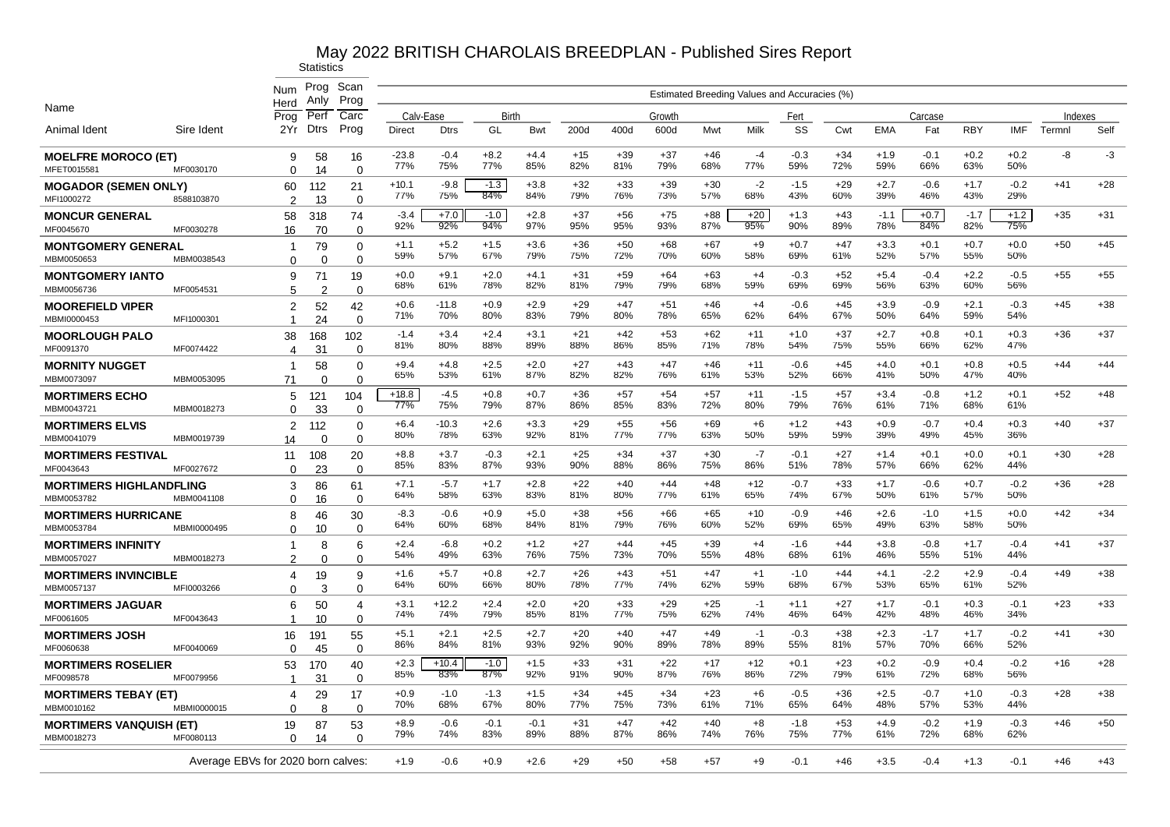|                                              |             | Num                                | Prog<br>Anly   | Scan<br>Prog               |                |                |               |               |              |              |              |              | Estimated Breeding Values and Accuracies (%) |               |              |               |               |               |               |         |       |
|----------------------------------------------|-------------|------------------------------------|----------------|----------------------------|----------------|----------------|---------------|---------------|--------------|--------------|--------------|--------------|----------------------------------------------|---------------|--------------|---------------|---------------|---------------|---------------|---------|-------|
| Name                                         |             | Herd<br>Proa                       | Perf           | Carc                       | Calv-Ease      |                | Birth         |               |              |              | Growth       |              |                                              | Fert          |              |               | Carcase       |               |               | Indexes |       |
| Animal Ident                                 | Sire Ident  | 2Yr                                | <b>Dtrs</b>    | Prog                       | <b>Direct</b>  | <b>Dtrs</b>    | GL            | Bwt           | 200d         | 400d         | 600d         | Mwt          | Milk                                         | SS            | Cwt          | <b>EMA</b>    | Fat           | <b>RBY</b>    | <b>IMF</b>    | Termnl  | Self  |
| <b>MOELFRE MOROCO (ET)</b><br>MFET0015581    | MF0030170   | 9<br>$\Omega$                      | 58<br>14       | 16<br>$\Omega$             | $-23.8$<br>77% | $-0.4$<br>75%  | $+8.2$<br>77% | $+4.4$<br>85% | $+15$<br>82% | $+39$<br>81% | $+37$<br>79% | $+46$<br>68% | $-4$<br>77%                                  | $-0.3$<br>59% | $+34$<br>72% | $+1.9$<br>59% | $-0.1$<br>66% | $+0.2$<br>63% | $+0.2$<br>50% | -8      | $-3$  |
| <b>MOGADOR (SEMEN ONLY)</b><br>MFI1000272    | 8588103870  | 60<br>2                            | 112<br>13      | 21<br>$\mathbf 0$          | $+10.1$<br>77% | $-9.8$<br>75%  | $-1.3$<br>84% | $+3.8$<br>84% | $+32$<br>79% | $+33$<br>76% | $+39$<br>73% | $+30$<br>57% | $-2$<br>68%                                  | $-1.5$<br>43% | $+29$<br>60% | $+2.7$<br>39% | $-0.6$<br>46% | $+1.7$<br>43% | $-0.2$<br>29% | $+41$   | $+28$ |
| <b>MONCUR GENERAL</b><br>MF0045670           | MF0030278   | 58<br>16                           | 318<br>70      | 74<br>$\Omega$             | $-3.4$<br>92%  | $+7.0$<br>92%  | $-1.0$<br>94% | $+2.8$<br>97% | $+37$<br>95% | $+56$<br>95% | $+75$<br>93% | $+88$<br>87% | $+20$<br>95%                                 | $+1.3$<br>90% | $+43$<br>89% | $-1.1$<br>78% | $+0.7$<br>84% | $-1.7$<br>82% | $+1.2$<br>75% | $+35$   | $+31$ |
| <b>MONTGOMERY GENERAL</b><br>MBM0050653      | MBM0038543  | 1<br>$\Omega$                      | 79<br>$\Omega$ | $\mathbf 0$<br>$\mathbf 0$ | $+1.1$<br>59%  | $+5.2$<br>57%  | $+1.5$<br>67% | $+3.6$<br>79% | $+36$<br>75% | $+50$<br>72% | $+68$<br>70% | $+67$<br>60% | $+9$<br>58%                                  | $+0.7$<br>69% | $+47$<br>61% | $+3.3$<br>52% | $+0.1$<br>57% | $+0.7$<br>55% | $+0.0$<br>50% | $+50$   | $+45$ |
| <b>MONTGOMERY IANTO</b><br>MBM0056736        | MF0054531   | 9<br>5                             | 71<br>2        | 19<br>$\mathbf 0$          | $+0.0$<br>68%  | $+9.1$<br>61%  | $+2.0$<br>78% | $+4.1$<br>82% | $+31$<br>81% | $+59$<br>79% | $+64$<br>79% | $+63$<br>68% | $+4$<br>59%                                  | $-0.3$<br>69% | $+52$<br>69% | $+5.4$<br>56% | $-0.4$<br>63% | $+2.2$<br>60% | $-0.5$<br>56% | $+55$   | $+55$ |
| <b>MOOREFIELD VIPER</b><br>MBMI0000453       | MFI1000301  | $\overline{2}$<br>$\overline{1}$   | 52<br>24       | 42<br>$\Omega$             | $+0.6$<br>71%  | $-11.8$<br>70% | $+0.9$<br>80% | $+2.9$<br>83% | $+29$<br>79% | $+47$<br>80% | $+51$<br>78% | $+46$<br>65% | $+4$<br>62%                                  | $-0.6$<br>64% | $+45$<br>67% | $+3.9$<br>50% | $-0.9$<br>64% | $+2.1$<br>59% | $-0.3$<br>54% | $+45$   | $+38$ |
| <b>MOORLOUGH PALO</b><br>MF0091370           | MF0074422   | 38<br>4                            | 168<br>31      | 102<br>$\Omega$            | $-1.4$<br>81%  | $+3.4$<br>80%  | $+2.4$<br>88% | $+3.1$<br>89% | $+21$<br>88% | $+42$<br>86% | $+53$<br>85% | $+62$<br>71% | $+11$<br>78%                                 | $+1.0$<br>54% | $+37$<br>75% | $+2.7$<br>55% | $+0.8$<br>66% | $+0.1$<br>62% | $+0.3$<br>47% | $+36$   | $+37$ |
| <b>MORNITY NUGGET</b><br>MBM0073097          | MBM0053095  | $\mathbf 1$<br>71                  | 58<br>$\Omega$ | 0<br>$\Omega$              | $+9.4$<br>65%  | $+4.8$<br>53%  | $+2.5$<br>61% | $+2.0$<br>87% | $+27$<br>82% | $+43$<br>82% | $+47$<br>76% | $+46$<br>61% | $+11$<br>53%                                 | $-0.6$<br>52% | $+45$<br>66% | $+4.0$<br>41% | $+0.1$<br>50% | $+0.8$<br>47% | $+0.5$<br>40% | $+44$   | $+44$ |
| <b>MORTIMERS ECHO</b><br>MBM0043721          | MBM0018273  | 5<br>$\Omega$                      | 121<br>33      | 104<br>$\Omega$            | $+18.8$<br>77% | -4.5<br>75%    | $+0.8$<br>79% | $+0.7$<br>87% | $+36$<br>86% | $+57$<br>85% | $+54$<br>83% | $+57$<br>72% | $+11$<br>80%                                 | $-1.5$<br>79% | $+57$<br>76% | $+3.4$<br>61% | $-0.8$<br>71% | $+1.2$<br>68% | $+0.1$<br>61% | $+52$   | $+48$ |
| <b>MORTIMERS ELVIS</b><br>MBM0041079         | MBM0019739  | 2<br>14                            | 112<br>∩       | 0<br>$\Omega$              | $+6.4$<br>80%  | $-10.3$<br>78% | $+2.6$<br>63% | $+3.3$<br>92% | $+29$<br>81% | $+55$<br>77% | $+56$<br>77% | $+69$<br>63% | $+6$<br>50%                                  | $+1.2$<br>59% | +43<br>59%   | $+0.9$<br>39% | $-0.7$<br>49% | $+0.4$<br>45% | $+0.3$<br>36% | $+40$   | $+37$ |
| <b>MORTIMERS FESTIVAL</b><br>MF0043643       | MF0027672   | 11<br>$\Omega$                     | 108<br>23      | 20<br>$\mathbf 0$          | $+8.8$<br>85%  | $+3.7$<br>83%  | $-0.3$<br>87% | $+2.1$<br>93% | $+25$<br>90% | $+34$<br>88% | $+37$<br>86% | $+30$<br>75% | $-7$<br>86%                                  | $-0.1$<br>51% | $+27$<br>78% | $+1.4$<br>57% | $+0.1$<br>66% | $+0.0$<br>62% | $+0.1$<br>44% | $+30$   | $+28$ |
| <b>MORTIMERS HIGHLANDFLING</b><br>MBM0053782 | MBM0041108  | 3<br>$\Omega$                      | 86<br>16       | 61<br>$\mathbf 0$          | $+7.1$<br>64%  | $-5.7$<br>58%  | $+1.7$<br>63% | $+2.8$<br>83% | $+22$<br>81% | $+40$<br>80% | $+44$<br>77% | $+48$<br>61% | $+12$<br>65%                                 | $-0.7$<br>74% | $+33$<br>67% | $+1.7$<br>50% | $-0.6$<br>61% | $+0.7$<br>57% | $-0.2$<br>50% | $+36$   | $+28$ |
| <b>MORTIMERS HURRICANE</b><br>MBM0053784     | MBMI0000495 | 8                                  | 46             | 30                         | $-8.3$<br>64%  | $-0.6$<br>60%  | $+0.9$<br>68% | $+5.0$<br>84% | $+38$<br>81% | $+56$<br>79% | $+66$<br>76% | $+65$<br>60% | $+10$<br>52%                                 | $-0.9$<br>69% | $+46$<br>65% | $+2.6$<br>49% | $-1.0$<br>63% | $+1.5$<br>58% | $+0.0$<br>50% | $+42$   | $+34$ |
| <b>MORTIMERS INFINITY</b>                    |             | $\Omega$<br>$\mathbf 1$            | 10<br>8        | $\mathbf 0$<br>6           | $+2.4$<br>54%  | $-6.8$<br>49%  | $+0.2$<br>63% | $+1.2$<br>76% | $+27$<br>75% | $+44$<br>73% | $+45$<br>70% | $+39$<br>55% | $+4$<br>48%                                  | $-1.6$<br>68% | $+44$<br>61% | $+3.8$<br>46% | $-0.8$<br>55% | $+1.7$<br>51% | $-0.4$<br>44% | $+41$   | $+37$ |
| MBM0057027<br><b>MORTIMERS INVINCIBLE</b>    | MBM0018273  | $\mathcal{P}$<br>4                 | $\Omega$<br>19 | $\Omega$<br>9              | $+1.6$<br>64%  | $+5.7$<br>60%  | $+0.8$<br>66% | $+2.7$<br>80% | $+26$<br>78% | $+43$<br>77% | $+51$<br>74% | $+47$<br>62% | $+1$<br>59%                                  | $-1.0$<br>68% | $+44$<br>67% | $+4.1$<br>53% | $-2.2$<br>65% | $+2.9$<br>61% | $-0.4$<br>52% | $+49$   | $+38$ |
| MBM0057137<br><b>MORTIMERS JAGUAR</b>        | MFI0003266  | $\Omega$<br>6                      | 3<br>50        | $\Omega$<br>$\overline{4}$ | $+3.1$<br>74%  | $+12.2$<br>74% | $+2.4$<br>79% | $+2.0$<br>85% | $+20$<br>81% | $+33$<br>77% | $+29$<br>75% | $+25$<br>62% | -1<br>74%                                    | $+1.1$<br>46% | $+27$<br>64% | $+1.7$<br>42% | $-0.1$<br>48% | $+0.3$<br>46% | $-0.1$<br>34% | $+23$   | $+33$ |
| MF0061605<br><b>MORTIMERS JOSH</b>           | MF0043643   | 1<br>16                            | 10<br>191      | $\mathbf 0$<br>55          | $+5.1$         | $+2.1$         | $+2.5$        | $+2.7$        | $+20$        | $+40$        | $+47$        | $+49$        | -1                                           | $-0.3$        | $+38$        | $+2.3$        | $-1.7$        | $+1.7$        | $-0.2$        | $+41$   | $+30$ |
| MF0060638<br><b>MORTIMERS ROSELIER</b>       | MF0040069   | $\Omega$<br>53                     | 45<br>170      | $\Omega$<br>40             | 86%<br>$+2.3$  | 84%<br>$+10.4$ | 81%<br>$-1.0$ | 93%<br>$+1.5$ | 92%<br>$+33$ | 90%<br>$+31$ | 89%<br>$+22$ | 78%<br>$+17$ | 89%<br>$+12$                                 | 55%<br>$+0.1$ | 81%<br>$+23$ | 57%<br>$+0.2$ | 70%<br>$-0.9$ | 66%<br>$+0.4$ | 52%<br>$-0.2$ | $+16$   | $+28$ |
| MF0098578<br><b>MORTIMERS TEBAY (ET)</b>     | MF0079956   | -1<br>4                            | 31<br>29       | $\mathbf 0$<br>17          | 85%<br>$+0.9$  | 83%<br>$-1.0$  | 87%<br>$-1.3$ | 92%<br>$+1.5$ | 91%<br>$+34$ | 90%<br>$+45$ | 87%<br>$+34$ | 76%<br>$+23$ | 86%<br>$+6$                                  | 72%<br>$-0.5$ | 79%<br>$+36$ | 61%<br>$+2.5$ | 72%<br>$-0.7$ | 68%<br>$+1.0$ | 56%<br>$-0.3$ | $+28$   | $+38$ |
| MBM0010162                                   | MBMI0000015 | $\Omega$                           | 8              | $\Omega$                   | 70%            | 68%            | 67%           | 80%           | 77%          | 75%          | 73%          | 61%          | 71%                                          | 65%           | 64%          | 48%           | 57%           | 53%           | 44%           |         |       |
| <b>MORTIMERS VANQUISH (ET)</b><br>MBM0018273 | MF0080113   | 19<br>$\Omega$                     | 87<br>14       | 53<br>$\Omega$             | $+8.9$<br>79%  | $-0.6$<br>74%  | $-0.1$<br>83% | $-0.1$<br>89% | $+31$<br>88% | $+47$<br>87% | $+42$<br>86% | $+40$<br>74% | $+8$<br>76%                                  | $-1.8$<br>75% | $+53$<br>77% | $+4.9$<br>61% | $-0.2$<br>72% | $+1.9$<br>68% | $-0.3$<br>62% | $+46$   | $+50$ |
|                                              |             | Average EBVs for 2020 born calves: |                |                            | $+1.9$         | $-0.6$         | $+0.9$        | $+2.6$        | $+29$        | $+50$        | $+58$        | $+57$        | $+9$                                         | $-0.1$        | $+46$        | $+3.5$        | $-0.4$        | $+1.3$        | $-0.1$        | $+46$   | $+43$ |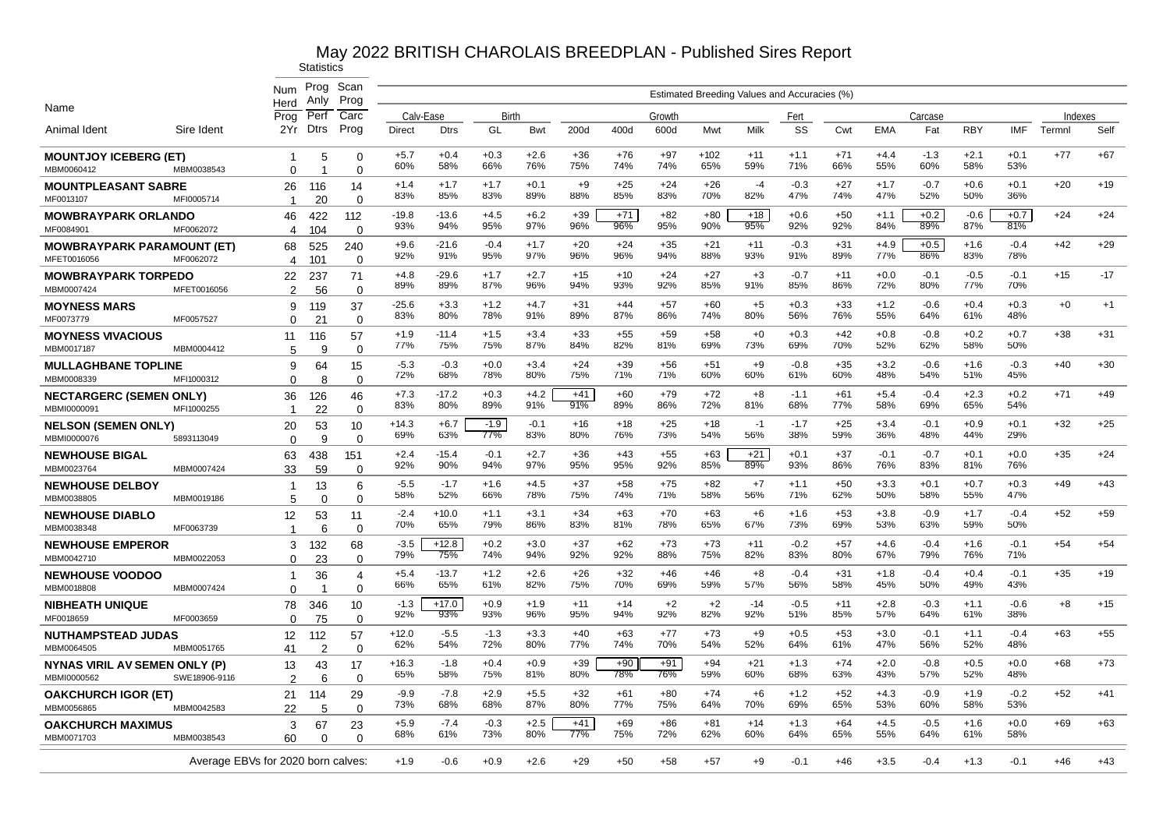|                                              |                                    | Num<br>Herd             | Prog<br>Anly   | Scan<br>Prog      |                |                |                      |               |              |              |              |               | Estimated Breeding Values and Accuracies (%) |               |              |               |               |               |               |         |       |
|----------------------------------------------|------------------------------------|-------------------------|----------------|-------------------|----------------|----------------|----------------------|---------------|--------------|--------------|--------------|---------------|----------------------------------------------|---------------|--------------|---------------|---------------|---------------|---------------|---------|-------|
| Name                                         |                                    | Proa                    | Perf           | Carc              | Calv-Ease      |                | Birth                |               |              |              | Growth       |               |                                              | Fert          |              |               | Carcase       |               |               | Indexes |       |
| Animal Ident                                 | Sire Ident                         | 2Yr                     | <b>Dtrs</b>    | Prog              | Direct         | <b>Dtrs</b>    | GL                   | Bwt           | 200d         | 400d         | 600d         | Mwt           | Milk                                         | SS            | Cwt          | <b>EMA</b>    | Fat           | <b>RBY</b>    | <b>IMF</b>    | Termnl  | Self  |
| <b>MOUNTJOY ICEBERG (ET)</b><br>MBM0060412   | MBM0038543                         | -1<br>$\Omega$          | 5<br>-1        | 0<br>$\Omega$     | $+5.7$<br>60%  | $+0.4$<br>58%  | $+0.3$<br>66%        | $+2.6$<br>76% | $+36$<br>75% | $+76$<br>74% | $+97$<br>74% | $+102$<br>65% | $+11$<br>59%                                 | $+1.1$<br>71% | $+71$<br>66% | $+4.4$<br>55% | $-1.3$<br>60% | $+2.1$<br>58% | $+0.1$<br>53% | $+77$   | $+67$ |
| <b>MOUNTPLEASANT SABRE</b><br>MF0013107      | MFI0005714                         | 26<br>-1                | 116<br>20      | 14<br>$\Omega$    | $+1.4$<br>83%  | $+1.7$<br>85%  | $+1.7$<br>83%        | $+0.1$<br>89% | $+9$<br>88%  | $+25$<br>85% | $+24$<br>83% | $+26$<br>70%  | $-4$<br>82%                                  | $-0.3$<br>47% | $+27$<br>74% | $+1.7$<br>47% | $-0.7$<br>52% | $+0.6$<br>50% | $+0.1$<br>36% | $+20$   | $+19$ |
| <b>MOWBRAYPARK ORLANDO</b><br>MF0084901      | MF0062072                          | 46                      | 422<br>104     | 112<br>$\Omega$   | $-19.8$<br>93% | $-13.6$<br>94% | $+4.5$<br>95%        | $+6.2$<br>97% | $+39$<br>96% | $+71$<br>96% | $+82$<br>95% | $+80$<br>90%  | $+18$<br>95%                                 | $+0.6$<br>92% | $+50$<br>92% | $+1.1$<br>84% | $+0.2$<br>89% | $-0.6$<br>87% | $+0.7$<br>81% | $+24$   | $+24$ |
| <b>MOWBRAYPARK PARAMOUNT (ET)</b>            | MF0062072                          | 4<br>68                 | 525            | 240               | $+9.6$<br>92%  | $-21.6$<br>91% | $-0.4$<br>95%        | $+1.7$<br>97% | $+20$<br>96% | $+24$<br>96% | $+35$<br>94% | $+21$<br>88%  | $+11$<br>93%                                 | $-0.3$<br>91% | $+31$<br>89% | $+4.9$<br>77% | $+0.5$<br>86% | $+1.6$<br>83% | $-0.4$<br>78% | $+42$   | $+29$ |
| MFET0016056<br><b>MOWBRAYPARK TORPEDO</b>    |                                    | 4<br>22                 | 101<br>237     | $\Omega$<br>71    | $+4.8$<br>89%  | $-29.6$<br>89% | $+1.7$<br>87%        | $+2.7$<br>96% | $+15$<br>94% | $+10$<br>93% | $+24$<br>92% | $+27$<br>85%  | $+3$<br>91%                                  | $-0.7$<br>85% | $+11$<br>86% | $+0.0$<br>72% | $-0.1$<br>80% | $-0.5$<br>77% | $-0.1$<br>70% | $+15$   | $-17$ |
| MBM0007424<br><b>MOYNESS MARS</b>            | MFET0016056                        | 2<br>9                  | 56<br>119      | 0<br>37           | $-25.6$<br>83% | $+3.3$<br>80%  | $+1.2$<br>78%        | $+4.7$<br>91% | $+31$<br>89% | $+44$<br>87% | $+57$<br>86% | $+60$<br>74%  | $+5$<br>80%                                  | $+0.3$<br>56% | $+33$<br>76% | $+1.2$<br>55% | $-0.6$<br>64% | $+0.4$<br>61% | $+0.3$<br>48% | $+0$    | $+1$  |
| MF0073779<br><b>MOYNESS VIVACIOUS</b>        | MF0057527                          | $\Omega$<br>11          | 21<br>116      | $\Omega$<br>57    | $+1.9$<br>77%  | $-11.4$<br>75% | $+1.5$<br>75%        | $+3.4$<br>87% | $+33$<br>84% | $+55$<br>82% | $+59$<br>81% | $+58$<br>69%  | $+0$<br>73%                                  | $+0.3$<br>69% | $+42$<br>70% | $+0.8$<br>52% | $-0.8$<br>62% | $+0.2$<br>58% | $+0.7$<br>50% | $+38$   | $+31$ |
| MBM0017187<br><b>MULLAGHBANE TOPLINE</b>     | MBM0004412                         | 5<br>9                  | 9<br>64        | $\mathbf 0$<br>15 | $-5.3$<br>72%  | $-0.3$<br>68%  | $+0.0$<br>78%        | $+3.4$<br>80% | $+24$<br>75% | $+39$<br>71% | $+56$<br>71% | $+51$<br>60%  | $+9$<br>60%                                  | $-0.8$<br>61% | $+35$<br>60% | $+3.2$<br>48% | $-0.6$<br>54% | $+1.6$<br>51% | $-0.3$<br>45% | $+40$   | $+30$ |
| MBM0008339<br><b>NECTARGERC (SEMEN ONLY)</b> | MFI1000312                         | $\Omega$<br>36          | 8<br>126       | $\Omega$<br>46    | $+7.3$<br>83%  | $-17.2$<br>80% | $+0.3$<br>89%        | $+4.2$<br>91% | $+41$<br>91% | $+60$<br>89% | $+79$<br>86% | $+72$<br>72%  | $+8$<br>81%                                  | $-1.1$<br>68% | $+61$<br>77% | $+5.4$<br>58% | $-0.4$<br>69% | $+2.3$<br>65% | $+0.2$<br>54% | $+71$   | $+49$ |
| MBMI0000091<br><b>NELSON (SEMEN ONLY)</b>    | MFI1000255                         | -1<br>20                | 22<br>53       | $\Omega$<br>10    | $+14.3$<br>69% | $+6.7$<br>63%  | $-1.9$<br><b>77%</b> | $-0.1$<br>83% | $+16$<br>80% | $+18$<br>76% | $+25$<br>73% | $+18$<br>54%  | -1<br>56%                                    | $-1.7$<br>38% | $+25$<br>59% | $+3.4$<br>36% | $-0.1$<br>48% | $+0.9$<br>44% | $+0.1$<br>29% | $+32$   | $+25$ |
| MBMI0000076<br><b>NEWHOUSE BIGAL</b>         | 5893113049                         | $\Omega$<br>63          | 9<br>438       | $\Omega$<br>151   | $+2.4$<br>92%  | $-15.4$<br>90% | $-0.1$<br>94%        | $+2.7$<br>97% | $+36$<br>95% | $+43$<br>95% | $+55$<br>92% | $+63$<br>85%  | $+21$<br>89%                                 | $+0.1$<br>93% | $+37$<br>86% | $-0.1$<br>76% | $-0.7$<br>83% | $+0.1$<br>81% | $+0.0$<br>76% | $+35$   | $+24$ |
| MBM0023764<br><b>NEWHOUSE DELBOY</b>         | MBM0007424                         | 33<br>-1                | 59<br>13       | $\Omega$<br>6     | $-5.5$<br>58%  | $-1.7$<br>52%  | $+1.6$<br>66%        | $+4.5$<br>78% | $+37$<br>75% | $+58$<br>74% | $+75$<br>71% | $+82$<br>58%  | $+7$<br>56%                                  | $+1.1$<br>71% | $+50$<br>62% | $+3.3$<br>50% | $+0.1$<br>58% | $+0.7$<br>55% | $+0.3$<br>47% | $+49$   | $+43$ |
| MBM0038805<br><b>NEWHOUSE DIABLO</b>         | MBM0019186                         | 5<br>12                 | $\Omega$<br>53 | $\Omega$<br>11    | $-2.4$<br>70%  | $+10.0$<br>65% | $+1.1$<br>79%        | $+3.1$<br>86% | $+34$<br>83% | $+63$<br>81% | $+70$<br>78% | $+63$<br>65%  | $+6$<br>67%                                  | $+1.6$<br>73% | $+53$<br>69% | $+3.8$<br>53% | $-0.9$<br>63% | $+1.7$<br>59% | $-0.4$<br>50% | $+52$   | $+59$ |
| MBM0038348<br><b>NEWHOUSE EMPEROR</b>        | MF0063739                          | $\overline{1}$<br>3     | 6<br>132       | $\Omega$<br>68    | $-3.5$<br>79%  | $+12.8$<br>75% | $+0.2$<br>74%        | $+3.0$<br>94% | $+37$<br>92% | $+62$<br>92% | $+73$<br>88% | $+73$<br>75%  | $+11$<br>82%                                 | $-0.2$<br>83% | $+57$<br>80% | $+4.6$<br>67% | $-0.4$<br>79% | $+1.6$<br>76% | $-0.1$<br>71% | $+54$   | $+54$ |
| MBM0042710<br><b>NEWHOUSE VOODOO</b>         | MBM0022053                         | $\Omega$<br>$\mathbf 1$ | 23<br>36       | $\Omega$<br>4     | $+5.4$         | $-13.7$        | $+1.2$               | $+2.6$        | $+26$        | $+32$        | $+46$        | $+46$         | $+8$                                         | -0.4          | $+31$        | $+1.8$        | $-0.4$        | $+0.4$        | $-0.1$        | $+35$   | $+19$ |
| MBM0018808<br><b>NIBHEATH UNIQUE</b>         | MBM0007424                         | $\Omega$<br>78          | 346            | $\Omega$<br>10    | 66%<br>$-1.3$  | 65%<br>$+17.0$ | 61%<br>$+0.9$        | 82%<br>$+1.9$ | 75%<br>$+11$ | 70%<br>$+14$ | 69%<br>$+2$  | 59%<br>$+2$   | 57%<br>$-14$                                 | 56%<br>$-0.5$ | 58%<br>$+11$ | 45%<br>$+2.8$ | 50%<br>$-0.3$ | 49%<br>$+1.1$ | 43%<br>$-0.6$ | $+8$    | $+15$ |
| MF0018659<br><b>NUTHAMPSTEAD JUDAS</b>       | MF0003659                          | $\Omega$<br>12          | 75<br>112      | $\mathbf 0$<br>57 | 92%<br>$+12.0$ | 93%<br>$-5.5$  | 93%<br>$-1.3$        | 96%<br>$+3.3$ | 95%<br>$+40$ | 94%<br>$+63$ | 92%<br>$+77$ | 82%<br>$+73$  | 92%<br>$+9$                                  | 51%<br>$+0.5$ | 85%<br>$+53$ | 57%<br>$+3.0$ | 64%<br>$-0.1$ | 61%<br>$+1.1$ | 38%<br>$-0.4$ | $+63$   | $+55$ |
| MBM0064505                                   | MBM0051765                         | 41                      | 2              | $\Omega$          | 62%            | 54%            | 72%                  | 80%           | 77%          | 74%          | 70%          | 54%           | 52%                                          | 64%           | 61%          | 47%           | 56%           | 52%           | 48%           |         |       |
| NYNAS VIRIL AV SEMEN ONLY (P)<br>MBMI0000562 | SWE18906-9116                      | 13<br>2                 | 43<br>6        | 17<br>$\mathbf 0$ | $+16.3$<br>65% | $-1.8$<br>58%  | $+0.4$<br>75%        | $+0.9$<br>81% | $+39$<br>80% | $+90$<br>78% | $+91$<br>76% | $+94$<br>59%  | $+21$<br>60%                                 | $+1.3$<br>68% | $+74$<br>63% | $+2.0$<br>43% | $-0.8$<br>57% | $+0.5$<br>52% | $+0.0$<br>48% | $+68$   | $+73$ |
| <b>OAKCHURCH IGOR (ET)</b><br>MBM0056865     | MBM0042583                         | 21<br>22                | 114<br>5       | 29<br>$\Omega$    | $-9.9$<br>73%  | $-7.8$<br>68%  | $+2.9$<br>68%        | $+5.5$<br>87% | $+32$<br>80% | $+61$<br>77% | $+80$<br>75% | $+74$<br>64%  | $+6$<br>70%                                  | $+1.2$<br>69% | $+52$<br>65% | $+4.3$<br>53% | $-0.9$<br>60% | $+1.9$<br>58% | $-0.2$<br>53% | $+52$   | $+41$ |
| <b>OAKCHURCH MAXIMUS</b><br>MBM0071703       | MBM0038543                         | 3<br>60                 | 67<br>$\Omega$ | 23<br>$\Omega$    | $+5.9$<br>68%  | $-7.4$<br>61%  | $-0.3$<br>73%        | $+2.5$<br>80% | $+41$<br>77% | $+69$<br>75% | $+86$<br>72% | $+81$<br>62%  | $+14$<br>60%                                 | $+1.3$<br>64% | $+64$<br>65% | $+4.5$<br>55% | $-0.5$<br>64% | $+1.6$<br>61% | $+0.0$<br>58% | $+69$   | $+63$ |
|                                              | Average EBVs for 2020 born calves: |                         |                |                   | $+1.9$         | $-0.6$         | $+0.9$               | $+2.6$        | $+29$        | $+50$        | $+58$        | +57           | $+9$                                         | $-0.1$        | $+46$        | $+3.5$        | $-0.4$        | $+1.3$        | $-0.1$        | $+46$   | $+43$ |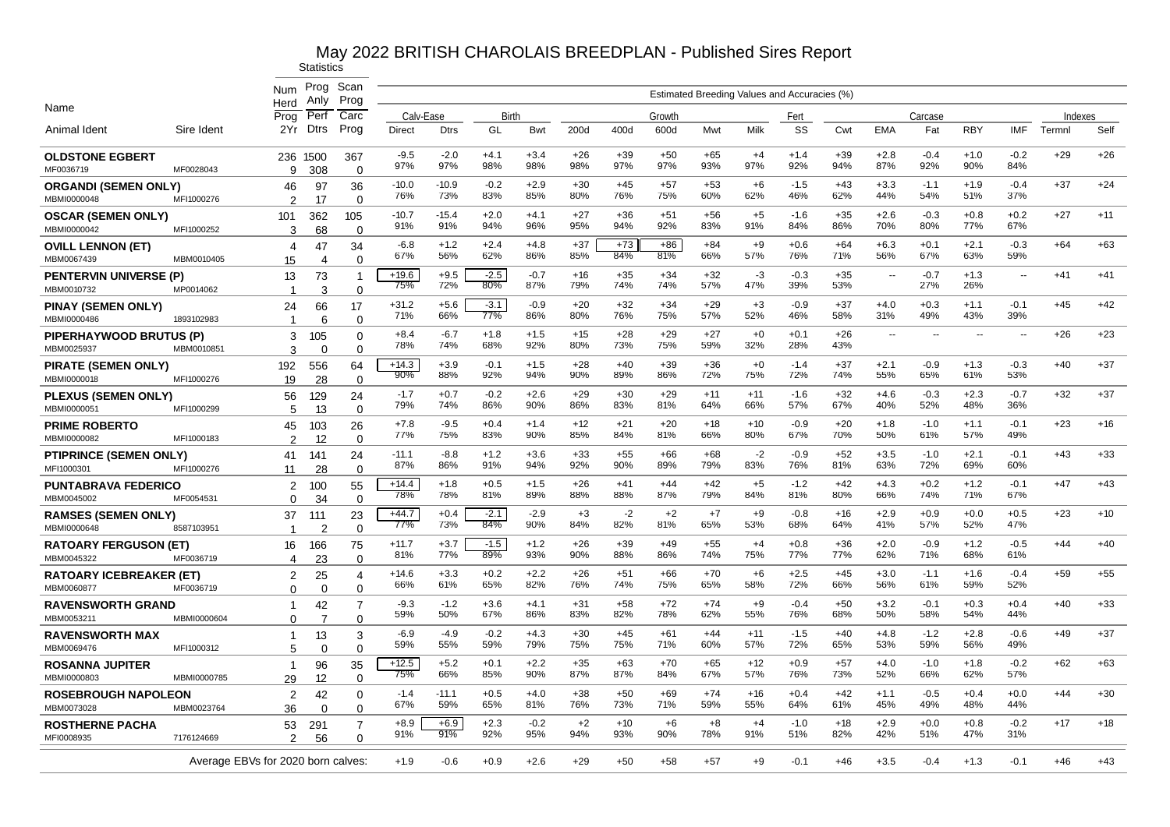|                                              |             | Num<br>Herd                        | Prog<br>Anly          | Scan<br>Prog                  |                |                |               |               |              |              |              |              |              | Estimated Breeding Values and Accuracies (%) |              |               |               |                          |                          |         |       |
|----------------------------------------------|-------------|------------------------------------|-----------------------|-------------------------------|----------------|----------------|---------------|---------------|--------------|--------------|--------------|--------------|--------------|----------------------------------------------|--------------|---------------|---------------|--------------------------|--------------------------|---------|-------|
| Name                                         |             | Prog                               | Perf                  | Carc                          | Calv-Ease      |                | Birth         |               |              |              | Growth       |              |              | Fert                                         |              |               | Carcase       |                          |                          | Indexes |       |
| Animal Ident                                 | Sire Ident  | 2Yr                                | <b>Dtrs</b>           | Prog                          | <b>Direct</b>  | <b>Dtrs</b>    | GL            | Bwt           | 200d         | 400d         | 600d         | Mwt          | Milk         | SS                                           | Cwt          | <b>EMA</b>    | Fat           | <b>RBY</b>               | <b>IMF</b>               | Termnl  | Self  |
| <b>OLDSTONE EGBERT</b><br>MF0036719          | MF0028043   | 9                                  | 236 1500<br>308       | 367<br>$\Omega$               | $-9.5$<br>97%  | $-2.0$<br>97%  | $+4.1$<br>98% | $+3.4$<br>98% | $+26$<br>98% | $+39$<br>97% | $+50$<br>97% | $+65$<br>93% | $+4$<br>97%  | $+1.4$<br>92%                                | $+39$<br>94% | $+2.8$<br>87% | $-0.4$<br>92% | $+1.0$<br>90%            | $-0.2$<br>84%            | $+29$   | $+26$ |
| <b>ORGANDI (SEMEN ONLY)</b><br>MBMI0000048   | MFI1000276  | 46<br>2                            | 97<br>17              | 36<br>$\Omega$                | $-10.0$<br>76% | $-10.9$<br>73% | $-0.2$<br>83% | $+2.9$<br>85% | $+30$<br>80% | $+45$<br>76% | $+57$<br>75% | $+53$<br>60% | $+6$<br>62%  | $-1.5$<br>46%                                | $+43$<br>62% | $+3.3$<br>44% | $-1.1$<br>54% | $+1.9$<br>51%            | $-0.4$<br>37%            | $+37$   | $+24$ |
| <b>OSCAR (SEMEN ONLY)</b><br>MBMI0000042     | MFI1000252  | 101<br>3                           | 362<br>68             | 105<br>$\Omega$               | $-10.7$<br>91% | $-15.4$<br>91% | $+2.0$<br>94% | $+4.1$<br>96% | $+27$<br>95% | $+36$<br>94% | $+51$<br>92% | $+56$<br>83% | $+5$<br>91%  | $-1.6$<br>84%                                | $+35$<br>86% | $+2.6$<br>70% | $-0.3$<br>80% | $+0.8$<br>77%            | $+0.2$<br>67%            | $+27$   | $+11$ |
| <b>OVILL LENNON (ET)</b><br>MBM0067439       | MBM0010405  | 4<br>15                            | 47<br>$\overline{4}$  | 34<br>$\Omega$                | $-6.8$<br>67%  | $+1.2$<br>56%  | $+2.4$<br>62% | $+4.8$<br>86% | $+37$<br>85% | $+73$<br>84% | $+86$<br>81% | $+84$<br>66% | $+9$<br>57%  | $+0.6$<br>76%                                | $+64$<br>71% | $+6.3$<br>56% | $+0.1$<br>67% | $+2.1$<br>63%            | $-0.3$<br>59%            | $+64$   | $+63$ |
| <b>PENTERVIN UNIVERSE (P)</b><br>MBM0010732  | MP0014062   | 13<br>-1                           | 73<br>3               | -1<br>$\Omega$                | $+19.6$<br>75% | $+9.5$<br>72%  | $-2.5$<br>80% | $-0.7$<br>87% | +16<br>79%   | $+35$<br>74% | $+34$<br>74% | $+32$<br>57% | -3<br>47%    | $-0.3$<br>39%                                | $+35$<br>53% | $\sim$        | $-0.7$<br>27% | $+1.3$<br>26%            | $\sim$                   | $+41$   | $+41$ |
| <b>PINAY (SEMEN ONLY)</b><br>MBMI0000486     | 1893102983  | 24<br>-1                           | 66<br>6               | 17<br>$\Omega$                | $+31.2$<br>71% | $+5.6$<br>66%  | $-3.1$<br>77% | $-0.9$<br>86% | $+20$<br>80% | $+32$<br>76% | $+34$<br>75% | $+29$<br>57% | $+3$<br>52%  | $-0.9$<br>46%                                | $+37$<br>58% | $+4.0$<br>31% | $+0.3$<br>49% | $+1.1$<br>43%            | $-0.1$<br>39%            | $+45$   | $+42$ |
| <b>PIPERHAYWOOD BRUTUS (P</b><br>MBM0025937  | MBM001085   | 3<br>3                             | 105<br>0              | $\Omega$<br>$\mathbf 0$       | $+8.4$<br>78%  | $-6.7$<br>74%  | $+1.8$<br>68% | $+1.5$<br>92% | $+15$<br>80% | $+28$<br>73% | $+29$<br>75% | $+27$<br>59% | $+0$<br>32%  | $+0.1$<br>28%                                | $+26$<br>43% | $\sim$        | $\sim$        | $\overline{\phantom{a}}$ | $\overline{\phantom{a}}$ | $+26$   | $+23$ |
| PIRATE (SEMEN ONLY)<br>MBMI0000018           | MFI1000276  | 192<br>19                          | 556<br>28             | 64<br>$\Omega$                | $+14.3$<br>90% | $+3.9$<br>88%  | $-0.1$<br>92% | $+1.5$<br>94% | $+28$<br>90% | $+40$<br>89% | $+39$<br>86% | $+36$<br>72% | $+0$<br>75%  | $-1.4$<br>72%                                | $+37$<br>74% | $+2.1$<br>55% | $-0.9$<br>65% | $+1.3$<br>61%            | $-0.3$<br>53%            | $+40$   | $+37$ |
| PLEXUS (SEMEN ONLY)<br>MBMI0000051           | MFI1000299  | 56<br>5                            | 129<br>13             | 24<br>$\mathbf 0$             | $-1.7$<br>79%  | $+0.7$<br>74%  | $-0.2$<br>86% | $+2.6$<br>90% | $+29$<br>86% | $+30$<br>83% | $+29$<br>81% | $+11$<br>64% | $+11$<br>66% | $-1.6$<br>57%                                | $+32$<br>67% | $+4.6$<br>40% | $-0.3$<br>52% | $+2.3$<br>48%            | $-0.7$<br>36%            | $+32$   | $+37$ |
| <b>PRIME ROBERTO</b><br>MBMI0000082          | MFI1000183  | 45<br>2                            | 103<br>12             | 26<br>$\Omega$                | $+7.8$<br>77%  | $-9.5$<br>75%  | $+0.4$<br>83% | $+1.4$<br>90% | $+12$<br>85% | $+21$<br>84% | $+20$<br>81% | $+18$<br>66% | $+10$<br>80% | $-0.9$<br>67%                                | $+20$<br>70% | $+1.8$<br>50% | $-1.0$<br>61% | $+1.1$<br>57%            | $-0.1$<br>49%            | $+23$   | $+16$ |
| <b>PTIPRINCE (SEMEN ONLY)</b><br>MFI1000301  | MFI1000276  | 41<br>11                           | 141<br>28             | 24<br>$\Omega$                | $-11.1$<br>87% | $-8.8$<br>86%  | $+1.2$<br>91% | $+3.6$<br>94% | $+33$<br>92% | $+55$<br>90% | $+66$<br>89% | $+68$<br>79% | $-2$<br>83%  | $-0.9$<br>76%                                | $+52$<br>81% | $+3.5$<br>63% | $-1.0$<br>72% | $+2.1$<br>69%            | $-0.1$<br>60%            | $+43$   | $+33$ |
| <b>PUNTABRAVA FEDERICO</b><br>MBM0045002     | MF0054531   | 2<br>$\Omega$                      | 100<br>34             | 55<br>$\mathbf 0$             | $+14.4$<br>78% | $+1.8$<br>78%  | $+0.5$<br>81% | $+1.5$<br>89% | $+26$<br>88% | $+41$<br>88% | $+44$<br>87% | $+42$<br>79% | $+5$<br>84%  | $-1.2$<br>81%                                | $+42$<br>80% | $+4.3$<br>66% | $+0.2$<br>74% | $+1.2$<br>71%            | $-0.1$<br>67%            | $+47$   | $+43$ |
| <b>RAMSES (SEMEN ONLY)</b><br>MBMI0000648    | 8587103951  | 37<br>$\overline{1}$               | 111<br>$\overline{2}$ | 23<br>$\Omega$                | $+44.7$<br>77% | $+0.4$<br>73%  | $-2.1$<br>84% | $-2.9$<br>90% | $+3$<br>84%  | $-2$<br>82%  | $+2$<br>81%  | $+7$<br>65%  | $+9$<br>53%  | $-0.8$<br>68%                                | $+16$<br>64% | $+2.9$<br>41% | $+0.9$<br>57% | $+0.0$<br>52%            | $+0.5$<br>47%            | $+23$   | $+10$ |
| <b>RATOARY FERGUSON (ET)</b><br>MBM0045322   | MF0036719   | 16<br>4                            | 166<br>23             | 75<br>$\Omega$                | $+11.7$<br>81% | $+3.7$<br>77%  | $-1.5$<br>89% | $+1.2$<br>93% | $+26$<br>90% | $+39$<br>88% | $+49$<br>86% | $+55$<br>74% | $+4$<br>75%  | $+0.8$<br>77%                                | $+36$<br>77% | $+2.0$<br>62% | $-0.9$<br>71% | $+1.2$<br>68%            | $-0.5$<br>61%            | $+44$   | $+40$ |
| <b>RATOARY ICEBREAKER (ET)</b><br>MBM0060877 | MF0036719   | 2<br>$\Omega$                      | 25<br>$\Omega$        | $\overline{4}$<br>$\Omega$    | $+14.6$<br>66% | $+3.3$<br>61%  | $+0.2$<br>65% | $+2.2$<br>82% | $+26$<br>76% | $+51$<br>74% | $+66$<br>75% | $+70$<br>65% | $+6$<br>58%  | $+2.5$<br>72%                                | $+45$<br>66% | $+3.0$<br>56% | $-1.1$<br>61% | $+1.6$<br>59%            | $-0.4$<br>52%            | $+59$   | $+55$ |
| <b>RAVENSWORTH GRAND</b><br>MBM0053211       | MBMI0000604 | -1<br>$\Omega$                     | 42<br>7               | $\overline{7}$<br>$\mathbf 0$ | $-9.3$<br>59%  | $-1.2$<br>50%  | $+3.6$<br>67% | $+4.1$<br>86% | $+31$<br>83% | $+58$<br>82% | $+72$<br>78% | $+74$<br>62% | $+9$<br>55%  | $-0.4$<br>76%                                | $+50$<br>68% | $+3.2$<br>50% | $-0.1$<br>58% | $+0.3$<br>54%            | $+0.4$<br>44%            | $+40$   | $+33$ |
| <b>RAVENSWORTH MAX</b><br>MBM0069476         | MFI1000312  | $\mathbf 1$<br>5                   | 13<br>$\Omega$        | 3<br>$\mathbf 0$              | $-6.9$<br>59%  | $-4.9$<br>55%  | $-0.2$<br>59% | $+4.3$<br>79% | $+30$<br>75% | $+45$<br>75% | $+61$<br>71% | $+44$<br>60% | $+11$<br>57% | $-1.5$<br>72%                                | $+40$<br>65% | $+4.8$<br>53% | $-1.2$<br>59% | $+2.8$<br>56%            | $-0.6$<br>49%            | $+49$   | $+37$ |
| <b>ROSANNA JUPITER</b><br>MBMI0000803        | MBMI0000785 | $\mathbf{1}$<br>29                 | 96<br>12              | 35<br>0                       | $+12.5$<br>75% | $+5.2$<br>66%  | $+0.1$<br>85% | $+2.2$<br>90% | $+35$<br>87% | $+63$<br>87% | $+70$<br>84% | $+65$<br>67% | $+12$<br>57% | $+0.9$<br>76%                                | $+57$<br>73% | $+4.0$<br>52% | $-1.0$<br>66% | $+1.8$<br>62%            | $-0.2$<br>57%            | $+62$   | $+63$ |
| <b>ROSEBROUGH NAPOLEON</b><br>MBM0073028     | MBM0023764  | $\overline{2}$<br>36               | 42<br>$\Omega$        | 0<br>0                        | $-1.4$<br>67%  | $-11.1$<br>59% | $+0.5$<br>65% | $+4.0$<br>81% | $+38$<br>76% | $+50$<br>73% | $+69$<br>71% | $+74$<br>59% | $+16$<br>55% | $+0.4$<br>64%                                | $+42$<br>61% | $+1.1$<br>45% | $-0.5$<br>49% | $+0.4$<br>48%            | $+0.0$<br>44%            | $+44$   | $+30$ |
| <b>ROSTHERNE PACHA</b><br>MFI0008935         | 7176124669  | 53<br>$\mathcal{P}$                | 291                   | $\overline{7}$                | $+8.9$<br>91%  | $+6.9$<br>91%  | $+2.3$<br>92% | $-0.2$<br>95% | $+2$<br>94%  | $+10$<br>93% | $+6$<br>90%  | $+8$<br>78%  | $+4$<br>91%  | $-1.0$<br>51%                                | $+18$<br>82% | $+2.9$<br>42% | $+0.0$<br>51% | $+0.8$<br>47%            | $-0.2$<br>31%            | $+17$   | $+18$ |
|                                              |             |                                    | 56                    | $\Omega$                      |                |                |               |               |              |              |              |              |              |                                              |              |               |               |                          |                          |         |       |
|                                              |             | Average EBVs for 2020 born calves: |                       |                               | $+1.9$         | $-0.6$         | $+0.9$        | $+2.6$        | $+29$        | $+50$        | $+58$        | $+57$        | $+9$         | $-0.1$                                       | $+46$        | $+3.5$        | $-0.4$        | $+1.3$                   | $-0.1$                   | $+46$   | $+43$ |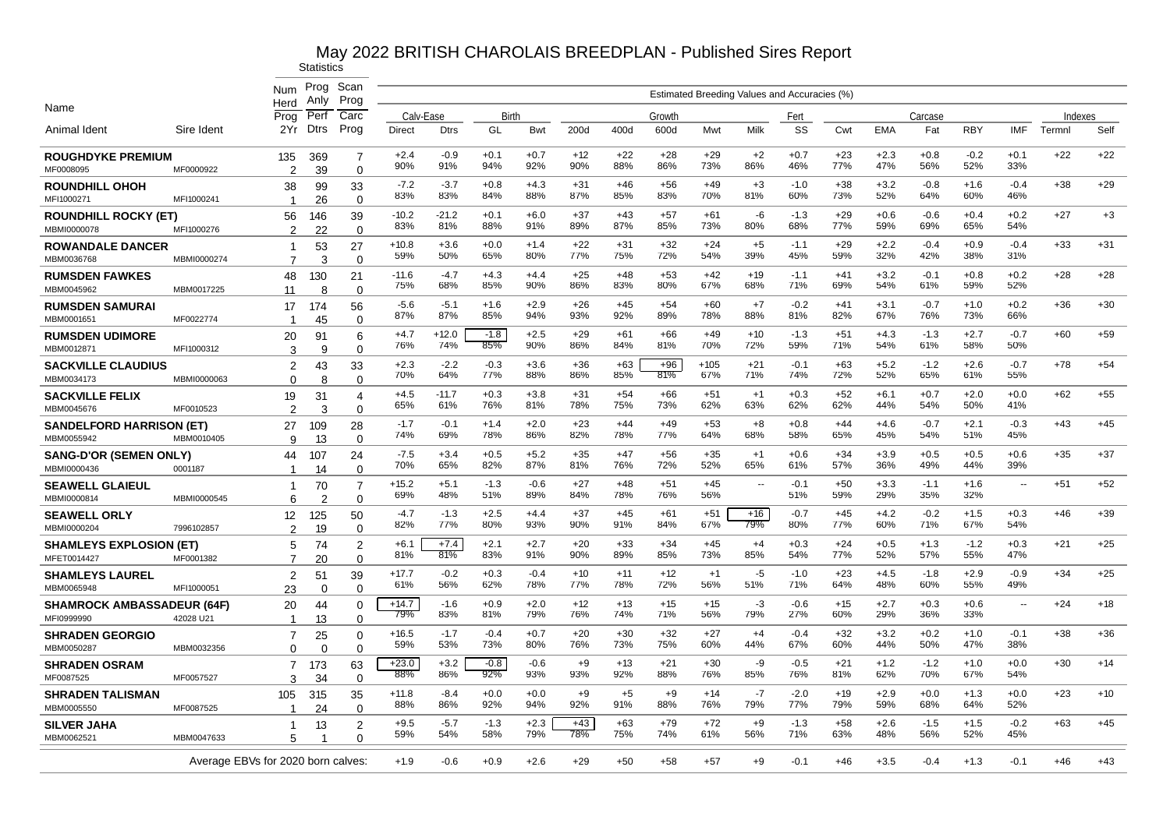|                                                 |                                    | Num<br>Herd                      | Prog<br>Anly   | Scan<br>Prog                  |                |                |               |               |              |              |              |               | Estimated Breeding Values and Accuracies (%) |               |              |               |               |               |                          |         |       |
|-------------------------------------------------|------------------------------------|----------------------------------|----------------|-------------------------------|----------------|----------------|---------------|---------------|--------------|--------------|--------------|---------------|----------------------------------------------|---------------|--------------|---------------|---------------|---------------|--------------------------|---------|-------|
| Name                                            |                                    | Prog                             | Perf           | Carc                          | Calv-Ease      |                | Birth         |               |              |              | Growth       |               |                                              | Fert          |              |               | Carcase       |               |                          | Indexes |       |
| Animal Ident                                    | Sire Ident                         | 2Yr                              | Dtrs           | Prog                          | <b>Direct</b>  | <b>Dtrs</b>    | GL            | <b>Bwt</b>    | 200d         | 400d         | 600d         | Mwt           | Milk                                         | SS            | Cwt          | <b>EMA</b>    | Fat           | <b>RBY</b>    | <b>IMF</b>               | Termnl  | Self  |
| <b>ROUGHDYKE PREMIUM</b><br>MF0008095           | MF0000922                          | 135<br>2                         | 369<br>39      | 7<br>$\Omega$                 | $+2.4$<br>90%  | $-0.9$<br>91%  | $+0.1$<br>94% | $+0.7$<br>92% | $+12$<br>90% | $+22$<br>88% | $+28$<br>86% | $+29$<br>73%  | $+2$<br>86%                                  | $+0.7$<br>46% | $+23$<br>77% | $+2.3$<br>47% | $+0.8$<br>56% | $-0.2$<br>52% | $+0.1$<br>33%            | $+22$   | $+22$ |
| ROUNDHILL OHOH<br>MFI1000271                    | MFI1000241                         | 38<br>$\overline{1}$             | 99<br>26       | 33<br>$\Omega$                | $-7.2$<br>83%  | $-3.7$<br>83%  | $+0.8$<br>84% | $+4.3$<br>88% | $+31$<br>87% | $+46$<br>85% | $+56$<br>83% | $+49$<br>70%  | $+3$<br>81%                                  | $-1.0$<br>60% | $+38$<br>73% | $+3.2$<br>52% | $-0.8$<br>64% | $+1.6$<br>60% | $-0.4$<br>46%            | $+38$   | $+29$ |
| <b>ROUNDHILL ROCKY (ET)</b><br>MBMI0000078      | MFI1000276                         | 56<br>2                          | 146<br>22      | 39<br>$\mathbf 0$             | $-10.2$<br>83% | $-21.2$<br>81% | $+0.1$<br>88% | $+6.0$<br>91% | $+37$<br>89% | $+43$<br>87% | $+57$<br>85% | $+61$<br>73%  | -6<br>80%                                    | $-1.3$<br>68% | $+29$<br>77% | $+0.6$<br>59% | $-0.6$<br>69% | $+0.4$<br>65% | $+0.2$<br>54%            | $+27$   | $+3$  |
| <b>ROWANDALE DANCER</b><br>MBM0036768           | MBMI0000274                        | 1<br>$\overline{7}$              | 53<br>3        | 27<br>$\mathbf 0$             | $+10.8$<br>59% | $+3.6$<br>50%  | $+0.0$<br>65% | $+1.4$<br>80% | $+22$<br>77% | $+31$<br>75% | $+32$<br>72% | $+24$<br>54%  | $+5$<br>39%                                  | $-1.1$<br>45% | $+29$<br>59% | $+2.2$<br>32% | $-0.4$<br>42% | $+0.9$<br>38% | $-0.4$<br>31%            | $+33$   | $+31$ |
| <b>RUMSDEN FAWKES</b>                           |                                    | 48                               | 130            | 21                            | $-11.6$<br>75% | -4.7<br>68%    | $+4.3$<br>85% | $+4.4$<br>90% | $+25$<br>86% | $+48$<br>83% | $+53$<br>80% | $+42$<br>67%  | $+19$<br>68%                                 | $-1.1$<br>71% | $+41$<br>69% | $+3.2$<br>54% | $-0.1$<br>61% | $+0.8$<br>59% | $+0.2$<br>52%            | $+28$   | $+28$ |
| MBM0045962<br><b>RUMSDEN SAMURAI</b>            | MBM0017225                         | 11<br>17                         | 8<br>174       | $\Omega$<br>56                | $-5.6$<br>87%  | $-5.1$<br>87%  | $+1.6$<br>85% | $+2.9$<br>94% | $+26$<br>93% | $+45$<br>92% | $+54$<br>89% | $+60$<br>78%  | $+7$<br>88%                                  | $-0.2$<br>81% | $+41$<br>82% | $+3.1$<br>67% | $-0.7$<br>76% | $+1.0$<br>73% | $+0.2$<br>66%            | $+36$   | $+30$ |
| MBM0001651<br><b>RUMSDEN UDIMORE</b>            | MF0022774                          | -1<br>20                         | 45<br>91       | $\Omega$<br>6                 | $+4.7$<br>76%  | $+12.0$<br>74% | $-1.8$<br>85% | $+2.5$<br>90% | $+29$<br>86% | $+61$<br>84% | $+66$<br>81% | $+49$<br>70%  | $+10$<br>72%                                 | $-1.3$<br>59% | $+51$<br>71% | $+4.3$<br>54% | $-1.3$<br>61% | $+2.7$<br>58% | $-0.7$<br>50%            | $+60$   | $+59$ |
| MBM0012871<br><b>SACKVILLE CLAUDIUS</b>         | MFI1000312                         | 3<br>2                           | 9<br>43        | $\mathbf 0$<br>33             | $+2.3$<br>70%  | $-2.2$<br>64%  | $-0.3$<br>77% | $+3.6$<br>88% | $+36$<br>86% | $+63$<br>85% | $+96$<br>81% | $+105$<br>67% | $+21$<br>71%                                 | $-0.1$<br>74% | $+63$<br>72% | $+5.2$<br>52% | $-1.2$<br>65% | $+2.6$<br>61% | $-0.7$<br>55%            | $+78$   | $+54$ |
| MBM0034173<br><b>SACKVILLE FELIX</b>            | MBMI0000063                        | $\Omega$<br>19                   | 8<br>31        | $\mathbf 0$<br>$\overline{4}$ | $+4.5$<br>65%  | $-11.7$<br>61% | $+0.3$<br>76% | $+3.8$<br>81% | $+31$<br>78% | $+54$<br>75% | $+66$<br>73% | $+51$<br>62%  | $+1$<br>63%                                  | $+0.3$<br>62% | $+52$<br>62% | $+6.1$<br>44% | $+0.7$<br>54% | $+2.0$<br>50% | $+0.0$<br>41%            | $+62$   | $+55$ |
| MBM0045676<br><b>SANDELFORD HARRISON (ET)</b>   | MF0010523                          | $\mathfrak{p}$<br>27             | 3<br>109       | $\mathbf 0$<br>28             | $-1.7$<br>74%  | $-0.1$<br>69%  | $+1.4$<br>78% | $+2.0$<br>86% | $+23$<br>82% | $+44$<br>78% | $+49$<br>77% | $+53$<br>64%  | $+8$<br>68%                                  | $+0.8$<br>58% | $+44$<br>65% | $+4.6$<br>45% | $-0.7$<br>54% | $+2.1$<br>51% | $-0.3$<br>45%            | $+43$   | $+45$ |
| MBM0055942<br><b>SANG-D'OR (SEMEN ONLY)</b>     | MBM0010405                         | 9<br>44                          | 13<br>107      | $\Omega$<br>24                | $-7.5$<br>70%  | $+3.4$<br>65%  | $+0.5$<br>82% | $+5.2$<br>87% | $+35$<br>81% | $+47$<br>76% | $+56$<br>72% | $+35$<br>52%  | $+1$<br>65%                                  | $+0.6$<br>61% | $+34$<br>57% | $+3.9$<br>36% | $+0.5$<br>49% | $+0.5$<br>44% | $+0.6$<br>39%            | $+35$   | $+37$ |
| MBMI0000436<br><b>SEAWELL GLAIEUL</b>           | 0001187                            | $\overline{1}$<br>-1             | 14<br>70       | $\Omega$<br>7                 | +15.2<br>69%   | $+5.1$<br>48%  | -1.3<br>51%   | $-0.6$<br>89% | $+27$<br>84% | +48<br>78%   | $+51$<br>76% | $+45$<br>56%  | ٠.                                           | $-0.1$<br>51% | $+50$<br>59% | $+3.3$<br>29% | $-1.1$<br>35% | $+1.6$<br>32% | $\overline{\phantom{a}}$ | $+51$   | $+52$ |
| MBMI0000814<br><b>SEAWELL ORLY</b>              | MBMI0000545                        | 6<br>12                          | 2<br>125       | $\mathbf 0$<br>50             | -4.7<br>82%    | $-1.3$<br>77%  | $+2.5$<br>80% | $+4.4$<br>93% | $+37$<br>90% | $+45$<br>91% | $+61$<br>84% | $+51$<br>67%  | +16<br>79%                                   | $-0.7$<br>80% | $+45$<br>77% | $+4.2$<br>60% | $-0.2$<br>71% | $+1.5$<br>67% | $+0.3$<br>54%            | $+46$   | $+39$ |
| MBMI0000204<br><b>SHAMLEYS EXPLOSION (ET)</b>   | 7996102857                         | $\mathcal{P}$<br>5               | 19<br>74       | $\mathbf 0$<br>$\overline{2}$ | $+6.1$<br>81%  | $+7.4$<br>81%  | $+2.1$<br>83% | $+2.7$<br>91% | $+20$<br>90% | $+33$<br>89% | $+34$<br>85% | $+45$<br>73%  | $+4$<br>85%                                  | $+0.3$<br>54% | $+24$<br>77% | $+0.5$<br>52% | $+1.3$<br>57% | $-1.2$<br>55% | $+0.3$<br>47%            | $+21$   | $+25$ |
| MFET0014427<br><b>SHAMLEYS LAUREL</b>           | MF0001382                          | $\overline{7}$<br>$\overline{2}$ | 20<br>51       | $\Omega$<br>39                | $+17.7$<br>61% | $-0.2$<br>56%  | $+0.3$<br>62% | $-0.4$<br>78% | $+10$<br>77% | $+11$<br>78% | $+12$<br>72% | $+1$<br>56%   | -5<br>51%                                    | $-1.0$<br>71% | $+23$<br>64% | $+4.5$<br>48% | $-1.8$<br>60% | $+2.9$<br>55% | $-0.9$<br>49%            | $+34$   | $+25$ |
| MBM0065948<br><b>SHAMROCK AMBASSADEUR (64F)</b> | MFI1000051                         | 23<br>20                         | $\Omega$<br>44 | $\Omega$<br>$\Omega$          | $+14.7$        | $-1.6$         | $+0.9$        | $+2.0$        | $+12$        | $+13$        | $+15$        | $+15$         | $-3$                                         | $-0.6$        | $+15$        | $+2.7$        | $+0.3$        | $+0.6$        | $\overline{\phantom{a}}$ | $+24$   | $+18$ |
| MFI0999990<br><b>SHRADEN GEORGIO</b>            | 42028 U21                          | -1<br>7                          | 13<br>25       | $\Omega$<br>$\Omega$          | 79%<br>$+16.5$ | 83%<br>$-1.7$  | 81%<br>$-0.4$ | 79%<br>$+0.7$ | 76%<br>$+20$ | 74%<br>$+30$ | 71%<br>$+32$ | 56%<br>$+27$  | 79%<br>$+4$                                  | 27%<br>$-0.4$ | 60%<br>$+32$ | 29%<br>$+3.2$ | 36%<br>$+0.2$ | 33%<br>$+1.0$ | $-0.1$                   | $+38$   | $+36$ |
| MBM0050287<br><b>SHRADEN OSRAM</b>              | MBM0032356                         | $\Omega$<br>7                    | 0<br>173       | $\mathbf 0$<br>63             | 59%<br>$+23.0$ | 53%<br>$+3.2$  | 73%<br>$-0.8$ | 80%<br>$-0.6$ | 76%<br>$+9$  | 73%<br>$+13$ | 75%<br>$+21$ | 60%<br>$+30$  | 44%<br>-9                                    | 67%<br>$-0.5$ | 60%<br>$+21$ | 44%<br>$+1.2$ | 50%<br>$-1.2$ | 47%<br>$+1.0$ | 38%<br>$+0.0$            | $+30$   | $+14$ |
| MF0087525<br><b>SHRADEN TALISMAN</b>            | MF0057527                          | З<br>105                         | 34<br>315      | $\Omega$<br>35                | 88%<br>$+11.8$ | 86%<br>$-8.4$  | 92%<br>$+0.0$ | 93%<br>$+0.0$ | 93%<br>+9    | 92%<br>$+5$  | 88%<br>$+9$  | 76%<br>$+14$  | 85%<br>$-7$                                  | 76%<br>$-2.0$ | 81%<br>$+19$ | 62%<br>$+2.9$ | 70%<br>$+0.0$ | 67%<br>$+1.3$ | 54%<br>$+0.0$            | $+23$   | $+10$ |
| MBM0005550<br><b>SILVER JAHA</b>                | MF0087525                          | 1                                | 24<br>13       | $\Omega$<br>$\overline{2}$    | 88%<br>$+9.5$  | 86%<br>$-5.7$  | 92%<br>$-1.3$ | 94%<br>$+2.3$ | 92%<br>$+43$ | 91%<br>$+63$ | 88%<br>$+79$ | 76%<br>$+72$  | 79%<br>$+9$                                  | 77%<br>$-1.3$ | 79%<br>$+58$ | 59%<br>$+2.6$ | 68%<br>$-1.5$ | 64%<br>$+1.5$ | 52%<br>$-0.2$            | $+63$   | $+45$ |
| MBM0062521                                      | MBM0047633                         | 5                                |                | $\Omega$                      | 59%            | 54%            | 58%           | 79%           | 78%          | 75%          | 74%          | 61%           | 56%                                          | 71%           | 63%          | 48%           | 56%           | 52%           | 45%                      |         |       |
|                                                 | Average EBVs for 2020 born calves: |                                  |                |                               | $+1.9$         | $-0.6$         | $+0.9$        | $+2.6$        | $+29$        | $+50$        | $+58$        | +57           | $+9$                                         | $-0.1$        | $+46$        | $+3.5$        | $-0.4$        | $+1.3$        | $-0.1$                   | $+46$   | $+43$ |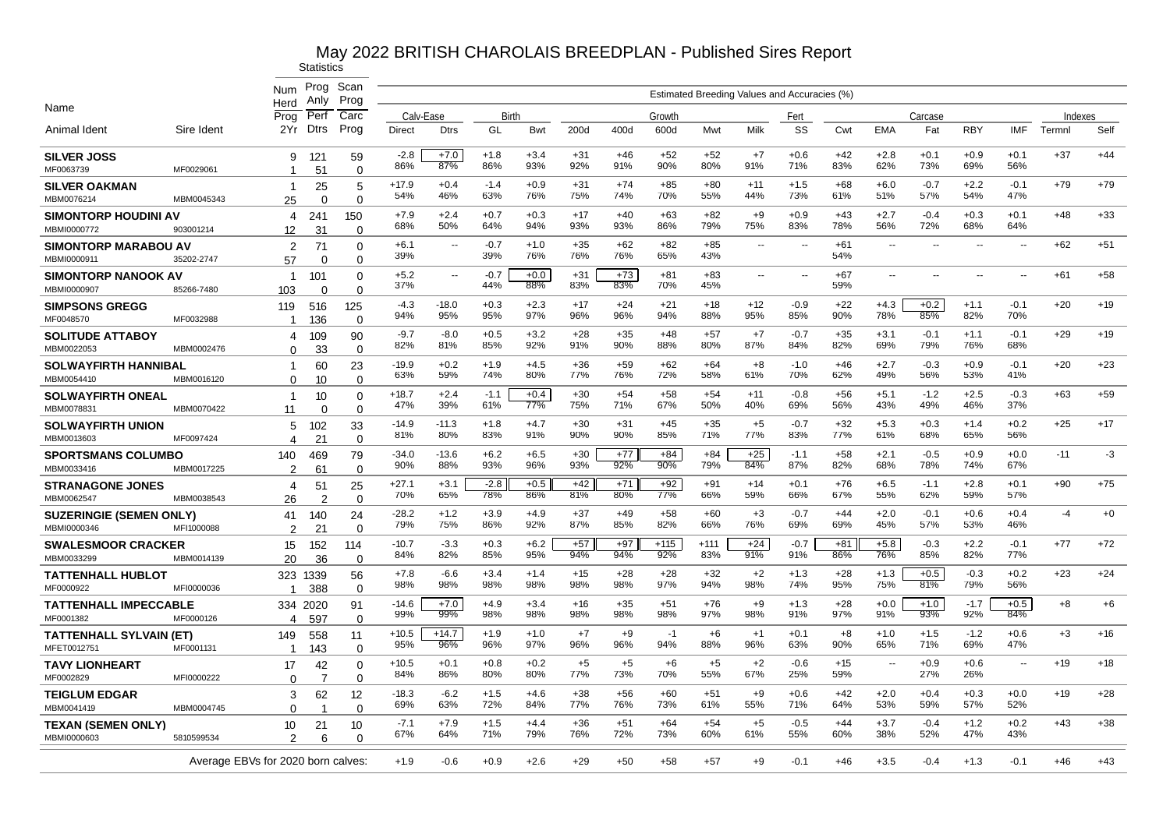|                                               |                                    | Num<br>Herd          | Prog<br>Anly         | Scan<br>Prog         |                |                |               |               |              |              |               |               | Estimated Breeding Values and Accuracies (%) |               |                 |               |               |               |               |         |       |
|-----------------------------------------------|------------------------------------|----------------------|----------------------|----------------------|----------------|----------------|---------------|---------------|--------------|--------------|---------------|---------------|----------------------------------------------|---------------|-----------------|---------------|---------------|---------------|---------------|---------|-------|
| Name                                          |                                    | Prog                 | Perf                 | Carc                 | Calv-Ease      |                | Birth         |               |              |              | Growth        |               |                                              | Fert          |                 |               | Carcase       |               |               | Indexes |       |
| Animal Ident                                  | Sire Ident                         | 2Yr                  | <b>Dtrs</b>          | Prog                 | <b>Direct</b>  | <b>Dtrs</b>    | GL            | Bwt           | 200d         | 400d         | 600d          | Mwt           | Milk                                         | SS            | Cwt             | <b>EMA</b>    | Fat           | <b>RBY</b>    | <b>IMF</b>    | Termnl  | Self  |
| <b>SILVER JOSS</b><br>MF0063739               | MF0029061                          | 9<br>-1              | 121<br>51            | 59<br>$\Omega$       | $-2.8$<br>86%  | $+7.0$<br>87%  | $+1.8$<br>86% | $+3.4$<br>93% | $+31$<br>92% | $+46$<br>91% | $+52$<br>90%  | $+52$<br>80%  | $+7$<br>91%                                  | $+0.6$<br>71% | $+42$<br>83%    | $+2.8$<br>62% | $+0.1$<br>73% | $+0.9$<br>69% | $+0.1$<br>56% | $+37$   | $+44$ |
| <b>SILVER OAKMAN</b><br>MBM0076214            | MBM0045343                         | $\overline{1}$<br>25 | 25<br>$\Omega$       | 5<br>$\Omega$        | $+17.9$<br>54% | $+0.4$<br>46%  | $-1.4$<br>63% | $+0.9$<br>76% | $+31$<br>75% | $+74$<br>74% | $+85$<br>70%  | $+80$<br>55%  | $+11$<br>44%                                 | $+1.5$<br>73% | $+68$<br>61%    | $+6.0$<br>51% | $-0.7$<br>57% | $+2.2$<br>54% | $-0.1$<br>47% | $+79$   | $+79$ |
| <b>SIMONTORP HOUDINI AV</b><br>MBMI0000772    | 903001214                          | 4<br>12              | 241<br>31            | 150<br>$\Omega$      | $+7.9$<br>68%  | $+2.4$<br>50%  | $+0.7$<br>64% | $+0.3$<br>94% | $+17$<br>93% | $+40$<br>93% | $+63$<br>86%  | $+82$<br>79%  | $+9$<br>75%                                  | $+0.9$<br>83% | $+43$<br>78%    | $+2.7$<br>56% | $-0.4$<br>72% | $+0.3$<br>68% | $+0.1$<br>64% | $+48$   | $+33$ |
| <b>SIMONTORP MARABOU AV</b><br>MBMI0000911    | 35202-2747                         | 2<br>57              | 71<br>$\Omega$       | $\Omega$<br>$\Omega$ | $+6.1$<br>39%  | $\sim$         | $-0.7$<br>39% | $+1.0$<br>76% | $+35$<br>76% | $+62$<br>76% | $+82$<br>65%  | $+85$<br>43%  | $\overline{\phantom{a}}$                     | $\ddotsc$     | $+61$<br>54%    |               |               |               |               | $+62$   | $+51$ |
| <b>SIMONTORP NANOOK AV</b><br>MBMI0000907     | 85266-7480                         | $\mathbf{1}$<br>103  | 101<br>$\Omega$      | $\Omega$<br>$\Omega$ | $+5.2$<br>37%  | $\sim$         | $-0.7$<br>44% | $+0.0$<br>88% | $+31$<br>83% | $+73$<br>83% | $+81$<br>70%  | $+83$<br>45%  | $\sim$                                       | $\ddotsc$     | $+67$<br>59%    | $\sim$        |               |               |               | $+61$   | $+58$ |
| <b>SIMPSONS GREGG</b><br>MF0048570            | MF0032988                          | 119<br>-1            | 516<br>136           | 125<br>$\Omega$      | $-4.3$<br>94%  | $-18.0$<br>95% | $+0.3$<br>95% | $+2.3$<br>97% | $+17$<br>96% | $+24$<br>96% | $+21$<br>94%  | $+18$<br>88%  | $+12$<br>95%                                 | $-0.9$<br>85% | $+22$<br>90%    | $+4.3$<br>78% | $+0.2$<br>85% | $+1.1$<br>82% | $-0.1$<br>70% | $+20$   | $+19$ |
| <b>SOLITUDE ATTABOY</b><br>MBM0022053         | MBM0002476                         | 4<br>$\Omega$        | 109<br>33            | 90<br>$\mathbf 0$    | $-9.7$<br>82%  | $-8.0$<br>81%  | $+0.5$<br>85% | $+3.2$<br>92% | $+28$<br>91% | $+35$<br>90% | $+48$<br>88%  | $+57$<br>80%  | $+7$<br>87%                                  | $-0.7$<br>84% | $+35$<br>82%    | $+3.1$<br>69% | $-0.1$<br>79% | $+1.1$<br>76% | $-0.1$<br>68% | $+29$   | $+19$ |
| <b>SOLWAYFIRTH HANNIBAL</b><br>MBM0054410     | MBM0016120                         | -1<br>$\Omega$       | 60<br>10             | 23<br>$\Omega$       | $-19.9$<br>63% | $+0.2$<br>59%  | $+1.9$<br>74% | $+4.5$<br>80% | $+36$<br>77% | $+59$<br>76% | $+62$<br>72%  | $+64$<br>58%  | $+8$<br>61%                                  | $-1.0$<br>70% | $+46$<br>62%    | $+2.7$<br>49% | $-0.3$<br>56% | $+0.9$<br>53% | $-0.1$<br>41% | $+20$   | $+23$ |
| <b>SOLWAYFIRTH ONEAL</b><br>MBM0078831        | MBM0070422                         | $\mathbf{1}$<br>11   | 10<br>$\Omega$       | $\Omega$<br>$\Omega$ | $+18.7$<br>47% | $+2.4$<br>39%  | $-1.1$<br>61% | $+0.4$<br>77% | $+30$<br>75% | $+54$<br>71% | $+58$<br>67%  | $+54$<br>50%  | $+11$<br>40%                                 | $-0.8$<br>69% | $+56$<br>56%    | $+5.1$<br>43% | $-1.2$<br>49% | $+2.5$<br>46% | $-0.3$<br>37% | $+63$   | $+59$ |
| <b>SOLWAYFIRTH UNION</b><br>MBM0013603        | MF0097424                          | 5<br>4               | 102<br>21            | 33<br>$\Omega$       | $-14.9$<br>81% | $-11.3$<br>80% | $+1.8$<br>83% | $+4.7$<br>91% | $+30$<br>90% | $+31$<br>90% | $+45$<br>85%  | $+35$<br>71%  | $+5$<br>77%                                  | $-0.7$<br>83% | $+32$<br>77%    | $+5.3$<br>61% | $+0.3$<br>68% | $+1.4$<br>65% | $+0.2$<br>56% | $+25$   | $+17$ |
| <b>SPORTSMANS COLUMBO</b><br>MBM0033416       | MBM0017225                         | 140<br>2             | 469<br>61            | 79<br>$\Omega$       | $-34.0$<br>90% | $-13.6$<br>88% | $+6.2$<br>93% | $+6.5$<br>96% | $+30$<br>93% | $+77$<br>92% | $+84$<br>90%  | $+84$<br>79%  | $+25$<br>84%                                 | $-1.1$<br>87% | $+58$<br>82%    | $+2.1$<br>68% | $-0.5$<br>78% | $+0.9$<br>74% | $+0.0$<br>67% | $-11$   | $-3$  |
| <b>STRANAGONE JONES</b><br>MBM0062547         | MBM0038543                         | 4<br>26              | 51<br>2              | 25<br>$\Omega$       | $+27.1$<br>70% | $+3.1$<br>65%  | $-2.8$<br>78% | $+0.5$<br>86% | $+42$<br>81% | $+71$<br>80% | $+92$<br>77%  | $+91$<br>66%  | $+14$<br>59%                                 | $+0.1$<br>66% | $+76$<br>67%    | $+6.5$<br>55% | $-1.1$<br>62% | $+2.8$<br>59% | $+0.1$<br>57% | $+90$   | $+75$ |
| <b>SUZERINGIE (SEMEN ONLY)</b><br>MBMI0000346 | MFI1000088                         | 41<br>$\mathcal{P}$  | 140<br>21            | 24<br>$\Omega$       | $-28.2$<br>79% | $+1.2$<br>75%  | $+3.9$<br>86% | $+4.9$<br>92% | $+37$<br>87% | $+49$<br>85% | $+58$<br>82%  | $+60$<br>66%  | $+3$<br>76%                                  | $-0.7$<br>69% | $+44$<br>69%    | $+2.0$<br>45% | $-0.1$<br>57% | $+0.6$<br>53% | $+0.4$<br>46% | $-4$    | $+0$  |
| <b>SWALESMOOR CRACKER</b><br>MBM0033299       | MBM0014139                         | 15<br>20             | 152<br>36            | 114<br>$\Omega$      | $-10.7$<br>84% | $-3.3$<br>82%  | $+0.3$<br>85% | $+6.2$<br>95% | $+57$<br>94% | $+97$<br>94% | $+115$<br>92% | $+111$<br>83% | $+24$<br>91%                                 | $-0.7$<br>91% | $+81$<br>$86\%$ | $+5.8$<br>76% | $-0.3$<br>85% | $+2.2$<br>82% | $-0.1$<br>77% | $+77$   | $+72$ |
| <b>TATTENHALL HUBLOT</b><br>MF0000922         | MFI0000036                         | -1                   | 323 1339<br>388      | 56<br>$\Omega$       | $+7.8$<br>98%  | $-6.6$<br>98%  | $+3.4$<br>98% | $+1.4$<br>98% | $+15$<br>98% | $+28$<br>98% | $+28$<br>97%  | $+32$<br>94%  | $+2$<br>98%                                  | $+1.3$<br>74% | $+28$<br>95%    | $+1.3$<br>75% | $+0.5$<br>81% | $-0.3$<br>79% | $+0.2$<br>56% | $+23$   | $+24$ |
| <b>TATTENHALL IMPECCABLE</b><br>MF0001382     | MF0000126                          | 4                    | 334 2020<br>597      | 91<br>$\mathbf 0$    | $-14.6$<br>99% | $+7.0$<br>99%  | $+4.9$<br>98% | $+3.4$<br>98% | $+16$<br>98% | $+35$<br>98% | $+51$<br>98%  | $+76$<br>97%  | $+9$<br>98%                                  | $+1.3$<br>91% | $+28$<br>97%    | $+0.0$<br>91% | $+1.0$<br>93% | $-1.7$<br>92% | $+0.5$<br>84% | $+8$    | $+6$  |
| <b>TATTENHALL SYLVAIN (ET)</b><br>MFET0012751 | MF0001131                          | 149<br>-1            | 558<br>143           | 11<br>0              | $+10.5$<br>95% | $+14.7$<br>96% | $+1.9$<br>96% | $+1.0$<br>97% | $+7$<br>96%  | $+9$<br>96%  | $-1$<br>94%   | $+6$<br>88%   | $+1$<br>96%                                  | $+0.1$<br>63% | $+8$<br>90%     | $+1.0$<br>65% | $+1.5$<br>71% | $-1.2$<br>69% | $+0.6$<br>47% | $+3$    | $+16$ |
| <b>TAVY LIONHEART</b><br>MF0002829            | MFI0000222                         | 17<br>$\Omega$       | 42<br>$\overline{7}$ | $\Omega$<br>0        | $+10.5$<br>84% | $+0.1$<br>86%  | $+0.8$<br>80% | $+0.2$<br>80% | $+5$<br>77%  | $+5$<br>73%  | $+6$<br>70%   | $+5$<br>55%   | $+2$<br>67%                                  | $-0.6$<br>25% | $+15$<br>59%    | $\sim$        | $+0.9$<br>27% | $+0.6$<br>26% |               | $+19$   | $+18$ |
| <b>TEIGLUM EDGAR</b><br>MBM0041419            | MBM0004745                         | 3<br>0               | 62                   | 12<br>$\Omega$       | $-18.3$<br>69% | $-6.2$<br>63%  | $+1.5$<br>72% | $+4.6$<br>84% | $+38$<br>77% | $+56$<br>76% | $+60$<br>73%  | $+51$<br>61%  | $+9$<br>55%                                  | $+0.6$<br>71% | $+42$<br>64%    | $+2.0$<br>53% | $+0.4$<br>59% | $+0.3$<br>57% | $+0.0$<br>52% | $+19$   | $+28$ |
| <b>TEXAN (SEMEN ONLY)</b><br>MBMI0000603      | 5810599534                         | 10<br>$\mathcal{P}$  | 21<br>6              | 10<br>$\Omega$       | $-7.1$<br>67%  | $+7.9$<br>64%  | $+1.5$<br>71% | $+4.4$<br>79% | $+36$<br>76% | $+51$<br>72% | $+64$<br>73%  | $+54$<br>60%  | $+5$<br>61%                                  | $-0.5$<br>55% | $+44$<br>60%    | $+3.7$<br>38% | $-0.4$<br>52% | $+1.2$<br>47% | $+0.2$<br>43% | $+43$   | $+38$ |
|                                               | Average EBVs for 2020 born calves: |                      |                      |                      | $+1.9$         | $-0.6$         | $+0.9$        | $+2.6$        | $+29$        | $+50$        | $+58$         | $+57$         | +9                                           | $-0.1$        | $+46$           | $+3.5$        | $-0.4$        | $+1.3$        | $-0.1$        | $+46$   | $+43$ |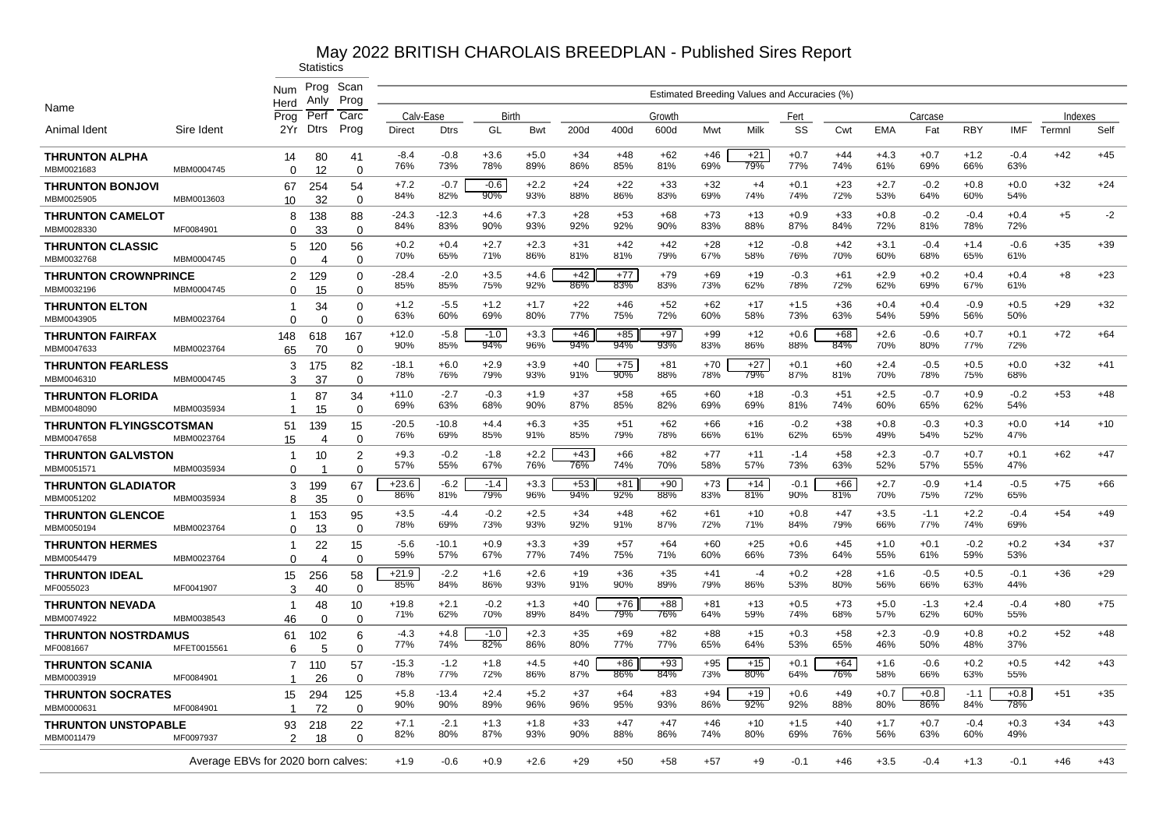|                                              |             | Num<br>Herd                        | Prog<br>Anly                 | Scan<br>Prog               |                |                |               |               |              |              |              |              | Estimated Breeding Values and Accuracies (%) |               |              |               |               |               |               |         |       |
|----------------------------------------------|-------------|------------------------------------|------------------------------|----------------------------|----------------|----------------|---------------|---------------|--------------|--------------|--------------|--------------|----------------------------------------------|---------------|--------------|---------------|---------------|---------------|---------------|---------|-------|
| Name                                         |             | Prog                               | Perf                         | Carc                       | Calv-Ease      |                | Birth         |               |              |              | Growth       |              |                                              | Fert          |              |               | Carcase       |               |               | Indexes |       |
| Animal Ident                                 | Sire Ident  | 2Yr                                | Dtrs                         | Prog                       | <b>Direct</b>  | <b>Dtrs</b>    | GL            | <b>Bwt</b>    | 200d         | 400d         | 600d         | Mwt          | Milk                                         | SS            | Cwt          | <b>EMA</b>    | Fat           | <b>RBY</b>    | <b>IMF</b>    | Termnl  | Self  |
| <b>THRUNTON ALPHA</b><br>MBM0021683          | MBM0004745  | 14<br>$\Omega$                     | 80<br>12                     | 41<br>$\Omega$             | $-8.4$<br>76%  | $-0.8$<br>73%  | $+3.6$<br>78% | $+5.0$<br>89% | $+34$<br>86% | $+48$<br>85% | $+62$<br>81% | $+46$<br>69% | $+21$<br>79%                                 | $+0.7$<br>77% | $+44$<br>74% | $+4.3$<br>61% | $+0.7$<br>69% | $+1.2$<br>66% | $-0.4$<br>63% | $+42$   | $+45$ |
| <b>THRUNTON BONJOVI</b><br>MBM0025905        | MBM0013603  | 67<br>10 <sup>10</sup>             | 254<br>32                    | 54<br>$\mathbf 0$          | $+7.2$<br>84%  | $-0.7$<br>82%  | $-0.6$<br>90% | $+2.2$<br>93% | $+24$<br>88% | $+22$<br>86% | $+33$<br>83% | $+32$<br>69% | $+4$<br>74%                                  | $+0.1$<br>74% | $+23$<br>72% | $+2.7$<br>53% | $-0.2$<br>64% | $+0.8$<br>60% | $+0.0$<br>54% | $+32$   | $+24$ |
| <b>THRUNTON CAMELOT</b>                      |             | 8                                  | 138                          | 88                         | -24.3<br>84%   | $-12.3$<br>83% | $+4.6$<br>90% | $+7.3$<br>93% | +28<br>92%   | $+53$<br>92% | $+68$<br>90% | $+73$<br>83% | $+13$<br>88%                                 | $+0.9$<br>87% | $+33$<br>84% | $+0.8$<br>72% | $-0.2$<br>81% | $-0.4$<br>78% | $+0.4$<br>72% | $+5$    | $-2$  |
| MBM0028330<br><b>THRUNTON CLASSIC</b>        | MF0084901   | $\Omega$<br>5                      | 33<br>120                    | $\Omega$<br>56             | $+0.2$<br>70%  | $+0.4$<br>65%  | $+2.7$<br>71% | $+2.3$<br>86% | $+31$<br>81% | $+42$<br>81% | $+42$<br>79% | $+28$<br>67% | $+12$<br>58%                                 | $-0.8$<br>76% | $+42$<br>70% | $+3.1$<br>60% | $-0.4$<br>68% | $+1.4$<br>65% | $-0.6$<br>61% | $+35$   | $+39$ |
| MBM0032768<br><b>THRUNTON CROWNPRINCE</b>    | MBM0004745  | $\Omega$<br>2                      | 4<br>129                     | $\Omega$<br>$\mathbf 0$    | $-28.4$        | $-2.0$         | $+3.5$        | $+4.6$        | $+42$        | $+77$        | $+79$        | $+69$        | $+19$                                        | $-0.3$        | $+61$        | $+2.9$        | $+0.2$        | $+0.4$        | $+0.4$        | $+8$    | $+23$ |
| MBM0032196<br><b>THRUNTON ELTON</b>          | MBM0004745  | $\Omega$<br>1                      | 15<br>34                     | $\Omega$<br>$\mathbf 0$    | 85%<br>$+1.2$  | 85%<br>$-5.5$  | 75%<br>$+1.2$ | 92%<br>$+1.7$ | 86%<br>$+22$ | 83%<br>$+46$ | 83%<br>$+52$ | 73%<br>$+62$ | 62%<br>$+17$                                 | 78%<br>$+1.5$ | 72%<br>$+36$ | 62%<br>$+0.4$ | 69%<br>$+0.4$ | 67%<br>$-0.9$ | 61%<br>$+0.5$ | $+29$   | $+32$ |
| MBM0043905<br><b>THRUNTON FAIRFAX</b>        | MBM0023764  | $\Omega$<br>148                    | $\Omega$<br>618              | $\Omega$<br>167            | 63%<br>$+12.0$ | 60%<br>$-5.8$  | 69%<br>$-1.0$ | 80%<br>$+3.3$ | 77%<br>$+46$ | 75%<br>$+85$ | 72%<br>$+97$ | 60%<br>$+99$ | 58%<br>$+12$                                 | 73%<br>$+0.6$ | 63%<br>$+68$ | 54%<br>$+2.6$ | 59%<br>$-0.6$ | 56%<br>$+0.7$ | 50%<br>$+0.1$ | $+72$   | $+64$ |
| MBM0047633                                   | MBM0023764  | 65                                 | 70                           | $\mathbf 0$                | 90%            | 85%            | 94%           | 96%           | 94%          | 94%          | 93%          | 83%          | 86%                                          | 88%           | 84%          | 70%           | 80%           | 77%           | 72%           |         |       |
| <b>THRUNTON FEARLESS</b><br>MBM0046310       | MBM0004745  | 3<br>З                             | 175<br>37                    | 82<br>$\Omega$             | $-18.1$<br>78% | $+6.0$<br>76%  | $+2.9$<br>79% | $+3.9$<br>93% | $+40$<br>91% | $+75$<br>90% | $+81$<br>88% | $+70$<br>78% | $+27$<br>79%                                 | $+0.1$<br>87% | $+60$<br>81% | $+2.4$<br>70% | $-0.5$<br>78% | $+0.5$<br>75% | $+0.0$<br>68% | $+32$   | $+41$ |
| <b>THRUNTON FLORIDA</b><br>MBM0048090        | MBM0035934  | 1<br>1                             | 87<br>15                     | 34<br>$\Omega$             | $+11.0$<br>69% | $-2.7$<br>63%  | $-0.3$<br>68% | $+1.9$<br>90% | $+37$<br>87% | $+58$<br>85% | $+65$<br>82% | $+60$<br>69% | $+18$<br>69%                                 | $-0.3$<br>81% | $+51$<br>74% | $+2.5$<br>60% | $-0.7$<br>65% | $+0.9$<br>62% | $-0.2$<br>54% | $+53$   | $+48$ |
| <b>THRUNTON FLYINGSCOTSMAN</b><br>MBM0047658 | MBM0023764  | 51<br>15                           | 139<br>4                     | 15<br>$\Omega$             | $-20.5$<br>76% | $-10.8$<br>69% | $+4.4$<br>85% | $+6.3$<br>91% | $+35$<br>85% | $+51$<br>79% | $+62$<br>78% | $+66$<br>66% | $+16$<br>61%                                 | $-0.2$<br>62% | $+38$<br>65% | $+0.8$<br>49% | $-0.3$<br>54% | $+0.3$<br>52% | $+0.0$<br>47% | $+14$   | $+10$ |
| <b>THRUNTON GALVISTON</b><br>MBM0051571      | MBM0035934  | 1<br>$\Omega$                      | 10<br>-1                     | $\overline{2}$<br>$\Omega$ | $+9.3$<br>57%  | $-0.2$<br>55%  | $-1.8$<br>67% | $+2.2$<br>76% | $+43$<br>76% | $+66$<br>74% | $+82$<br>70% | $+77$<br>58% | $+11$<br>57%                                 | $-1.4$<br>73% | $+58$<br>63% | $+2.3$<br>52% | $-0.7$<br>57% | $+0.7$<br>55% | $+0.1$<br>47% | $+62$   | $+47$ |
| <b>THRUNTON GLADIATOR</b><br>MBM0051202      | MBM0035934  | 3<br>8                             | 199<br>35                    | 67<br>$\Omega$             | +23.6<br>86%   | $-6.2$<br>81%  | $-1.4$<br>79% | $+3.3$<br>96% | $+53$<br>94% | $+81$<br>92% | $+90$<br>88% | $+73$<br>83% | $+14$<br>81%                                 | $-0.1$<br>90% | +66<br>81%   | $+2.7$<br>70% | $-0.9$<br>75% | $+1.4$<br>72% | $-0.5$<br>65% | $+75$   | $+66$ |
| <b>THRUNTON GLENCOE</b><br>MBM0050194        | MBM0023764  | 1<br>$\Omega$                      | 153<br>13                    | 95<br>$\Omega$             | $+3.5$<br>78%  | $-4.4$<br>69%  | $-0.2$<br>73% | $+2.5$<br>93% | $+34$<br>92% | $+48$<br>91% | $+62$<br>87% | $+61$<br>72% | $+10$<br>71%                                 | $+0.8$<br>84% | $+47$<br>79% | $+3.5$<br>66% | $-1.1$<br>77% | $+2.2$<br>74% | $-0.4$<br>69% | $+54$   | $+49$ |
| <b>THRUNTON HERMES</b>                       |             | 1                                  | 22                           | 15                         | -5.6<br>59%    | $-10.1$<br>57% | $+0.9$<br>67% | $+3.3$<br>77% | $+39$<br>74% | $+57$<br>75% | $+64$<br>71% | $+60$<br>60% | $+25$<br>66%                                 | $+0.6$<br>73% | $+45$<br>64% | $+1.0$<br>55% | $+0.1$<br>61% | $-0.2$<br>59% | $+0.2$<br>53% | $+34$   | $+37$ |
| MBM0054479<br><b>THRUNTON IDEAL</b>          | MBM0023764  | $\Omega$<br>15                     | $\boldsymbol{\Delta}$<br>256 | $\Omega$<br>58             | $+21.9$<br>85% | $-2.2$<br>84%  | $+1.6$<br>86% | $+2.6$<br>93% | $+19$<br>91% | $+36$<br>90% | $+35$<br>89% | $+41$<br>79% | -4<br>86%                                    | $+0.2$<br>53% | $+28$<br>80% | $+1.6$<br>56% | $-0.5$<br>66% | $+0.5$<br>63% | $-0.1$<br>44% | $+36$   | $+29$ |
| MF0055023<br><b>THRUNTON NEVADA</b>          | MF0041907   | 3<br>-1                            | 40<br>48                     | $\Omega$<br>10             | +19.8          | $+2.1$         | $-0.2$        | $+1.3$        | $+40$        | $+76$        | $+88$        | $+81$        | +13                                          | $+0.5$        | $+73$        | $+5.0$        | $-1.3$        | $+2.4$        | $-0.4$        | $+80$   | $+75$ |
| MBM0074922<br><b>THRUNTON NOSTRDAMUS</b>     | MBM0038543  | 46<br>61                           | 0<br>102                     | $\mathbf 0$<br>6           | 71%<br>$-4.3$  | 62%<br>$+4.8$  | 70%<br>$-1.0$ | 89%<br>$+2.3$ | 84%<br>$+35$ | 79%<br>$+69$ | 76%<br>$+82$ | 64%<br>$+88$ | 59%<br>$+15$                                 | 74%<br>$+0.3$ | 68%<br>$+58$ | 57%<br>$+2.3$ | 62%<br>$-0.9$ | 60%<br>$+0.8$ | 55%<br>$+0.2$ | $+52$   | $+48$ |
| MF0081667                                    | MFET0015561 | 6                                  | 5                            | $\Omega$                   | 77%<br>$-15.3$ | 74%<br>$-1.2$  | 82%<br>$+1.8$ | 86%<br>$+4.5$ | 80%<br>$+40$ | 77%<br>$+86$ | 77%<br>$+93$ | 65%<br>$+95$ | 64%<br>$+15$                                 | 53%<br>$+0.1$ | 65%<br>$+64$ | 46%<br>$+1.6$ | 50%<br>$-0.6$ | 48%<br>$+0.2$ | 37%<br>$+0.5$ | $+42$   | $+43$ |
| <b>THRUNTON SCANIA</b><br>MBM0003919         | MF0084901   | $\overline{7}$<br>1                | 110<br>26                    | 57<br>$\mathbf 0$          | 78%            | 77%            | 72%           | 86%           | 87%          | $86\%$       | 84%          | 73%          | $80\%$                                       | 64%           | 76%          | 58%           | 66%           | 63%           | 55%           |         |       |
| <b>THRUNTON SOCRATES</b><br>MBM0000631       | MF0084901   | 15<br>-1                           | 294<br>72                    | 125<br>$\Omega$            | $+5.8$<br>90%  | $-13.4$<br>90% | $+2.4$<br>89% | $+5.2$<br>96% | $+37$<br>96% | $+64$<br>95% | $+83$<br>93% | $+94$<br>86% | $+19$<br>92%                                 | $+0.6$<br>92% | $+49$<br>88% | $+0.7$<br>80% | $+0.8$<br>86% | $-1.1$<br>84% | $+0.8$<br>78% | $+51$   | $+35$ |
| <b>THRUNTON UNSTOPABLE</b><br>MBM0011479     | MF0097937   | 93<br>$\mathcal{P}$                | 218<br>18                    | 22<br>0                    | $+7.1$<br>82%  | $-2.1$<br>80%  | $+1.3$<br>87% | $+1.8$<br>93% | $+33$<br>90% | $+47$<br>88% | $+47$<br>86% | $+46$<br>74% | $+10$<br>80%                                 | $+1.5$<br>69% | $+40$<br>76% | $+1.7$<br>56% | $+0.7$<br>63% | $-0.4$<br>60% | $+0.3$<br>49% | $+34$   | $+43$ |
|                                              |             | Average EBVs for 2020 born calves: |                              |                            | $+1.9$         | $-0.6$         | $+0.9$        | $+2.6$        | $+29$        | $+50$        | $+58$        | +57          | $+9$                                         | $-0.1$        | $+46$        | $+3.5$        | $-0.4$        | $+1.3$        | $-0.1$        | $+46$   | $+43$ |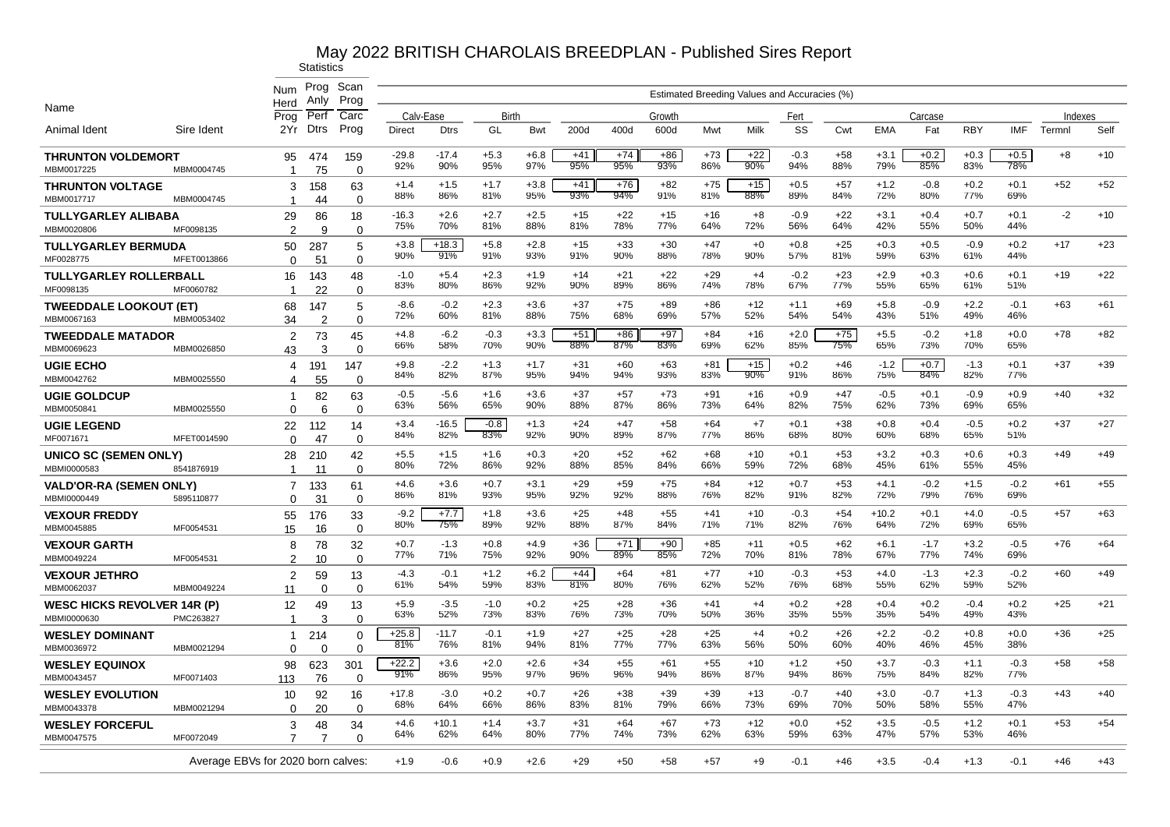|                                                   |                                    | Num                           | Prog<br>Anly    | Scan<br>Prog            | Estimated Breeding Values and Accuracies (%) |                |               |               |              |              |              |              |              |               |              |                |               |               |               |        |       |
|---------------------------------------------------|------------------------------------|-------------------------------|-----------------|-------------------------|----------------------------------------------|----------------|---------------|---------------|--------------|--------------|--------------|--------------|--------------|---------------|--------------|----------------|---------------|---------------|---------------|--------|-------|
| Name                                              | Herd<br>Prog                       | Perf                          | Carc            | Calv-Ease               |                                              | Birth          |               |               |              | Growth       |              |              | Fert         |               |              | Carcase        |               |               | Indexes       |        |       |
| Animal Ident                                      | Sire Ident                         | 2Yr                           | Dtrs            | Prog                    | Direct                                       | <b>Dtrs</b>    | GL            | <b>Bwt</b>    | 200d         | 400d         | 600d         | Mwt          | Milk         | SS            | Cwt          | <b>EMA</b>     | Fat           | <b>RBY</b>    | <b>IMF</b>    | Termnl | Self  |
| <b>THRUNTON VOLDEMORT</b><br>MBM0017225           | MBM0004745                         | 95<br>-1                      | 474<br>75       | 159<br>$\Omega$         | -29.8<br>92%                                 | $-17.4$<br>90% | $+5.3$<br>95% | $+6.8$<br>97% | $+41$<br>95% | $+74$<br>95% | $+86$<br>93% | $+73$<br>86% | $+22$<br>90% | $-0.3$<br>94% | $+58$<br>88% | $+3.1$<br>79%  | $+0.2$<br>85% | $+0.3$<br>83% | $+0.5$<br>78% | $+8$   | $+10$ |
| <b>THRUNTON VOLTAGE</b><br>MBM0017717             | MBM0004745                         | 3<br>$\overline{\phantom{a}}$ | 158<br>44       | 63<br>$\mathbf 0$       | $+1.4$<br>88%                                | $+1.5$<br>86%  | $+1.7$<br>81% | $+3.8$<br>95% | $+41$<br>93% | $+76$<br>94% | $+82$<br>91% | $+75$<br>81% | $+15$<br>88% | $+0.5$<br>89% | $+57$<br>84% | $+1.2$<br>72%  | $-0.8$<br>80% | $+0.2$<br>77% | $+0.1$<br>69% | $+52$  | $+52$ |
| TULLYGARLEY ALIBABA<br>MBM0020806                 | MF0098135                          | 29<br>$\mathfrak{p}$          | 86              | 18                      | $-16.3$<br>75%                               | $+2.6$<br>70%  | $+2.7$<br>81% | $+2.5$<br>88% | $+15$<br>81% | $+22$<br>78% | $+15$<br>77% | $+16$<br>64% | $+8$<br>72%  | $-0.9$<br>56% | $+22$<br>64% | $+3.1$<br>42%  | $+0.4$<br>55% | $+0.7$<br>50% | $+0.1$<br>44% | $-2$   | $+10$ |
| <b>TULLYGARLEY BERMUDA</b>                        |                                    | 50                            | 9<br>287        | $\mathbf 0$<br>5        | $+3.8$                                       | $+18.3$        | $+5.8$        | $+2.8$        | $+15$        | $+33$        | $+30$        | $+47$        | $+0$         | $+0.8$        | $+25$        | $+0.3$         | $+0.5$        | $-0.9$        | $+0.2$        | $+17$  | $+23$ |
| MF0028775                                         | MFET0013866                        | $\Omega$                      | 51              | $\mathbf 0$             | 90%                                          | 91%            | 91%           | 93%           | 91%          | 90%          | 88%          | 78%          | 90%          | 57%           | 81%          | 59%            | 63%           | 61%           | 44%           |        |       |
| <b>TULLYGARLEY ROLLERBALL</b><br>MF0098135        | MF0060782                          | 16<br>1                       | 143<br>22       | 48<br>0                 | $-1.0$<br>83%                                | $+5.4$<br>80%  | $+2.3$<br>86% | $+1.9$<br>92% | $+14$<br>90% | $+21$<br>89% | $+22$<br>86% | $+29$<br>74% | $+4$<br>78%  | $-0.2$<br>67% | $+23$<br>77% | $+2.9$<br>55%  | $+0.3$<br>65% | $+0.6$<br>61% | $+0.1$<br>51% | $+19$  | $+22$ |
| <b>TWEEDDALE LOOKOUT (ET)</b>                     |                                    | 68                            | 147             | 5                       | $-8.6$                                       | $-0.2$         | $+2.3$        | $+3.6$        | $+37$        | $+75$        | $+89$        | $+86$        | $+12$        | $+1.1$        | $+69$        | $+5.8$         | $-0.9$        | $+2.2$        | $-0.1$        | $+63$  | $+61$ |
| MBM0067163                                        | MBM0053402                         | 34                            | 2               | $\Omega$                | 72%                                          | 60%            | 81%           | 88%           | 75%          | 68%          | 69%          | 57%          | 52%          | 54%           | 54%          | 43%            | 51%           | 49%           | 46%           |        |       |
| <b>TWEEDDALE MATADOR</b><br>MBM0069623            | MBM0026850                         | 2<br>43                       | 73<br>3         | 45<br>$\Omega$          | $+4.8$<br>66%                                | $-6.2$<br>58%  | $-0.3$<br>70% | $+3.3$<br>90% | $+51$<br>88% | $+86$<br>87% | $+97$<br>83% | $+84$<br>69% | $+16$<br>62% | $+2.0$<br>85% | $+75$<br>75% | $+5.5$<br>65%  | $-0.2$<br>73% | $+1.8$<br>70% | $+0.0$<br>65% | $+78$  | $+82$ |
| <b>UGIE ECHO</b><br>MBM0042762                    | MBM0025550                         | 4<br>4                        | 191<br>55       | 147<br>$\Omega$         | $+9.8$<br>84%                                | $-2.2$<br>82%  | $+1.3$<br>87% | $+1.7$<br>95% | $+31$<br>94% | $+60$<br>94% | $+63$<br>93% | $+81$<br>83% | $+15$<br>90% | $+0.2$<br>91% | $+46$<br>86% | $-1.2$<br>75%  | $+0.7$<br>84% | $-1.3$<br>82% | $+0.1$<br>77% | $+37$  | $+39$ |
| <b>UGIE GOLDCUP</b><br>MBM0050841                 | MBM0025550                         | 1<br>$\Omega$                 | 82<br>6         | 63<br>$\Omega$          | $-0.5$<br>63%                                | $-5.6$<br>56%  | $+1.6$<br>65% | $+3.6$<br>90% | $+37$<br>88% | $+57$<br>87% | $+73$<br>86% | $+91$<br>73% | $+16$<br>64% | $+0.9$<br>82% | $+47$<br>75% | $-0.5$<br>62%  | $+0.1$<br>73% | $-0.9$<br>69% | $+0.9$<br>65% | $+40$  | $+32$ |
| <b>UGIE LEGEND</b><br>MF0071671                   | MFET0014590                        | 22<br>$\Omega$                | 112<br>47       | 14<br>$\Omega$          | $+3.4$<br>84%                                | -16.5<br>82%   | $-0.8$<br>83% | $+1.3$<br>92% | $+24$<br>90% | $+47$<br>89% | $+58$<br>87% | $+64$<br>77% | $+7$<br>86%  | $+0.1$<br>68% | $+38$<br>80% | $+0.8$<br>60%  | $+0.4$<br>68% | $-0.5$<br>65% | $+0.2$<br>51% | $+37$  | $+27$ |
| UNICO SC (SEMEN ONLY)<br>MBMI0000583              | 8541876919                         | 28<br>-1                      | 210<br>11       | 42<br>$\Omega$          | $+5.5$<br>80%                                | $+1.5$<br>72%  | $+1.6$<br>86% | $+0.3$<br>92% | $+20$<br>88% | $+52$<br>85% | $+62$<br>84% | $+68$<br>66% | $+10$<br>59% | $+0.1$<br>72% | $+53$<br>68% | $+3.2$<br>45%  | $+0.3$<br>61% | $+0.6$<br>55% | $+0.3$<br>45% | $+49$  | $+49$ |
| <b>VALD'OR-RA (SEMEN ONLY)</b>                    |                                    | 7                             | 133             | 61                      | $+4.6$<br>86%                                | $+3.6$<br>81%  | $+0.7$<br>93% | $+3.1$<br>95% | $+29$<br>92% | $+59$<br>92% | $+75$<br>88% | $+84$<br>76% | $+12$<br>82% | $+0.7$<br>91% | $+53$<br>82% | $+4.1$<br>72%  | $-0.2$<br>79% | $+1.5$<br>76% | $-0.2$<br>69% | $+61$  | $+55$ |
| MBMI0000449<br><b>VEXOUR FREDDY</b>               | 5895110877                         | $\Omega$<br>55                | 31<br>176       | $\mathbf 0$<br>33       | $-9.2$<br>80%                                | $+7.7$<br>75%  | $+1.8$<br>89% | $+3.6$<br>92% | $+25$<br>88% | $+48$<br>87% | $+55$<br>84% | $+41$<br>71% | $+10$<br>71% | $-0.3$<br>82% | $+54$<br>76% | $+10.2$<br>64% | $+0.1$<br>72% | $+4.0$<br>69% | $-0.5$<br>65% | $+57$  | $+63$ |
| MBM0045885                                        | MF0054531                          | 15                            | 16              | $\mathbf 0$             | $+0.7$                                       | $-1.3$         | $+0.8$        | $+4.9$        | $+36$        | $+71$        | $+90$        | $+85$        | +11          | $+0.5$        | $+62$        | $+6.1$         | $-1.7$        | $+3.2$        | $-0.5$        | $+76$  | $+64$ |
| <b>VEXOUR GARTH</b><br>MBM0049224                 | MF0054531                          | 8<br>$\overline{2}$           | 78<br>10        | 32<br>$\Omega$          | 77%                                          | 71%            | 75%           | 92%           | 90%          | 89%          | 85%          | 72%          | 70%          | 81%           | 78%          | 67%            | 77%           | 74%           | 69%           |        |       |
| <b>VEXOUR JETHRO</b><br>MBM0062037                | MBM0049224                         | 2<br>11                       | 59<br>$\Omega$  | 13<br>$\Omega$          | $-4.3$<br>61%                                | $-0.1$<br>54%  | $+1.2$<br>59% | $+6.2$<br>83% | $+44$<br>81% | $+64$<br>80% | $+81$<br>76% | $+77$<br>62% | $+10$<br>52% | $-0.3$<br>76% | $+53$<br>68% | $+4.0$<br>55%  | $-1.3$<br>62% | $+2.3$<br>59% | $-0.2$<br>52% | $+60$  | $+49$ |
| <b>WESC HICKS REVOLVER 14R (P)</b><br>MBMI0000630 | PMC263827                          | 12<br>$\mathbf{1}$            | 49<br>3         | 13<br>$\mathbf 0$       | $+5.9$<br>63%                                | $-3.5$<br>52%  | $-1.0$<br>73% | $+0.2$<br>83% | $+25$<br>76% | $+28$<br>73% | $+36$<br>70% | $+41$<br>50% | $+4$<br>36%  | $+0.2$<br>35% | $+28$<br>55% | $+0.4$<br>35%  | $+0.2$<br>54% | $-0.4$<br>49% | $+0.2$<br>43% | $+25$  | $+21$ |
| <b>WESLEY DOMINANT</b><br>MBM0036972              | MBM0021294                         | -1<br>$\Omega$                | 214<br>$\Omega$ | $\mathbf 0$<br>$\Omega$ | $+25.8$<br>81%                               | $-11.7$<br>76% | $-0.1$<br>81% | $+1.9$<br>94% | $+27$<br>81% | $+25$<br>77% | $+28$<br>77% | $+25$<br>63% | $+4$<br>56%  | $+0.2$<br>50% | $+26$<br>60% | $+2.2$<br>40%  | $-0.2$<br>46% | $+0.8$<br>45% | $+0.0$<br>38% | $+36$  | $+25$ |
| <b>WESLEY EQUINOX</b><br>MBM0043457               | MF0071403                          | 98<br>113                     | 623<br>76       | 301<br>$\mathbf 0$      | $+22.2$<br>91%                               | $+3.6$<br>86%  | $+2.0$<br>95% | $+2.6$<br>97% | $+34$<br>96% | $+55$<br>96% | $+61$<br>94% | $+55$<br>86% | $+10$<br>87% | $+1.2$<br>94% | $+50$<br>86% | $+3.7$<br>75%  | $-0.3$<br>84% | $+1.1$<br>82% | $-0.3$<br>77% | $+58$  | $+58$ |
| <b>WESLEY EVOLUTION</b><br>MBM0043378             | MBM0021294                         | 10<br>$\Omega$                | 92<br>20        | 16<br>$\mathbf 0$       | $+17.8$<br>68%                               | $-3.0$<br>64%  | $+0.2$<br>66% | $+0.7$<br>86% | $+26$<br>83% | $+38$<br>81% | $+39$<br>79% | $+39$<br>66% | $+13$<br>73% | $-0.7$<br>69% | $+40$<br>70% | $+3.0$<br>50%  | $-0.7$<br>58% | $+1.3$<br>55% | $-0.3$<br>47% | $+43$  | $+40$ |
| <b>WESLEY FORCEFUL</b>                            |                                    | 3                             | 48              | 34                      | $+4.6$                                       | $+10.1$        | $+1.4$        | $+3.7$        | $+31$        | $+64$        | $+67$        | $+73$        | $+12$        | $+0.0$        | $+52$        | $+3.5$         | $-0.5$        | $+1.2$        | $+0.1$        | $+53$  | $+54$ |
| MBM0047575                                        | MF0072049                          | $\overline{7}$                | 7               | $\Omega$                | 64%                                          | 62%            | 64%           | 80%           | 77%          | 74%          | 73%          | 62%          | 63%          | 59%           | 63%          | 47%            | 57%           | 53%           | 46%           |        |       |
|                                                   | Average EBVs for 2020 born calves: |                               |                 |                         | $+1.9$                                       | $-0.6$         | $+0.9$        | $+2.6$        | $+29$        | $+50$        | $+58$        | +57          | $+9$         | $-0.1$        | $+46$        | $+3.5$         | $-0.4$        | $+1.3$        | $-0.1$        | $+46$  | $+43$ |